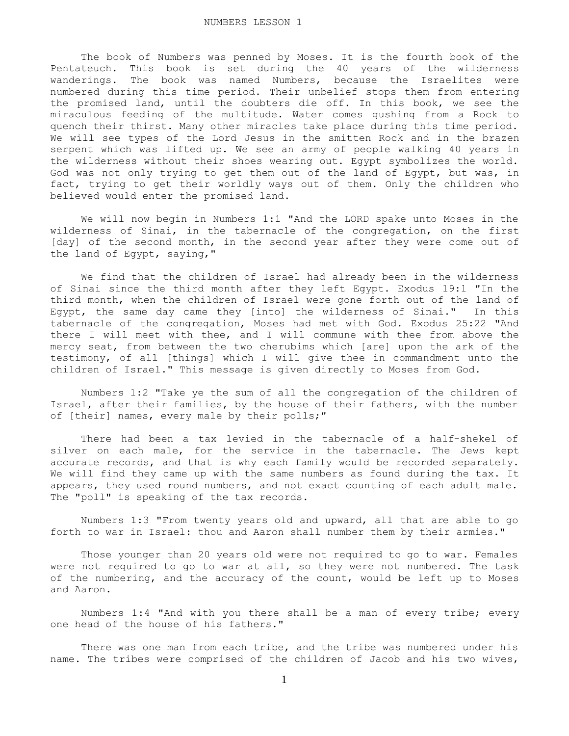The book of Numbers was penned by Moses. It is the fourth book of the Pentateuch. This book is set during the 40 years of the wilderness wanderings. The book was named Numbers, because the Israelites were numbered during this time period. Their unbelief stops them from entering the promised land, until the doubters die off. In this book, we see the miraculous feeding of the multitude. Water comes gushing from a Rock to quench their thirst. Many other miracles take place during this time period. We will see types of the Lord Jesus in the smitten Rock and in the brazen serpent which was lifted up. We see an army of people walking 40 years in the wilderness without their shoes wearing out. Egypt symbolizes the world. God was not only trying to get them out of the land of Egypt, but was, in fact, trying to get their worldly ways out of them. Only the children who believed would enter the promised land.

 We will now begin in Numbers 1:1 "And the LORD spake unto Moses in the wilderness of Sinai, in the tabernacle of the congregation, on the first [day] of the second month, in the second year after they were come out of the land of Egypt, saying,"

 We find that the children of Israel had already been in the wilderness of Sinai since the third month after they left Egypt. Exodus 19:1 "In the third month, when the children of Israel were gone forth out of the land of Egypt, the same day came they [into] the wilderness of Sinai." In this tabernacle of the congregation, Moses had met with God. Exodus 25:22 "And there I will meet with thee, and I will commune with thee from above the mercy seat, from between the two cherubims which [are] upon the ark of the testimony, of all [things] which I will give thee in commandment unto the children of Israel." This message is given directly to Moses from God.

 Numbers 1:2 "Take ye the sum of all the congregation of the children of Israel, after their families, by the house of their fathers, with the number of [their] names, every male by their polls;"

 There had been a tax levied in the tabernacle of a half-shekel of silver on each male, for the service in the tabernacle. The Jews kept accurate records, and that is why each family would be recorded separately. We will find they came up with the same numbers as found during the tax. It appears, they used round numbers, and not exact counting of each adult male. The "poll" is speaking of the tax records.

 Numbers 1:3 "From twenty years old and upward, all that are able to go forth to war in Israel: thou and Aaron shall number them by their armies."

 Those younger than 20 years old were not required to go to war. Females were not required to go to war at all, so they were not numbered. The task of the numbering, and the accuracy of the count, would be left up to Moses and Aaron.

 Numbers 1:4 "And with you there shall be a man of every tribe; every one head of the house of his fathers."

 There was one man from each tribe, and the tribe was numbered under his name. The tribes were comprised of the children of Jacob and his two wives,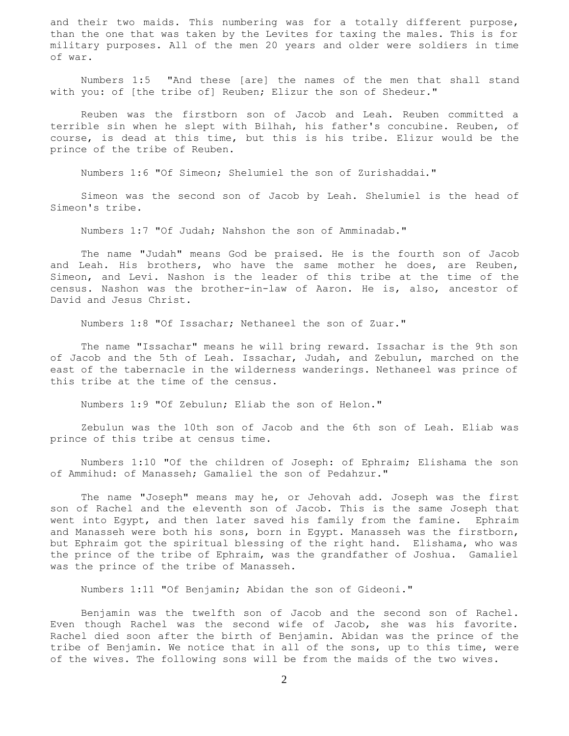and their two maids. This numbering was for a totally different purpose, than the one that was taken by the Levites for taxing the males. This is for military purposes. All of the men 20 years and older were soldiers in time of war.

 Numbers 1:5 "And these [are] the names of the men that shall stand with you: of [the tribe of] Reuben; Elizur the son of Shedeur."

 Reuben was the firstborn son of Jacob and Leah. Reuben committed a terrible sin when he slept with Bilhah, his father's concubine. Reuben, of course, is dead at this time, but this is his tribe. Elizur would be the prince of the tribe of Reuben.

Numbers 1:6 "Of Simeon; Shelumiel the son of Zurishaddai."

 Simeon was the second son of Jacob by Leah. Shelumiel is the head of Simeon's tribe.

Numbers 1:7 "Of Judah; Nahshon the son of Amminadab."

 The name "Judah" means God be praised. He is the fourth son of Jacob and Leah. His brothers, who have the same mother he does, are Reuben, Simeon, and Levi. Nashon is the leader of this tribe at the time of the census. Nashon was the brother-in-law of Aaron. He is, also, ancestor of David and Jesus Christ.

Numbers 1:8 "Of Issachar; Nethaneel the son of Zuar."

 The name "Issachar" means he will bring reward. Issachar is the 9th son of Jacob and the 5th of Leah. Issachar, Judah, and Zebulun, marched on the east of the tabernacle in the wilderness wanderings. Nethaneel was prince of this tribe at the time of the census.

Numbers 1:9 "Of Zebulun; Eliab the son of Helon."

 Zebulun was the 10th son of Jacob and the 6th son of Leah. Eliab was prince of this tribe at census time.

 Numbers 1:10 "Of the children of Joseph: of Ephraim; Elishama the son of Ammihud: of Manasseh; Gamaliel the son of Pedahzur."

 The name "Joseph" means may he, or Jehovah add. Joseph was the first son of Rachel and the eleventh son of Jacob. This is the same Joseph that went into Egypt, and then later saved his family from the famine. Ephraim and Manasseh were both his sons, born in Egypt. Manasseh was the firstborn, but Ephraim got the spiritual blessing of the right hand. Elishama, who was the prince of the tribe of Ephraim, was the grandfather of Joshua. Gamaliel was the prince of the tribe of Manasseh.

Numbers 1:11 "Of Benjamin; Abidan the son of Gideoni."

 Benjamin was the twelfth son of Jacob and the second son of Rachel. Even though Rachel was the second wife of Jacob, she was his favorite. Rachel died soon after the birth of Benjamin. Abidan was the prince of the tribe of Benjamin. We notice that in all of the sons, up to this time, were of the wives. The following sons will be from the maids of the two wives.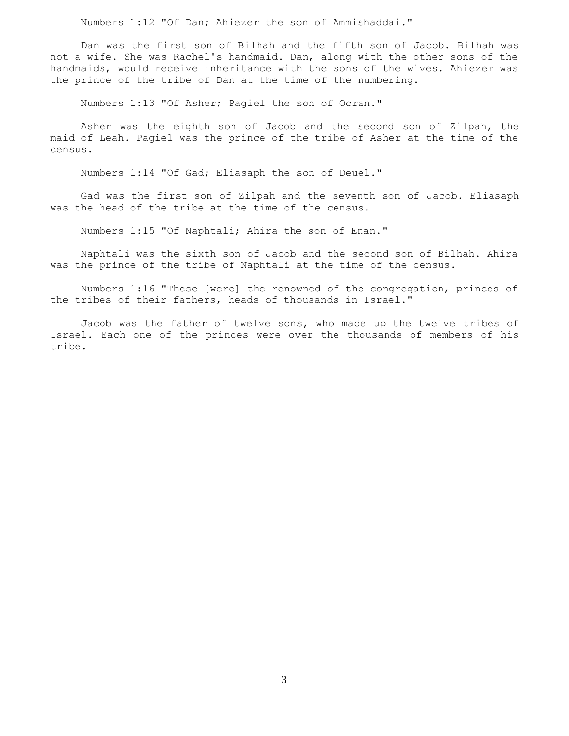Numbers 1:12 "Of Dan; Ahiezer the son of Ammishaddai."

 Dan was the first son of Bilhah and the fifth son of Jacob. Bilhah was not a wife. She was Rachel's handmaid. Dan, along with the other sons of the handmaids, would receive inheritance with the sons of the wives. Ahiezer was the prince of the tribe of Dan at the time of the numbering.

Numbers 1:13 "Of Asher; Pagiel the son of Ocran."

 Asher was the eighth son of Jacob and the second son of Zilpah, the maid of Leah. Pagiel was the prince of the tribe of Asher at the time of the census.

Numbers 1:14 "Of Gad; Eliasaph the son of Deuel."

 Gad was the first son of Zilpah and the seventh son of Jacob. Eliasaph was the head of the tribe at the time of the census.

Numbers 1:15 "Of Naphtali; Ahira the son of Enan."

 Naphtali was the sixth son of Jacob and the second son of Bilhah. Ahira was the prince of the tribe of Naphtali at the time of the census.

 Numbers 1:16 "These [were] the renowned of the congregation, princes of the tribes of their fathers, heads of thousands in Israel."

 Jacob was the father of twelve sons, who made up the twelve tribes of Israel. Each one of the princes were over the thousands of members of his tribe.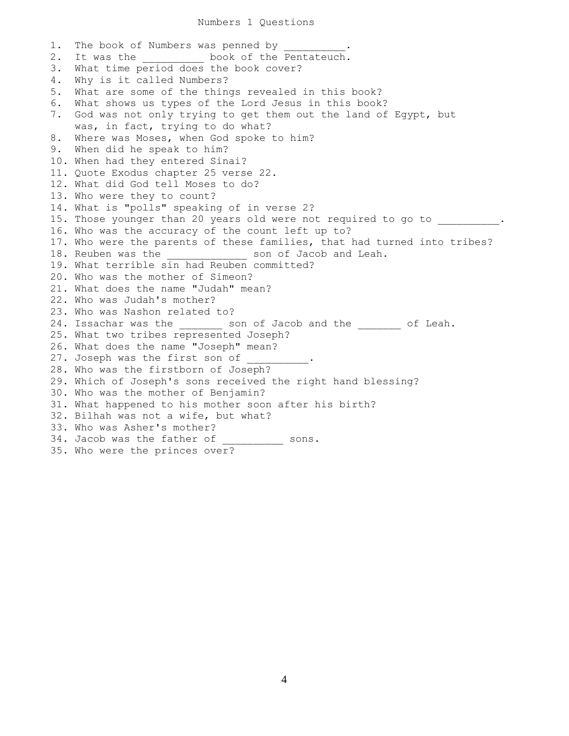## Numbers 1 Questions

1. The book of Numbers was penned by 2. It was the the book of the Pentateuch. 3. What time period does the book cover? 4. Why is it called Numbers? 5. What are some of the things revealed in this book? 6. What shows us types of the Lord Jesus in this book? 7. God was not only trying to get them out the land of Egypt, but was, in fact, trying to do what? 8. Where was Moses, when God spoke to him? 9. When did he speak to him? 10. When had they entered Sinai? 11. Quote Exodus chapter 25 verse 22. 12. What did God tell Moses to do? 13. Who were they to count? 14. What is "polls" speaking of in verse 2? 15. Those younger than 20 years old were not required to go to \_\_\_\_\_\_\_\_. 16. Who was the accuracy of the count left up to? 17. Who were the parents of these families, that had turned into tribes? 18. Reuben was the end of Jacob and Leah. 19. What terrible sin had Reuben committed? 20. Who was the mother of Simeon? 21. What does the name "Judah" mean? 22. Who was Judah's mother? 23. Who was Nashon related to? 24. Issachar was the son of Jacob and the of Leah. 25. What two tribes represented Joseph? 26. What does the name "Joseph" mean? 27. Joseph was the first son of 28. Who was the firstborn of Joseph? 29. Which of Joseph's sons received the right hand blessing? 30. Who was the mother of Benjamin? 31. What happened to his mother soon after his birth? 32. Bilhah was not a wife, but what? 33. Who was Asher's mother? 34. Jacob was the father of \_\_\_\_\_\_\_\_\_\_ sons. 35. Who were the princes over?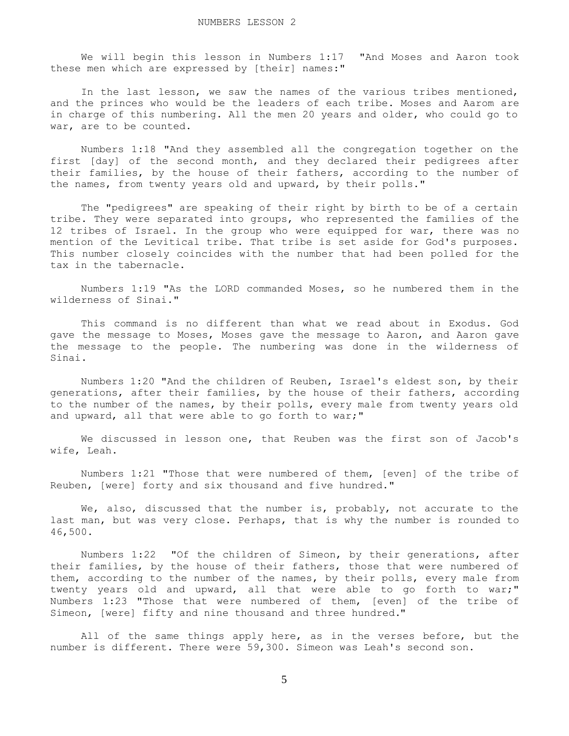We will begin this lesson in Numbers 1:17 "And Moses and Aaron took these men which are expressed by [their] names:"

 In the last lesson, we saw the names of the various tribes mentioned, and the princes who would be the leaders of each tribe. Moses and Aarom are in charge of this numbering. All the men 20 years and older, who could go to war, are to be counted.

 Numbers 1:18 "And they assembled all the congregation together on the first [day] of the second month, and they declared their pedigrees after their families, by the house of their fathers, according to the number of the names, from twenty years old and upward, by their polls."

 The "pedigrees" are speaking of their right by birth to be of a certain tribe. They were separated into groups, who represented the families of the 12 tribes of Israel. In the group who were equipped for war, there was no mention of the Levitical tribe. That tribe is set aside for God's purposes. This number closely coincides with the number that had been polled for the tax in the tabernacle.

 Numbers 1:19 "As the LORD commanded Moses, so he numbered them in the wilderness of Sinai."

 This command is no different than what we read about in Exodus. God gave the message to Moses, Moses gave the message to Aaron, and Aaron gave the message to the people. The numbering was done in the wilderness of Sinai.

 Numbers 1:20 "And the children of Reuben, Israel's eldest son, by their generations, after their families, by the house of their fathers, according to the number of the names, by their polls, every male from twenty years old and upward, all that were able to go forth to war;"

 We discussed in lesson one, that Reuben was the first son of Jacob's wife, Leah.

 Numbers 1:21 "Those that were numbered of them, [even] of the tribe of Reuben, [were] forty and six thousand and five hundred."

We, also, discussed that the number is, probably, not accurate to the last man, but was very close. Perhaps, that is why the number is rounded to 46,500.

 Numbers 1:22 "Of the children of Simeon, by their generations, after their families, by the house of their fathers, those that were numbered of them, according to the number of the names, by their polls, every male from twenty years old and upward, all that were able to go forth to war;" Numbers 1:23 "Those that were numbered of them, [even] of the tribe of Simeon, [were] fifty and nine thousand and three hundred."

All of the same things apply here, as in the verses before, but the number is different. There were 59,300. Simeon was Leah's second son.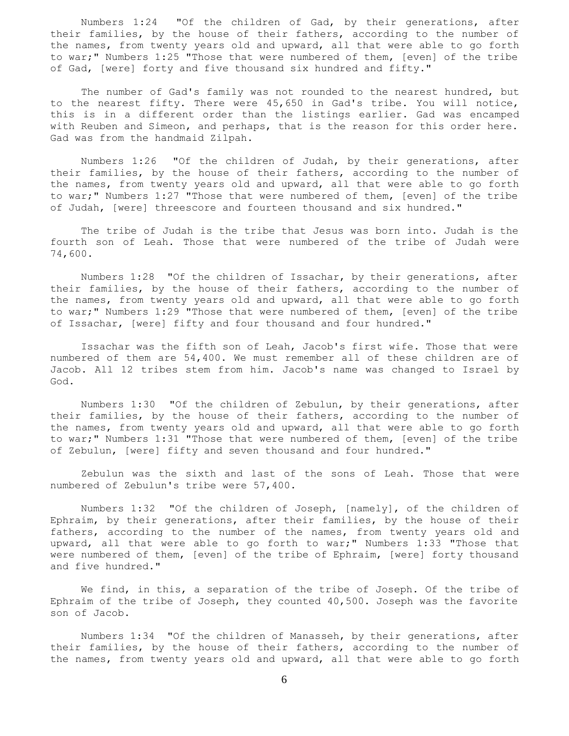Numbers 1:24 "Of the children of Gad, by their generations, after their families, by the house of their fathers, according to the number of the names, from twenty years old and upward, all that were able to go forth to war;" Numbers 1:25 "Those that were numbered of them, [even] of the tribe of Gad, [were] forty and five thousand six hundred and fifty."

The number of Gad's family was not rounded to the nearest hundred, but to the nearest fifty. There were 45,650 in Gad's tribe. You will notice, this is in a different order than the listings earlier. Gad was encamped with Reuben and Simeon, and perhaps, that is the reason for this order here. Gad was from the handmaid Zilpah.

 Numbers 1:26 "Of the children of Judah, by their generations, after their families, by the house of their fathers, according to the number of the names, from twenty years old and upward, all that were able to go forth to war;" Numbers 1:27 "Those that were numbered of them, [even] of the tribe of Judah, [were] threescore and fourteen thousand and six hundred."

 The tribe of Judah is the tribe that Jesus was born into. Judah is the fourth son of Leah. Those that were numbered of the tribe of Judah were 74,600.

 Numbers 1:28 "Of the children of Issachar, by their generations, after their families, by the house of their fathers, according to the number of the names, from twenty years old and upward, all that were able to go forth to war;" Numbers 1:29 "Those that were numbered of them, [even] of the tribe of Issachar, [were] fifty and four thousand and four hundred."

 Issachar was the fifth son of Leah, Jacob's first wife. Those that were numbered of them are 54,400. We must remember all of these children are of Jacob. All 12 tribes stem from him. Jacob's name was changed to Israel by God.

 Numbers 1:30 "Of the children of Zebulun, by their generations, after their families, by the house of their fathers, according to the number of the names, from twenty years old and upward, all that were able to go forth to war;" Numbers 1:31 "Those that were numbered of them, [even] of the tribe of Zebulun, [were] fifty and seven thousand and four hundred."

 Zebulun was the sixth and last of the sons of Leah. Those that were numbered of Zebulun's tribe were 57,400.

 Numbers 1:32 "Of the children of Joseph, [namely], of the children of Ephraim, by their generations, after their families, by the house of their fathers, according to the number of the names, from twenty years old and upward, all that were able to go forth to war;" Numbers 1:33 "Those that were numbered of them, [even] of the tribe of Ephraim, [were] forty thousand and five hundred."

 We find, in this, a separation of the tribe of Joseph. Of the tribe of Ephraim of the tribe of Joseph, they counted 40,500. Joseph was the favorite son of Jacob.

 Numbers 1:34 "Of the children of Manasseh, by their generations, after their families, by the house of their fathers, according to the number of the names, from twenty years old and upward, all that were able to go forth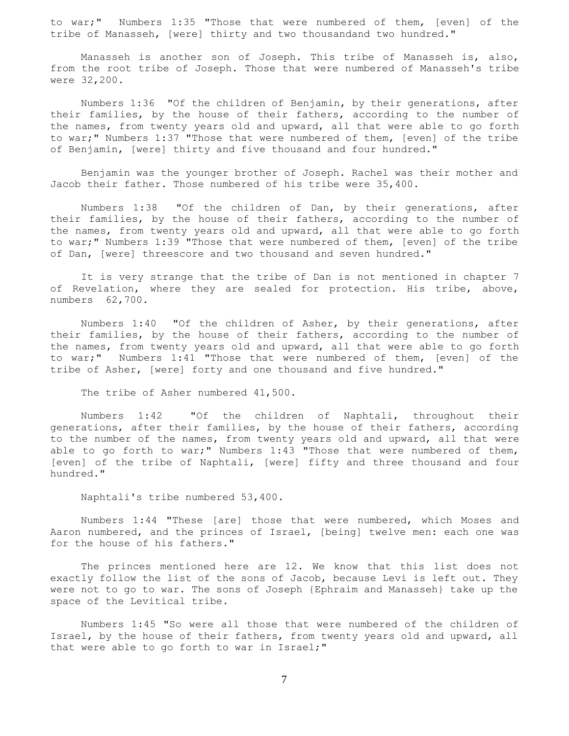to war;" Numbers 1:35 "Those that were numbered of them, [even] of the tribe of Manasseh, [were] thirty and two thousandand two hundred."

 Manasseh is another son of Joseph. This tribe of Manasseh is, also, from the root tribe of Joseph. Those that were numbered of Manasseh's tribe were 32,200.

 Numbers 1:36 "Of the children of Benjamin, by their generations, after their families, by the house of their fathers, according to the number of the names, from twenty years old and upward, all that were able to go forth to war;" Numbers 1:37 "Those that were numbered of them, [even] of the tribe of Benjamin, [were] thirty and five thousand and four hundred."

 Benjamin was the younger brother of Joseph. Rachel was their mother and Jacob their father. Those numbered of his tribe were 35,400.

 Numbers 1:38 "Of the children of Dan, by their generations, after their families, by the house of their fathers, according to the number of the names, from twenty years old and upward, all that were able to go forth to war;" Numbers 1:39 "Those that were numbered of them, [even] of the tribe of Dan, [were] threescore and two thousand and seven hundred."

 It is very strange that the tribe of Dan is not mentioned in chapter 7 of Revelation, where they are sealed for protection. His tribe, above, numbers 62,700.

 Numbers 1:40 "Of the children of Asher, by their generations, after their families, by the house of their fathers, according to the number of the names, from twenty years old and upward, all that were able to go forth to war;" Numbers 1:41 "Those that were numbered of them, [even] of the tribe of Asher, [were] forty and one thousand and five hundred."

The tribe of Asher numbered 41,500.

 Numbers 1:42 "Of the children of Naphtali, throughout their generations, after their families, by the house of their fathers, according to the number of the names, from twenty years old and upward, all that were able to go forth to war;" Numbers 1:43 "Those that were numbered of them, [even] of the tribe of Naphtali, [were] fifty and three thousand and four hundred."

Naphtali's tribe numbered 53,400.

 Numbers 1:44 "These [are] those that were numbered, which Moses and Aaron numbered, and the princes of Israel, [being] twelve men: each one was for the house of his fathers."

 The princes mentioned here are 12. We know that this list does not exactly follow the list of the sons of Jacob, because Levi is left out. They were not to go to war. The sons of Joseph {Ephraim and Manasseh} take up the space of the Levitical tribe.

 Numbers 1:45 "So were all those that were numbered of the children of Israel, by the house of their fathers, from twenty years old and upward, all that were able to go forth to war in Israel;"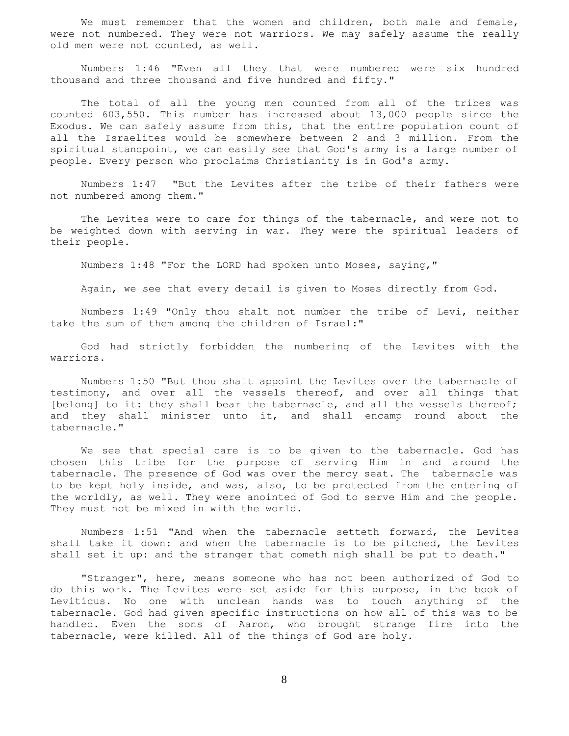We must remember that the women and children, both male and female, were not numbered. They were not warriors. We may safely assume the really old men were not counted, as well.

 Numbers 1:46 "Even all they that were numbered were six hundred thousand and three thousand and five hundred and fifty."

 The total of all the young men counted from all of the tribes was counted 603,550. This number has increased about 13,000 people since the Exodus. We can safely assume from this, that the entire population count of all the Israelites would be somewhere between 2 and 3 million. From the spiritual standpoint, we can easily see that God's army is a large number of people. Every person who proclaims Christianity is in God's army.

 Numbers 1:47 "But the Levites after the tribe of their fathers were not numbered among them."

 The Levites were to care for things of the tabernacle, and were not to be weighted down with serving in war. They were the spiritual leaders of their people.

Numbers 1:48 "For the LORD had spoken unto Moses, saying,"

Again, we see that every detail is given to Moses directly from God.

 Numbers 1:49 "Only thou shalt not number the tribe of Levi, neither take the sum of them among the children of Israel:"

 God had strictly forbidden the numbering of the Levites with the warriors.

 Numbers 1:50 "But thou shalt appoint the Levites over the tabernacle of testimony, and over all the vessels thereof, and over all things that [belong] to it: they shall bear the tabernacle, and all the vessels thereof; and they shall minister unto it, and shall encamp round about the tabernacle."

 We see that special care is to be given to the tabernacle. God has chosen this tribe for the purpose of serving Him in and around the tabernacle. The presence of God was over the mercy seat. The tabernacle was to be kept holy inside, and was, also, to be protected from the entering of the worldly, as well. They were anointed of God to serve Him and the people. They must not be mixed in with the world.

 Numbers 1:51 "And when the tabernacle setteth forward, the Levites shall take it down: and when the tabernacle is to be pitched, the Levites shall set it up: and the stranger that cometh nigh shall be put to death."

 "Stranger", here, means someone who has not been authorized of God to do this work. The Levites were set aside for this purpose, in the book of Leviticus. No one with unclean hands was to touch anything of the tabernacle. God had given specific instructions on how all of this was to be handled. Even the sons of Aaron, who brought strange fire into the tabernacle, were killed. All of the things of God are holy.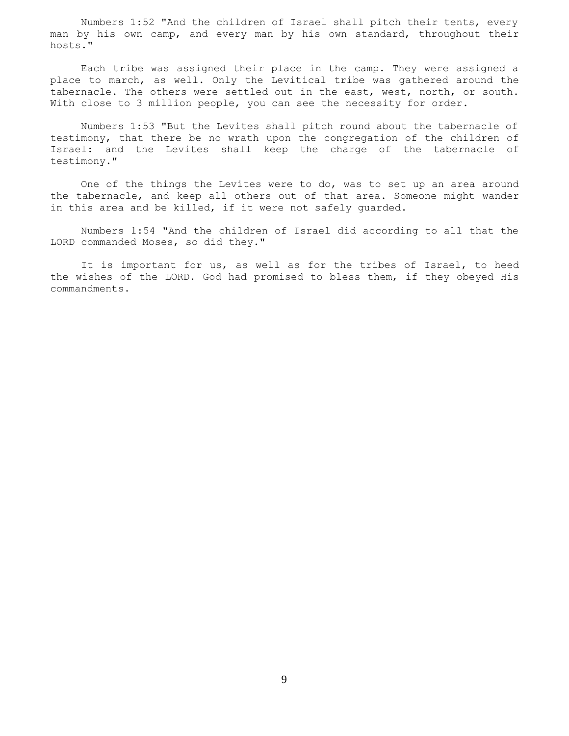Numbers 1:52 "And the children of Israel shall pitch their tents, every man by his own camp, and every man by his own standard, throughout their hosts."

 Each tribe was assigned their place in the camp. They were assigned a place to march, as well. Only the Levitical tribe was gathered around the tabernacle. The others were settled out in the east, west, north, or south. With close to 3 million people, you can see the necessity for order.

 Numbers 1:53 "But the Levites shall pitch round about the tabernacle of testimony, that there be no wrath upon the congregation of the children of Israel: and the Levites shall keep the charge of the tabernacle of testimony."

 One of the things the Levites were to do, was to set up an area around the tabernacle, and keep all others out of that area. Someone might wander in this area and be killed, if it were not safely guarded.

 Numbers 1:54 "And the children of Israel did according to all that the LORD commanded Moses, so did they."

It is important for us, as well as for the tribes of Israel, to heed the wishes of the LORD. God had promised to bless them, if they obeyed His commandments.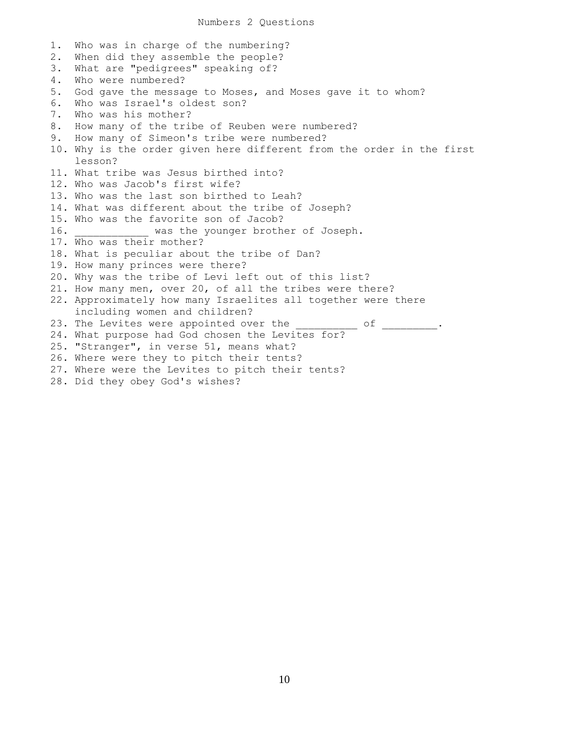1. Who was in charge of the numbering? 2. When did they assemble the people? 3. What are "pedigrees" speaking of? 4. Who were numbered? 5. God gave the message to Moses, and Moses gave it to whom? 6. Who was Israel's oldest son? 7. Who was his mother? 8. How many of the tribe of Reuben were numbered? 9. How many of Simeon's tribe were numbered? 10. Why is the order given here different from the order in the first lesson? 11. What tribe was Jesus birthed into? 12. Who was Jacob's first wife? 13. Who was the last son birthed to Leah? 14. What was different about the tribe of Joseph? 15. Who was the favorite son of Jacob? 16. **WAREN** was the younger brother of Joseph. 17. Who was their mother? 18. What is peculiar about the tribe of Dan? 19. How many princes were there? 20. Why was the tribe of Levi left out of this list? 21. How many men, over 20, of all the tribes were there? 22. Approximately how many Israelites all together were there including women and children? 23. The Levites were appointed over the \_\_\_\_\_\_\_\_\_ of \_\_\_\_\_\_\_\_\_. 24. What purpose had God chosen the Levites for? 25. "Stranger", in verse 51, means what? 26. Where were they to pitch their tents? 27. Where were the Levites to pitch their tents? 28. Did they obey God's wishes?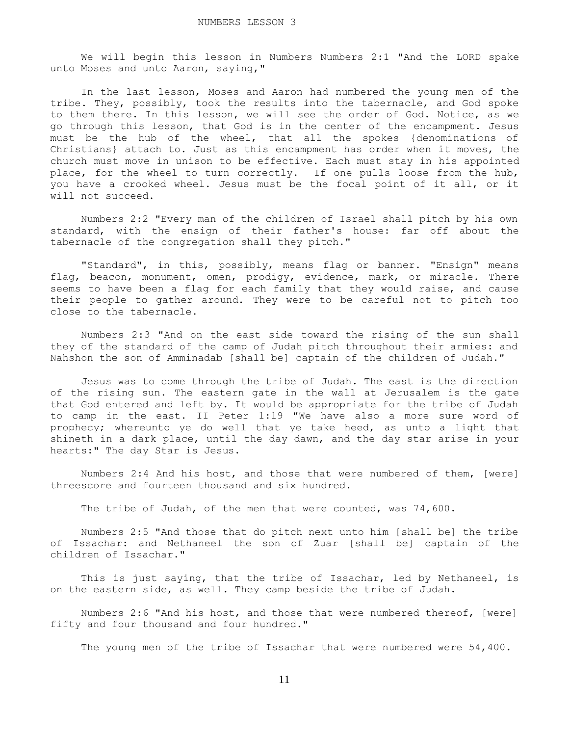We will begin this lesson in Numbers Numbers 2:1 "And the LORD spake unto Moses and unto Aaron, saying,"

 In the last lesson, Moses and Aaron had numbered the young men of the tribe. They, possibly, took the results into the tabernacle, and God spoke to them there. In this lesson, we will see the order of God. Notice, as we go through this lesson, that God is in the center of the encampment. Jesus must be the hub of the wheel, that all the spokes {denominations of Christians} attach to. Just as this encampment has order when it moves, the church must move in unison to be effective. Each must stay in his appointed place, for the wheel to turn correctly. If one pulls loose from the hub, you have a crooked wheel. Jesus must be the focal point of it all, or it will not succeed.

 Numbers 2:2 "Every man of the children of Israel shall pitch by his own standard, with the ensign of their father's house: far off about the tabernacle of the congregation shall they pitch."

 "Standard", in this, possibly, means flag or banner. "Ensign" means flag, beacon, monument, omen, prodigy, evidence, mark, or miracle. There seems to have been a flag for each family that they would raise, and cause their people to gather around. They were to be careful not to pitch too close to the tabernacle.

 Numbers 2:3 "And on the east side toward the rising of the sun shall they of the standard of the camp of Judah pitch throughout their armies: and Nahshon the son of Amminadab [shall be] captain of the children of Judah."

 Jesus was to come through the tribe of Judah. The east is the direction of the rising sun. The eastern gate in the wall at Jerusalem is the gate that God entered and left by. It would be appropriate for the tribe of Judah to camp in the east. II Peter 1:19 "We have also a more sure word of prophecy; whereunto ye do well that ye take heed, as unto a light that shineth in a dark place, until the day dawn, and the day star arise in your hearts:" The day Star is Jesus.

 Numbers 2:4 And his host, and those that were numbered of them, [were] threescore and fourteen thousand and six hundred.

The tribe of Judah, of the men that were counted, was 74,600.

 Numbers 2:5 "And those that do pitch next unto him [shall be] the tribe of Issachar: and Nethaneel the son of Zuar [shall be] captain of the children of Issachar."

This is just saying, that the tribe of Issachar, led by Nethaneel, is on the eastern side, as well. They camp beside the tribe of Judah.

 Numbers 2:6 "And his host, and those that were numbered thereof, [were] fifty and four thousand and four hundred."

The young men of the tribe of Issachar that were numbered were 54,400.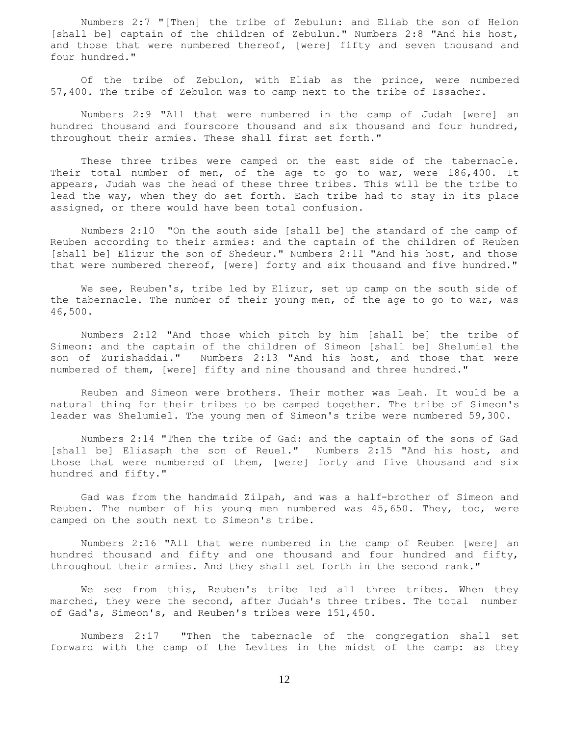Numbers 2:7 "[Then] the tribe of Zebulun: and Eliab the son of Helon [shall be] captain of the children of Zebulun." Numbers 2:8 "And his host, and those that were numbered thereof, [were] fifty and seven thousand and four hundred."

 Of the tribe of Zebulon, with Eliab as the prince, were numbered 57,400. The tribe of Zebulon was to camp next to the tribe of Issacher.

 Numbers 2:9 "All that were numbered in the camp of Judah [were] an hundred thousand and fourscore thousand and six thousand and four hundred, throughout their armies. These shall first set forth."

 These three tribes were camped on the east side of the tabernacle. Their total number of men, of the age to go to war, were 186,400. It appears, Judah was the head of these three tribes. This will be the tribe to lead the way, when they do set forth. Each tribe had to stay in its place assigned, or there would have been total confusion.

 Numbers 2:10 "On the south side [shall be] the standard of the camp of Reuben according to their armies: and the captain of the children of Reuben [shall be] Elizur the son of Shedeur." Numbers 2:11 "And his host, and those that were numbered thereof, [were] forty and six thousand and five hundred."

We see, Reuben's, tribe led by Elizur, set up camp on the south side of the tabernacle. The number of their young men, of the age to go to war, was 46,500.

 Numbers 2:12 "And those which pitch by him [shall be] the tribe of Simeon: and the captain of the children of Simeon [shall be] Shelumiel the son of Zurishaddai." Numbers 2:13 "And his host, and those that were numbered of them, [were] fifty and nine thousand and three hundred."

 Reuben and Simeon were brothers. Their mother was Leah. It would be a natural thing for their tribes to be camped together. The tribe of Simeon's leader was Shelumiel. The young men of Simeon's tribe were numbered 59,300.

 Numbers 2:14 "Then the tribe of Gad: and the captain of the sons of Gad [shall be] Eliasaph the son of Reuel." Numbers 2:15 "And his host, and those that were numbered of them, [were] forty and five thousand and six hundred and fifty."

 Gad was from the handmaid Zilpah, and was a half-brother of Simeon and Reuben. The number of his young men numbered was 45,650. They, too, were camped on the south next to Simeon's tribe.

 Numbers 2:16 "All that were numbered in the camp of Reuben [were] an hundred thousand and fifty and one thousand and four hundred and fifty, throughout their armies. And they shall set forth in the second rank."

We see from this, Reuben's tribe led all three tribes. When they marched, they were the second, after Judah's three tribes. The total number of Gad's, Simeon's, and Reuben's tribes were 151,450.

 Numbers 2:17 "Then the tabernacle of the congregation shall set forward with the camp of the Levites in the midst of the camp: as they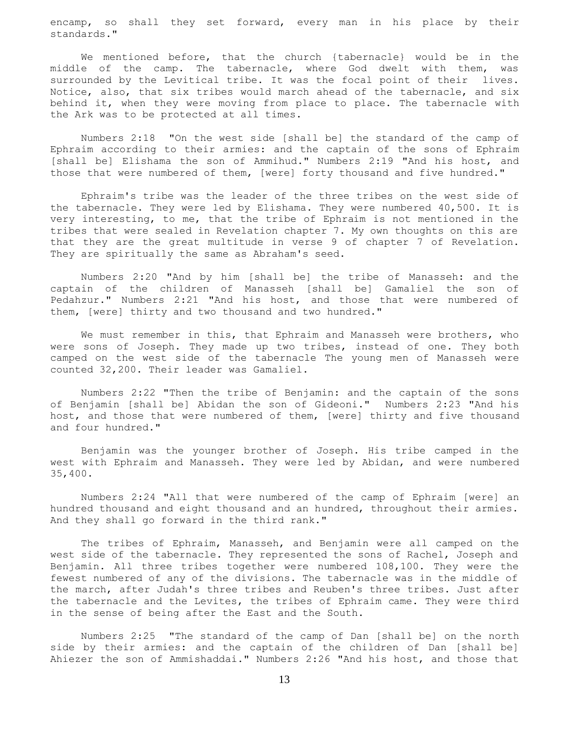encamp, so shall they set forward, every man in his place by their standards."

 We mentioned before, that the church {tabernacle} would be in the middle of the camp. The tabernacle, where God dwelt with them, was surrounded by the Levitical tribe. It was the focal point of their lives. Notice, also, that six tribes would march ahead of the tabernacle, and six behind it, when they were moving from place to place. The tabernacle with the Ark was to be protected at all times.

 Numbers 2:18 "On the west side [shall be] the standard of the camp of Ephraim according to their armies: and the captain of the sons of Ephraim [shall be] Elishama the son of Ammihud." Numbers 2:19 "And his host, and those that were numbered of them, [were] forty thousand and five hundred."

 Ephraim's tribe was the leader of the three tribes on the west side of the tabernacle. They were led by Elishama. They were numbered 40,500. It is very interesting, to me, that the tribe of Ephraim is not mentioned in the tribes that were sealed in Revelation chapter 7. My own thoughts on this are that they are the great multitude in verse 9 of chapter 7 of Revelation. They are spiritually the same as Abraham's seed.

 Numbers 2:20 "And by him [shall be] the tribe of Manasseh: and the captain of the children of Manasseh [shall be] Gamaliel the son of Pedahzur." Numbers 2:21 "And his host, and those that were numbered of them, [were] thirty and two thousand and two hundred."

 We must remember in this, that Ephraim and Manasseh were brothers, who were sons of Joseph. They made up two tribes, instead of one. They both camped on the west side of the tabernacle The young men of Manasseh were counted 32,200. Their leader was Gamaliel.

 Numbers 2:22 "Then the tribe of Benjamin: and the captain of the sons of Benjamin [shall be] Abidan the son of Gideoni." Numbers 2:23 "And his host, and those that were numbered of them, [were] thirty and five thousand and four hundred."

 Benjamin was the younger brother of Joseph. His tribe camped in the west with Ephraim and Manasseh. They were led by Abidan, and were numbered 35,400.

 Numbers 2:24 "All that were numbered of the camp of Ephraim [were] an hundred thousand and eight thousand and an hundred, throughout their armies. And they shall go forward in the third rank."

 The tribes of Ephraim, Manasseh, and Benjamin were all camped on the west side of the tabernacle. They represented the sons of Rachel, Joseph and Benjamin. All three tribes together were numbered 108,100. They were the fewest numbered of any of the divisions. The tabernacle was in the middle of the march, after Judah's three tribes and Reuben's three tribes. Just after the tabernacle and the Levites, the tribes of Ephraim came. They were third in the sense of being after the East and the South.

 Numbers 2:25 "The standard of the camp of Dan [shall be] on the north side by their armies: and the captain of the children of Dan [shall be] Ahiezer the son of Ammishaddai." Numbers 2:26 "And his host, and those that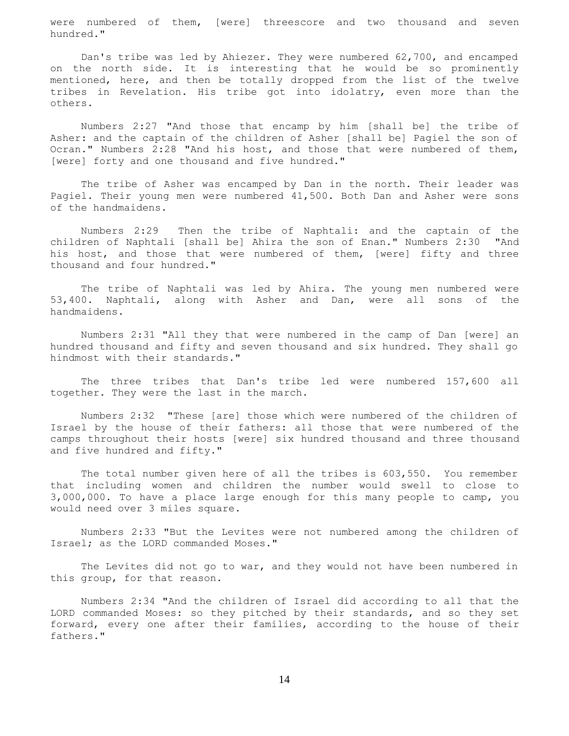were numbered of them, [were] threescore and two thousand and seven hundred."

 Dan's tribe was led by Ahiezer. They were numbered 62,700, and encamped on the north side. It is interesting that he would be so prominently mentioned, here, and then be totally dropped from the list of the twelve tribes in Revelation. His tribe got into idolatry, even more than the others.

 Numbers 2:27 "And those that encamp by him [shall be] the tribe of Asher: and the captain of the children of Asher [shall be] Pagiel the son of Ocran." Numbers 2:28 "And his host, and those that were numbered of them, [were] forty and one thousand and five hundred."

 The tribe of Asher was encamped by Dan in the north. Their leader was Pagiel. Their young men were numbered 41,500. Both Dan and Asher were sons of the handmaidens.

 Numbers 2:29 Then the tribe of Naphtali: and the captain of the children of Naphtali [shall be] Ahira the son of Enan." Numbers 2:30 "And his host, and those that were numbered of them, [were] fifty and three thousand and four hundred."

 The tribe of Naphtali was led by Ahira. The young men numbered were 53,400. Naphtali, along with Asher and Dan, were all sons of the handmaidens.

 Numbers 2:31 "All they that were numbered in the camp of Dan [were] an hundred thousand and fifty and seven thousand and six hundred. They shall go hindmost with their standards."

 The three tribes that Dan's tribe led were numbered 157,600 all together. They were the last in the march.

 Numbers 2:32 "These [are] those which were numbered of the children of Israel by the house of their fathers: all those that were numbered of the camps throughout their hosts [were] six hundred thousand and three thousand and five hundred and fifty."

 The total number given here of all the tribes is 603,550. You remember that including women and children the number would swell to close to 3,000,000. To have a place large enough for this many people to camp, you would need over 3 miles square.

 Numbers 2:33 "But the Levites were not numbered among the children of Israel; as the LORD commanded Moses."

 The Levites did not go to war, and they would not have been numbered in this group, for that reason.

 Numbers 2:34 "And the children of Israel did according to all that the LORD commanded Moses: so they pitched by their standards, and so they set forward, every one after their families, according to the house of their fathers."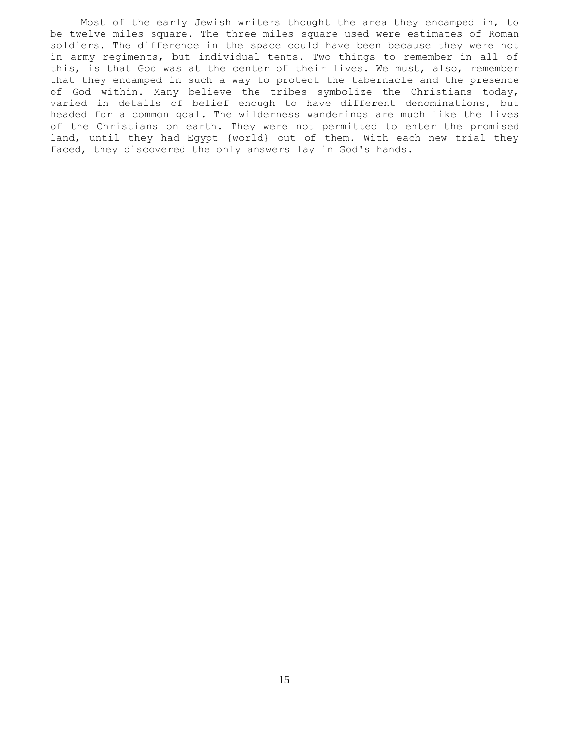Most of the early Jewish writers thought the area they encamped in, to be twelve miles square. The three miles square used were estimates of Roman soldiers. The difference in the space could have been because they were not in army regiments, but individual tents. Two things to remember in all of this, is that God was at the center of their lives. We must, also, remember that they encamped in such a way to protect the tabernacle and the presence of God within. Many believe the tribes symbolize the Christians today, varied in details of belief enough to have different denominations, but headed for a common goal. The wilderness wanderings are much like the lives of the Christians on earth. They were not permitted to enter the promised land, until they had Egypt {world} out of them. With each new trial they faced, they discovered the only answers lay in God's hands.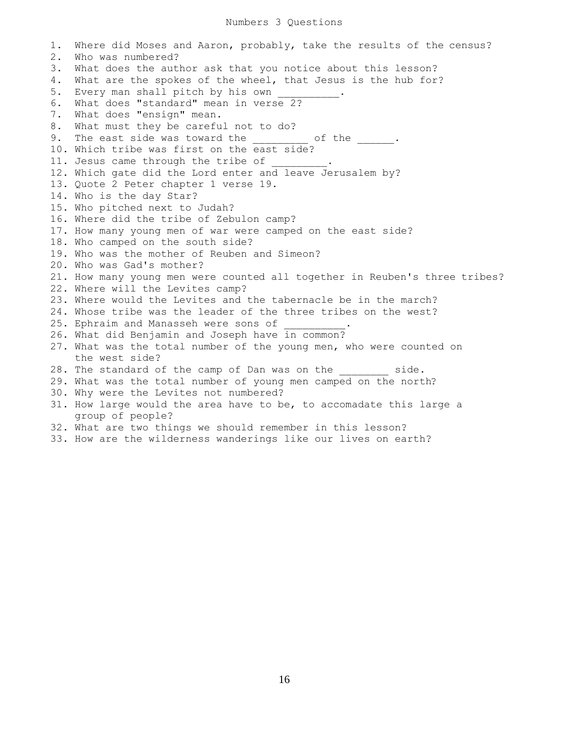1. Where did Moses and Aaron, probably, take the results of the census? 2. Who was numbered? 3. What does the author ask that you notice about this lesson? 4. What are the spokes of the wheel, that Jesus is the hub for? 5. Every man shall pitch by his own 6. What does "standard" mean in verse 2? 7. What does "ensign" mean. 8. What must they be careful not to do? 9. The east side was toward the  $\qquad \qquad$  of the  $\qquad \qquad$ . 10. Which tribe was first on the east side? 11. Jesus came through the tribe of 12. Which gate did the Lord enter and leave Jerusalem by? 13. Quote 2 Peter chapter 1 verse 19. 14. Who is the day Star? 15. Who pitched next to Judah? 16. Where did the tribe of Zebulon camp? 17. How many young men of war were camped on the east side? 18. Who camped on the south side? 19. Who was the mother of Reuben and Simeon? 20. Who was Gad's mother? 21. How many young men were counted all together in Reuben's three tribes? 22. Where will the Levites camp? 23. Where would the Levites and the tabernacle be in the march? 24. Whose tribe was the leader of the three tribes on the west? 25. Ephraim and Manasseh were sons of 26. What did Benjamin and Joseph have in common? 27. What was the total number of the young men, who were counted on the west side? 28. The standard of the camp of Dan was on the side. 29. What was the total number of young men camped on the north? 30. Why were the Levites not numbered? 31. How large would the area have to be, to accomadate this large a group of people? 32. What are two things we should remember in this lesson?

33. How are the wilderness wanderings like our lives on earth?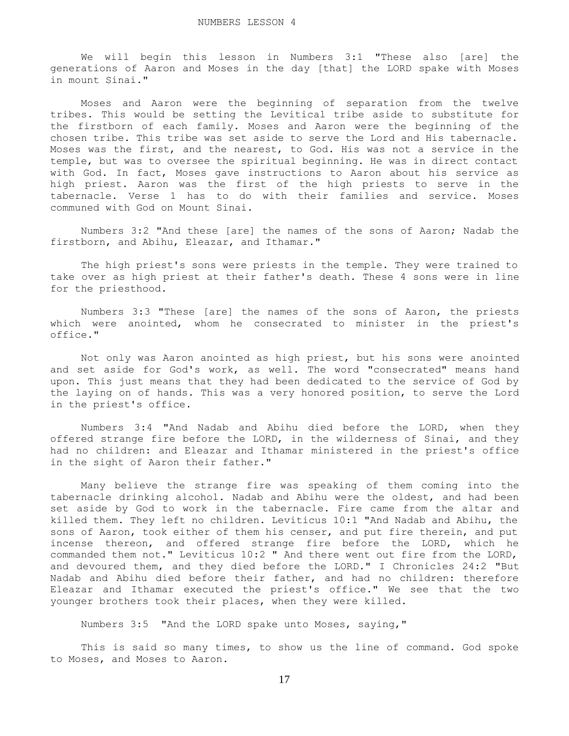We will begin this lesson in Numbers 3:1 "These also [are] the generations of Aaron and Moses in the day [that] the LORD spake with Moses in mount Sinai."

 Moses and Aaron were the beginning of separation from the twelve tribes. This would be setting the Levitical tribe aside to substitute for the firstborn of each family. Moses and Aaron were the beginning of the chosen tribe. This tribe was set aside to serve the Lord and His tabernacle. Moses was the first, and the nearest, to God. His was not a service in the temple, but was to oversee the spiritual beginning. He was in direct contact with God. In fact, Moses gave instructions to Aaron about his service as high priest. Aaron was the first of the high priests to serve in the tabernacle. Verse 1 has to do with their families and service. Moses communed with God on Mount Sinai.

 Numbers 3:2 "And these [are] the names of the sons of Aaron; Nadab the firstborn, and Abihu, Eleazar, and Ithamar."

 The high priest's sons were priests in the temple. They were trained to take over as high priest at their father's death. These 4 sons were in line for the priesthood.

 Numbers 3:3 "These [are] the names of the sons of Aaron, the priests which were anointed, whom he consecrated to minister in the priest's office."

 Not only was Aaron anointed as high priest, but his sons were anointed and set aside for God's work, as well. The word "consecrated" means hand upon. This just means that they had been dedicated to the service of God by the laying on of hands. This was a very honored position, to serve the Lord in the priest's office.

 Numbers 3:4 "And Nadab and Abihu died before the LORD, when they offered strange fire before the LORD, in the wilderness of Sinai, and they had no children: and Eleazar and Ithamar ministered in the priest's office in the sight of Aaron their father."

 Many believe the strange fire was speaking of them coming into the tabernacle drinking alcohol. Nadab and Abihu were the oldest, and had been set aside by God to work in the tabernacle. Fire came from the altar and killed them. They left no children. Leviticus 10:1 "And Nadab and Abihu, the sons of Aaron, took either of them his censer, and put fire therein, and put incense thereon, and offered strange fire before the LORD, which he commanded them not." Leviticus 10:2 " And there went out fire from the LORD, and devoured them, and they died before the LORD." I Chronicles 24:2 "But Nadab and Abihu died before their father, and had no children: therefore Eleazar and Ithamar executed the priest's office." We see that the two younger brothers took their places, when they were killed.

Numbers 3:5 "And the LORD spake unto Moses, saying,"

 This is said so many times, to show us the line of command. God spoke to Moses, and Moses to Aaron.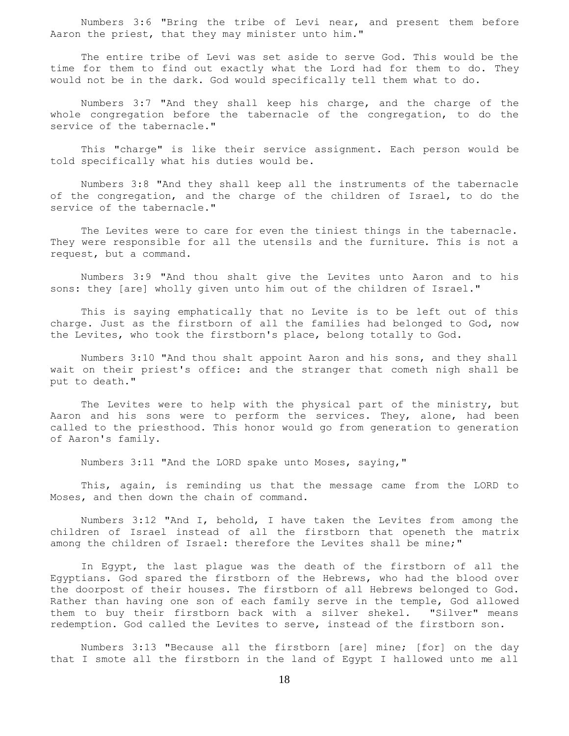Numbers 3:6 "Bring the tribe of Levi near, and present them before Aaron the priest, that they may minister unto him."

 The entire tribe of Levi was set aside to serve God. This would be the time for them to find out exactly what the Lord had for them to do. They would not be in the dark. God would specifically tell them what to do.

 Numbers 3:7 "And they shall keep his charge, and the charge of the whole congregation before the tabernacle of the congregation, to do the service of the tabernacle."

 This "charge" is like their service assignment. Each person would be told specifically what his duties would be.

 Numbers 3:8 "And they shall keep all the instruments of the tabernacle of the congregation, and the charge of the children of Israel, to do the service of the tabernacle."

 The Levites were to care for even the tiniest things in the tabernacle. They were responsible for all the utensils and the furniture. This is not a request, but a command.

 Numbers 3:9 "And thou shalt give the Levites unto Aaron and to his sons: they [are] wholly given unto him out of the children of Israel."

 This is saying emphatically that no Levite is to be left out of this charge. Just as the firstborn of all the families had belonged to God, now the Levites, who took the firstborn's place, belong totally to God.

 Numbers 3:10 "And thou shalt appoint Aaron and his sons, and they shall wait on their priest's office: and the stranger that cometh nigh shall be put to death."

 The Levites were to help with the physical part of the ministry, but Aaron and his sons were to perform the services. They, alone, had been called to the priesthood. This honor would go from generation to generation of Aaron's family.

Numbers 3:11 "And the LORD spake unto Moses, saying,"

 This, again, is reminding us that the message came from the LORD to Moses, and then down the chain of command.

 Numbers 3:12 "And I, behold, I have taken the Levites from among the children of Israel instead of all the firstborn that openeth the matrix among the children of Israel: therefore the Levites shall be mine;"

 In Egypt, the last plague was the death of the firstborn of all the Egyptians. God spared the firstborn of the Hebrews, who had the blood over the doorpost of their houses. The firstborn of all Hebrews belonged to God. Rather than having one son of each family serve in the temple, God allowed them to buy their firstborn back with a silver shekel. "Silver" means redemption. God called the Levites to serve, instead of the firstborn son.

 Numbers 3:13 "Because all the firstborn [are] mine; [for] on the day that I smote all the firstborn in the land of Egypt I hallowed unto me all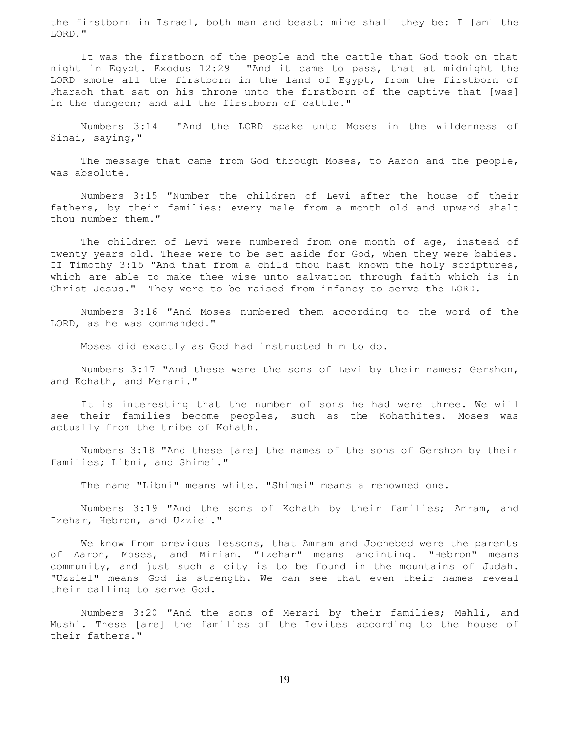the firstborn in Israel, both man and beast: mine shall they be: I [am] the LORD."

 It was the firstborn of the people and the cattle that God took on that night in Egypt. Exodus 12:29 "And it came to pass, that at midnight the LORD smote all the firstborn in the land of Egypt, from the firstborn of Pharaoh that sat on his throne unto the firstborn of the captive that [was] in the dungeon; and all the firstborn of cattle."

 Numbers 3:14 "And the LORD spake unto Moses in the wilderness of Sinai, saying,"

 The message that came from God through Moses, to Aaron and the people, was absolute.

 Numbers 3:15 "Number the children of Levi after the house of their fathers, by their families: every male from a month old and upward shalt thou number them."

 The children of Levi were numbered from one month of age, instead of twenty years old. These were to be set aside for God, when they were babies. II Timothy 3:15 "And that from a child thou hast known the holy scriptures, which are able to make thee wise unto salvation through faith which is in Christ Jesus." They were to be raised from infancy to serve the LORD.

 Numbers 3:16 "And Moses numbered them according to the word of the LORD, as he was commanded."

Moses did exactly as God had instructed him to do.

 Numbers 3:17 "And these were the sons of Levi by their names; Gershon, and Kohath, and Merari."

 It is interesting that the number of sons he had were three. We will see their families become peoples, such as the Kohathites. Moses was actually from the tribe of Kohath.

 Numbers 3:18 "And these [are] the names of the sons of Gershon by their families; Libni, and Shimei."

The name "Libni" means white. "Shimei" means a renowned one.

 Numbers 3:19 "And the sons of Kohath by their families; Amram, and Izehar, Hebron, and Uzziel."

 We know from previous lessons, that Amram and Jochebed were the parents of Aaron, Moses, and Miriam. "Izehar" means anointing. "Hebron" means community, and just such a city is to be found in the mountains of Judah. "Uzziel" means God is strength. We can see that even their names reveal their calling to serve God.

 Numbers 3:20 "And the sons of Merari by their families; Mahli, and Mushi. These [are] the families of the Levites according to the house of their fathers."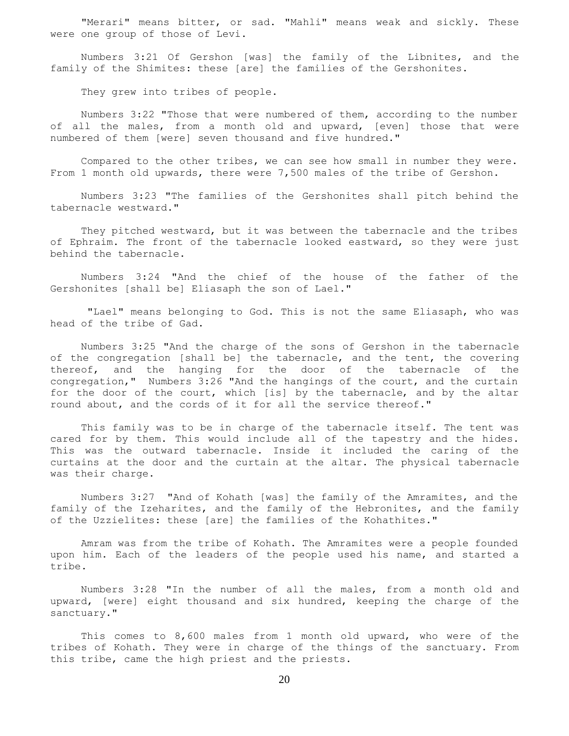"Merari" means bitter, or sad. "Mahli" means weak and sickly. These were one group of those of Levi.

 Numbers 3:21 Of Gershon [was] the family of the Libnites, and the family of the Shimites: these [are] the families of the Gershonites.

They grew into tribes of people.

 Numbers 3:22 "Those that were numbered of them, according to the number of all the males, from a month old and upward, [even] those that were numbered of them [were] seven thousand and five hundred."

 Compared to the other tribes, we can see how small in number they were. From 1 month old upwards, there were 7,500 males of the tribe of Gershon.

 Numbers 3:23 "The families of the Gershonites shall pitch behind the tabernacle westward."

 They pitched westward, but it was between the tabernacle and the tribes of Ephraim. The front of the tabernacle looked eastward, so they were just behind the tabernacle.

 Numbers 3:24 "And the chief of the house of the father of the Gershonites [shall be] Eliasaph the son of Lael."

 "Lael" means belonging to God. This is not the same Eliasaph, who was head of the tribe of Gad.

 Numbers 3:25 "And the charge of the sons of Gershon in the tabernacle of the congregation [shall be] the tabernacle, and the tent, the covering thereof, and the hanging for the door of the tabernacle of the congregation," Numbers 3:26 "And the hangings of the court, and the curtain for the door of the court, which [is] by the tabernacle, and by the altar round about, and the cords of it for all the service thereof."

 This family was to be in charge of the tabernacle itself. The tent was cared for by them. This would include all of the tapestry and the hides. This was the outward tabernacle. Inside it included the caring of the curtains at the door and the curtain at the altar. The physical tabernacle was their charge.

 Numbers 3:27 "And of Kohath [was] the family of the Amramites, and the family of the Izeharites, and the family of the Hebronites, and the family of the Uzzielites: these [are] the families of the Kohathites."

 Amram was from the tribe of Kohath. The Amramites were a people founded upon him. Each of the leaders of the people used his name, and started a tribe.

 Numbers 3:28 "In the number of all the males, from a month old and upward, [were] eight thousand and six hundred, keeping the charge of the sanctuary."

 This comes to 8,600 males from 1 month old upward, who were of the tribes of Kohath. They were in charge of the things of the sanctuary. From this tribe, came the high priest and the priests.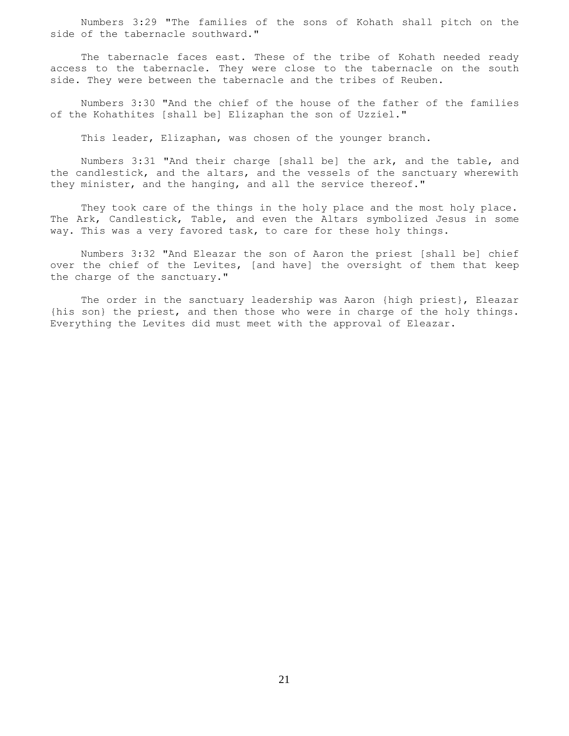Numbers 3:29 "The families of the sons of Kohath shall pitch on the side of the tabernacle southward."

 The tabernacle faces east. These of the tribe of Kohath needed ready access to the tabernacle. They were close to the tabernacle on the south side. They were between the tabernacle and the tribes of Reuben.

 Numbers 3:30 "And the chief of the house of the father of the families of the Kohathites [shall be] Elizaphan the son of Uzziel."

This leader, Elizaphan, was chosen of the younger branch.

 Numbers 3:31 "And their charge [shall be] the ark, and the table, and the candlestick, and the altars, and the vessels of the sanctuary wherewith they minister, and the hanging, and all the service thereof."

 They took care of the things in the holy place and the most holy place. The Ark, Candlestick, Table, and even the Altars symbolized Jesus in some way. This was a very favored task, to care for these holy things.

 Numbers 3:32 "And Eleazar the son of Aaron the priest [shall be] chief over the chief of the Levites, [and have] the oversight of them that keep the charge of the sanctuary."

 The order in the sanctuary leadership was Aaron {high priest}, Eleazar {his son} the priest, and then those who were in charge of the holy things. Everything the Levites did must meet with the approval of Eleazar.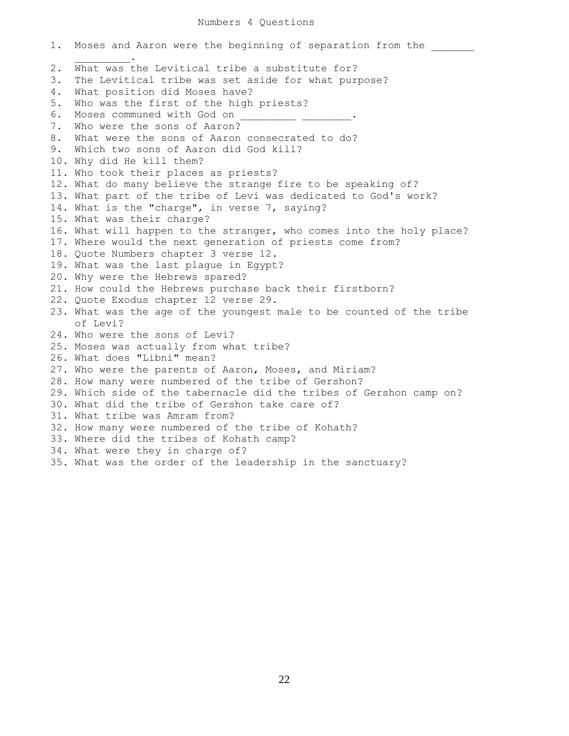## Numbers 4 Questions

1. Moses and Aaron were the beginning of separation from the  $\mathcal{L}=\mathcal{L}^{\mathcal{L}}$ 2. What was the Levitical tribe a substitute for? 3. The Levitical tribe was set aside for what purpose? 4. What position did Moses have? 5. Who was the first of the high priests? 6. Moses communed with God on 7. Who were the sons of Aaron? 8. What were the sons of Aaron consecrated to do? 9. Which two sons of Aaron did God kill? 10. Why did He kill them? 11. Who took their places as priests? 12. What do many believe the strange fire to be speaking of? 13. What part of the tribe of Levi was dedicated to God's work? 14. What is the "charge", in verse 7, saying? 15. What was their charge? 16. What will happen to the stranger, who comes into the holy place? 17. Where would the next generation of priests come from? 18. Quote Numbers chapter 3 verse 12. 19. What was the last plague in Egypt? 20. Why were the Hebrews spared? 21. How could the Hebrews purchase back their firstborn? 22. Quote Exodus chapter 12 verse 29. 23. What was the age of the youngest male to be counted of the tribe of Levi? 24. Who were the sons of Levi? 25. Moses was actually from what tribe? 26. What does "Libni" mean? 27. Who were the parents of Aaron, Moses, and Miriam? 28. How many were numbered of the tribe of Gershon? 29. Which side of the tabernacle did the tribes of Gershon camp on? 30. What did the tribe of Gershon take care of? 31. What tribe was Amram from? 32. How many were numbered of the tribe of Kohath? 33. Where did the tribes of Kohath camp? 34. What were they in charge of? 35. What was the order of the leadership in the sanctuary?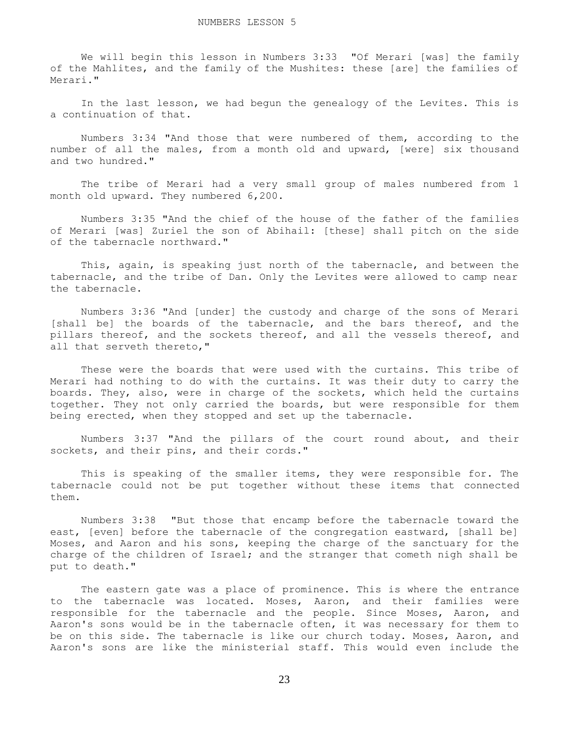We will begin this lesson in Numbers 3:33 "Of Merari [was] the family of the Mahlites, and the family of the Mushites: these [are] the families of Merari."

 In the last lesson, we had begun the genealogy of the Levites. This is a continuation of that.

 Numbers 3:34 "And those that were numbered of them, according to the number of all the males, from a month old and upward, [were] six thousand and two hundred."

 The tribe of Merari had a very small group of males numbered from 1 month old upward. They numbered 6,200.

 Numbers 3:35 "And the chief of the house of the father of the families of Merari [was] Zuriel the son of Abihail: [these] shall pitch on the side of the tabernacle northward."

 This, again, is speaking just north of the tabernacle, and between the tabernacle, and the tribe of Dan. Only the Levites were allowed to camp near the tabernacle.

 Numbers 3:36 "And [under] the custody and charge of the sons of Merari [shall be] the boards of the tabernacle, and the bars thereof, and the pillars thereof, and the sockets thereof, and all the vessels thereof, and all that serveth thereto,"

 These were the boards that were used with the curtains. This tribe of Merari had nothing to do with the curtains. It was their duty to carry the boards. They, also, were in charge of the sockets, which held the curtains together. They not only carried the boards, but were responsible for them being erected, when they stopped and set up the tabernacle.

 Numbers 3:37 "And the pillars of the court round about, and their sockets, and their pins, and their cords."

 This is speaking of the smaller items, they were responsible for. The tabernacle could not be put together without these items that connected them.

 Numbers 3:38 "But those that encamp before the tabernacle toward the east, [even] before the tabernacle of the congregation eastward, [shall be] Moses, and Aaron and his sons, keeping the charge of the sanctuary for the charge of the children of Israel; and the stranger that cometh nigh shall be put to death."

 The eastern gate was a place of prominence. This is where the entrance to the tabernacle was located. Moses, Aaron, and their families were responsible for the tabernacle and the people. Since Moses, Aaron, and Aaron's sons would be in the tabernacle often, it was necessary for them to be on this side. The tabernacle is like our church today. Moses, Aaron, and Aaron's sons are like the ministerial staff. This would even include the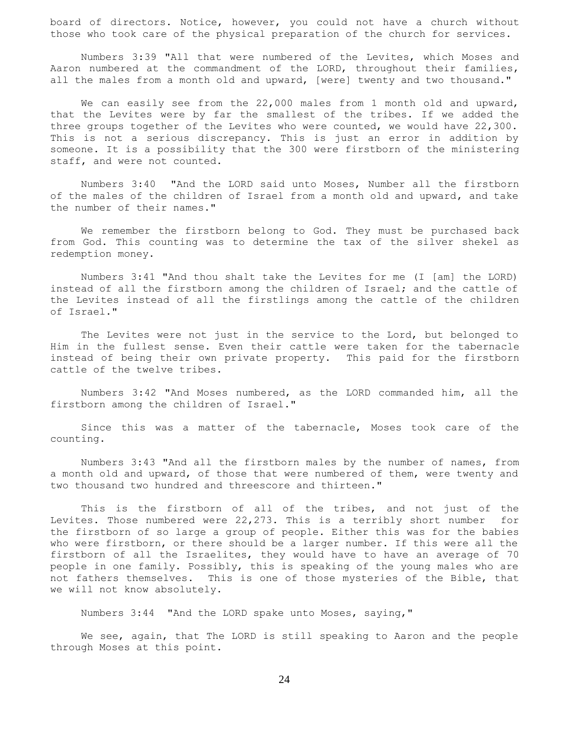board of directors. Notice, however, you could not have a church without those who took care of the physical preparation of the church for services.

 Numbers 3:39 "All that were numbered of the Levites, which Moses and Aaron numbered at the commandment of the LORD, throughout their families, all the males from a month old and upward, [were] twenty and two thousand."

We can easily see from the 22,000 males from 1 month old and upward, that the Levites were by far the smallest of the tribes. If we added the three groups together of the Levites who were counted, we would have 22,300. This is not a serious discrepancy. This is just an error in addition by someone. It is a possibility that the 300 were firstborn of the ministering staff, and were not counted.

 Numbers 3:40 "And the LORD said unto Moses, Number all the firstborn of the males of the children of Israel from a month old and upward, and take the number of their names."

 We remember the firstborn belong to God. They must be purchased back from God. This counting was to determine the tax of the silver shekel as redemption money.

 Numbers 3:41 "And thou shalt take the Levites for me (I [am] the LORD) instead of all the firstborn among the children of Israel; and the cattle of the Levites instead of all the firstlings among the cattle of the children of Israel."

 The Levites were not just in the service to the Lord, but belonged to Him in the fullest sense. Even their cattle were taken for the tabernacle instead of being their own private property. This paid for the firstborn cattle of the twelve tribes.

 Numbers 3:42 "And Moses numbered, as the LORD commanded him, all the firstborn among the children of Israel."

 Since this was a matter of the tabernacle, Moses took care of the counting.

 Numbers 3:43 "And all the firstborn males by the number of names, from a month old and upward, of those that were numbered of them, were twenty and two thousand two hundred and threescore and thirteen."

 This is the firstborn of all of the tribes, and not just of the Levites. Those numbered were 22,273. This is a terribly short number for the firstborn of so large a group of people. Either this was for the babies who were firstborn, or there should be a larger number. If this were all the firstborn of all the Israelites, they would have to have an average of 70 people in one family. Possibly, this is speaking of the young males who are not fathers themselves. This is one of those mysteries of the Bible, that we will not know absolutely.

Numbers 3:44 "And the LORD spake unto Moses, saying,"

We see, again, that The LORD is still speaking to Aaron and the people through Moses at this point.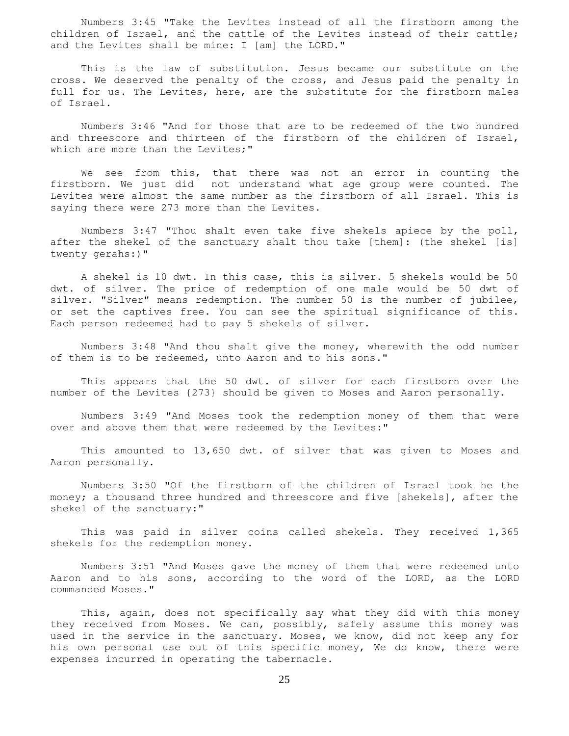Numbers 3:45 "Take the Levites instead of all the firstborn among the children of Israel, and the cattle of the Levites instead of their cattle; and the Levites shall be mine: I [am] the LORD."

 This is the law of substitution. Jesus became our substitute on the cross. We deserved the penalty of the cross, and Jesus paid the penalty in full for us. The Levites, here, are the substitute for the firstborn males of Israel.

 Numbers 3:46 "And for those that are to be redeemed of the two hundred and threescore and thirteen of the firstborn of the children of Israel, which are more than the Levites;"

 We see from this, that there was not an error in counting the firstborn. We just did not understand what age group were counted. The Levites were almost the same number as the firstborn of all Israel. This is saying there were 273 more than the Levites.

 Numbers 3:47 "Thou shalt even take five shekels apiece by the poll, after the shekel of the sanctuary shalt thou take [them]: (the shekel [is] twenty gerahs:)"

 A shekel is 10 dwt. In this case, this is silver. 5 shekels would be 50 dwt. of silver. The price of redemption of one male would be 50 dwt of silver. "Silver" means redemption. The number 50 is the number of jubilee, or set the captives free. You can see the spiritual significance of this. Each person redeemed had to pay 5 shekels of silver.

 Numbers 3:48 "And thou shalt give the money, wherewith the odd number of them is to be redeemed, unto Aaron and to his sons."

 This appears that the 50 dwt. of silver for each firstborn over the number of the Levites {273} should be given to Moses and Aaron personally.

 Numbers 3:49 "And Moses took the redemption money of them that were over and above them that were redeemed by the Levites:"

 This amounted to 13,650 dwt. of silver that was given to Moses and Aaron personally.

 Numbers 3:50 "Of the firstborn of the children of Israel took he the money; a thousand three hundred and threescore and five [shekels], after the shekel of the sanctuary:"

 This was paid in silver coins called shekels. They received 1,365 shekels for the redemption money.

 Numbers 3:51 "And Moses gave the money of them that were redeemed unto Aaron and to his sons, according to the word of the LORD, as the LORD commanded Moses."

 This, again, does not specifically say what they did with this money they received from Moses. We can, possibly, safely assume this money was used in the service in the sanctuary. Moses, we know, did not keep any for his own personal use out of this specific money, We do know, there were expenses incurred in operating the tabernacle.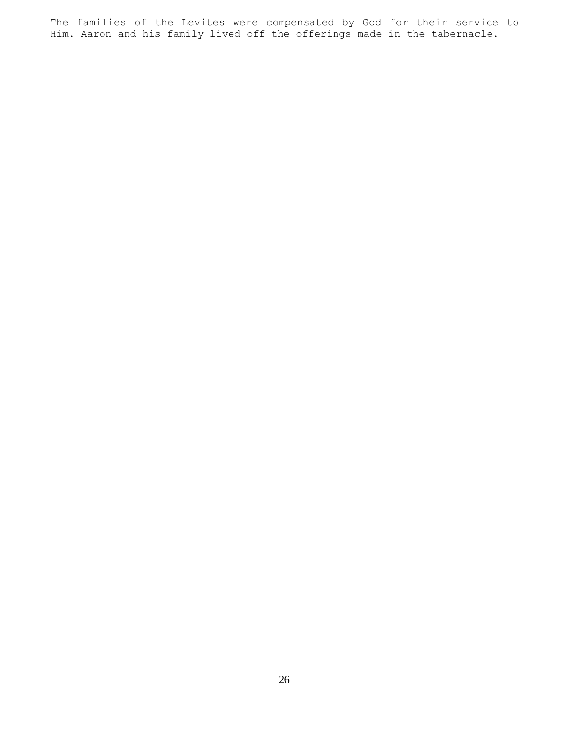The families of the Levites were compensated by God for their service to Him. Aaron and his family lived off the offerings made in the tabernacle.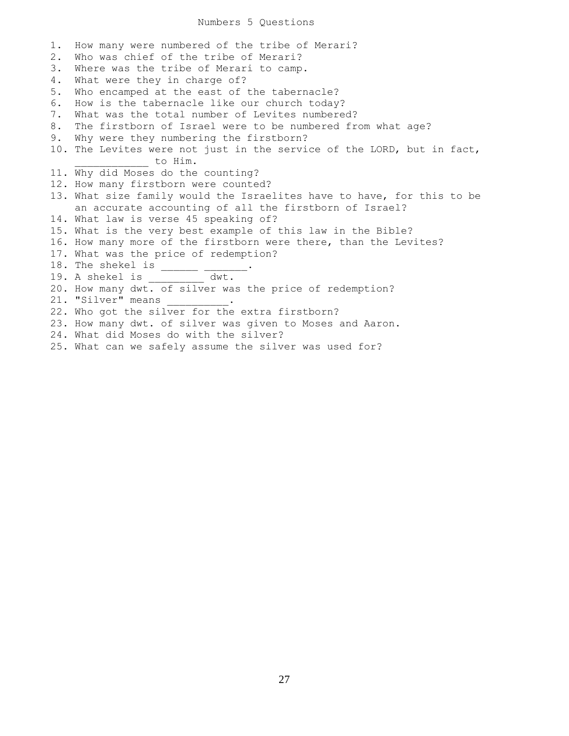## Numbers 5 Questions

1. How many were numbered of the tribe of Merari? 2. Who was chief of the tribe of Merari? 3. Where was the tribe of Merari to camp. 4. What were they in charge of? 5. Who encamped at the east of the tabernacle? 6. How is the tabernacle like our church today? 7. What was the total number of Levites numbered? 8. The firstborn of Israel were to be numbered from what age? 9. Why were they numbering the firstborn? 10. The Levites were not just in the service of the LORD, but in fact, \_\_\_\_\_\_\_\_\_ to Him. 11. Why did Moses do the counting? 12. How many firstborn were counted? 13. What size family would the Israelites have to have, for this to be an accurate accounting of all the firstborn of Israel? 14. What law is verse 45 speaking of? 15. What is the very best example of this law in the Bible? 16. How many more of the firstborn were there, than the Levites? 17. What was the price of redemption? 18. The shekel is \_\_\_\_\_\_\_\_\_\_\_. 19. A shekel is \_\_\_\_\_\_\_\_\_ dwt. 20. How many dwt. of silver was the price of redemption? 21. "Silver" means 22. Who got the silver for the extra firstborn? 23. How many dwt. of silver was given to Moses and Aaron. 24. What did Moses do with the silver?

25. What can we safely assume the silver was used for?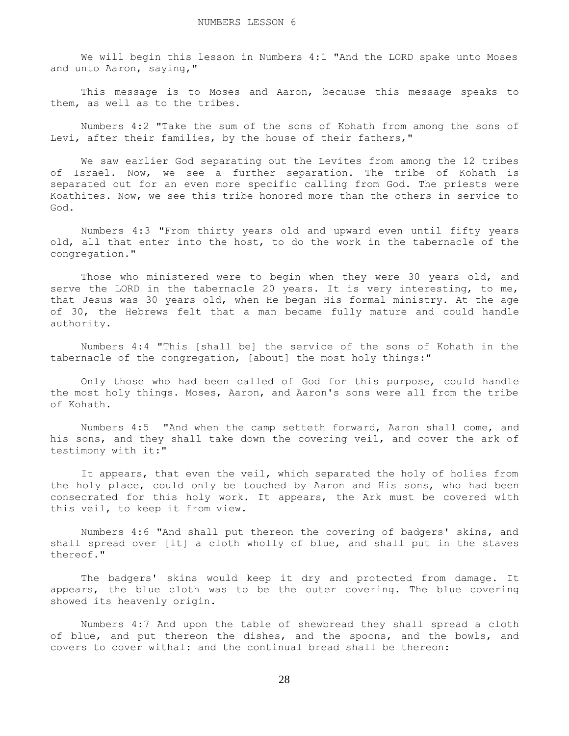We will begin this lesson in Numbers 4:1 "And the LORD spake unto Moses and unto Aaron, saying,"

 This message is to Moses and Aaron, because this message speaks to them, as well as to the tribes.

 Numbers 4:2 "Take the sum of the sons of Kohath from among the sons of Levi, after their families, by the house of their fathers,"

 We saw earlier God separating out the Levites from among the 12 tribes of Israel. Now, we see a further separation. The tribe of Kohath is separated out for an even more specific calling from God. The priests were Koathites. Now, we see this tribe honored more than the others in service to God.

 Numbers 4:3 "From thirty years old and upward even until fifty years old, all that enter into the host, to do the work in the tabernacle of the congregation."

Those who ministered were to begin when they were 30 years old, and serve the LORD in the tabernacle 20 years. It is very interesting, to me, that Jesus was 30 years old, when He began His formal ministry. At the age of 30, the Hebrews felt that a man became fully mature and could handle authority.

 Numbers 4:4 "This [shall be] the service of the sons of Kohath in the tabernacle of the congregation, [about] the most holy things:"

 Only those who had been called of God for this purpose, could handle the most holy things. Moses, Aaron, and Aaron's sons were all from the tribe of Kohath.

 Numbers 4:5 "And when the camp setteth forward, Aaron shall come, and his sons, and they shall take down the covering veil, and cover the ark of testimony with it:"

 It appears, that even the veil, which separated the holy of holies from the holy place, could only be touched by Aaron and His sons, who had been consecrated for this holy work. It appears, the Ark must be covered with this veil, to keep it from view.

 Numbers 4:6 "And shall put thereon the covering of badgers' skins, and shall spread over [it] a cloth wholly of blue, and shall put in the staves thereof."

 The badgers' skins would keep it dry and protected from damage. It appears, the blue cloth was to be the outer covering. The blue covering showed its heavenly origin.

 Numbers 4:7 And upon the table of shewbread they shall spread a cloth of blue, and put thereon the dishes, and the spoons, and the bowls, and covers to cover withal: and the continual bread shall be thereon: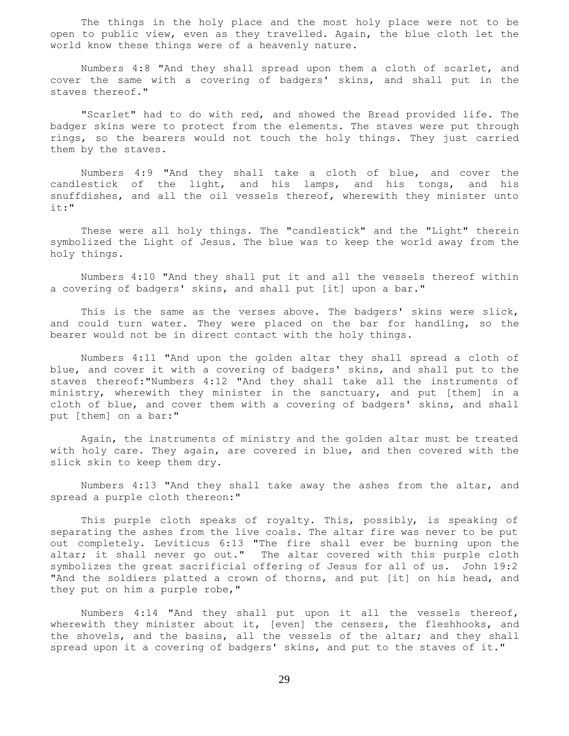The things in the holy place and the most holy place were not to be open to public view, even as they travelled. Again, the blue cloth let the world know these things were of a heavenly nature.

 Numbers 4:8 "And they shall spread upon them a cloth of scarlet, and cover the same with a covering of badgers' skins, and shall put in the staves thereof."

 "Scarlet" had to do with red, and showed the Bread provided life. The badger skins were to protect from the elements. The staves were put through rings, so the bearers would not touch the holy things. They just carried them by the staves.

 Numbers 4:9 "And they shall take a cloth of blue, and cover the candlestick of the light, and his lamps, and his tongs, and his snuffdishes, and all the oil vessels thereof, wherewith they minister unto it:"

 These were all holy things. The "candlestick" and the "Light" therein symbolized the Light of Jesus. The blue was to keep the world away from the holy things.

 Numbers 4:10 "And they shall put it and all the vessels thereof within a covering of badgers' skins, and shall put [it] upon a bar."

 This is the same as the verses above. The badgers' skins were slick, and could turn water. They were placed on the bar for handling, so the bearer would not be in direct contact with the holy things.

 Numbers 4:11 "And upon the golden altar they shall spread a cloth of blue, and cover it with a covering of badgers' skins, and shall put to the staves thereof:"Numbers 4:12 "And they shall take all the instruments of ministry, wherewith they minister in the sanctuary, and put [them] in a cloth of blue, and cover them with a covering of badgers' skins, and shall put [them] on a bar:"

 Again, the instruments of ministry and the golden altar must be treated with holy care. They again, are covered in blue, and then covered with the slick skin to keep them dry.

 Numbers 4:13 "And they shall take away the ashes from the altar, and spread a purple cloth thereon:"

 This purple cloth speaks of royalty. This, possibly, is speaking of separating the ashes from the live coals. The altar fire was never to be put out completely. Leviticus 6:13 "The fire shall ever be burning upon the altar; it shall never go out." The altar covered with this purple cloth symbolizes the great sacrificial offering of Jesus for all of us. John 19:2 "And the soldiers platted a crown of thorns, and put [it] on his head, and they put on him a purple robe,"

 Numbers 4:14 "And they shall put upon it all the vessels thereof, wherewith they minister about it, [even] the censers, the fleshhooks, and the shovels, and the basins, all the vessels of the altar; and they shall spread upon it a covering of badgers' skins, and put to the staves of it."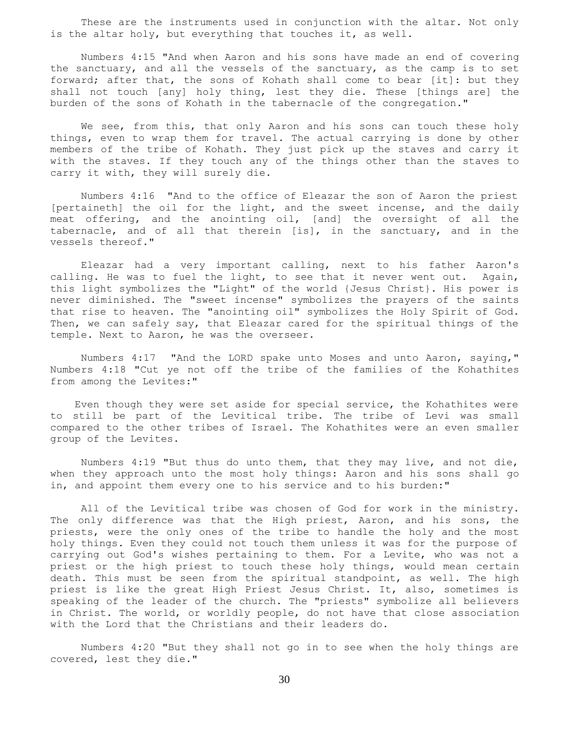These are the instruments used in conjunction with the altar. Not only is the altar holy, but everything that touches it, as well.

 Numbers 4:15 "And when Aaron and his sons have made an end of covering the sanctuary, and all the vessels of the sanctuary, as the camp is to set forward; after that, the sons of Kohath shall come to bear [it]: but they shall not touch [any] holy thing, lest they die. These [things are] the burden of the sons of Kohath in the tabernacle of the congregation."

We see, from this, that only Aaron and his sons can touch these holy things, even to wrap them for travel. The actual carrying is done by other members of the tribe of Kohath. They just pick up the staves and carry it with the staves. If they touch any of the things other than the staves to carry it with, they will surely die.

 Numbers 4:16 "And to the office of Eleazar the son of Aaron the priest [pertaineth] the oil for the light, and the sweet incense, and the daily meat offering, and the anointing oil, [and] the oversight of all the tabernacle, and of all that therein [is], in the sanctuary, and in the vessels thereof."

 Eleazar had a very important calling, next to his father Aaron's calling. He was to fuel the light, to see that it never went out. Again, this light symbolizes the "Light" of the world {Jesus Christ}. His power is never diminished. The "sweet incense" symbolizes the prayers of the saints that rise to heaven. The "anointing oil" symbolizes the Holy Spirit of God. Then, we can safely say, that Eleazar cared for the spiritual things of the temple. Next to Aaron, he was the overseer.

 Numbers 4:17 "And the LORD spake unto Moses and unto Aaron, saying," Numbers 4:18 "Cut ye not off the tribe of the families of the Kohathites from among the Levites:"

 Even though they were set aside for special service, the Kohathites were to still be part of the Levitical tribe. The tribe of Levi was small compared to the other tribes of Israel. The Kohathites were an even smaller group of the Levites.

 Numbers 4:19 "But thus do unto them, that they may live, and not die, when they approach unto the most holy things: Aaron and his sons shall go in, and appoint them every one to his service and to his burden:"

 All of the Levitical tribe was chosen of God for work in the ministry. The only difference was that the High priest, Aaron, and his sons, the priests, were the only ones of the tribe to handle the holy and the most holy things. Even they could not touch them unless it was for the purpose of carrying out God's wishes pertaining to them. For a Levite, who was not a priest or the high priest to touch these holy things, would mean certain death. This must be seen from the spiritual standpoint, as well. The high priest is like the great High Priest Jesus Christ. It, also, sometimes is speaking of the leader of the church. The "priests" symbolize all believers in Christ. The world, or worldly people, do not have that close association with the Lord that the Christians and their leaders do.

 Numbers 4:20 "But they shall not go in to see when the holy things are covered, lest they die."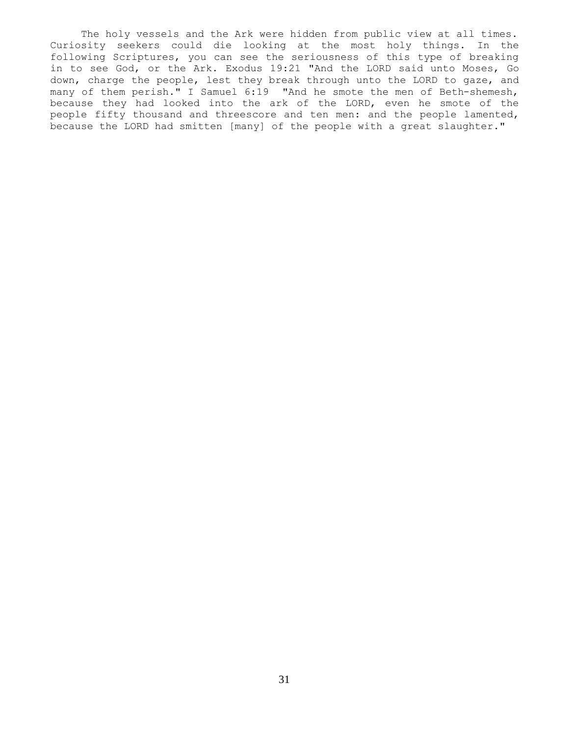The holy vessels and the Ark were hidden from public view at all times. Curiosity seekers could die looking at the most holy things. In the following Scriptures, you can see the seriousness of this type of breaking in to see God, or the Ark. Exodus 19:21 "And the LORD said unto Moses, Go down, charge the people, lest they break through unto the LORD to gaze, and many of them perish." I Samuel 6:19 "And he smote the men of Beth-shemesh, because they had looked into the ark of the LORD, even he smote of the people fifty thousand and threescore and ten men: and the people lamented, because the LORD had smitten [many] of the people with a great slaughter."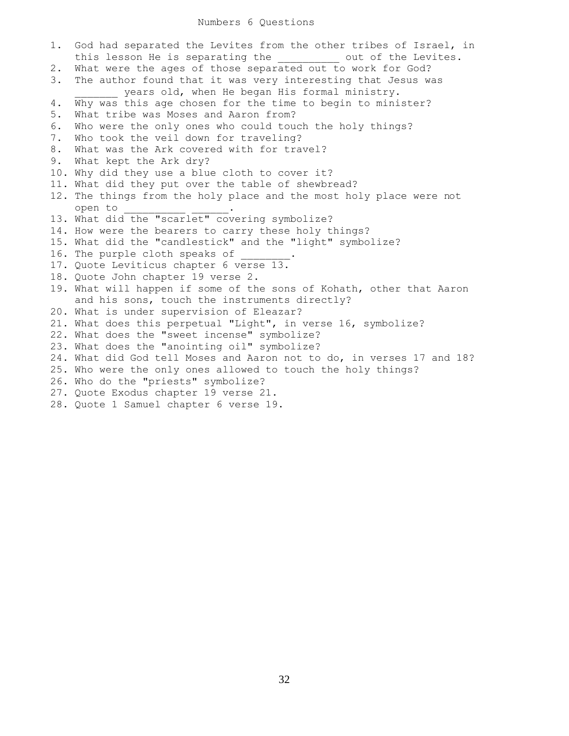## Numbers 6 Questions

1. God had separated the Levites from the other tribes of Israel, in this lesson He is separating the  $\qquad$  out of the Levites. 2. What were the ages of those separated out to work for God? 3. The author found that it was very interesting that Jesus was \_ years old, when He began His formal ministry. 4. Why was this age chosen for the time to begin to minister? 5. What tribe was Moses and Aaron from? 6. Who were the only ones who could touch the holy things? 7. Who took the veil down for traveling? 8. What was the Ark covered with for travel? 9. What kept the Ark dry? 10. Why did they use a blue cloth to cover it? 11. What did they put over the table of shewbread? 12. The things from the holy place and the most holy place were not open to \_\_\_\_\_\_\_\_\_\_ \_\_\_\_\_\_. 13. What did the "scarlet" covering symbolize? 14. How were the bearers to carry these holy things? 15. What did the "candlestick" and the "light" symbolize? 16. The purple cloth speaks of 17. Quote Leviticus chapter 6 verse 13. 18. Quote John chapter 19 verse 2. 19. What will happen if some of the sons of Kohath, other that Aaron and his sons, touch the instruments directly? 20. What is under supervision of Eleazar? 21. What does this perpetual "Light", in verse 16, symbolize? 22. What does the "sweet incense" symbolize? 23. What does the "anointing oil" symbolize? 24. What did God tell Moses and Aaron not to do, in verses 17 and 18? 25. Who were the only ones allowed to touch the holy things? 26. Who do the "priests" symbolize? 27. Quote Exodus chapter 19 verse 21. 28. Quote 1 Samuel chapter 6 verse 19.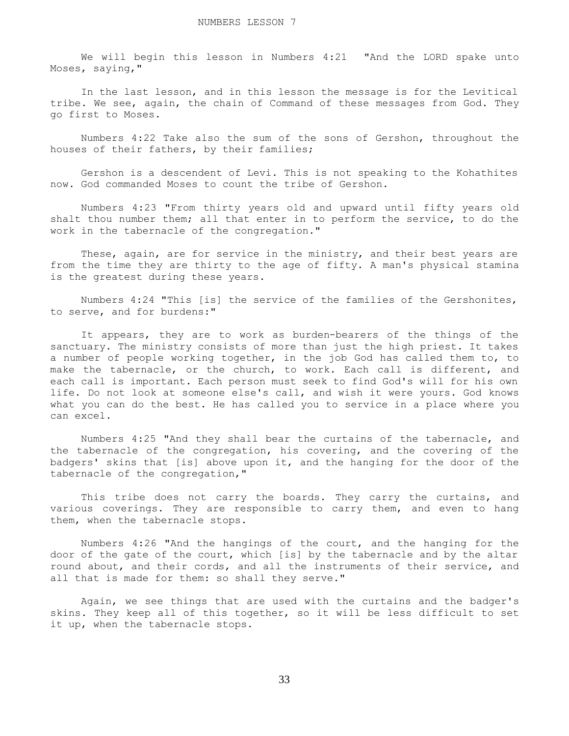We will begin this lesson in Numbers 4:21 "And the LORD spake unto Moses, saying,"

 In the last lesson, and in this lesson the message is for the Levitical tribe. We see, again, the chain of Command of these messages from God. They go first to Moses.

 Numbers 4:22 Take also the sum of the sons of Gershon, throughout the houses of their fathers, by their families;

 Gershon is a descendent of Levi. This is not speaking to the Kohathites now. God commanded Moses to count the tribe of Gershon.

 Numbers 4:23 "From thirty years old and upward until fifty years old shalt thou number them; all that enter in to perform the service, to do the work in the tabernacle of the congregation."

These, again, are for service in the ministry, and their best years are from the time they are thirty to the age of fifty. A man's physical stamina is the greatest during these years.

 Numbers 4:24 "This [is] the service of the families of the Gershonites, to serve, and for burdens:"

 It appears, they are to work as burden-bearers of the things of the sanctuary. The ministry consists of more than just the high priest. It takes a number of people working together, in the job God has called them to, to make the tabernacle, or the church, to work. Each call is different, and each call is important. Each person must seek to find God's will for his own life. Do not look at someone else's call, and wish it were yours. God knows what you can do the best. He has called you to service in a place where you can excel.

 Numbers 4:25 "And they shall bear the curtains of the tabernacle, and the tabernacle of the congregation, his covering, and the covering of the badgers' skins that [is] above upon it, and the hanging for the door of the tabernacle of the congregation,"

This tribe does not carry the boards. They carry the curtains, and various coverings. They are responsible to carry them, and even to hang them, when the tabernacle stops.

 Numbers 4:26 "And the hangings of the court, and the hanging for the door of the gate of the court, which [is] by the tabernacle and by the altar round about, and their cords, and all the instruments of their service, and all that is made for them: so shall they serve."

 Again, we see things that are used with the curtains and the badger's skins. They keep all of this together, so it will be less difficult to set it up, when the tabernacle stops.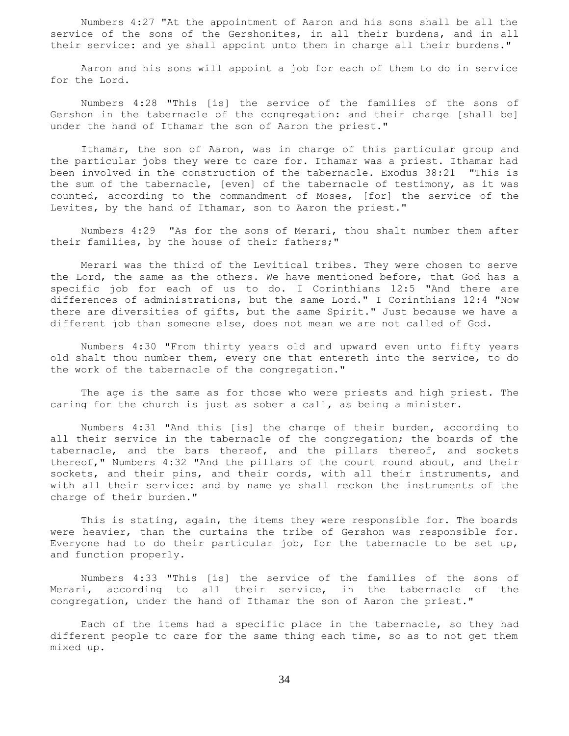Numbers 4:27 "At the appointment of Aaron and his sons shall be all the service of the sons of the Gershonites, in all their burdens, and in all their service: and ye shall appoint unto them in charge all their burdens."

 Aaron and his sons will appoint a job for each of them to do in service for the Lord.

 Numbers 4:28 "This [is] the service of the families of the sons of Gershon in the tabernacle of the congregation: and their charge [shall be] under the hand of Ithamar the son of Aaron the priest."

 Ithamar, the son of Aaron, was in charge of this particular group and the particular jobs they were to care for. Ithamar was a priest. Ithamar had been involved in the construction of the tabernacle. Exodus 38:21 "This is the sum of the tabernacle, [even] of the tabernacle of testimony, as it was counted, according to the commandment of Moses, [for] the service of the Levites, by the hand of Ithamar, son to Aaron the priest."

 Numbers 4:29 "As for the sons of Merari, thou shalt number them after their families, by the house of their fathers;"

 Merari was the third of the Levitical tribes. They were chosen to serve the Lord, the same as the others. We have mentioned before, that God has a specific job for each of us to do. I Corinthians 12:5 "And there are differences of administrations, but the same Lord." I Corinthians 12:4 "Now there are diversities of gifts, but the same Spirit." Just because we have a different job than someone else, does not mean we are not called of God.

 Numbers 4:30 "From thirty years old and upward even unto fifty years old shalt thou number them, every one that entereth into the service, to do the work of the tabernacle of the congregation."

 The age is the same as for those who were priests and high priest. The caring for the church is just as sober a call, as being a minister.

 Numbers 4:31 "And this [is] the charge of their burden, according to all their service in the tabernacle of the congregation; the boards of the tabernacle, and the bars thereof, and the pillars thereof, and sockets thereof," Numbers 4:32 "And the pillars of the court round about, and their sockets, and their pins, and their cords, with all their instruments, and with all their service: and by name ye shall reckon the instruments of the charge of their burden."

 This is stating, again, the items they were responsible for. The boards were heavier, than the curtains the tribe of Gershon was responsible for. Everyone had to do their particular job, for the tabernacle to be set up, and function properly.

 Numbers 4:33 "This [is] the service of the families of the sons of Merari, according to all their service, in the tabernacle of the congregation, under the hand of Ithamar the son of Aaron the priest."

 Each of the items had a specific place in the tabernacle, so they had different people to care for the same thing each time, so as to not get them mixed up.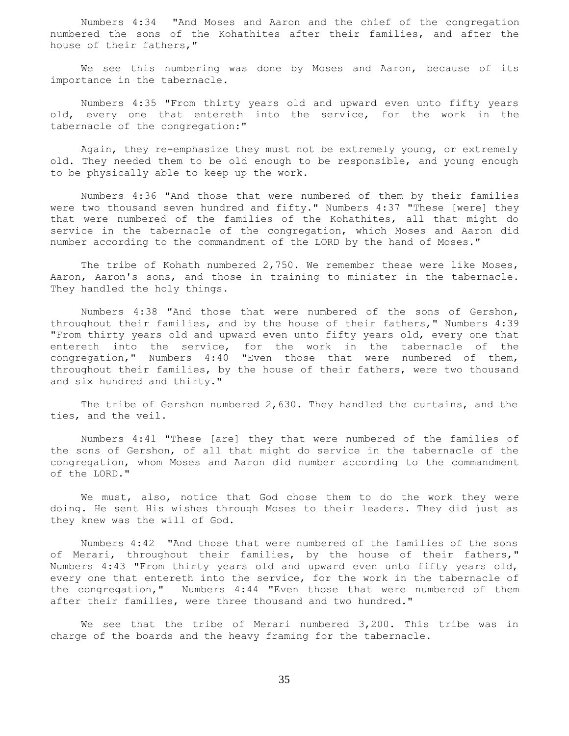Numbers 4:34 "And Moses and Aaron and the chief of the congregation numbered the sons of the Kohathites after their families, and after the house of their fathers,"

 We see this numbering was done by Moses and Aaron, because of its importance in the tabernacle.

 Numbers 4:35 "From thirty years old and upward even unto fifty years old, every one that entereth into the service, for the work in the tabernacle of the congregation:"

 Again, they re-emphasize they must not be extremely young, or extremely old. They needed them to be old enough to be responsible, and young enough to be physically able to keep up the work.

 Numbers 4:36 "And those that were numbered of them by their families were two thousand seven hundred and fifty." Numbers 4:37 "These [were] they that were numbered of the families of the Kohathites, all that might do service in the tabernacle of the congregation, which Moses and Aaron did number according to the commandment of the LORD by the hand of Moses."

The tribe of Kohath numbered 2,750. We remember these were like Moses, Aaron, Aaron's sons, and those in training to minister in the tabernacle. They handled the holy things.

 Numbers 4:38 "And those that were numbered of the sons of Gershon, throughout their families, and by the house of their fathers," Numbers 4:39 "From thirty years old and upward even unto fifty years old, every one that entereth into the service, for the work in the tabernacle of the congregation," Numbers 4:40 "Even those that were numbered of them, throughout their families, by the house of their fathers, were two thousand and six hundred and thirty."

 The tribe of Gershon numbered 2,630. They handled the curtains, and the ties, and the veil.

 Numbers 4:41 "These [are] they that were numbered of the families of the sons of Gershon, of all that might do service in the tabernacle of the congregation, whom Moses and Aaron did number according to the commandment of the LORD."

 We must, also, notice that God chose them to do the work they were doing. He sent His wishes through Moses to their leaders. They did just as they knew was the will of God.

 Numbers 4:42 "And those that were numbered of the families of the sons of Merari, throughout their families, by the house of their fathers," Numbers 4:43 "From thirty years old and upward even unto fifty years old, every one that entereth into the service, for the work in the tabernacle of the congregation," Numbers 4:44 "Even those that were numbered of them after their families, were three thousand and two hundred."

 We see that the tribe of Merari numbered 3,200. This tribe was in charge of the boards and the heavy framing for the tabernacle.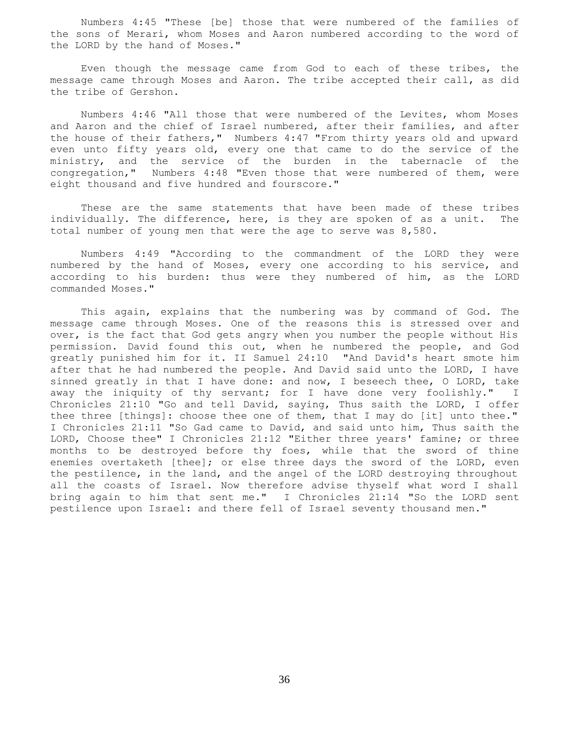Numbers 4:45 "These [be] those that were numbered of the families of the sons of Merari, whom Moses and Aaron numbered according to the word of the LORD by the hand of Moses."

 Even though the message came from God to each of these tribes, the message came through Moses and Aaron. The tribe accepted their call, as did the tribe of Gershon.

 Numbers 4:46 "All those that were numbered of the Levites, whom Moses and Aaron and the chief of Israel numbered, after their families, and after the house of their fathers," Numbers 4:47 "From thirty years old and upward even unto fifty years old, every one that came to do the service of the ministry, and the service of the burden in the tabernacle of the congregation," Numbers 4:48 "Even those that were numbered of them, were eight thousand and five hundred and fourscore."

 These are the same statements that have been made of these tribes individually. The difference, here, is they are spoken of as a unit. The total number of young men that were the age to serve was 8,580.

 Numbers 4:49 "According to the commandment of the LORD they were numbered by the hand of Moses, every one according to his service, and according to his burden: thus were they numbered of him, as the LORD commanded Moses."

 This again, explains that the numbering was by command of God. The message came through Moses. One of the reasons this is stressed over and over, is the fact that God gets angry when you number the people without His permission. David found this out, when he numbered the people, and God greatly punished him for it. II Samuel 24:10 "And David's heart smote him after that he had numbered the people. And David said unto the LORD, I have sinned greatly in that I have done: and now, I beseech thee, O LORD, take away the iniquity of thy servant; for I have done very foolishly." I Chronicles 21:10 "Go and tell David, saying, Thus saith the LORD, I offer thee three [things]: choose thee one of them, that I may do [it] unto thee." I Chronicles 21:11 "So Gad came to David, and said unto him, Thus saith the LORD, Choose thee" I Chronicles 21:12 "Either three years' famine; or three months to be destroyed before thy foes, while that the sword of thine enemies overtaketh [thee]; or else three days the sword of the LORD, even the pestilence, in the land, and the angel of the LORD destroying throughout all the coasts of Israel. Now therefore advise thyself what word I shall bring again to him that sent me." I Chronicles 21:14 "So the LORD sent pestilence upon Israel: and there fell of Israel seventy thousand men."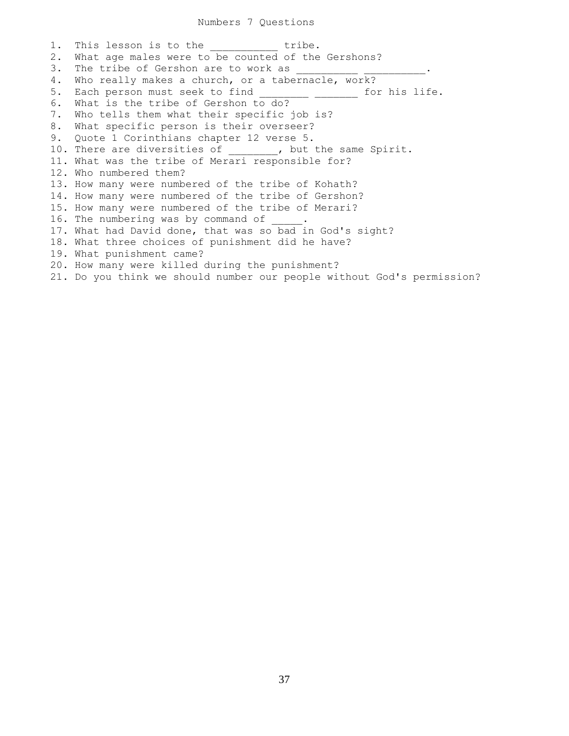1. This lesson is to the tribe. 2. What age males were to be counted of the Gershons? 3. The tribe of Gershon are to work as 4. Who really makes a church, or a tabernacle, work? 5. Each person must seek to find \_\_\_\_\_\_\_\_\_\_\_\_ for his life. 6. What is the tribe of Gershon to do? 7. Who tells them what their specific job is? 8. What specific person is their overseer? 9. Quote 1 Corinthians chapter 12 verse 5. 10. There are diversities of  $\qquad \qquad$ , but the same Spirit. 11. What was the tribe of Merari responsible for? 12. Who numbered them? 13. How many were numbered of the tribe of Kohath? 14. How many were numbered of the tribe of Gershon? 15. How many were numbered of the tribe of Merari? 16. The numbering was by command of 17. What had David done, that was so bad in God's sight? 18. What three choices of punishment did he have? 19. What punishment came? 20. How many were killed during the punishment? 21. Do you think we should number our people without God's permission?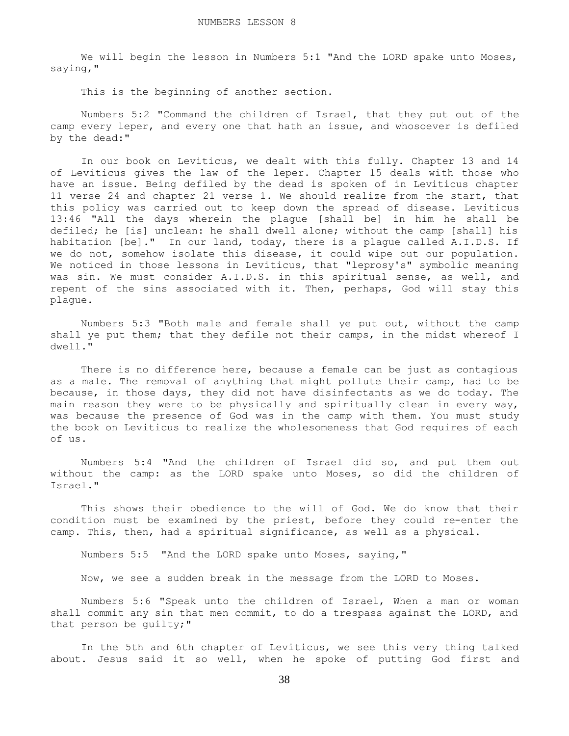We will begin the lesson in Numbers 5:1 "And the LORD spake unto Moses, saying,"

This is the beginning of another section.

 Numbers 5:2 "Command the children of Israel, that they put out of the camp every leper, and every one that hath an issue, and whosoever is defiled by the dead:"

In our book on Leviticus, we dealt with this fully. Chapter 13 and 14 of Leviticus gives the law of the leper. Chapter 15 deals with those who have an issue. Being defiled by the dead is spoken of in Leviticus chapter 11 verse 24 and chapter 21 verse 1. We should realize from the start, that this policy was carried out to keep down the spread of disease. Leviticus 13:46 "All the days wherein the plague [shall be] in him he shall be defiled; he [is] unclean: he shall dwell alone; without the camp [shall] his habitation [be]." In our land, today, there is a plaque called A.I.D.S. If we do not, somehow isolate this disease, it could wipe out our population. We noticed in those lessons in Leviticus, that "leprosy's" symbolic meaning was sin. We must consider A.I.D.S. in this spiritual sense, as well, and repent of the sins associated with it. Then, perhaps, God will stay this plague.

 Numbers 5:3 "Both male and female shall ye put out, without the camp shall ye put them; that they defile not their camps, in the midst whereof I dwell."

 There is no difference here, because a female can be just as contagious as a male. The removal of anything that might pollute their camp, had to be because, in those days, they did not have disinfectants as we do today. The main reason they were to be physically and spiritually clean in every way, was because the presence of God was in the camp with them. You must study the book on Leviticus to realize the wholesomeness that God requires of each of us.

 Numbers 5:4 "And the children of Israel did so, and put them out without the camp: as the LORD spake unto Moses, so did the children of Israel."

 This shows their obedience to the will of God. We do know that their condition must be examined by the priest, before they could re-enter the camp. This, then, had a spiritual significance, as well as a physical.

Numbers 5:5 "And the LORD spake unto Moses, saying,"

Now, we see a sudden break in the message from the LORD to Moses.

 Numbers 5:6 "Speak unto the children of Israel, When a man or woman shall commit any sin that men commit, to do a trespass against the LORD, and that person be guilty;"

 In the 5th and 6th chapter of Leviticus, we see this very thing talked about. Jesus said it so well, when he spoke of putting God first and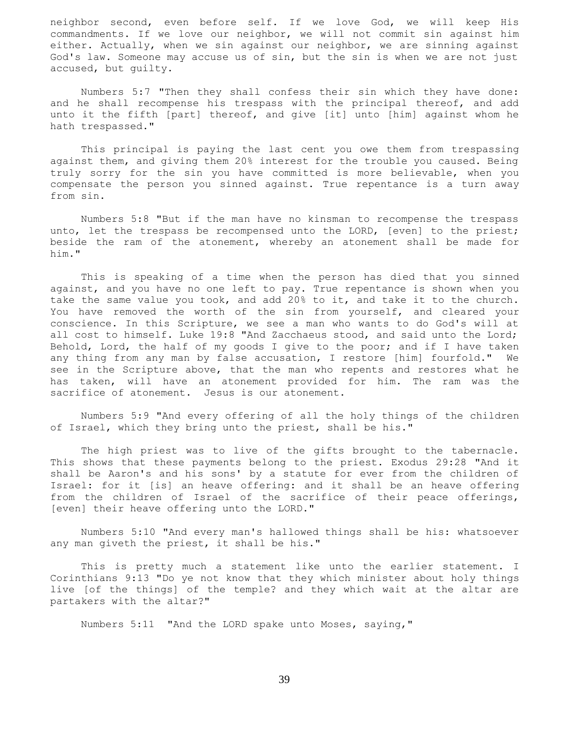neighbor second, even before self. If we love God, we will keep His commandments. If we love our neighbor, we will not commit sin against him either. Actually, when we sin against our neighbor, we are sinning against God's law. Someone may accuse us of sin, but the sin is when we are not just accused, but guilty.

 Numbers 5:7 "Then they shall confess their sin which they have done: and he shall recompense his trespass with the principal thereof, and add unto it the fifth [part] thereof, and give [it] unto [him] against whom he hath trespassed."

 This principal is paying the last cent you owe them from trespassing against them, and giving them 20% interest for the trouble you caused. Being truly sorry for the sin you have committed is more believable, when you compensate the person you sinned against. True repentance is a turn away from sin.

 Numbers 5:8 "But if the man have no kinsman to recompense the trespass unto, let the trespass be recompensed unto the LORD, [even] to the priest; beside the ram of the atonement, whereby an atonement shall be made for him."

 This is speaking of a time when the person has died that you sinned against, and you have no one left to pay. True repentance is shown when you take the same value you took, and add 20% to it, and take it to the church. You have removed the worth of the sin from yourself, and cleared your conscience. In this Scripture, we see a man who wants to do God's will at all cost to himself. Luke 19:8 "And Zacchaeus stood, and said unto the Lord; Behold, Lord, the half of my goods I give to the poor; and if I have taken any thing from any man by false accusation, I restore [him] fourfold." We see in the Scripture above, that the man who repents and restores what he has taken, will have an atonement provided for him. The ram was the sacrifice of atonement. Jesus is our atonement.

 Numbers 5:9 "And every offering of all the holy things of the children of Israel, which they bring unto the priest, shall be his."

 The high priest was to live of the gifts brought to the tabernacle. This shows that these payments belong to the priest. Exodus 29:28 "And it shall be Aaron's and his sons' by a statute for ever from the children of Israel: for it [is] an heave offering: and it shall be an heave offering from the children of Israel of the sacrifice of their peace offerings, [even] their heave offering unto the LORD."

 Numbers 5:10 "And every man's hallowed things shall be his: whatsoever any man giveth the priest, it shall be his."

 This is pretty much a statement like unto the earlier statement. I Corinthians 9:13 "Do ye not know that they which minister about holy things live [of the things] of the temple? and they which wait at the altar are partakers with the altar?"

Numbers 5:11 "And the LORD spake unto Moses, saying,"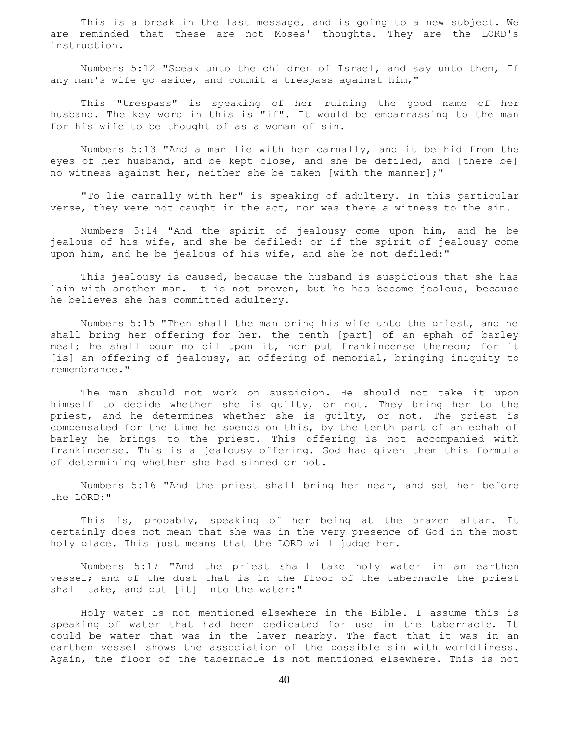This is a break in the last message, and is going to a new subject. We are reminded that these are not Moses' thoughts. They are the LORD's instruction.

 Numbers 5:12 "Speak unto the children of Israel, and say unto them, If any man's wife go aside, and commit a trespass against him,"

 This "trespass" is speaking of her ruining the good name of her husband. The key word in this is "if". It would be embarrassing to the man for his wife to be thought of as a woman of sin.

 Numbers 5:13 "And a man lie with her carnally, and it be hid from the eyes of her husband, and be kept close, and she be defiled, and [there be] no witness against her, neither she be taken [with the manner];"

 "To lie carnally with her" is speaking of adultery. In this particular verse, they were not caught in the act, nor was there a witness to the sin.

 Numbers 5:14 "And the spirit of jealousy come upon him, and he be jealous of his wife, and she be defiled: or if the spirit of jealousy come upon him, and he be jealous of his wife, and she be not defiled:"

 This jealousy is caused, because the husband is suspicious that she has lain with another man. It is not proven, but he has become jealous, because he believes she has committed adultery.

 Numbers 5:15 "Then shall the man bring his wife unto the priest, and he shall bring her offering for her, the tenth [part] of an ephah of barley meal; he shall pour no oil upon it, nor put frankincense thereon; for it [is] an offering of jealousy, an offering of memorial, bringing iniquity to remembrance."

 The man should not work on suspicion. He should not take it upon himself to decide whether she is guilty, or not. They bring her to the priest, and he determines whether she is guilty, or not. The priest is compensated for the time he spends on this, by the tenth part of an ephah of barley he brings to the priest. This offering is not accompanied with frankincense. This is a jealousy offering. God had given them this formula of determining whether she had sinned or not.

 Numbers 5:16 "And the priest shall bring her near, and set her before the LORD:"

 This is, probably, speaking of her being at the brazen altar. It certainly does not mean that she was in the very presence of God in the most holy place. This just means that the LORD will judge her.

 Numbers 5:17 "And the priest shall take holy water in an earthen vessel; and of the dust that is in the floor of the tabernacle the priest shall take, and put [it] into the water:"

 Holy water is not mentioned elsewhere in the Bible. I assume this is speaking of water that had been dedicated for use in the tabernacle. It could be water that was in the laver nearby. The fact that it was in an earthen vessel shows the association of the possible sin with worldliness. Again, the floor of the tabernacle is not mentioned elsewhere. This is not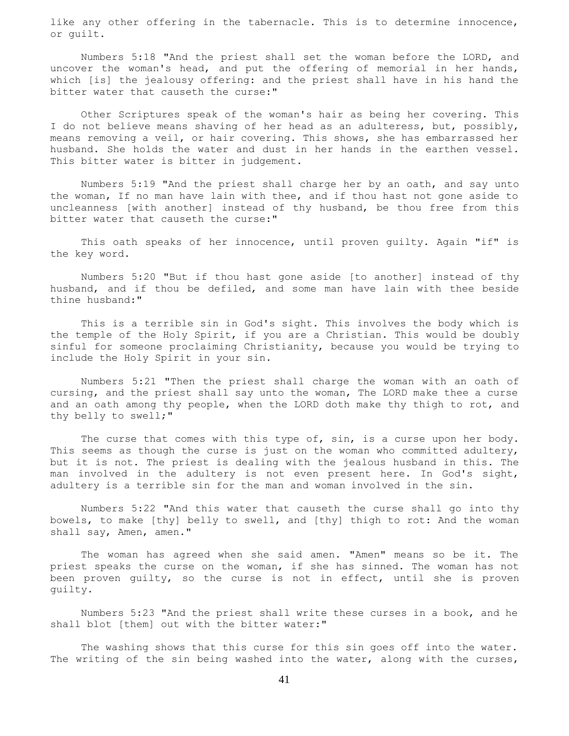like any other offering in the tabernacle. This is to determine innocence, or guilt.

 Numbers 5:18 "And the priest shall set the woman before the LORD, and uncover the woman's head, and put the offering of memorial in her hands, which [is] the jealousy offering: and the priest shall have in his hand the bitter water that causeth the curse:"

 Other Scriptures speak of the woman's hair as being her covering. This I do not believe means shaving of her head as an adulteress, but, possibly, means removing a veil, or hair covering. This shows, she has embarrassed her husband. She holds the water and dust in her hands in the earthen vessel. This bitter water is bitter in judgement.

 Numbers 5:19 "And the priest shall charge her by an oath, and say unto the woman, If no man have lain with thee, and if thou hast not gone aside to uncleanness [with another] instead of thy husband, be thou free from this bitter water that causeth the curse:"

 This oath speaks of her innocence, until proven guilty. Again "if" is the key word.

 Numbers 5:20 "But if thou hast gone aside [to another] instead of thy husband, and if thou be defiled, and some man have lain with thee beside thine husband:"

 This is a terrible sin in God's sight. This involves the body which is the temple of the Holy Spirit, if you are a Christian. This would be doubly sinful for someone proclaiming Christianity, because you would be trying to include the Holy Spirit in your sin.

 Numbers 5:21 "Then the priest shall charge the woman with an oath of cursing, and the priest shall say unto the woman, The LORD make thee a curse and an oath among thy people, when the LORD doth make thy thigh to rot, and thy belly to swell;"

The curse that comes with this type of, sin, is a curse upon her body. This seems as though the curse is just on the woman who committed adultery, but it is not. The priest is dealing with the jealous husband in this. The man involved in the adultery is not even present here. In God's sight, adultery is a terrible sin for the man and woman involved in the sin.

 Numbers 5:22 "And this water that causeth the curse shall go into thy bowels, to make [thy] belly to swell, and [thy] thigh to rot: And the woman shall say, Amen, amen."

 The woman has agreed when she said amen. "Amen" means so be it. The priest speaks the curse on the woman, if she has sinned. The woman has not been proven guilty, so the curse is not in effect, until she is proven guilty.

 Numbers 5:23 "And the priest shall write these curses in a book, and he shall blot [them] out with the bitter water:"

 The washing shows that this curse for this sin goes off into the water. The writing of the sin being washed into the water, along with the curses,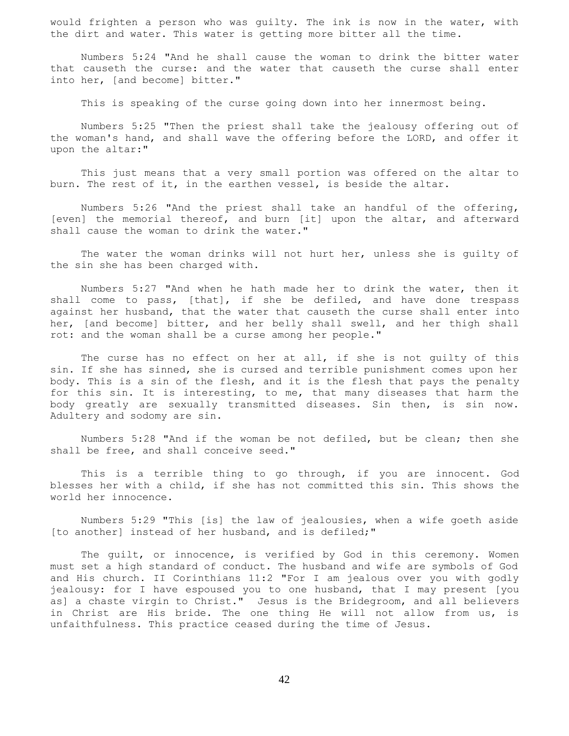would frighten a person who was guilty. The ink is now in the water, with the dirt and water. This water is getting more bitter all the time.

 Numbers 5:24 "And he shall cause the woman to drink the bitter water that causeth the curse: and the water that causeth the curse shall enter into her, [and become] bitter."

This is speaking of the curse going down into her innermost being.

 Numbers 5:25 "Then the priest shall take the jealousy offering out of the woman's hand, and shall wave the offering before the LORD, and offer it upon the altar:"

 This just means that a very small portion was offered on the altar to burn. The rest of it, in the earthen vessel, is beside the altar.

 Numbers 5:26 "And the priest shall take an handful of the offering, [even] the memorial thereof, and burn [it] upon the altar, and afterward shall cause the woman to drink the water."

 The water the woman drinks will not hurt her, unless she is guilty of the sin she has been charged with.

 Numbers 5:27 "And when he hath made her to drink the water, then it shall come to pass, [that], if she be defiled, and have done trespass against her husband, that the water that causeth the curse shall enter into her, [and become] bitter, and her belly shall swell, and her thigh shall rot: and the woman shall be a curse among her people."

The curse has no effect on her at all, if she is not quilty of this sin. If she has sinned, she is cursed and terrible punishment comes upon her body. This is a sin of the flesh, and it is the flesh that pays the penalty for this sin. It is interesting, to me, that many diseases that harm the body greatly are sexually transmitted diseases. Sin then, is sin now. Adultery and sodomy are sin.

 Numbers 5:28 "And if the woman be not defiled, but be clean; then she shall be free, and shall conceive seed."

 This is a terrible thing to go through, if you are innocent. God blesses her with a child, if she has not committed this sin. This shows the world her innocence.

 Numbers 5:29 "This [is] the law of jealousies, when a wife goeth aside [to another] instead of her husband, and is defiled;"

 The guilt, or innocence, is verified by God in this ceremony. Women must set a high standard of conduct. The husband and wife are symbols of God and His church. II Corinthians 11:2 "For I am jealous over you with godly jealousy: for I have espoused you to one husband, that I may present [you as] a chaste virgin to Christ." Jesus is the Bridegroom, and all believers in Christ are His bride. The one thing He will not allow from us, is unfaithfulness. This practice ceased during the time of Jesus.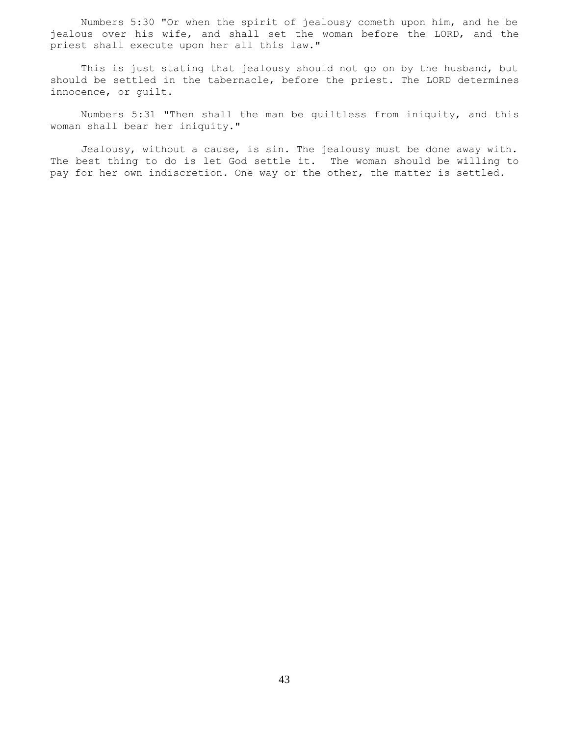Numbers 5:30 "Or when the spirit of jealousy cometh upon him, and he be jealous over his wife, and shall set the woman before the LORD, and the priest shall execute upon her all this law."

 This is just stating that jealousy should not go on by the husband, but should be settled in the tabernacle, before the priest. The LORD determines innocence, or guilt.

 Numbers 5:31 "Then shall the man be guiltless from iniquity, and this woman shall bear her iniquity."

 Jealousy, without a cause, is sin. The jealousy must be done away with. The best thing to do is let God settle it. The woman should be willing to pay for her own indiscretion. One way or the other, the matter is settled.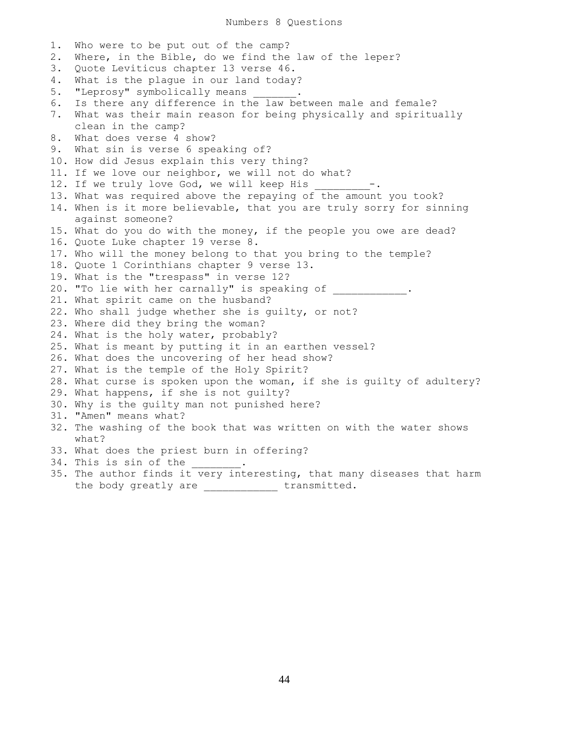1. Who were to be put out of the camp? 2. Where, in the Bible, do we find the law of the leper? 3. Quote Leviticus chapter 13 verse 46. 4. What is the plague in our land today? 5. "Leprosy" symbolically means 6. Is there any difference in the law between male and female? 7. What was their main reason for being physically and spiritually clean in the camp? 8. What does verse 4 show? 9. What sin is verse 6 speaking of? 10. How did Jesus explain this very thing? 11. If we love our neighbor, we will not do what? 12. If we truly love God, we will keep His -. 13. What was required above the repaying of the amount you took? 14. When is it more believable, that you are truly sorry for sinning against someone? 15. What do you do with the money, if the people you owe are dead? 16. Quote Luke chapter 19 verse 8. 17. Who will the money belong to that you bring to the temple? 18. Quote 1 Corinthians chapter 9 verse 13. 19. What is the "trespass" in verse 12? 20. "To lie with her carnally" is speaking of  $\hspace{1.5cm}$ . 21. What spirit came on the husband? 22. Who shall judge whether she is guilty, or not? 23. Where did they bring the woman? 24. What is the holy water, probably? 25. What is meant by putting it in an earthen vessel? 26. What does the uncovering of her head show? 27. What is the temple of the Holy Spirit? 28. What curse is spoken upon the woman, if she is guilty of adultery? 29. What happens, if she is not guilty? 30. Why is the guilty man not punished here? 31. "Amen" means what? 32. The washing of the book that was written on with the water shows what? 33. What does the priest burn in offering? 34. This is sin of the 35. The author finds it very interesting, that many diseases that harm

the body greatly are \_\_\_\_\_\_\_\_\_\_\_\_\_ transmitted.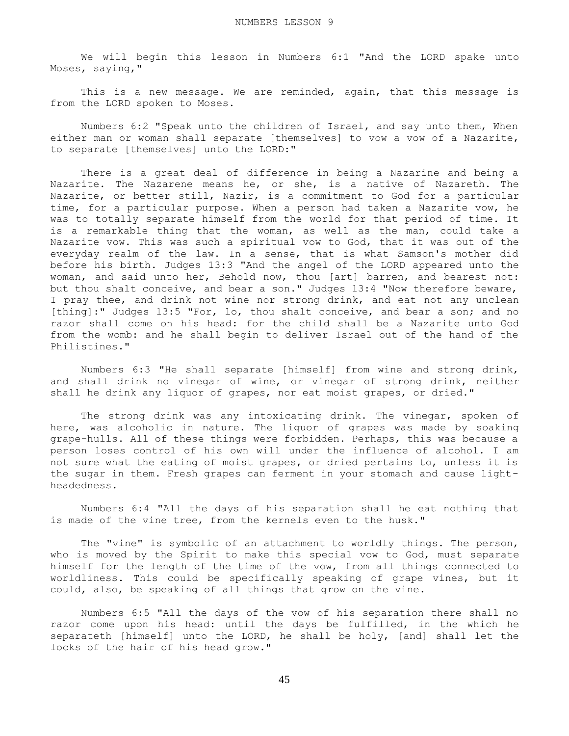We will begin this lesson in Numbers 6:1 "And the LORD spake unto Moses, saying,"

This is a new message. We are reminded, again, that this message is from the LORD spoken to Moses.

 Numbers 6:2 "Speak unto the children of Israel, and say unto them, When either man or woman shall separate [themselves] to vow a vow of a Nazarite, to separate [themselves] unto the LORD:"

 There is a great deal of difference in being a Nazarine and being a Nazarite. The Nazarene means he, or she, is a native of Nazareth. The Nazarite, or better still, Nazir, is a commitment to God for a particular time, for a particular purpose. When a person had taken a Nazarite vow, he was to totally separate himself from the world for that period of time. It is a remarkable thing that the woman, as well as the man, could take a Nazarite vow. This was such a spiritual vow to God, that it was out of the everyday realm of the law. In a sense, that is what Samson's mother did before his birth. Judges 13:3 "And the angel of the LORD appeared unto the woman, and said unto her, Behold now, thou [art] barren, and bearest not: but thou shalt conceive, and bear a son." Judges 13:4 "Now therefore beware, I pray thee, and drink not wine nor strong drink, and eat not any unclean [thing]:" Judges 13:5 "For, lo, thou shalt conceive, and bear a son; and no razor shall come on his head: for the child shall be a Nazarite unto God from the womb: and he shall begin to deliver Israel out of the hand of the Philistines."

 Numbers 6:3 "He shall separate [himself] from wine and strong drink, and shall drink no vinegar of wine, or vinegar of strong drink, neither shall he drink any liquor of grapes, nor eat moist grapes, or dried."

The strong drink was any intoxicating drink. The vinegar, spoken of here, was alcoholic in nature. The liquor of grapes was made by soaking grape-hulls. All of these things were forbidden. Perhaps, this was because a person loses control of his own will under the influence of alcohol. I am not sure what the eating of moist grapes, or dried pertains to, unless it is the sugar in them. Fresh grapes can ferment in your stomach and cause lightheadedness.

 Numbers 6:4 "All the days of his separation shall he eat nothing that is made of the vine tree, from the kernels even to the husk."

 The "vine" is symbolic of an attachment to worldly things. The person, who is moved by the Spirit to make this special vow to God, must separate himself for the length of the time of the vow, from all things connected to worldliness. This could be specifically speaking of grape vines, but it could, also, be speaking of all things that grow on the vine.

 Numbers 6:5 "All the days of the vow of his separation there shall no razor come upon his head: until the days be fulfilled, in the which he separateth [himself] unto the LORD, he shall be holy, [and] shall let the locks of the hair of his head grow."

45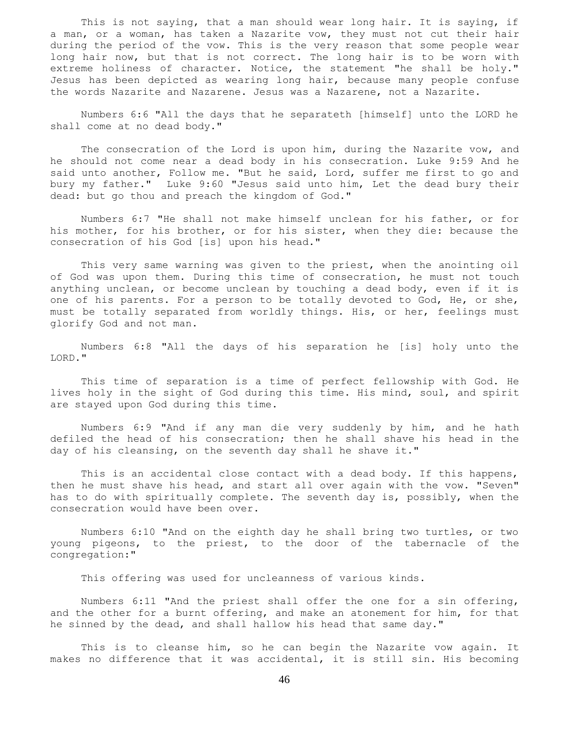This is not saying, that a man should wear long hair. It is saying, if a man, or a woman, has taken a Nazarite vow, they must not cut their hair during the period of the vow. This is the very reason that some people wear long hair now, but that is not correct. The long hair is to be worn with extreme holiness of character. Notice, the statement "he shall be holy." Jesus has been depicted as wearing long hair, because many people confuse the words Nazarite and Nazarene. Jesus was a Nazarene, not a Nazarite.

 Numbers 6:6 "All the days that he separateth [himself] unto the LORD he shall come at no dead body."

 The consecration of the Lord is upon him, during the Nazarite vow, and he should not come near a dead body in his consecration. Luke 9:59 And he said unto another, Follow me. "But he said, Lord, suffer me first to go and bury my father." Luke 9:60 "Jesus said unto him, Let the dead bury their dead: but go thou and preach the kingdom of God."

 Numbers 6:7 "He shall not make himself unclean for his father, or for his mother, for his brother, or for his sister, when they die: because the consecration of his God [is] upon his head."

 This very same warning was given to the priest, when the anointing oil of God was upon them. During this time of consecration, he must not touch anything unclean, or become unclean by touching a dead body, even if it is one of his parents. For a person to be totally devoted to God, He, or she, must be totally separated from worldly things. His, or her, feelings must glorify God and not man.

 Numbers 6:8 "All the days of his separation he [is] holy unto the LORD."

 This time of separation is a time of perfect fellowship with God. He lives holy in the sight of God during this time. His mind, soul, and spirit are stayed upon God during this time.

 Numbers 6:9 "And if any man die very suddenly by him, and he hath defiled the head of his consecration; then he shall shave his head in the day of his cleansing, on the seventh day shall he shave it."

 This is an accidental close contact with a dead body. If this happens, then he must shave his head, and start all over again with the vow. "Seven" has to do with spiritually complete. The seventh day is, possibly, when the consecration would have been over.

 Numbers 6:10 "And on the eighth day he shall bring two turtles, or two young pigeons, to the priest, to the door of the tabernacle of the congregation:"

This offering was used for uncleanness of various kinds.

 Numbers 6:11 "And the priest shall offer the one for a sin offering, and the other for a burnt offering, and make an atonement for him, for that he sinned by the dead, and shall hallow his head that same day."

 This is to cleanse him, so he can begin the Nazarite vow again. It makes no difference that it was accidental, it is still sin. His becoming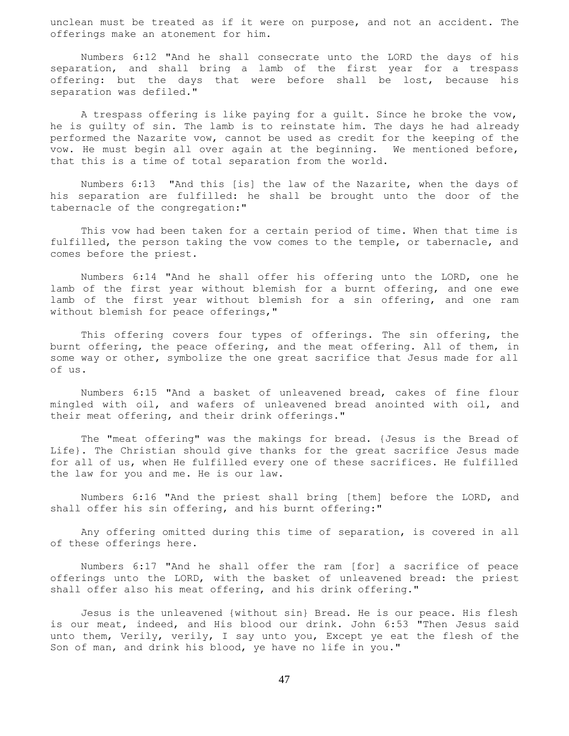unclean must be treated as if it were on purpose, and not an accident. The offerings make an atonement for him.

 Numbers 6:12 "And he shall consecrate unto the LORD the days of his separation, and shall bring a lamb of the first year for a trespass offering: but the days that were before shall be lost, because his separation was defiled."

 A trespass offering is like paying for a guilt. Since he broke the vow, he is guilty of sin. The lamb is to reinstate him. The days he had already performed the Nazarite vow, cannot be used as credit for the keeping of the vow. He must begin all over again at the beginning. We mentioned before, that this is a time of total separation from the world.

 Numbers 6:13 "And this [is] the law of the Nazarite, when the days of his separation are fulfilled: he shall be brought unto the door of the tabernacle of the congregation:"

 This vow had been taken for a certain period of time. When that time is fulfilled, the person taking the vow comes to the temple, or tabernacle, and comes before the priest.

 Numbers 6:14 "And he shall offer his offering unto the LORD, one he lamb of the first year without blemish for a burnt offering, and one ewe lamb of the first year without blemish for a sin offering, and one ram without blemish for peace offerings,"

 This offering covers four types of offerings. The sin offering, the burnt offering, the peace offering, and the meat offering. All of them, in some way or other, symbolize the one great sacrifice that Jesus made for all of us.

 Numbers 6:15 "And a basket of unleavened bread, cakes of fine flour mingled with oil, and wafers of unleavened bread anointed with oil, and their meat offering, and their drink offerings."

 The "meat offering" was the makings for bread. {Jesus is the Bread of Life}. The Christian should give thanks for the great sacrifice Jesus made for all of us, when He fulfilled every one of these sacrifices. He fulfilled the law for you and me. He is our law.

 Numbers 6:16 "And the priest shall bring [them] before the LORD, and shall offer his sin offering, and his burnt offering:"

 Any offering omitted during this time of separation, is covered in all of these offerings here.

 Numbers 6:17 "And he shall offer the ram [for] a sacrifice of peace offerings unto the LORD, with the basket of unleavened bread: the priest shall offer also his meat offering, and his drink offering."

 Jesus is the unleavened {without sin} Bread. He is our peace. His flesh is our meat, indeed, and His blood our drink. John 6:53 "Then Jesus said unto them, Verily, verily, I say unto you, Except ye eat the flesh of the Son of man, and drink his blood, ye have no life in you."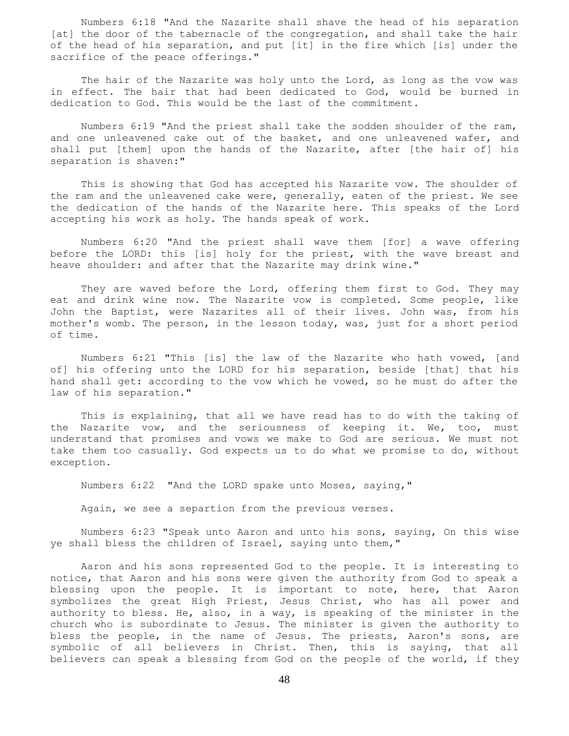Numbers 6:18 "And the Nazarite shall shave the head of his separation [at] the door of the tabernacle of the congregation, and shall take the hair of the head of his separation, and put [it] in the fire which [is] under the sacrifice of the peace offerings."

 The hair of the Nazarite was holy unto the Lord, as long as the vow was in effect. The hair that had been dedicated to God, would be burned in dedication to God. This would be the last of the commitment.

 Numbers 6:19 "And the priest shall take the sodden shoulder of the ram, and one unleavened cake out of the basket, and one unleavened wafer, and shall put [them] upon the hands of the Nazarite, after [the hair of] his separation is shaven:"

 This is showing that God has accepted his Nazarite vow. The shoulder of the ram and the unleavened cake were, generally, eaten of the priest. We see the dedication of the hands of the Nazarite here. This speaks of the Lord accepting his work as holy. The hands speak of work.

 Numbers 6:20 "And the priest shall wave them [for] a wave offering before the LORD: this [is] holy for the priest, with the wave breast and heave shoulder: and after that the Nazarite may drink wine."

They are waved before the Lord, offering them first to God. They may eat and drink wine now. The Nazarite vow is completed. Some people, like John the Baptist, were Nazarites all of their lives. John was, from his mother's womb. The person, in the lesson today, was, just for a short period of time.

 Numbers 6:21 "This [is] the law of the Nazarite who hath vowed, [and of] his offering unto the LORD for his separation, beside [that] that his hand shall get: according to the vow which he vowed, so he must do after the law of his separation."

 This is explaining, that all we have read has to do with the taking of the Nazarite vow, and the seriousness of keeping it. We, too, must understand that promises and vows we make to God are serious. We must not take them too casually. God expects us to do what we promise to do, without exception.

Numbers 6:22 "And the LORD spake unto Moses, saying,"

Again, we see a separtion from the previous verses.

 Numbers 6:23 "Speak unto Aaron and unto his sons, saying, On this wise ye shall bless the children of Israel, saying unto them,"

 Aaron and his sons represented God to the people. It is interesting to notice, that Aaron and his sons were given the authority from God to speak a blessing upon the people. It is important to note, here, that Aaron symbolizes the great High Priest, Jesus Christ, who has all power and authority to bless. He, also, in a way, is speaking of the minister in the church who is subordinate to Jesus. The minister is given the authority to bless the people, in the name of Jesus. The priests, Aaron's sons, are symbolic of all believers in Christ. Then, this is saying, that all believers can speak a blessing from God on the people of the world, if they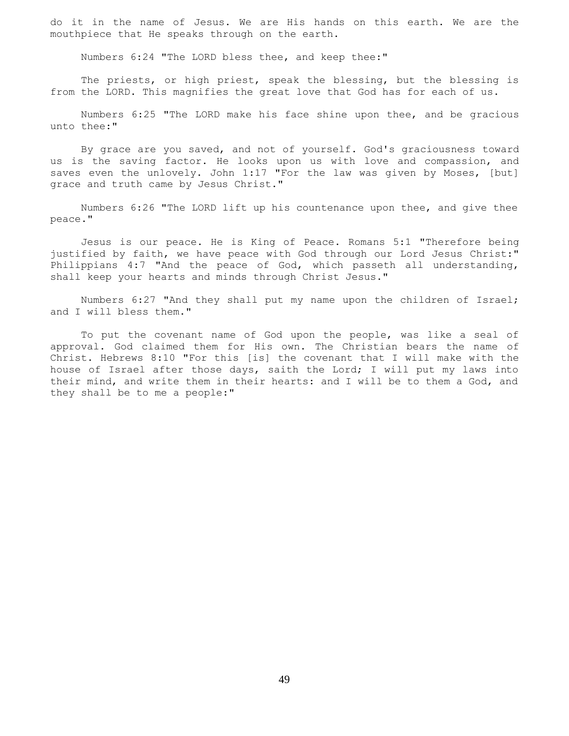do it in the name of Jesus. We are His hands on this earth. We are the mouthpiece that He speaks through on the earth.

Numbers 6:24 "The LORD bless thee, and keep thee:"

 The priests, or high priest, speak the blessing, but the blessing is from the LORD. This magnifies the great love that God has for each of us.

 Numbers 6:25 "The LORD make his face shine upon thee, and be gracious unto thee:"

 By grace are you saved, and not of yourself. God's graciousness toward us is the saving factor. He looks upon us with love and compassion, and saves even the unlovely. John 1:17 "For the law was given by Moses, [but] grace and truth came by Jesus Christ."

 Numbers 6:26 "The LORD lift up his countenance upon thee, and give thee peace."

 Jesus is our peace. He is King of Peace. Romans 5:1 "Therefore being justified by faith, we have peace with God through our Lord Jesus Christ:" Philippians 4:7 "And the peace of God, which passeth all understanding, shall keep your hearts and minds through Christ Jesus."

 Numbers 6:27 "And they shall put my name upon the children of Israel; and I will bless them."

 To put the covenant name of God upon the people, was like a seal of approval. God claimed them for His own. The Christian bears the name of Christ. Hebrews 8:10 "For this [is] the covenant that I will make with the house of Israel after those days, saith the Lord; I will put my laws into their mind, and write them in their hearts: and I will be to them a God, and they shall be to me a people:"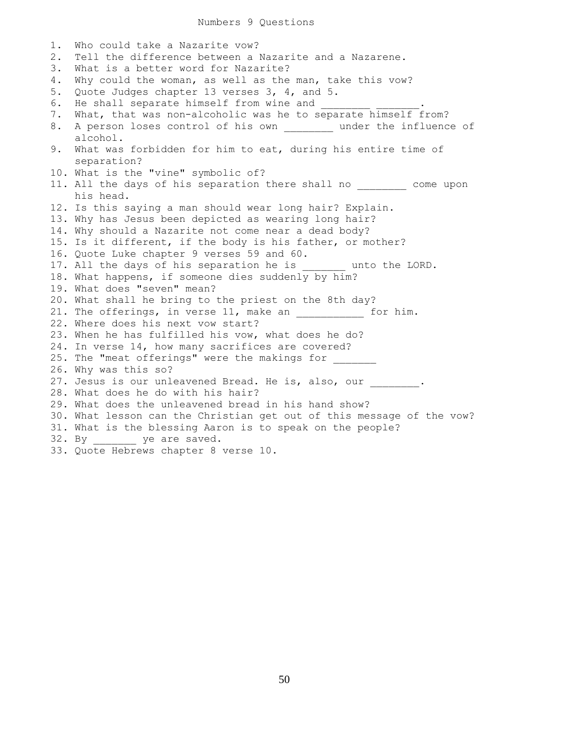## Numbers 9 Questions

1. Who could take a Nazarite vow? 2. Tell the difference between a Nazarite and a Nazarene. 3. What is a better word for Nazarite? 4. Why could the woman, as well as the man, take this vow? 5. Quote Judges chapter 13 verses 3, 4, and 5. 6. He shall separate himself from wine and 7. What, that was non-alcoholic was he to separate himself from? 8. A person loses control of his own \_\_\_\_\_\_\_\_ under the influence of alcohol. 9. What was forbidden for him to eat, during his entire time of separation? 10. What is the "vine" symbolic of? 11. All the days of his separation there shall no come upon his head. 12. Is this saying a man should wear long hair? Explain. 13. Why has Jesus been depicted as wearing long hair? 14. Why should a Nazarite not come near a dead body? 15. Is it different, if the body is his father, or mother? 16. Quote Luke chapter 9 verses 59 and 60. 17. All the days of his separation he is \_\_\_\_\_\_\_\_ unto the LORD. 18. What happens, if someone dies suddenly by him? 19. What does "seven" mean? 20. What shall he bring to the priest on the 8th day? 21. The offerings, in verse 11, make an  $\qquad \qquad$  for him. 22. Where does his next vow start? 23. When he has fulfilled his vow, what does he do? 24. In verse 14, how many sacrifices are covered? 25. The "meat offerings" were the makings for 26. Why was this so? 27. Jesus is our unleavened Bread. He is, also, our  $\qquad \qquad$ 28. What does he do with his hair? 29. What does the unleavened bread in his hand show? 30. What lesson can the Christian get out of this message of the vow? 31. What is the blessing Aaron is to speak on the people? 32. By \_\_\_\_\_\_\_\_ ye are saved. 33. Quote Hebrews chapter 8 verse 10.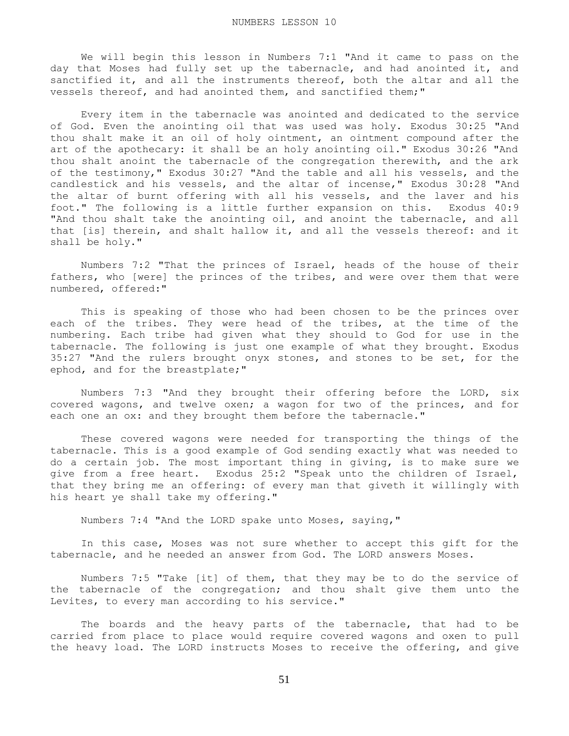We will begin this lesson in Numbers 7:1 "And it came to pass on the day that Moses had fully set up the tabernacle, and had anointed it, and sanctified it, and all the instruments thereof, both the altar and all the vessels thereof, and had anointed them, and sanctified them;"

 Every item in the tabernacle was anointed and dedicated to the service of God. Even the anointing oil that was used was holy. Exodus 30:25 "And thou shalt make it an oil of holy ointment, an ointment compound after the art of the apothecary: it shall be an holy anointing oil." Exodus 30:26 "And thou shalt anoint the tabernacle of the congregation therewith, and the ark of the testimony," Exodus 30:27 "And the table and all his vessels, and the candlestick and his vessels, and the altar of incense," Exodus 30:28 "And the altar of burnt offering with all his vessels, and the laver and his foot." The following is a little further expansion on this. Exodus 40:9 "And thou shalt take the anointing oil, and anoint the tabernacle, and all that [is] therein, and shalt hallow it, and all the vessels thereof: and it shall be holy."

 Numbers 7:2 "That the princes of Israel, heads of the house of their fathers, who [were] the princes of the tribes, and were over them that were numbered, offered:"

 This is speaking of those who had been chosen to be the princes over each of the tribes. They were head of the tribes, at the time of the numbering. Each tribe had given what they should to God for use in the tabernacle. The following is just one example of what they brought. Exodus 35:27 "And the rulers brought onyx stones, and stones to be set, for the ephod, and for the breastplate;"

 Numbers 7:3 "And they brought their offering before the LORD, six covered wagons, and twelve oxen; a wagon for two of the princes, and for each one an ox: and they brought them before the tabernacle."

 These covered wagons were needed for transporting the things of the tabernacle. This is a good example of God sending exactly what was needed to do a certain job. The most important thing in giving, is to make sure we give from a free heart. Exodus 25:2 "Speak unto the children of Israel, that they bring me an offering: of every man that giveth it willingly with his heart ye shall take my offering."

Numbers 7:4 "And the LORD spake unto Moses, saying,"

 In this case, Moses was not sure whether to accept this gift for the tabernacle, and he needed an answer from God. The LORD answers Moses.

 Numbers 7:5 "Take [it] of them, that they may be to do the service of the tabernacle of the congregation; and thou shalt give them unto the Levites, to every man according to his service."

 The boards and the heavy parts of the tabernacle, that had to be carried from place to place would require covered wagons and oxen to pull the heavy load. The LORD instructs Moses to receive the offering, and give

51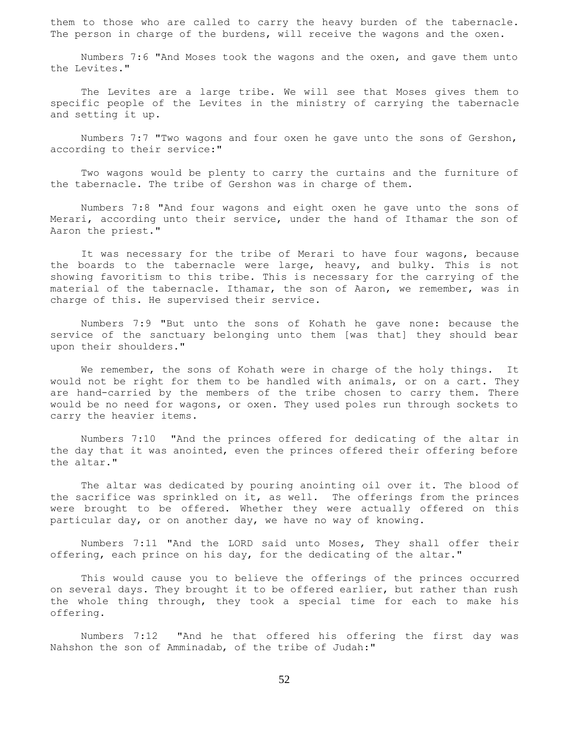them to those who are called to carry the heavy burden of the tabernacle. The person in charge of the burdens, will receive the wagons and the oxen.

 Numbers 7:6 "And Moses took the wagons and the oxen, and gave them unto the Levites."

 The Levites are a large tribe. We will see that Moses gives them to specific people of the Levites in the ministry of carrying the tabernacle and setting it up.

 Numbers 7:7 "Two wagons and four oxen he gave unto the sons of Gershon, according to their service:"

 Two wagons would be plenty to carry the curtains and the furniture of the tabernacle. The tribe of Gershon was in charge of them.

 Numbers 7:8 "And four wagons and eight oxen he gave unto the sons of Merari, according unto their service, under the hand of Ithamar the son of Aaron the priest."

 It was necessary for the tribe of Merari to have four wagons, because the boards to the tabernacle were large, heavy, and bulky. This is not showing favoritism to this tribe. This is necessary for the carrying of the material of the tabernacle. Ithamar, the son of Aaron, we remember, was in charge of this. He supervised their service.

 Numbers 7:9 "But unto the sons of Kohath he gave none: because the service of the sanctuary belonging unto them [was that] they should bear upon their shoulders."

We remember, the sons of Kohath were in charge of the holy things. It would not be right for them to be handled with animals, or on a cart. They are hand-carried by the members of the tribe chosen to carry them. There would be no need for wagons, or oxen. They used poles run through sockets to carry the heavier items.

 Numbers 7:10 "And the princes offered for dedicating of the altar in the day that it was anointed, even the princes offered their offering before the altar."

 The altar was dedicated by pouring anointing oil over it. The blood of the sacrifice was sprinkled on it, as well. The offerings from the princes were brought to be offered. Whether they were actually offered on this particular day, or on another day, we have no way of knowing.

 Numbers 7:11 "And the LORD said unto Moses, They shall offer their offering, each prince on his day, for the dedicating of the altar."

 This would cause you to believe the offerings of the princes occurred on several days. They brought it to be offered earlier, but rather than rush the whole thing through, they took a special time for each to make his offering.

 Numbers 7:12 "And he that offered his offering the first day was Nahshon the son of Amminadab, of the tribe of Judah:"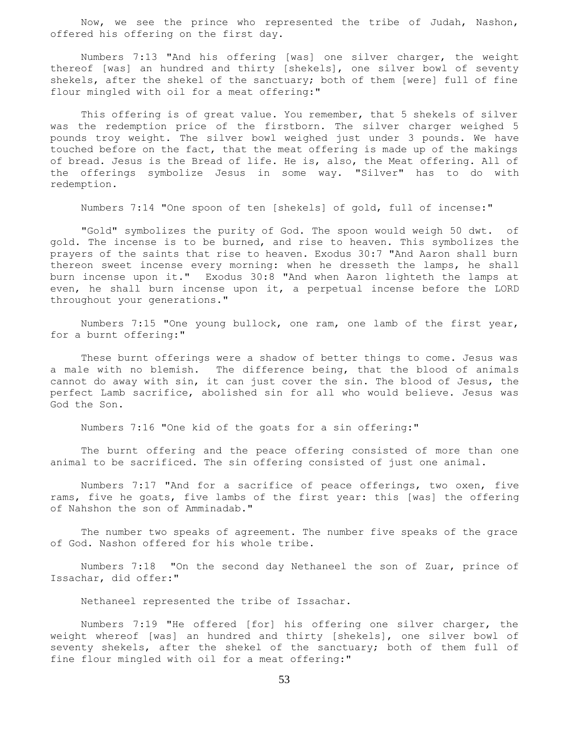Now, we see the prince who represented the tribe of Judah, Nashon, offered his offering on the first day.

 Numbers 7:13 "And his offering [was] one silver charger, the weight thereof [was] an hundred and thirty [shekels], one silver bowl of seventy shekels, after the shekel of the sanctuary; both of them [were] full of fine flour mingled with oil for a meat offering:"

 This offering is of great value. You remember, that 5 shekels of silver was the redemption price of the firstborn. The silver charger weighed 5 pounds troy weight. The silver bowl weighed just under 3 pounds. We have touched before on the fact, that the meat offering is made up of the makings of bread. Jesus is the Bread of life. He is, also, the Meat offering. All of the offerings symbolize Jesus in some way. "Silver" has to do with redemption.

Numbers 7:14 "One spoon of ten [shekels] of gold, full of incense:"

 "Gold" symbolizes the purity of God. The spoon would weigh 50 dwt. of gold. The incense is to be burned, and rise to heaven. This symbolizes the prayers of the saints that rise to heaven. Exodus 30:7 "And Aaron shall burn thereon sweet incense every morning: when he dresseth the lamps, he shall burn incense upon it." Exodus 30:8 "And when Aaron lighteth the lamps at even, he shall burn incense upon it, a perpetual incense before the LORD throughout your generations."

 Numbers 7:15 "One young bullock, one ram, one lamb of the first year, for a burnt offering:"

 These burnt offerings were a shadow of better things to come. Jesus was a male with no blemish. The difference being, that the blood of animals cannot do away with sin, it can just cover the sin. The blood of Jesus, the perfect Lamb sacrifice, abolished sin for all who would believe. Jesus was God the Son.

Numbers 7:16 "One kid of the goats for a sin offering:"

 The burnt offering and the peace offering consisted of more than one animal to be sacrificed. The sin offering consisted of just one animal.

 Numbers 7:17 "And for a sacrifice of peace offerings, two oxen, five rams, five he goats, five lambs of the first year: this [was] the offering of Nahshon the son of Amminadab."

 The number two speaks of agreement. The number five speaks of the grace of God. Nashon offered for his whole tribe.

 Numbers 7:18 "On the second day Nethaneel the son of Zuar, prince of Issachar, did offer:"

Nethaneel represented the tribe of Issachar.

 Numbers 7:19 "He offered [for] his offering one silver charger, the weight whereof [was] an hundred and thirty [shekels], one silver bowl of seventy shekels, after the shekel of the sanctuary; both of them full of fine flour mingled with oil for a meat offering:"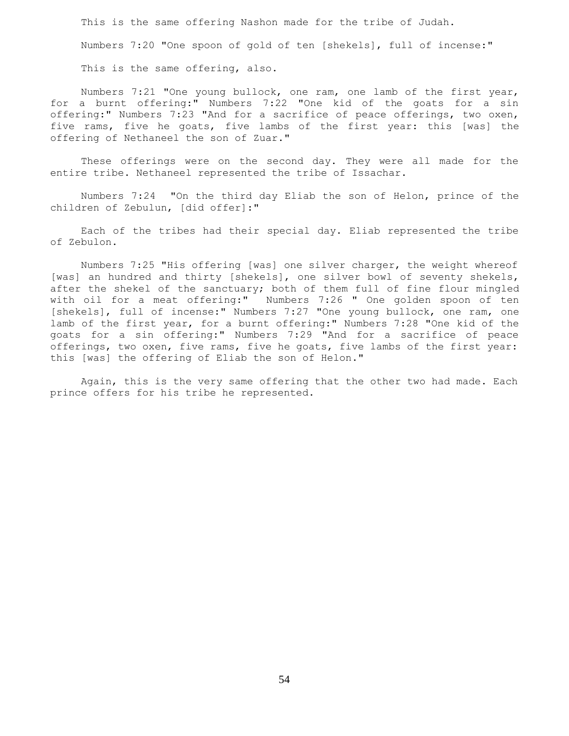This is the same offering Nashon made for the tribe of Judah. Numbers 7:20 "One spoon of gold of ten [shekels], full of incense:"

This is the same offering, also.

 Numbers 7:21 "One young bullock, one ram, one lamb of the first year, for a burnt offering:" Numbers 7:22 "One kid of the goats for a sin offering:" Numbers 7:23 "And for a sacrifice of peace offerings, two oxen, five rams, five he goats, five lambs of the first year: this [was] the offering of Nethaneel the son of Zuar."

These offerings were on the second day. They were all made for the entire tribe. Nethaneel represented the tribe of Issachar.

 Numbers 7:24 "On the third day Eliab the son of Helon, prince of the children of Zebulun, [did offer]:"

 Each of the tribes had their special day. Eliab represented the tribe of Zebulon.

 Numbers 7:25 "His offering [was] one silver charger, the weight whereof [was] an hundred and thirty [shekels], one silver bowl of seventy shekels, after the shekel of the sanctuary; both of them full of fine flour mingled with oil for a meat offering:" Numbers 7:26 " One golden spoon of ten [shekels], full of incense:" Numbers 7:27 "One young bullock, one ram, one lamb of the first year, for a burnt offering:" Numbers 7:28 "One kid of the goats for a sin offering:" Numbers 7:29 "And for a sacrifice of peace offerings, two oxen, five rams, five he goats, five lambs of the first year: this [was] the offering of Eliab the son of Helon."

 Again, this is the very same offering that the other two had made. Each prince offers for his tribe he represented.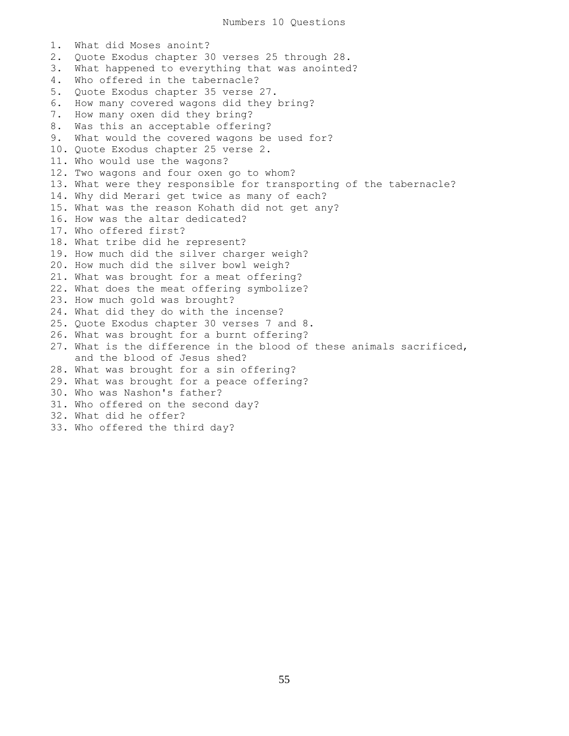1. What did Moses anoint? 2. Quote Exodus chapter 30 verses 25 through 28. 3. What happened to everything that was anointed? 4. Who offered in the tabernacle? 5. Quote Exodus chapter 35 verse 27. 6. How many covered wagons did they bring? 7. How many oxen did they bring? 8. Was this an acceptable offering? 9. What would the covered wagons be used for? 10. Quote Exodus chapter 25 verse 2. 11. Who would use the wagons? 12. Two wagons and four oxen go to whom? 13. What were they responsible for transporting of the tabernacle? 14. Why did Merari get twice as many of each? 15. What was the reason Kohath did not get any? 16. How was the altar dedicated? 17. Who offered first? 18. What tribe did he represent? 19. How much did the silver charger weigh? 20. How much did the silver bowl weigh? 21. What was brought for a meat offering? 22. What does the meat offering symbolize? 23. How much gold was brought? 24. What did they do with the incense? 25. Quote Exodus chapter 30 verses 7 and 8. 26. What was brought for a burnt offering? 27. What is the difference in the blood of these animals sacrificed, and the blood of Jesus shed? 28. What was brought for a sin offering? 29. What was brought for a peace offering? 30. Who was Nashon's father? 31. Who offered on the second day? 32. What did he offer? 33. Who offered the third day?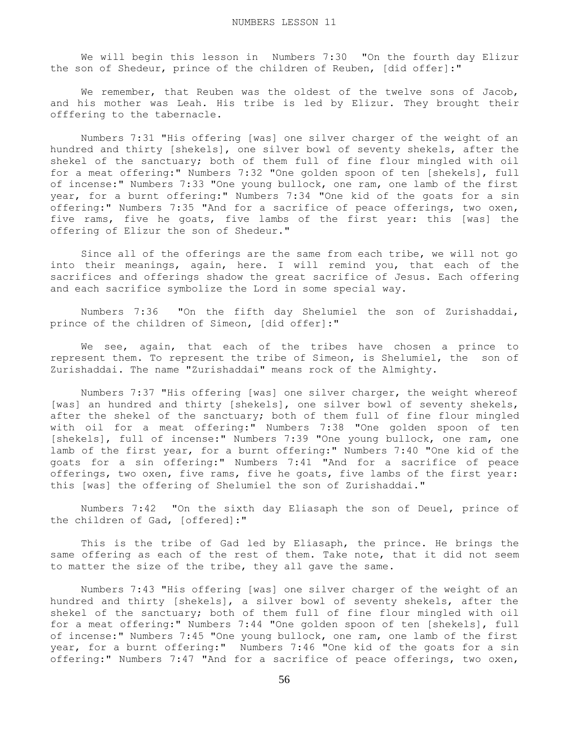We will begin this lesson in Numbers 7:30 "On the fourth day Elizur the son of Shedeur, prince of the children of Reuben, [did offer]:"

We remember, that Reuben was the oldest of the twelve sons of Jacob, and his mother was Leah. His tribe is led by Elizur. They brought their offfering to the tabernacle.

 Numbers 7:31 "His offering [was] one silver charger of the weight of an hundred and thirty [shekels], one silver bowl of seventy shekels, after the shekel of the sanctuary; both of them full of fine flour mingled with oil for a meat offering:" Numbers 7:32 "One golden spoon of ten [shekels], full of incense:" Numbers 7:33 "One young bullock, one ram, one lamb of the first year, for a burnt offering:" Numbers 7:34 "One kid of the goats for a sin offering:" Numbers 7:35 "And for a sacrifice of peace offerings, two oxen, five rams, five he goats, five lambs of the first year: this [was] the offering of Elizur the son of Shedeur."

 Since all of the offerings are the same from each tribe, we will not go into their meanings, again, here. I will remind you, that each of the sacrifices and offerings shadow the great sacrifice of Jesus. Each offering and each sacrifice symbolize the Lord in some special way.

 Numbers 7:36 "On the fifth day Shelumiel the son of Zurishaddai, prince of the children of Simeon, [did offer]:"

 We see, again, that each of the tribes have chosen a prince to represent them. To represent the tribe of Simeon, is Shelumiel, the son of Zurishaddai. The name "Zurishaddai" means rock of the Almighty.

 Numbers 7:37 "His offering [was] one silver charger, the weight whereof [was] an hundred and thirty [shekels], one silver bowl of seventy shekels, after the shekel of the sanctuary; both of them full of fine flour mingled with oil for a meat offering:" Numbers 7:38 "One golden spoon of ten [shekels], full of incense:" Numbers 7:39 "One young bullock, one ram, one lamb of the first year, for a burnt offering:" Numbers 7:40 "One kid of the goats for a sin offering:" Numbers 7:41 "And for a sacrifice of peace offerings, two oxen, five rams, five he goats, five lambs of the first year: this [was] the offering of Shelumiel the son of Zurishaddai."

 Numbers 7:42 "On the sixth day Eliasaph the son of Deuel, prince of the children of Gad, [offered]:"

 This is the tribe of Gad led by Eliasaph, the prince. He brings the same offering as each of the rest of them. Take note, that it did not seem to matter the size of the tribe, they all gave the same.

 Numbers 7:43 "His offering [was] one silver charger of the weight of an hundred and thirty [shekels], a silver bowl of seventy shekels, after the shekel of the sanctuary; both of them full of fine flour mingled with oil for a meat offering:" Numbers 7:44 "One golden spoon of ten [shekels], full of incense:" Numbers 7:45 "One young bullock, one ram, one lamb of the first year, for a burnt offering:" Numbers 7:46 "One kid of the goats for a sin offering:" Numbers 7:47 "And for a sacrifice of peace offerings, two oxen,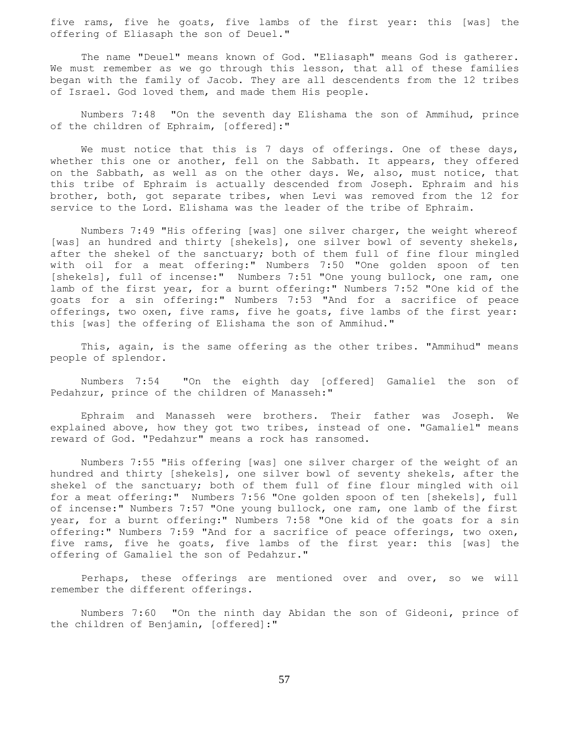five rams, five he goats, five lambs of the first year: this [was] the offering of Eliasaph the son of Deuel."

 The name "Deuel" means known of God. "Eliasaph" means God is gatherer. We must remember as we go through this lesson, that all of these families began with the family of Jacob. They are all descendents from the 12 tribes of Israel. God loved them, and made them His people.

 Numbers 7:48 "On the seventh day Elishama the son of Ammihud, prince of the children of Ephraim, [offered]:"

We must notice that this is 7 days of offerings. One of these days, whether this one or another, fell on the Sabbath. It appears, they offered on the Sabbath, as well as on the other days. We, also, must notice, that this tribe of Ephraim is actually descended from Joseph. Ephraim and his brother, both, got separate tribes, when Levi was removed from the 12 for service to the Lord. Elishama was the leader of the tribe of Ephraim.

 Numbers 7:49 "His offering [was] one silver charger, the weight whereof [was] an hundred and thirty [shekels], one silver bowl of seventy shekels, after the shekel of the sanctuary; both of them full of fine flour mingled with oil for a meat offering:" Numbers 7:50 "One golden spoon of ten [shekels], full of incense:" Numbers 7:51 "One young bullock, one ram, one lamb of the first year, for a burnt offering:" Numbers 7:52 "One kid of the goats for a sin offering:" Numbers 7:53 "And for a sacrifice of peace offerings, two oxen, five rams, five he goats, five lambs of the first year: this [was] the offering of Elishama the son of Ammihud."

 This, again, is the same offering as the other tribes. "Ammihud" means people of splendor.

 Numbers 7:54 "On the eighth day [offered] Gamaliel the son of Pedahzur, prince of the children of Manasseh:"

 Ephraim and Manasseh were brothers. Their father was Joseph. We explained above, how they got two tribes, instead of one. "Gamaliel" means reward of God. "Pedahzur" means a rock has ransomed.

 Numbers 7:55 "His offering [was] one silver charger of the weight of an hundred and thirty [shekels], one silver bowl of seventy shekels, after the shekel of the sanctuary; both of them full of fine flour mingled with oil for a meat offering:" Numbers 7:56 "One golden spoon of ten [shekels], full of incense:" Numbers 7:57 "One young bullock, one ram, one lamb of the first year, for a burnt offering:" Numbers 7:58 "One kid of the goats for a sin offering:" Numbers 7:59 "And for a sacrifice of peace offerings, two oxen, five rams, five he goats, five lambs of the first year: this [was] the offering of Gamaliel the son of Pedahzur."

 Perhaps, these offerings are mentioned over and over, so we will remember the different offerings.

 Numbers 7:60 "On the ninth day Abidan the son of Gideoni, prince of the children of Benjamin, [offered]:"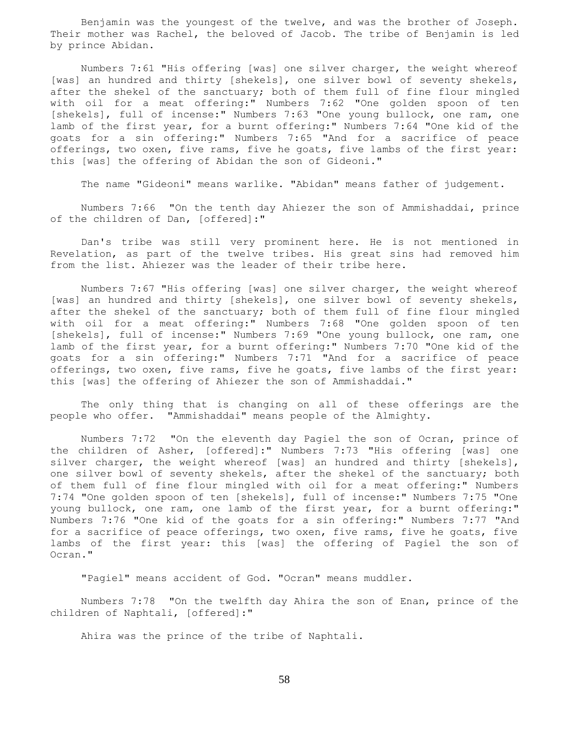Benjamin was the youngest of the twelve, and was the brother of Joseph. Their mother was Rachel, the beloved of Jacob. The tribe of Benjamin is led by prince Abidan.

 Numbers 7:61 "His offering [was] one silver charger, the weight whereof [was] an hundred and thirty [shekels], one silver bowl of seventy shekels, after the shekel of the sanctuary; both of them full of fine flour mingled with oil for a meat offering:" Numbers 7:62 "One golden spoon of ten [shekels], full of incense:" Numbers 7:63 "One young bullock, one ram, one lamb of the first year, for a burnt offering:" Numbers 7:64 "One kid of the goats for a sin offering:" Numbers 7:65 "And for a sacrifice of peace offerings, two oxen, five rams, five he goats, five lambs of the first year: this [was] the offering of Abidan the son of Gideoni."

The name "Gideoni" means warlike. "Abidan" means father of judgement.

 Numbers 7:66 "On the tenth day Ahiezer the son of Ammishaddai, prince of the children of Dan, [offered]:"

 Dan's tribe was still very prominent here. He is not mentioned in Revelation, as part of the twelve tribes. His great sins had removed him from the list. Ahiezer was the leader of their tribe here.

 Numbers 7:67 "His offering [was] one silver charger, the weight whereof [was] an hundred and thirty [shekels], one silver bowl of seventy shekels, after the shekel of the sanctuary; both of them full of fine flour mingled with oil for a meat offering:" Numbers 7:68 "One golden spoon of ten [shekels], full of incense:" Numbers 7:69 "One young bullock, one ram, one lamb of the first year, for a burnt offering:" Numbers 7:70 "One kid of the goats for a sin offering:" Numbers 7:71 "And for a sacrifice of peace offerings, two oxen, five rams, five he goats, five lambs of the first year: this [was] the offering of Ahiezer the son of Ammishaddai."

 The only thing that is changing on all of these offerings are the people who offer. "Ammishaddai" means people of the Almighty.

 Numbers 7:72 "On the eleventh day Pagiel the son of Ocran, prince of the children of Asher, [offered]:" Numbers 7:73 "His offering [was] one silver charger, the weight whereof [was] an hundred and thirty [shekels], one silver bowl of seventy shekels, after the shekel of the sanctuary; both of them full of fine flour mingled with oil for a meat offering:" Numbers 7:74 "One golden spoon of ten [shekels], full of incense:" Numbers 7:75 "One young bullock, one ram, one lamb of the first year, for a burnt offering:" Numbers 7:76 "One kid of the goats for a sin offering:" Numbers 7:77 "And for a sacrifice of peace offerings, two oxen, five rams, five he goats, five lambs of the first year: this [was] the offering of Pagiel the son of Ocran."

"Pagiel" means accident of God. "Ocran" means muddler.

 Numbers 7:78 "On the twelfth day Ahira the son of Enan, prince of the children of Naphtali, [offered]:"

Ahira was the prince of the tribe of Naphtali.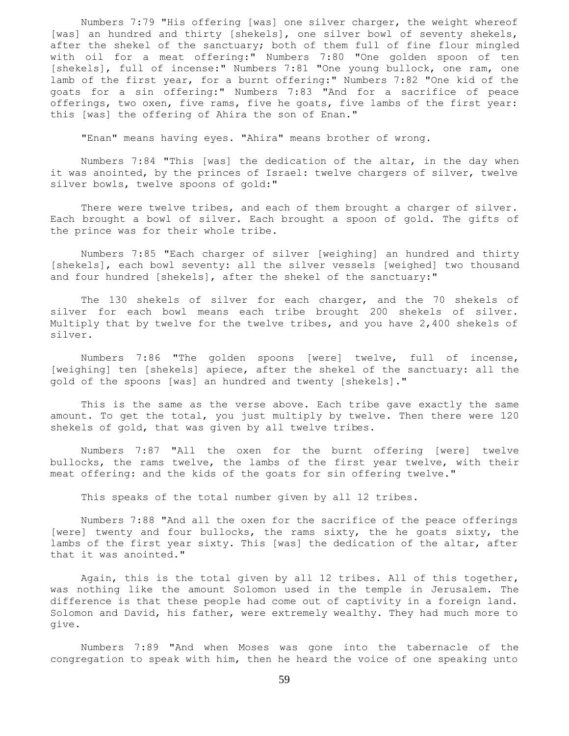Numbers 7:79 "His offering [was] one silver charger, the weight whereof [was] an hundred and thirty [shekels], one silver bowl of seventy shekels, after the shekel of the sanctuary; both of them full of fine flour mingled with oil for a meat offering:" Numbers 7:80 "One golden spoon of ten [shekels], full of incense:" Numbers 7:81 "One young bullock, one ram, one lamb of the first year, for a burnt offering:" Numbers 7:82 "One kid of the goats for a sin offering:" Numbers 7:83 "And for a sacrifice of peace offerings, two oxen, five rams, five he goats, five lambs of the first year: this [was] the offering of Ahira the son of Enan."

"Enan" means having eyes. "Ahira" means brother of wrong.

 Numbers 7:84 "This [was] the dedication of the altar, in the day when it was anointed, by the princes of Israel: twelve chargers of silver, twelve silver bowls, twelve spoons of gold:"

There were twelve tribes, and each of them brought a charger of silver. Each brought a bowl of silver. Each brought a spoon of gold. The gifts of the prince was for their whole tribe.

 Numbers 7:85 "Each charger of silver [weighing] an hundred and thirty [shekels], each bowl seventy: all the silver vessels [weighed] two thousand and four hundred [shekels], after the shekel of the sanctuary:"

 The 130 shekels of silver for each charger, and the 70 shekels of silver for each bowl means each tribe brought 200 shekels of silver. Multiply that by twelve for the twelve tribes, and you have 2,400 shekels of silver.

 Numbers 7:86 "The golden spoons [were] twelve, full of incense, [weighing] ten [shekels] apiece, after the shekel of the sanctuary: all the gold of the spoons [was] an hundred and twenty [shekels]."

 This is the same as the verse above. Each tribe gave exactly the same amount. To get the total, you just multiply by twelve. Then there were 120 shekels of gold, that was given by all twelve tribes.

 Numbers 7:87 "All the oxen for the burnt offering [were] twelve bullocks, the rams twelve, the lambs of the first year twelve, with their meat offering: and the kids of the goats for sin offering twelve."

This speaks of the total number given by all 12 tribes.

 Numbers 7:88 "And all the oxen for the sacrifice of the peace offerings [were] twenty and four bullocks, the rams sixty, the he goats sixty, the lambs of the first year sixty. This [was] the dedication of the altar, after that it was anointed."

 Again, this is the total given by all 12 tribes. All of this together, was nothing like the amount Solomon used in the temple in Jerusalem. The difference is that these people had come out of captivity in a foreign land. Solomon and David, his father, were extremely wealthy. They had much more to give.

 Numbers 7:89 "And when Moses was gone into the tabernacle of the congregation to speak with him, then he heard the voice of one speaking unto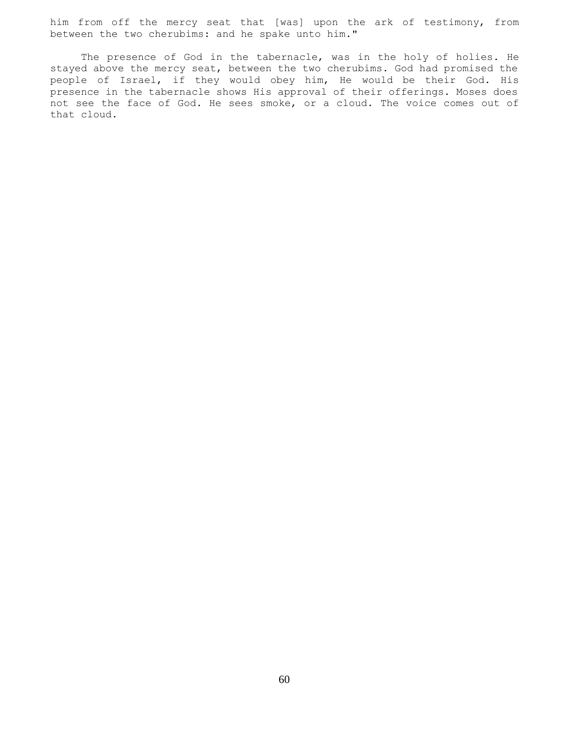him from off the mercy seat that [was] upon the ark of testimony, from between the two cherubims: and he spake unto him."

The presence of God in the tabernacle, was in the holy of holies. He stayed above the mercy seat, between the two cherubims. God had promised the people of Israel, if they would obey him, He would be their God. His presence in the tabernacle shows His approval of their offerings. Moses does not see the face of God. He sees smoke, or a cloud. The voice comes out of that cloud.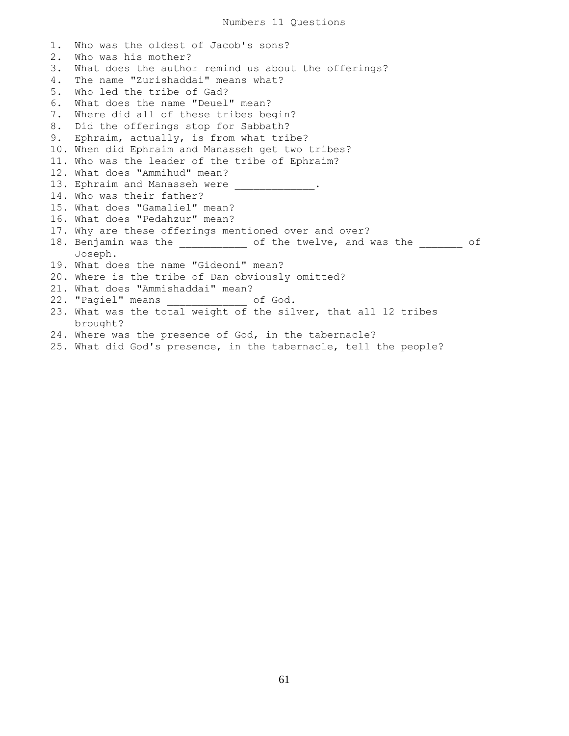1. Who was the oldest of Jacob's sons? 2. Who was his mother? 3. What does the author remind us about the offerings? 4. The name "Zurishaddai" means what? 5. Who led the tribe of Gad? 6. What does the name "Deuel" mean? 7. Where did all of these tribes begin? 8. Did the offerings stop for Sabbath? 9. Ephraim, actually, is from what tribe? 10. When did Ephraim and Manasseh get two tribes? 11. Who was the leader of the tribe of Ephraim? 12. What does "Ammihud" mean? 13. Ephraim and Manasseh were 14. Who was their father? 15. What does "Gamaliel" mean? 16. What does "Pedahzur" mean? 17. Why are these offerings mentioned over and over? 18. Benjamin was the \_\_\_\_\_\_\_\_\_\_\_ of the twelve, and was the \_\_\_\_\_\_\_ of Joseph. 19. What does the name "Gideoni" mean? 20. Where is the tribe of Dan obviously omitted? 21. What does "Ammishaddai" mean? 22. "Pagiel" means of God. 23. What was the total weight of the silver, that all 12 tribes brought? 24. Where was the presence of God, in the tabernacle?

25. What did God's presence, in the tabernacle, tell the people?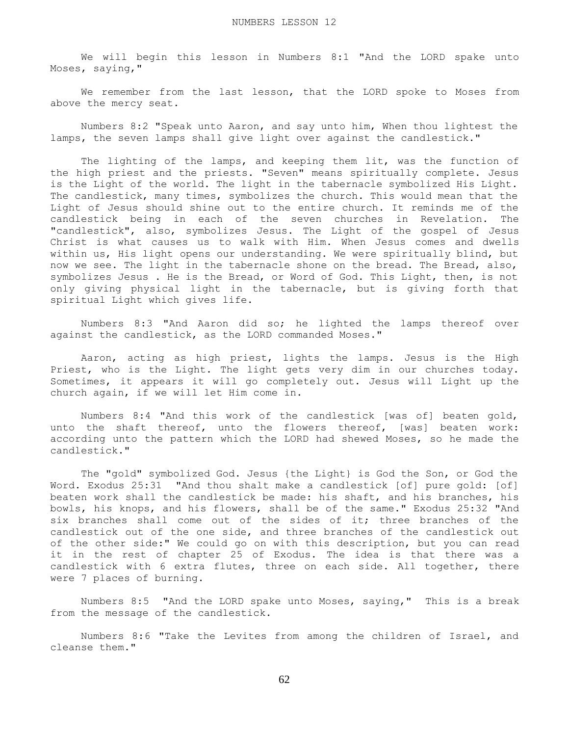We will begin this lesson in Numbers 8:1 "And the LORD spake unto Moses, saying,"

 We remember from the last lesson, that the LORD spoke to Moses from above the mercy seat.

 Numbers 8:2 "Speak unto Aaron, and say unto him, When thou lightest the lamps, the seven lamps shall give light over against the candlestick."

The lighting of the lamps, and keeping them lit, was the function of the high priest and the priests. "Seven" means spiritually complete. Jesus is the Light of the world. The light in the tabernacle symbolized His Light. The candlestick, many times, symbolizes the church. This would mean that the Light of Jesus should shine out to the entire church. It reminds me of the candlestick being in each of the seven churches in Revelation. The "candlestick", also, symbolizes Jesus. The Light of the gospel of Jesus Christ is what causes us to walk with Him. When Jesus comes and dwells within us, His light opens our understanding. We were spiritually blind, but now we see. The light in the tabernacle shone on the bread. The Bread, also, symbolizes Jesus . He is the Bread, or Word of God. This Light, then, is not only giving physical light in the tabernacle, but is giving forth that spiritual Light which gives life.

 Numbers 8:3 "And Aaron did so; he lighted the lamps thereof over against the candlestick, as the LORD commanded Moses."

 Aaron, acting as high priest, lights the lamps. Jesus is the High Priest, who is the Light. The light gets very dim in our churches today. Sometimes, it appears it will go completely out. Jesus will Light up the church again, if we will let Him come in.

 Numbers 8:4 "And this work of the candlestick [was of] beaten gold, unto the shaft thereof, unto the flowers thereof, [was] beaten work: according unto the pattern which the LORD had shewed Moses, so he made the candlestick."

 The "gold" symbolized God. Jesus {the Light} is God the Son, or God the Word. Exodus 25:31 "And thou shalt make a candlestick [of] pure gold: [of] beaten work shall the candlestick be made: his shaft, and his branches, his bowls, his knops, and his flowers, shall be of the same." Exodus 25:32 "And six branches shall come out of the sides of it; three branches of the candlestick out of the one side, and three branches of the candlestick out of the other side:" We could go on with this description, but you can read it in the rest of chapter 25 of Exodus. The idea is that there was a candlestick with 6 extra flutes, three on each side. All together, there were 7 places of burning.

 Numbers 8:5 "And the LORD spake unto Moses, saying," This is a break from the message of the candlestick.

 Numbers 8:6 "Take the Levites from among the children of Israel, and cleanse them."

62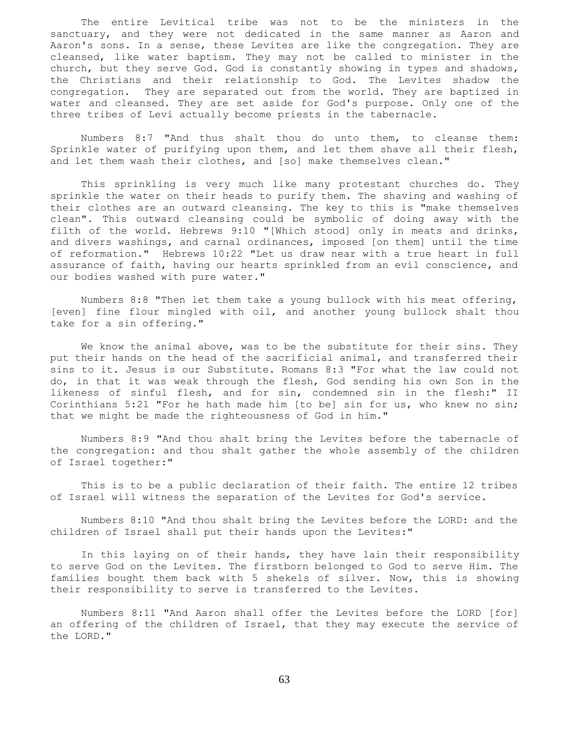The entire Levitical tribe was not to be the ministers in the sanctuary, and they were not dedicated in the same manner as Aaron and Aaron's sons. In a sense, these Levites are like the congregation. They are cleansed, like water baptism. They may not be called to minister in the church, but they serve God. God is constantly showing in types and shadows, the Christians and their relationship to God. The Levites shadow the congregation. They are separated out from the world. They are baptized in water and cleansed. They are set aside for God's purpose. Only one of the three tribes of Levi actually become priests in the tabernacle.

 Numbers 8:7 "And thus shalt thou do unto them, to cleanse them: Sprinkle water of purifying upon them, and let them shave all their flesh, and let them wash their clothes, and [so] make themselves clean."

 This sprinkling is very much like many protestant churches do. They sprinkle the water on their heads to purify them. The shaving and washing of their clothes are an outward cleansing. The key to this is "make themselves clean". This outward cleansing could be symbolic of doing away with the filth of the world. Hebrews 9:10 "[Which stood] only in meats and drinks, and divers washings, and carnal ordinances, imposed [on them] until the time of reformation." Hebrews 10:22 "Let us draw near with a true heart in full assurance of faith, having our hearts sprinkled from an evil conscience, and our bodies washed with pure water."

 Numbers 8:8 "Then let them take a young bullock with his meat offering, [even] fine flour mingled with oil, and another young bullock shalt thou take for a sin offering."

We know the animal above, was to be the substitute for their sins. They put their hands on the head of the sacrificial animal, and transferred their sins to it. Jesus is our Substitute. Romans 8:3 "For what the law could not do, in that it was weak through the flesh, God sending his own Son in the likeness of sinful flesh, and for sin, condemned sin in the flesh:" II Corinthians 5:21 "For he hath made him [to be] sin for us, who knew no sin; that we might be made the righteousness of God in him."

 Numbers 8:9 "And thou shalt bring the Levites before the tabernacle of the congregation: and thou shalt gather the whole assembly of the children of Israel together:"

 This is to be a public declaration of their faith. The entire 12 tribes of Israel will witness the separation of the Levites for God's service.

 Numbers 8:10 "And thou shalt bring the Levites before the LORD: and the children of Israel shall put their hands upon the Levites:"

 In this laying on of their hands, they have lain their responsibility to serve God on the Levites. The firstborn belonged to God to serve Him. The families bought them back with 5 shekels of silver. Now, this is showing their responsibility to serve is transferred to the Levites.

 Numbers 8:11 "And Aaron shall offer the Levites before the LORD [for] an offering of the children of Israel, that they may execute the service of the LORD."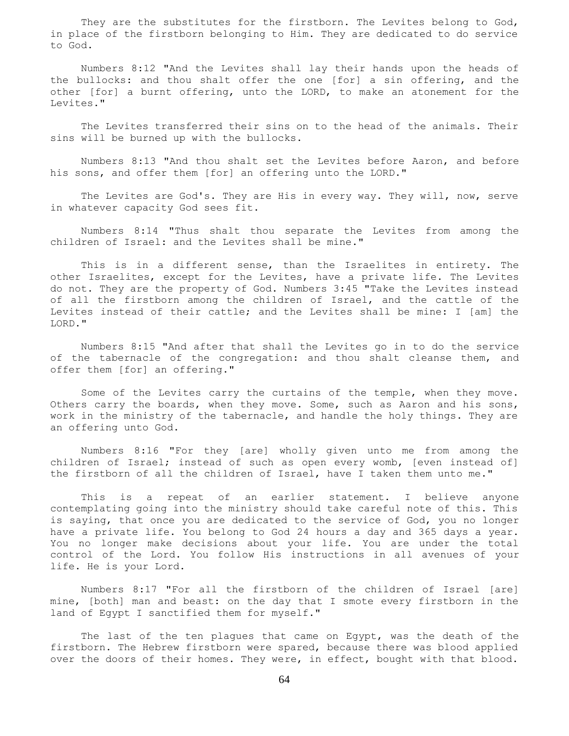They are the substitutes for the firstborn. The Levites belong to God, in place of the firstborn belonging to Him. They are dedicated to do service to God.

 Numbers 8:12 "And the Levites shall lay their hands upon the heads of the bullocks: and thou shalt offer the one [for] a sin offering, and the other [for] a burnt offering, unto the LORD, to make an atonement for the Levites."

 The Levites transferred their sins on to the head of the animals. Their sins will be burned up with the bullocks.

 Numbers 8:13 "And thou shalt set the Levites before Aaron, and before his sons, and offer them [for] an offering unto the LORD."

 The Levites are God's. They are His in every way. They will, now, serve in whatever capacity God sees fit.

 Numbers 8:14 "Thus shalt thou separate the Levites from among the children of Israel: and the Levites shall be mine."

 This is in a different sense, than the Israelites in entirety. The other Israelites, except for the Levites, have a private life. The Levites do not. They are the property of God. Numbers 3:45 "Take the Levites instead of all the firstborn among the children of Israel, and the cattle of the Levites instead of their cattle; and the Levites shall be mine: I [am] the LORD."

 Numbers 8:15 "And after that shall the Levites go in to do the service of the tabernacle of the congregation: and thou shalt cleanse them, and offer them [for] an offering."

 Some of the Levites carry the curtains of the temple, when they move. Others carry the boards, when they move. Some, such as Aaron and his sons, work in the ministry of the tabernacle, and handle the holy things. They are an offering unto God.

 Numbers 8:16 "For they [are] wholly given unto me from among the children of Israel; instead of such as open every womb, [even instead of] the firstborn of all the children of Israel, have I taken them unto me."

 This is a repeat of an earlier statement. I believe anyone contemplating going into the ministry should take careful note of this. This is saying, that once you are dedicated to the service of God, you no longer have a private life. You belong to God 24 hours a day and 365 days a year. You no longer make decisions about your life. You are under the total control of the Lord. You follow His instructions in all avenues of your life. He is your Lord.

 Numbers 8:17 "For all the firstborn of the children of Israel [are] mine, [both] man and beast: on the day that I smote every firstborn in the land of Egypt I sanctified them for myself."

 The last of the ten plagues that came on Egypt, was the death of the firstborn. The Hebrew firstborn were spared, because there was blood applied over the doors of their homes. They were, in effect, bought with that blood.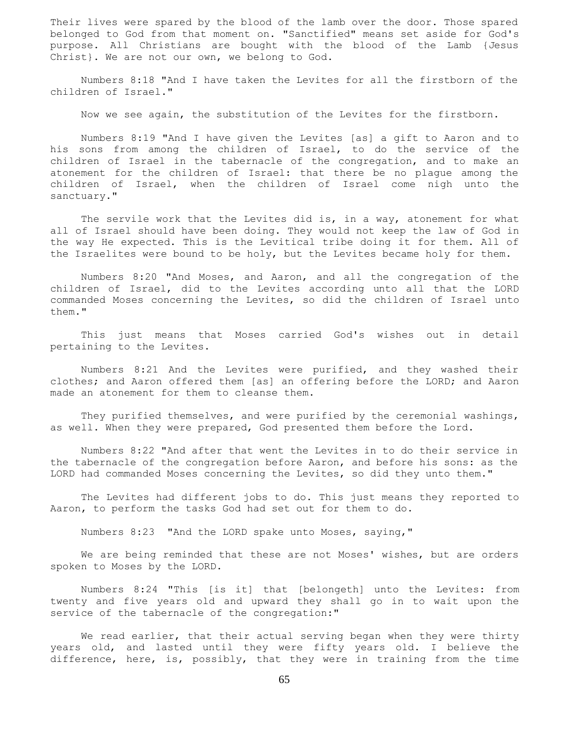Their lives were spared by the blood of the lamb over the door. Those spared belonged to God from that moment on. "Sanctified" means set aside for God's purpose. All Christians are bought with the blood of the Lamb {Jesus Christ}. We are not our own, we belong to God.

 Numbers 8:18 "And I have taken the Levites for all the firstborn of the children of Israel."

Now we see again, the substitution of the Levites for the firstborn.

 Numbers 8:19 "And I have given the Levites [as] a gift to Aaron and to his sons from among the children of Israel, to do the service of the children of Israel in the tabernacle of the congregation, and to make an atonement for the children of Israel: that there be no plague among the children of Israel, when the children of Israel come nigh unto the sanctuary."

The servile work that the Levites did is, in a way, atonement for what all of Israel should have been doing. They would not keep the law of God in the way He expected. This is the Levitical tribe doing it for them. All of the Israelites were bound to be holy, but the Levites became holy for them.

 Numbers 8:20 "And Moses, and Aaron, and all the congregation of the children of Israel, did to the Levites according unto all that the LORD commanded Moses concerning the Levites, so did the children of Israel unto them."

 This just means that Moses carried God's wishes out in detail pertaining to the Levites.

 Numbers 8:21 And the Levites were purified, and they washed their clothes; and Aaron offered them [as] an offering before the LORD; and Aaron made an atonement for them to cleanse them.

 They purified themselves, and were purified by the ceremonial washings, as well. When they were prepared, God presented them before the Lord.

 Numbers 8:22 "And after that went the Levites in to do their service in the tabernacle of the congregation before Aaron, and before his sons: as the LORD had commanded Moses concerning the Levites, so did they unto them."

 The Levites had different jobs to do. This just means they reported to Aaron, to perform the tasks God had set out for them to do.

Numbers 8:23 "And the LORD spake unto Moses, saying,"

We are being reminded that these are not Moses' wishes, but are orders spoken to Moses by the LORD.

 Numbers 8:24 "This [is it] that [belongeth] unto the Levites: from twenty and five years old and upward they shall go in to wait upon the service of the tabernacle of the congregation:"

We read earlier, that their actual serving began when they were thirty years old, and lasted until they were fifty years old. I believe the difference, here, is, possibly, that they were in training from the time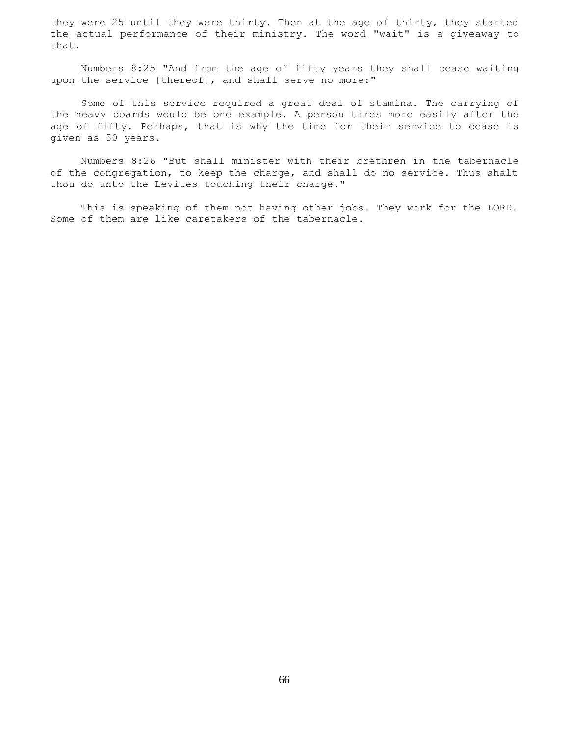they were 25 until they were thirty. Then at the age of thirty, they started the actual performance of their ministry. The word "wait" is a giveaway to that.

 Numbers 8:25 "And from the age of fifty years they shall cease waiting upon the service [thereof], and shall serve no more:"

 Some of this service required a great deal of stamina. The carrying of the heavy boards would be one example. A person tires more easily after the age of fifty. Perhaps, that is why the time for their service to cease is given as 50 years.

 Numbers 8:26 "But shall minister with their brethren in the tabernacle of the congregation, to keep the charge, and shall do no service. Thus shalt thou do unto the Levites touching their charge."

 This is speaking of them not having other jobs. They work for the LORD. Some of them are like caretakers of the tabernacle.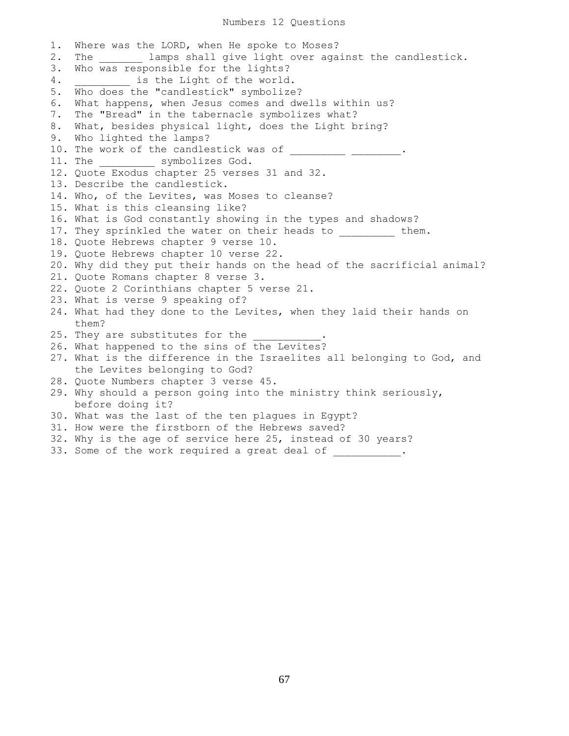## Numbers 12 Questions

1. Where was the LORD, when He spoke to Moses? 2. The lamps shall give light over against the candlestick. 3. Who was responsible for the lights? 4. \_\_\_\_\_\_\_\_\_ is the Light of the world. 5. Who does the "candlestick" symbolize? 6. What happens, when Jesus comes and dwells within us? 7. The "Bread" in the tabernacle symbolizes what? 8. What, besides physical light, does the Light bring? 9. Who lighted the lamps? 10. The work of the candlestick was of \_\_\_\_\_\_\_\_\_\_ \_\_\_\_\_\_\_\_\_. 11. The \_\_\_\_\_\_\_\_\_ symbolizes God. 12. Quote Exodus chapter 25 verses 31 and 32. 13. Describe the candlestick. 14. Who, of the Levites, was Moses to cleanse? 15. What is this cleansing like? 16. What is God constantly showing in the types and shadows? 17. They sprinkled the water on their heads to them. 18. Quote Hebrews chapter 9 verse 10. 19. Quote Hebrews chapter 10 verse 22. 20. Why did they put their hands on the head of the sacrificial animal? 21. Quote Romans chapter 8 verse 3. 22. Quote 2 Corinthians chapter 5 verse 21. 23. What is verse 9 speaking of? 24. What had they done to the Levites, when they laid their hands on them? 25. They are substitutes for the 26. What happened to the sins of the Levites? 27. What is the difference in the Israelites all belonging to God, and the Levites belonging to God? 28. Quote Numbers chapter 3 verse 45. 29. Why should a person going into the ministry think seriously, before doing it? 30. What was the last of the ten plagues in Egypt? 31. How were the firstborn of the Hebrews saved? 32. Why is the age of service here 25, instead of 30 years? 33. Some of the work required a great deal of \_\_\_\_\_\_\_\_\_\_\_.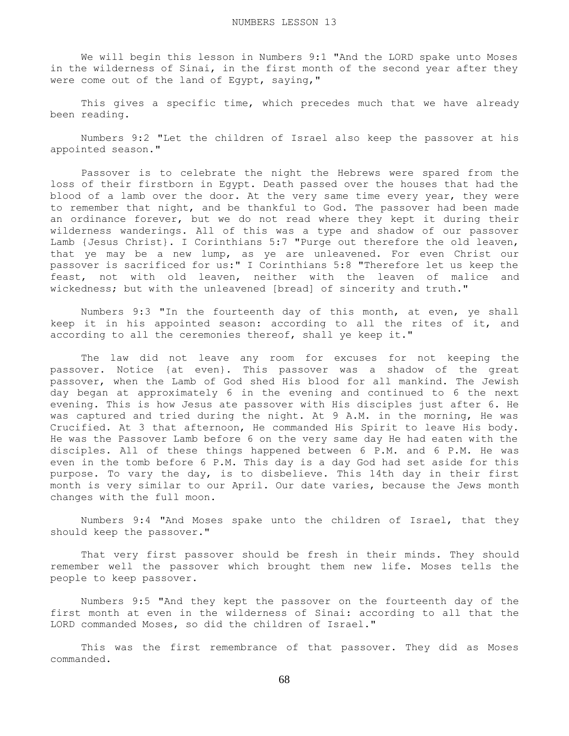We will begin this lesson in Numbers 9:1 "And the LORD spake unto Moses in the wilderness of Sinai, in the first month of the second year after they were come out of the land of Egypt, saying,"

This gives a specific time, which precedes much that we have already been reading.

 Numbers 9:2 "Let the children of Israel also keep the passover at his appointed season."

 Passover is to celebrate the night the Hebrews were spared from the loss of their firstborn in Egypt. Death passed over the houses that had the blood of a lamb over the door. At the very same time every year, they were to remember that night, and be thankful to God. The passover had been made an ordinance forever, but we do not read where they kept it during their wilderness wanderings. All of this was a type and shadow of our passover Lamb {Jesus Christ}. I Corinthians 5:7 "Purge out therefore the old leaven, that ye may be a new lump, as ye are unleavened. For even Christ our passover is sacrificed for us:" I Corinthians 5:8 "Therefore let us keep the feast, not with old leaven, neither with the leaven of malice and wickedness; but with the unleavened [bread] of sincerity and truth."

 Numbers 9:3 "In the fourteenth day of this month, at even, ye shall keep it in his appointed season: according to all the rites of it, and according to all the ceremonies thereof, shall ye keep it."

 The law did not leave any room for excuses for not keeping the passover. Notice {at even}. This passover was a shadow of the great passover, when the Lamb of God shed His blood for all mankind. The Jewish day began at approximately 6 in the evening and continued to 6 the next evening. This is how Jesus ate passover with His disciples just after 6. He was captured and tried during the night. At 9 A.M. in the morning, He was Crucified. At 3 that afternoon, He commanded His Spirit to leave His body. He was the Passover Lamb before 6 on the very same day He had eaten with the disciples. All of these things happened between 6 P.M. and 6 P.M. He was even in the tomb before 6 P.M. This day is a day God had set aside for this purpose. To vary the day, is to disbelieve. This 14th day in their first month is very similar to our April. Our date varies, because the Jews month changes with the full moon.

 Numbers 9:4 "And Moses spake unto the children of Israel, that they should keep the passover."

 That very first passover should be fresh in their minds. They should remember well the passover which brought them new life. Moses tells the people to keep passover.

 Numbers 9:5 "And they kept the passover on the fourteenth day of the first month at even in the wilderness of Sinai: according to all that the LORD commanded Moses, so did the children of Israel."

 This was the first remembrance of that passover. They did as Moses commanded.

68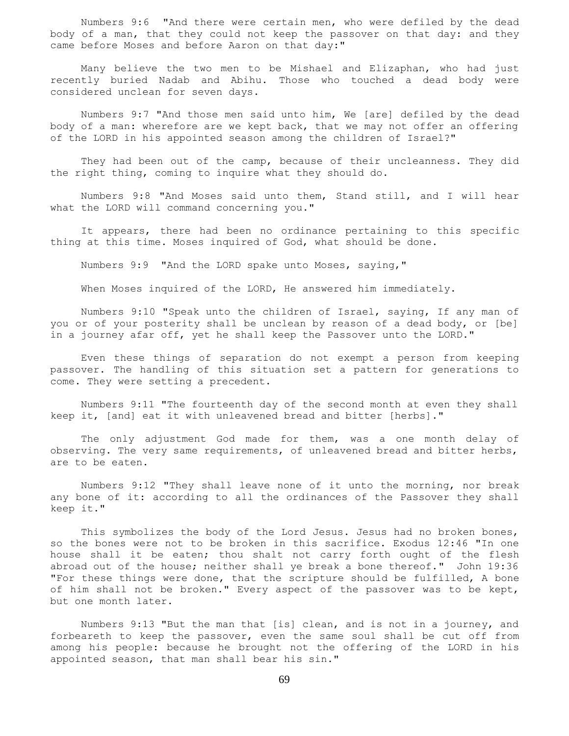Numbers 9:6 "And there were certain men, who were defiled by the dead body of a man, that they could not keep the passover on that day: and they came before Moses and before Aaron on that day:"

 Many believe the two men to be Mishael and Elizaphan, who had just recently buried Nadab and Abihu. Those who touched a dead body were considered unclean for seven days.

 Numbers 9:7 "And those men said unto him, We [are] defiled by the dead body of a man: wherefore are we kept back, that we may not offer an offering of the LORD in his appointed season among the children of Israel?"

 They had been out of the camp, because of their uncleanness. They did the right thing, coming to inquire what they should do.

 Numbers 9:8 "And Moses said unto them, Stand still, and I will hear what the LORD will command concerning you."

 It appears, there had been no ordinance pertaining to this specific thing at this time. Moses inquired of God, what should be done.

Numbers 9:9 "And the LORD spake unto Moses, saying,"

When Moses inquired of the LORD, He answered him immediately.

 Numbers 9:10 "Speak unto the children of Israel, saying, If any man of you or of your posterity shall be unclean by reason of a dead body, or [be] in a journey afar off, yet he shall keep the Passover unto the LORD."

 Even these things of separation do not exempt a person from keeping passover. The handling of this situation set a pattern for generations to come. They were setting a precedent.

 Numbers 9:11 "The fourteenth day of the second month at even they shall keep it, [and] eat it with unleavened bread and bitter [herbs]."

 The only adjustment God made for them, was a one month delay of observing. The very same requirements, of unleavened bread and bitter herbs, are to be eaten.

 Numbers 9:12 "They shall leave none of it unto the morning, nor break any bone of it: according to all the ordinances of the Passover they shall keep it."

 This symbolizes the body of the Lord Jesus. Jesus had no broken bones, so the bones were not to be broken in this sacrifice. Exodus 12:46 "In one house shall it be eaten; thou shalt not carry forth ought of the flesh abroad out of the house; neither shall ye break a bone thereof." John 19:36 "For these things were done, that the scripture should be fulfilled, A bone of him shall not be broken." Every aspect of the passover was to be kept, but one month later.

 Numbers 9:13 "But the man that [is] clean, and is not in a journey, and forbeareth to keep the passover, even the same soul shall be cut off from among his people: because he brought not the offering of the LORD in his appointed season, that man shall bear his sin."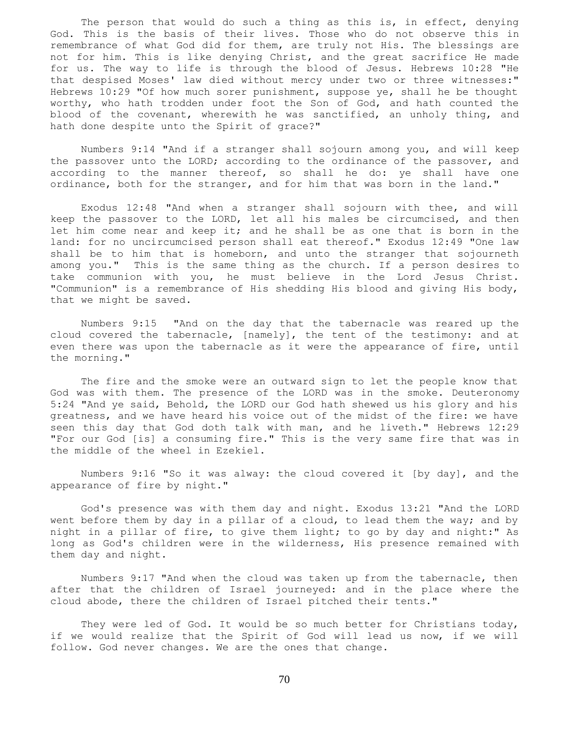The person that would do such a thing as this is, in effect, denying God. This is the basis of their lives. Those who do not observe this in remembrance of what God did for them, are truly not His. The blessings are not for him. This is like denying Christ, and the great sacrifice He made for us. The way to life is through the blood of Jesus. Hebrews 10:28 "He that despised Moses' law died without mercy under two or three witnesses:" Hebrews 10:29 "Of how much sorer punishment, suppose ye, shall he be thought worthy, who hath trodden under foot the Son of God, and hath counted the blood of the covenant, wherewith he was sanctified, an unholy thing, and hath done despite unto the Spirit of grace?"

 Numbers 9:14 "And if a stranger shall sojourn among you, and will keep the passover unto the LORD; according to the ordinance of the passover, and according to the manner thereof, so shall he do: ye shall have one ordinance, both for the stranger, and for him that was born in the land."

 Exodus 12:48 "And when a stranger shall sojourn with thee, and will keep the passover to the LORD, let all his males be circumcised, and then let him come near and keep it; and he shall be as one that is born in the land: for no uncircumcised person shall eat thereof." Exodus 12:49 "One law shall be to him that is homeborn, and unto the stranger that sojourneth among you." This is the same thing as the church. If a person desires to take communion with you, he must believe in the Lord Jesus Christ. "Communion" is a remembrance of His shedding His blood and giving His body, that we might be saved.

 Numbers 9:15 "And on the day that the tabernacle was reared up the cloud covered the tabernacle, [namely], the tent of the testimony: and at even there was upon the tabernacle as it were the appearance of fire, until the morning."

 The fire and the smoke were an outward sign to let the people know that God was with them. The presence of the LORD was in the smoke. Deuteronomy 5:24 "And ye said, Behold, the LORD our God hath shewed us his glory and his greatness, and we have heard his voice out of the midst of the fire: we have seen this day that God doth talk with man, and he liveth." Hebrews 12:29 "For our God [is] a consuming fire." This is the very same fire that was in the middle of the wheel in Ezekiel.

 Numbers 9:16 "So it was alway: the cloud covered it [by day], and the appearance of fire by night."

 God's presence was with them day and night. Exodus 13:21 "And the LORD went before them by day in a pillar of a cloud, to lead them the way; and by night in a pillar of fire, to give them light; to go by day and night:" As long as God's children were in the wilderness, His presence remained with them day and night.

 Numbers 9:17 "And when the cloud was taken up from the tabernacle, then after that the children of Israel journeyed: and in the place where the cloud abode, there the children of Israel pitched their tents."

They were led of God. It would be so much better for Christians today, if we would realize that the Spirit of God will lead us now, if we will follow. God never changes. We are the ones that change.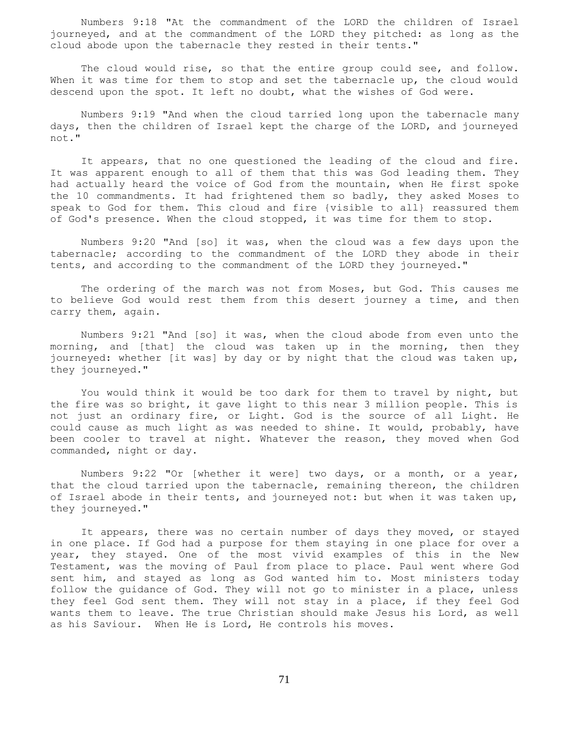Numbers 9:18 "At the commandment of the LORD the children of Israel journeyed, and at the commandment of the LORD they pitched: as long as the cloud abode upon the tabernacle they rested in their tents."

The cloud would rise, so that the entire group could see, and follow. When it was time for them to stop and set the tabernacle up, the cloud would descend upon the spot. It left no doubt, what the wishes of God were.

 Numbers 9:19 "And when the cloud tarried long upon the tabernacle many days, then the children of Israel kept the charge of the LORD, and journeyed not."

 It appears, that no one questioned the leading of the cloud and fire. It was apparent enough to all of them that this was God leading them. They had actually heard the voice of God from the mountain, when He first spoke the 10 commandments. It had frightened them so badly, they asked Moses to speak to God for them. This cloud and fire {visible to all} reassured them of God's presence. When the cloud stopped, it was time for them to stop.

 Numbers 9:20 "And [so] it was, when the cloud was a few days upon the tabernacle; according to the commandment of the LORD they abode in their tents, and according to the commandment of the LORD they journeyed."

 The ordering of the march was not from Moses, but God. This causes me to believe God would rest them from this desert journey a time, and then carry them, again.

 Numbers 9:21 "And [so] it was, when the cloud abode from even unto the morning, and [that] the cloud was taken up in the morning, then they journeyed: whether [it was] by day or by night that the cloud was taken up, they journeyed."

 You would think it would be too dark for them to travel by night, but the fire was so bright, it gave light to this near 3 million people. This is not just an ordinary fire, or Light. God is the source of all Light. He could cause as much light as was needed to shine. It would, probably, have been cooler to travel at night. Whatever the reason, they moved when God commanded, night or day.

 Numbers 9:22 "Or [whether it were] two days, or a month, or a year, that the cloud tarried upon the tabernacle, remaining thereon, the children of Israel abode in their tents, and journeyed not: but when it was taken up, they journeyed."

 It appears, there was no certain number of days they moved, or stayed in one place. If God had a purpose for them staying in one place for over a year, they stayed. One of the most vivid examples of this in the New Testament, was the moving of Paul from place to place. Paul went where God sent him, and stayed as long as God wanted him to. Most ministers today follow the guidance of God. They will not go to minister in a place, unless they feel God sent them. They will not stay in a place, if they feel God wants them to leave. The true Christian should make Jesus his Lord, as well as his Saviour. When He is Lord, He controls his moves.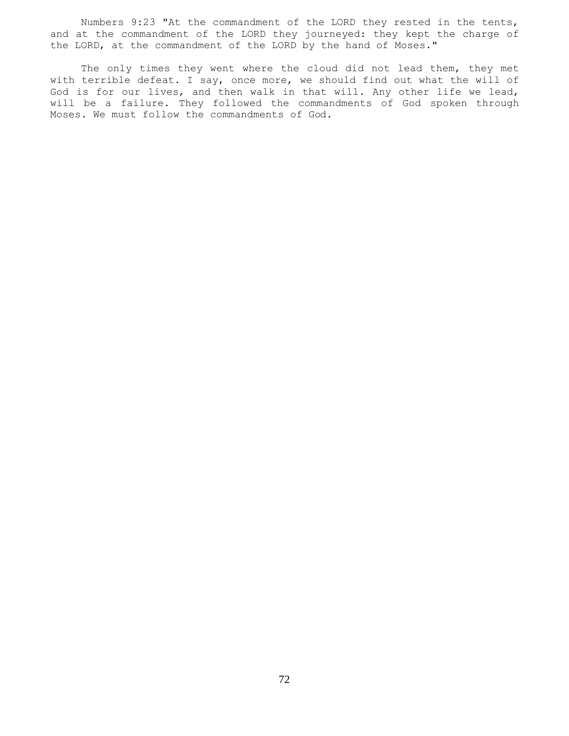Numbers 9:23 "At the commandment of the LORD they rested in the tents, and at the commandment of the LORD they journeyed: they kept the charge of the LORD, at the commandment of the LORD by the hand of Moses."

The only times they went where the cloud did not lead them, they met with terrible defeat. I say, once more, we should find out what the will of God is for our lives, and then walk in that will. Any other life we lead, will be a failure. They followed the commandments of God spoken through Moses. We must follow the commandments of God.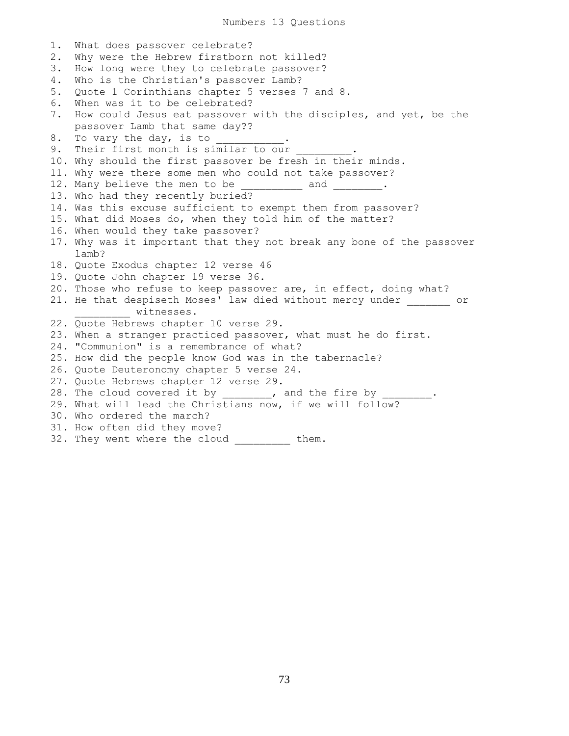Numbers 13 Questions

1. What does passover celebrate? 2. Why were the Hebrew firstborn not killed? 3. How long were they to celebrate passover? 4. Who is the Christian's passover Lamb? 5. Quote 1 Corinthians chapter 5 verses 7 and 8. 6. When was it to be celebrated? 7. How could Jesus eat passover with the disciples, and yet, be the passover Lamb that same day?? 8. To vary the day, is to 9. Their first month is similar to our 10. Why should the first passover be fresh in their minds. 11. Why were there some men who could not take passover? 12. Many believe the men to be \_\_\_\_\_\_\_\_ and \_\_\_\_\_\_\_. 13. Who had they recently buried? 14. Was this excuse sufficient to exempt them from passover? 15. What did Moses do, when they told him of the matter? 16. When would they take passover? 17. Why was it important that they not break any bone of the passover lamb? 18. Quote Exodus chapter 12 verse 46 19. Quote John chapter 19 verse 36. 20. Those who refuse to keep passover are, in effect, doing what? 21. He that despiseth Moses' law died without mercy under or witnesses. 22. Quote Hebrews chapter 10 verse 29. 23. When a stranger practiced passover, what must he do first. 24. "Communion" is a remembrance of what? 25. How did the people know God was in the tabernacle? 26. Quote Deuteronomy chapter 5 verse 24. 27. Quote Hebrews chapter 12 verse 29. 28. The cloud covered it by \_\_\_\_\_\_\_, and the fire by 29. What will lead the Christians now, if we will follow? 30. Who ordered the march? 31. How often did they move? 32. They went where the cloud \_\_\_\_\_\_\_\_ them.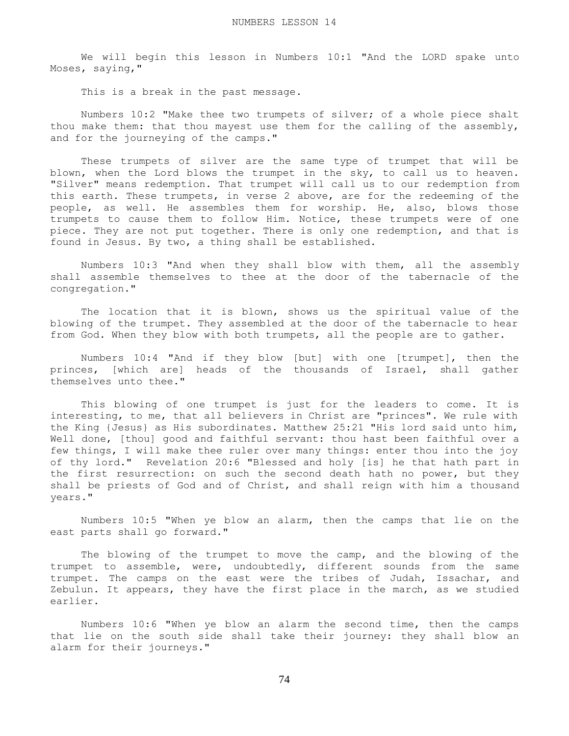We will begin this lesson in Numbers 10:1 "And the LORD spake unto Moses, saying,"

This is a break in the past message.

 Numbers 10:2 "Make thee two trumpets of silver; of a whole piece shalt thou make them: that thou mayest use them for the calling of the assembly, and for the journeying of the camps."

 These trumpets of silver are the same type of trumpet that will be blown, when the Lord blows the trumpet in the sky, to call us to heaven. "Silver" means redemption. That trumpet will call us to our redemption from this earth. These trumpets, in verse 2 above, are for the redeeming of the people, as well. He assembles them for worship. He, also, blows those trumpets to cause them to follow Him. Notice, these trumpets were of one piece. They are not put together. There is only one redemption, and that is found in Jesus. By two, a thing shall be established.

 Numbers 10:3 "And when they shall blow with them, all the assembly shall assemble themselves to thee at the door of the tabernacle of the congregation."

 The location that it is blown, shows us the spiritual value of the blowing of the trumpet. They assembled at the door of the tabernacle to hear from God. When they blow with both trumpets, all the people are to gather.

 Numbers 10:4 "And if they blow [but] with one [trumpet], then the princes, [which are] heads of the thousands of Israel, shall gather themselves unto thee."

 This blowing of one trumpet is just for the leaders to come. It is interesting, to me, that all believers in Christ are "princes". We rule with the King {Jesus} as His subordinates. Matthew 25:21 "His lord said unto him, Well done, [thou] good and faithful servant: thou hast been faithful over a few things, I will make thee ruler over many things: enter thou into the joy of thy lord." Revelation 20:6 "Blessed and holy [is] he that hath part in the first resurrection: on such the second death hath no power, but they shall be priests of God and of Christ, and shall reign with him a thousand years."

 Numbers 10:5 "When ye blow an alarm, then the camps that lie on the east parts shall go forward."

 The blowing of the trumpet to move the camp, and the blowing of the trumpet to assemble, were, undoubtedly, different sounds from the same trumpet. The camps on the east were the tribes of Judah, Issachar, and Zebulun. It appears, they have the first place in the march, as we studied earlier.

 Numbers 10:6 "When ye blow an alarm the second time, then the camps that lie on the south side shall take their journey: they shall blow an alarm for their journeys."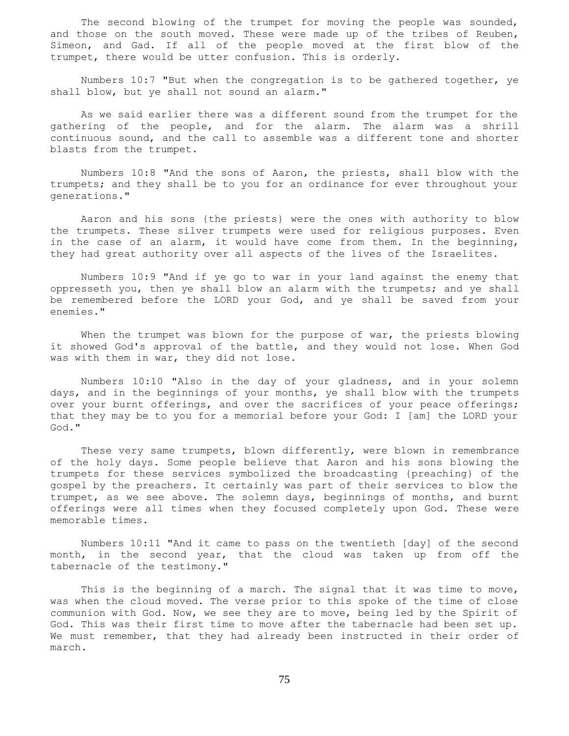The second blowing of the trumpet for moving the people was sounded, and those on the south moved. These were made up of the tribes of Reuben, Simeon, and Gad. If all of the people moved at the first blow of the trumpet, there would be utter confusion. This is orderly.

 Numbers 10:7 "But when the congregation is to be gathered together, ye shall blow, but ye shall not sound an alarm."

 As we said earlier there was a different sound from the trumpet for the gathering of the people, and for the alarm. The alarm was a shrill continuous sound, and the call to assemble was a different tone and shorter blasts from the trumpet.

 Numbers 10:8 "And the sons of Aaron, the priests, shall blow with the trumpets; and they shall be to you for an ordinance for ever throughout your generations."

 Aaron and his sons {the priests} were the ones with authority to blow the trumpets. These silver trumpets were used for religious purposes. Even in the case of an alarm, it would have come from them. In the beginning, they had great authority over all aspects of the lives of the Israelites.

 Numbers 10:9 "And if ye go to war in your land against the enemy that oppresseth you, then ye shall blow an alarm with the trumpets; and ye shall be remembered before the LORD your God, and ye shall be saved from your enemies."

When the trumpet was blown for the purpose of war, the priests blowing it showed God's approval of the battle, and they would not lose. When God was with them in war, they did not lose.

 Numbers 10:10 "Also in the day of your gladness, and in your solemn days, and in the beginnings of your months, ye shall blow with the trumpets over your burnt offerings, and over the sacrifices of your peace offerings; that they may be to you for a memorial before your God: I [am] the LORD your God."

 These very same trumpets, blown differently, were blown in remembrance of the holy days. Some people believe that Aaron and his sons blowing the trumpets for these services symbolized the broadcasting {preaching} of the gospel by the preachers. It certainly was part of their services to blow the trumpet, as we see above. The solemn days, beginnings of months, and burnt offerings were all times when they focused completely upon God. These were memorable times.

 Numbers 10:11 "And it came to pass on the twentieth [day] of the second month, in the second year, that the cloud was taken up from off the tabernacle of the testimony."

 This is the beginning of a march. The signal that it was time to move, was when the cloud moved. The verse prior to this spoke of the time of close communion with God. Now, we see they are to move, being led by the Spirit of God. This was their first time to move after the tabernacle had been set up. We must remember, that they had already been instructed in their order of march.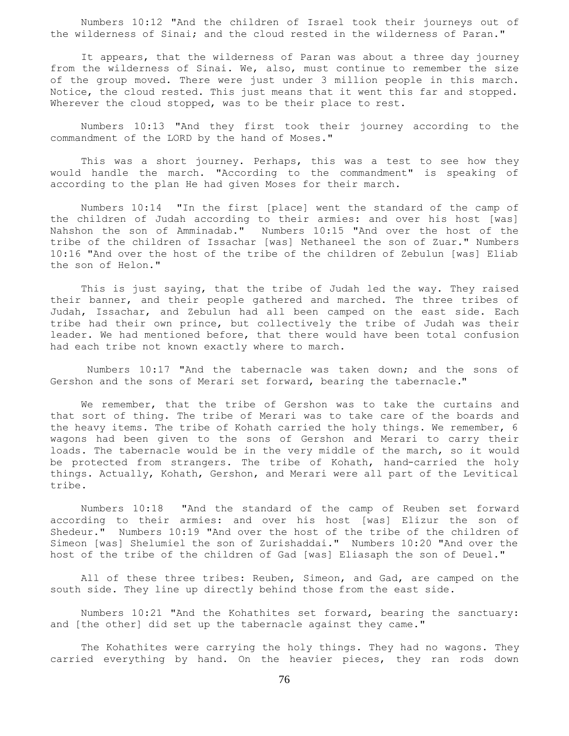Numbers 10:12 "And the children of Israel took their journeys out of the wilderness of Sinai; and the cloud rested in the wilderness of Paran."

 It appears, that the wilderness of Paran was about a three day journey from the wilderness of Sinai. We, also, must continue to remember the size of the group moved. There were just under 3 million people in this march. Notice, the cloud rested. This just means that it went this far and stopped. Wherever the cloud stopped, was to be their place to rest.

 Numbers 10:13 "And they first took their journey according to the commandment of the LORD by the hand of Moses."

 This was a short journey. Perhaps, this was a test to see how they would handle the march. "According to the commandment" is speaking of according to the plan He had given Moses for their march.

 Numbers 10:14 "In the first [place] went the standard of the camp of the children of Judah according to their armies: and over his host [was] Nahshon the son of Amminadab." Numbers 10:15 "And over the host of the tribe of the children of Issachar [was] Nethaneel the son of Zuar." Numbers 10:16 "And over the host of the tribe of the children of Zebulun [was] Eliab the son of Helon."

 This is just saying, that the tribe of Judah led the way. They raised their banner, and their people gathered and marched. The three tribes of Judah, Issachar, and Zebulun had all been camped on the east side. Each tribe had their own prince, but collectively the tribe of Judah was their leader. We had mentioned before, that there would have been total confusion had each tribe not known exactly where to march.

 Numbers 10:17 "And the tabernacle was taken down; and the sons of Gershon and the sons of Merari set forward, bearing the tabernacle."

 We remember, that the tribe of Gershon was to take the curtains and that sort of thing. The tribe of Merari was to take care of the boards and the heavy items. The tribe of Kohath carried the holy things. We remember, 6 wagons had been given to the sons of Gershon and Merari to carry their loads. The tabernacle would be in the very middle of the march, so it would be protected from strangers. The tribe of Kohath, hand-carried the holy things. Actually, Kohath, Gershon, and Merari were all part of the Levitical tribe.

 Numbers 10:18 "And the standard of the camp of Reuben set forward according to their armies: and over his host [was] Elizur the son of Shedeur." Numbers 10:19 "And over the host of the tribe of the children of Simeon [was] Shelumiel the son of Zurishaddai." Numbers 10:20 "And over the host of the tribe of the children of Gad [was] Eliasaph the son of Deuel."

All of these three tribes: Reuben, Simeon, and Gad, are camped on the south side. They line up directly behind those from the east side.

 Numbers 10:21 "And the Kohathites set forward, bearing the sanctuary: and [the other] did set up the tabernacle against they came."

 The Kohathites were carrying the holy things. They had no wagons. They carried everything by hand. On the heavier pieces, they ran rods down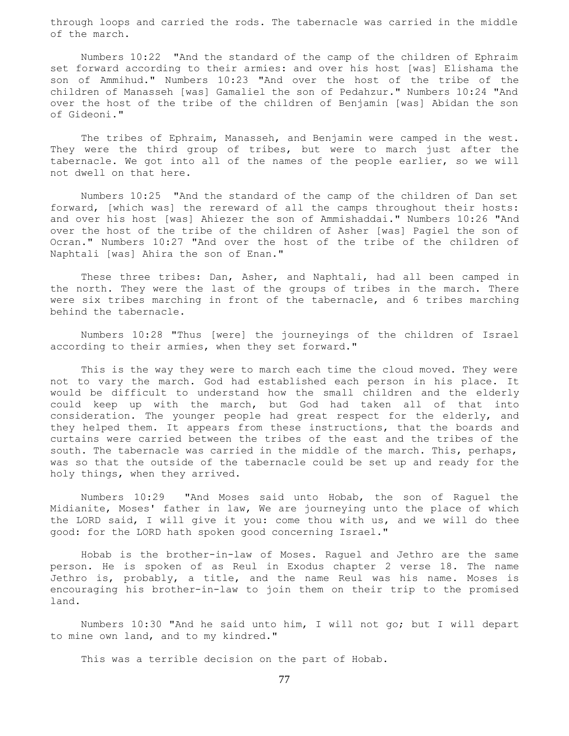through loops and carried the rods. The tabernacle was carried in the middle of the march.

 Numbers 10:22 "And the standard of the camp of the children of Ephraim set forward according to their armies: and over his host [was] Elishama the son of Ammihud." Numbers 10:23 "And over the host of the tribe of the children of Manasseh [was] Gamaliel the son of Pedahzur." Numbers 10:24 "And over the host of the tribe of the children of Benjamin [was] Abidan the son of Gideoni."

 The tribes of Ephraim, Manasseh, and Benjamin were camped in the west. They were the third group of tribes, but were to march just after the tabernacle. We got into all of the names of the people earlier, so we will not dwell on that here.

 Numbers 10:25 "And the standard of the camp of the children of Dan set forward, [which was] the rereward of all the camps throughout their hosts: and over his host [was] Ahiezer the son of Ammishaddai." Numbers 10:26 "And over the host of the tribe of the children of Asher [was] Pagiel the son of Ocran." Numbers 10:27 "And over the host of the tribe of the children of Naphtali [was] Ahira the son of Enan."

 These three tribes: Dan, Asher, and Naphtali, had all been camped in the north. They were the last of the groups of tribes in the march. There were six tribes marching in front of the tabernacle, and 6 tribes marching behind the tabernacle.

 Numbers 10:28 "Thus [were] the journeyings of the children of Israel according to their armies, when they set forward."

 This is the way they were to march each time the cloud moved. They were not to vary the march. God had established each person in his place. It would be difficult to understand how the small children and the elderly could keep up with the march, but God had taken all of that into consideration. The younger people had great respect for the elderly, and they helped them. It appears from these instructions, that the boards and curtains were carried between the tribes of the east and the tribes of the south. The tabernacle was carried in the middle of the march. This, perhaps, was so that the outside of the tabernacle could be set up and ready for the holy things, when they arrived.

 Numbers 10:29 "And Moses said unto Hobab, the son of Raguel the Midianite, Moses' father in law, We are journeying unto the place of which the LORD said, I will give it you: come thou with us, and we will do thee good: for the LORD hath spoken good concerning Israel."

 Hobab is the brother-in-law of Moses. Raguel and Jethro are the same person. He is spoken of as Reul in Exodus chapter 2 verse 18. The name Jethro is, probably, a title, and the name Reul was his name. Moses is encouraging his brother-in-law to join them on their trip to the promised land.

 Numbers 10:30 "And he said unto him, I will not go; but I will depart to mine own land, and to my kindred."

This was a terrible decision on the part of Hobab.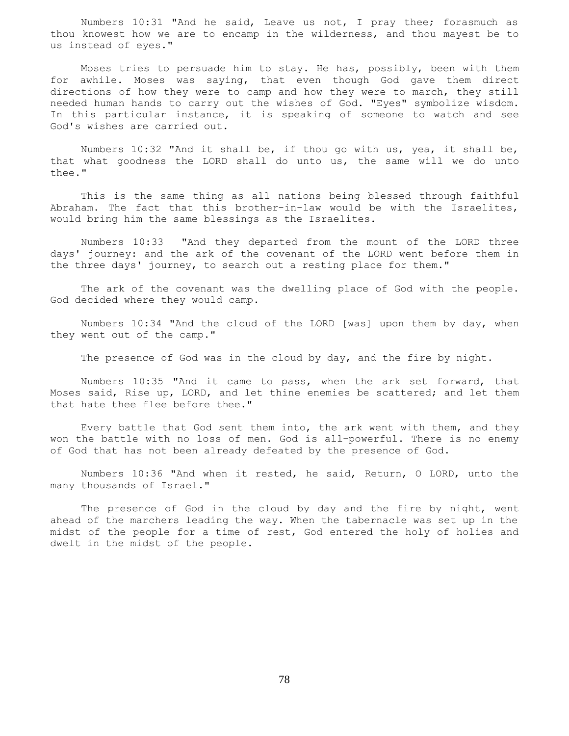Numbers 10:31 "And he said, Leave us not, I pray thee; forasmuch as thou knowest how we are to encamp in the wilderness, and thou mayest be to us instead of eyes."

 Moses tries to persuade him to stay. He has, possibly, been with them for awhile. Moses was saying, that even though God gave them direct directions of how they were to camp and how they were to march, they still needed human hands to carry out the wishes of God. "Eyes" symbolize wisdom. In this particular instance, it is speaking of someone to watch and see God's wishes are carried out.

 Numbers 10:32 "And it shall be, if thou go with us, yea, it shall be, that what goodness the LORD shall do unto us, the same will we do unto thee."

 This is the same thing as all nations being blessed through faithful Abraham. The fact that this brother-in-law would be with the Israelites, would bring him the same blessings as the Israelites.

 Numbers 10:33 "And they departed from the mount of the LORD three days' journey: and the ark of the covenant of the LORD went before them in the three days' journey, to search out a resting place for them."

 The ark of the covenant was the dwelling place of God with the people. God decided where they would camp.

 Numbers 10:34 "And the cloud of the LORD [was] upon them by day, when they went out of the camp."

The presence of God was in the cloud by day, and the fire by night.

 Numbers 10:35 "And it came to pass, when the ark set forward, that Moses said, Rise up, LORD, and let thine enemies be scattered; and let them that hate thee flee before thee."

 Every battle that God sent them into, the ark went with them, and they won the battle with no loss of men. God is all-powerful. There is no enemy of God that has not been already defeated by the presence of God.

 Numbers 10:36 "And when it rested, he said, Return, O LORD, unto the many thousands of Israel."

The presence of God in the cloud by day and the fire by night, went ahead of the marchers leading the way. When the tabernacle was set up in the midst of the people for a time of rest, God entered the holy of holies and dwelt in the midst of the people.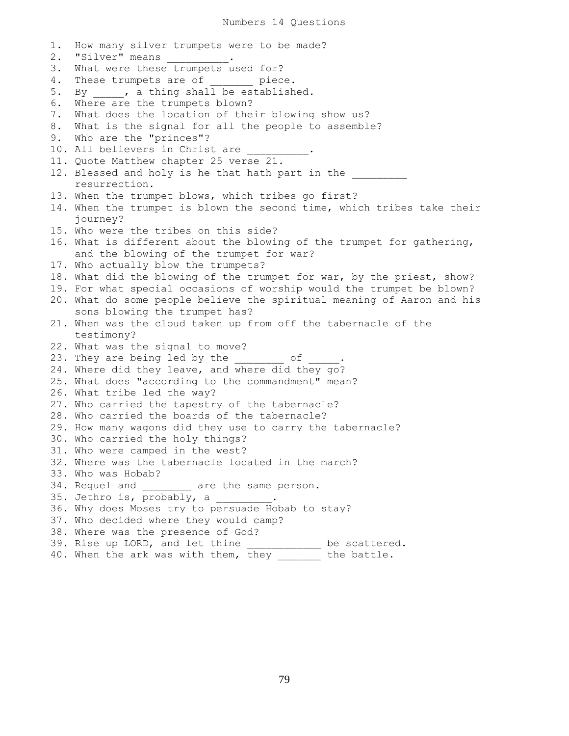1. How many silver trumpets were to be made? 2. "Silver" means . 3. What were these trumpets used for? 4. These trumpets are of  $\_$  piece. 5. By \_\_\_\_, a thing shall be established. 6. Where are the trumpets blown? 7. What does the location of their blowing show us? 8. What is the signal for all the people to assemble? 9. Who are the "princes"? 10. All believers in Christ are 11. Quote Matthew chapter 25 verse 21. 12. Blessed and holy is he that hath part in the resurrection. 13. When the trumpet blows, which tribes go first? 14. When the trumpet is blown the second time, which tribes take their journey? 15. Who were the tribes on this side? 16. What is different about the blowing of the trumpet for gathering, and the blowing of the trumpet for war? 17. Who actually blow the trumpets? 18. What did the blowing of the trumpet for war, by the priest, show? 19. For what special occasions of worship would the trumpet be blown? 20. What do some people believe the spiritual meaning of Aaron and his sons blowing the trumpet has? 21. When was the cloud taken up from off the tabernacle of the testimony? 22. What was the signal to move? 23. They are being led by the  $\frac{1}{2}$  of  $\frac{1}{2}$ . 24. Where did they leave, and where did they go? 25. What does "according to the commandment" mean? 26. What tribe led the way? 27. Who carried the tapestry of the tabernacle? 28. Who carried the boards of the tabernacle? 29. How many wagons did they use to carry the tabernacle? 30. Who carried the holy things? 31. Who were camped in the west? 32. Where was the tabernacle located in the march? 33. Who was Hobab? 34. Reguel and \_\_\_\_\_\_\_\_\_ are the same person. 35. Jethro is, probably, a  $\qquad \qquad$ 36. Why does Moses try to persuade Hobab to stay? 37. Who decided where they would camp? 38. Where was the presence of God? 39. Rise up LORD, and let thine \_\_\_\_\_\_\_\_\_\_\_ be scattered. 40. When the ark was with them, they \_\_\_\_\_\_\_ the battle.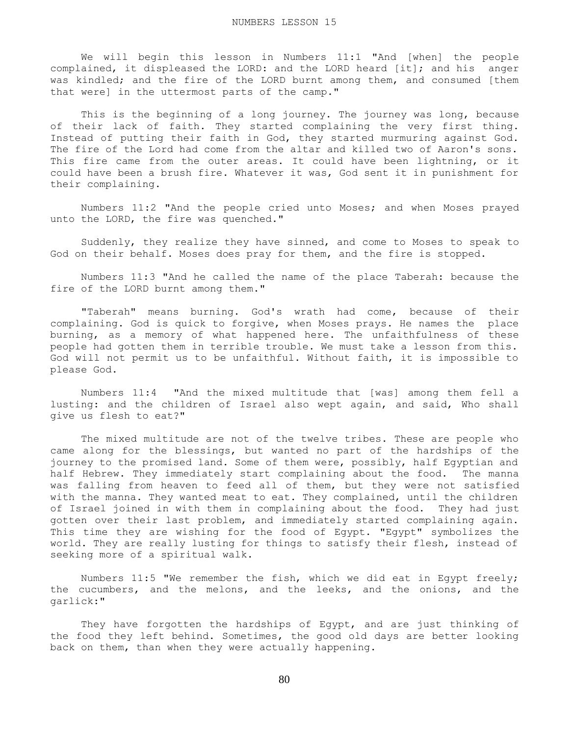We will begin this lesson in Numbers 11:1 "And [when] the people complained, it displeased the LORD: and the LORD heard [it]; and his anger was kindled; and the fire of the LORD burnt among them, and consumed [them that were] in the uttermost parts of the camp."

 This is the beginning of a long journey. The journey was long, because of their lack of faith. They started complaining the very first thing. Instead of putting their faith in God, they started murmuring against God. The fire of the Lord had come from the altar and killed two of Aaron's sons. This fire came from the outer areas. It could have been lightning, or it could have been a brush fire. Whatever it was, God sent it in punishment for their complaining.

 Numbers 11:2 "And the people cried unto Moses; and when Moses prayed unto the LORD, the fire was quenched."

 Suddenly, they realize they have sinned, and come to Moses to speak to God on their behalf. Moses does pray for them, and the fire is stopped.

 Numbers 11:3 "And he called the name of the place Taberah: because the fire of the LORD burnt among them."

 "Taberah" means burning. God's wrath had come, because of their complaining. God is quick to forgive, when Moses prays. He names the place burning, as a memory of what happened here. The unfaithfulness of these people had gotten them in terrible trouble. We must take a lesson from this. God will not permit us to be unfaithful. Without faith, it is impossible to please God.

 Numbers 11:4 "And the mixed multitude that [was] among them fell a lusting: and the children of Israel also wept again, and said, Who shall give us flesh to eat?"

 The mixed multitude are not of the twelve tribes. These are people who came along for the blessings, but wanted no part of the hardships of the journey to the promised land. Some of them were, possibly, half Egyptian and half Hebrew. They immediately start complaining about the food. The manna was falling from heaven to feed all of them, but they were not satisfied with the manna. They wanted meat to eat. They complained, until the children of Israel joined in with them in complaining about the food. They had just gotten over their last problem, and immediately started complaining again. This time they are wishing for the food of Egypt. "Egypt" symbolizes the world. They are really lusting for things to satisfy their flesh, instead of seeking more of a spiritual walk.

 Numbers 11:5 "We remember the fish, which we did eat in Egypt freely; the cucumbers, and the melons, and the leeks, and the onions, and the garlick:"

 They have forgotten the hardships of Egypt, and are just thinking of the food they left behind. Sometimes, the good old days are better looking back on them, than when they were actually happening.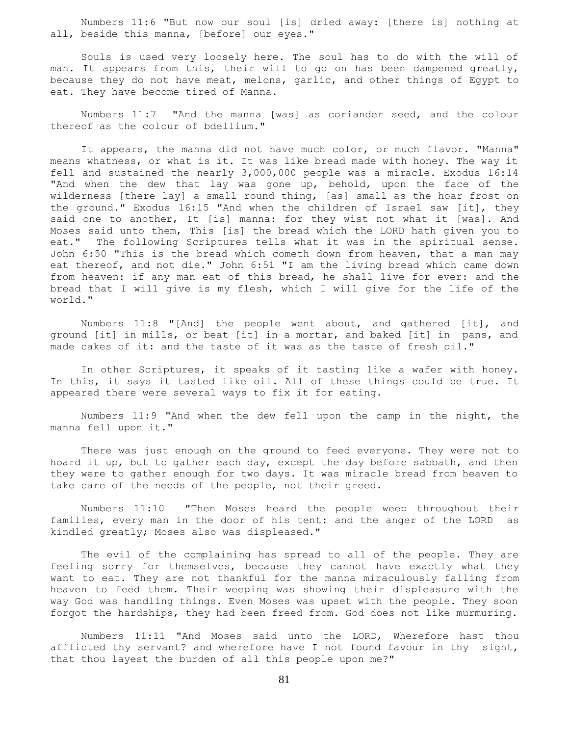Numbers 11:6 "But now our soul [is] dried away: [there is] nothing at all, beside this manna, [before] our eyes."

 Souls is used very loosely here. The soul has to do with the will of man. It appears from this, their will to go on has been dampened greatly, because they do not have meat, melons, garlic, and other things of Egypt to eat. They have become tired of Manna.

 Numbers 11:7 "And the manna [was] as coriander seed, and the colour thereof as the colour of bdellium."

 It appears, the manna did not have much color, or much flavor. "Manna" means whatness, or what is it. It was like bread made with honey. The way it fell and sustained the nearly 3,000,000 people was a miracle. Exodus 16:14 "And when the dew that lay was gone up, behold, upon the face of the wilderness [there lay] a small round thing, [as] small as the hoar frost on the ground." Exodus 16:15 "And when the children of Israel saw [it], they said one to another, It [is] manna: for they wist not what it [was]. And Moses said unto them, This [is] the bread which the LORD hath given you to eat." The following Scriptures tells what it was in the spiritual sense. John 6:50 "This is the bread which cometh down from heaven, that a man may eat thereof, and not die." John 6:51 "I am the living bread which came down from heaven: if any man eat of this bread, he shall live for ever: and the bread that I will give is my flesh, which I will give for the life of the world."

 Numbers 11:8 "[And] the people went about, and gathered [it], and ground [it] in mills, or beat [it] in a mortar, and baked [it] in pans, and made cakes of it: and the taste of it was as the taste of fresh oil."

 In other Scriptures, it speaks of it tasting like a wafer with honey. In this, it says it tasted like oil. All of these things could be true. It appeared there were several ways to fix it for eating.

 Numbers 11:9 "And when the dew fell upon the camp in the night, the manna fell upon it."

 There was just enough on the ground to feed everyone. They were not to hoard it up, but to gather each day, except the day before sabbath, and then they were to gather enough for two days. It was miracle bread from heaven to take care of the needs of the people, not their greed.

 Numbers 11:10 "Then Moses heard the people weep throughout their families, every man in the door of his tent: and the anger of the LORD as kindled greatly; Moses also was displeased."

 The evil of the complaining has spread to all of the people. They are feeling sorry for themselves, because they cannot have exactly what they want to eat. They are not thankful for the manna miraculously falling from heaven to feed them. Their weeping was showing their displeasure with the way God was handling things. Even Moses was upset with the people. They soon forgot the hardships, they had been freed from. God does not like murmuring.

 Numbers 11:11 "And Moses said unto the LORD, Wherefore hast thou afflicted thy servant? and wherefore have I not found favour in thy sight, that thou layest the burden of all this people upon me?"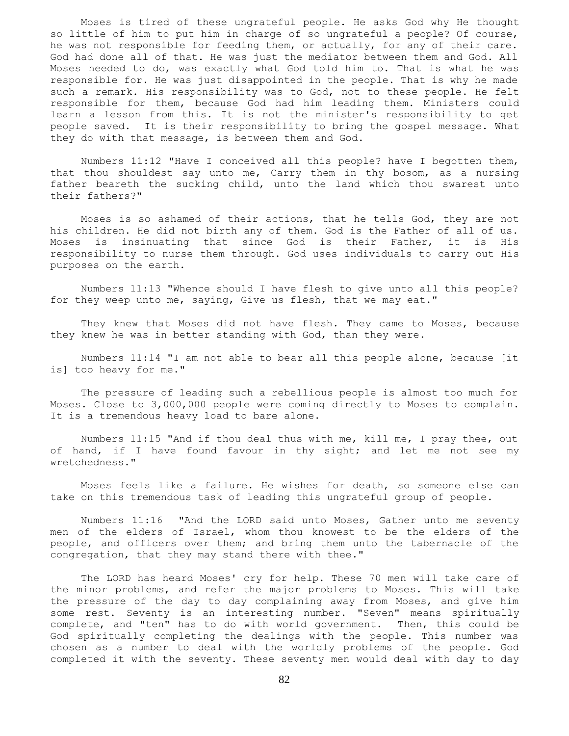Moses is tired of these ungrateful people. He asks God why He thought so little of him to put him in charge of so ungrateful a people? Of course, he was not responsible for feeding them, or actually, for any of their care. God had done all of that. He was just the mediator between them and God. All Moses needed to do, was exactly what God told him to. That is what he was responsible for. He was just disappointed in the people. That is why he made such a remark. His responsibility was to God, not to these people. He felt responsible for them, because God had him leading them. Ministers could learn a lesson from this. It is not the minister's responsibility to get people saved. It is their responsibility to bring the gospel message. What they do with that message, is between them and God.

 Numbers 11:12 "Have I conceived all this people? have I begotten them, that thou shouldest say unto me, Carry them in thy bosom, as a nursing father beareth the sucking child, unto the land which thou swarest unto their fathers?"

 Moses is so ashamed of their actions, that he tells God, they are not his children. He did not birth any of them. God is the Father of all of us. Moses is insinuating that since God is their Father, it is His responsibility to nurse them through. God uses individuals to carry out His purposes on the earth.

 Numbers 11:13 "Whence should I have flesh to give unto all this people? for they weep unto me, saying, Give us flesh, that we may eat."

They knew that Moses did not have flesh. They came to Moses, because they knew he was in better standing with God, than they were.

 Numbers 11:14 "I am not able to bear all this people alone, because [it is] too heavy for me."

 The pressure of leading such a rebellious people is almost too much for Moses. Close to 3,000,000 people were coming directly to Moses to complain. It is a tremendous heavy load to bare alone.

 Numbers 11:15 "And if thou deal thus with me, kill me, I pray thee, out of hand, if I have found favour in thy sight; and let me not see my wretchedness."

 Moses feels like a failure. He wishes for death, so someone else can take on this tremendous task of leading this ungrateful group of people.

 Numbers 11:16 "And the LORD said unto Moses, Gather unto me seventy men of the elders of Israel, whom thou knowest to be the elders of the people, and officers over them; and bring them unto the tabernacle of the congregation, that they may stand there with thee."

 The LORD has heard Moses' cry for help. These 70 men will take care of the minor problems, and refer the major problems to Moses. This will take the pressure of the day to day complaining away from Moses, and give him some rest. Seventy is an interesting number. "Seven" means spiritually complete, and "ten" has to do with world government. Then, this could be God spiritually completing the dealings with the people. This number was chosen as a number to deal with the worldly problems of the people. God completed it with the seventy. These seventy men would deal with day to day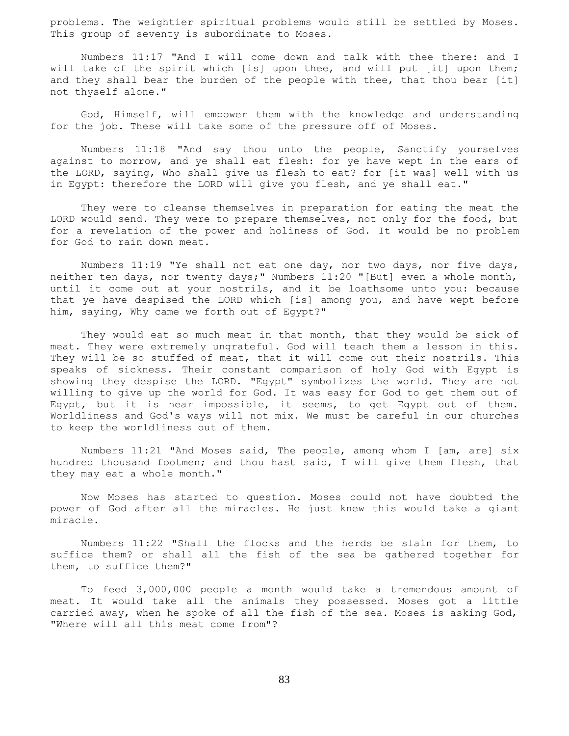problems. The weightier spiritual problems would still be settled by Moses. This group of seventy is subordinate to Moses.

 Numbers 11:17 "And I will come down and talk with thee there: and I will take of the spirit which [is] upon thee, and will put [it] upon them; and they shall bear the burden of the people with thee, that thou bear [it] not thyself alone."

 God, Himself, will empower them with the knowledge and understanding for the job. These will take some of the pressure off of Moses.

 Numbers 11:18 "And say thou unto the people, Sanctify yourselves against to morrow, and ye shall eat flesh: for ye have wept in the ears of the LORD, saying, Who shall give us flesh to eat? for [it was] well with us in Egypt: therefore the LORD will give you flesh, and ye shall eat."

 They were to cleanse themselves in preparation for eating the meat the LORD would send. They were to prepare themselves, not only for the food, but for a revelation of the power and holiness of God. It would be no problem for God to rain down meat.

 Numbers 11:19 "Ye shall not eat one day, nor two days, nor five days, neither ten days, nor twenty days;" Numbers 11:20 "[But] even a whole month, until it come out at your nostrils, and it be loathsome unto you: because that ye have despised the LORD which [is] among you, and have wept before him, saying, Why came we forth out of Egypt?"

 They would eat so much meat in that month, that they would be sick of meat. They were extremely ungrateful. God will teach them a lesson in this. They will be so stuffed of meat, that it will come out their nostrils. This speaks of sickness. Their constant comparison of holy God with Egypt is showing they despise the LORD. "Egypt" symbolizes the world. They are not willing to give up the world for God. It was easy for God to get them out of Egypt, but it is near impossible, it seems, to get Egypt out of them. Worldliness and God's ways will not mix. We must be careful in our churches to keep the worldliness out of them.

 Numbers 11:21 "And Moses said, The people, among whom I [am, are] six hundred thousand footmen; and thou hast said, I will give them flesh, that they may eat a whole month."

 Now Moses has started to question. Moses could not have doubted the power of God after all the miracles. He just knew this would take a giant miracle.

 Numbers 11:22 "Shall the flocks and the herds be slain for them, to suffice them? or shall all the fish of the sea be gathered together for them, to suffice them?"

 To feed 3,000,000 people a month would take a tremendous amount of meat. It would take all the animals they possessed. Moses got a little carried away, when he spoke of all the fish of the sea. Moses is asking God, "Where will all this meat come from"?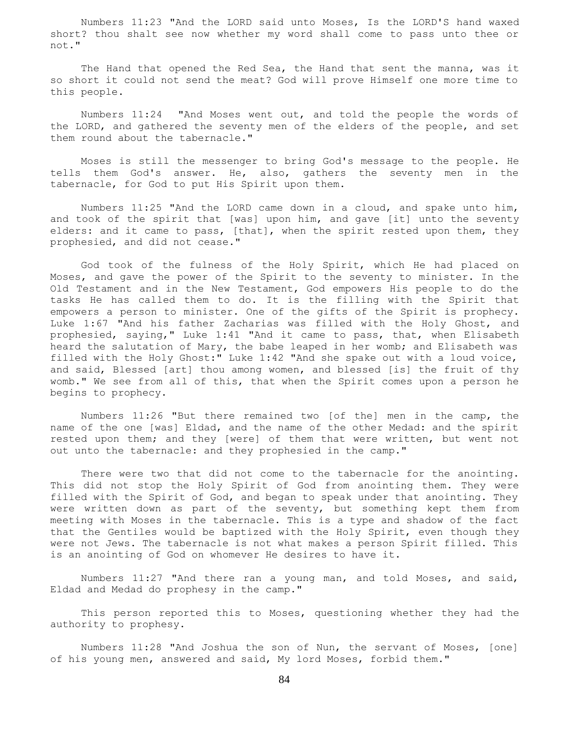Numbers 11:23 "And the LORD said unto Moses, Is the LORD'S hand waxed short? thou shalt see now whether my word shall come to pass unto thee or not."

 The Hand that opened the Red Sea, the Hand that sent the manna, was it so short it could not send the meat? God will prove Himself one more time to this people.

 Numbers 11:24 "And Moses went out, and told the people the words of the LORD, and gathered the seventy men of the elders of the people, and set them round about the tabernacle."

 Moses is still the messenger to bring God's message to the people. He tells them God's answer. He, also, gathers the seventy men in the tabernacle, for God to put His Spirit upon them.

 Numbers 11:25 "And the LORD came down in a cloud, and spake unto him, and took of the spirit that [was] upon him, and gave [it] unto the seventy elders: and it came to pass, [that], when the spirit rested upon them, they prophesied, and did not cease."

 God took of the fulness of the Holy Spirit, which He had placed on Moses, and gave the power of the Spirit to the seventy to minister. In the Old Testament and in the New Testament, God empowers His people to do the tasks He has called them to do. It is the filling with the Spirit that empowers a person to minister. One of the gifts of the Spirit is prophecy. Luke 1:67 "And his father Zacharias was filled with the Holy Ghost, and prophesied, saying," Luke 1:41 "And it came to pass, that, when Elisabeth heard the salutation of Mary, the babe leaped in her womb; and Elisabeth was filled with the Holy Ghost:" Luke 1:42 "And she spake out with a loud voice, and said, Blessed [art] thou among women, and blessed [is] the fruit of thy womb." We see from all of this, that when the Spirit comes upon a person he begins to prophecy.

 Numbers 11:26 "But there remained two [of the] men in the camp, the name of the one [was] Eldad, and the name of the other Medad: and the spirit rested upon them; and they [were] of them that were written, but went not out unto the tabernacle: and they prophesied in the camp."

There were two that did not come to the tabernacle for the anointing. This did not stop the Holy Spirit of God from anointing them. They were filled with the Spirit of God, and began to speak under that anointing. They were written down as part of the seventy, but something kept them from meeting with Moses in the tabernacle. This is a type and shadow of the fact that the Gentiles would be baptized with the Holy Spirit, even though they were not Jews. The tabernacle is not what makes a person Spirit filled. This is an anointing of God on whomever He desires to have it.

 Numbers 11:27 "And there ran a young man, and told Moses, and said, Eldad and Medad do prophesy in the camp."

 This person reported this to Moses, questioning whether they had the authority to prophesy.

 Numbers 11:28 "And Joshua the son of Nun, the servant of Moses, [one] of his young men, answered and said, My lord Moses, forbid them."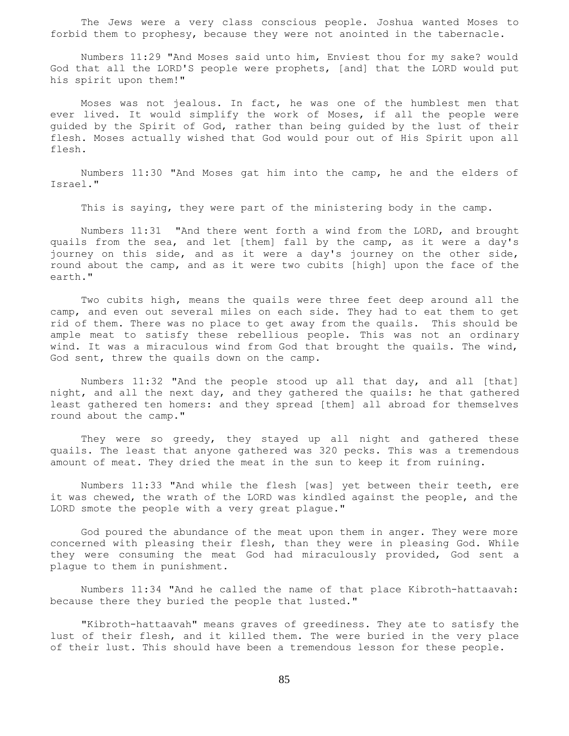The Jews were a very class conscious people. Joshua wanted Moses to forbid them to prophesy, because they were not anointed in the tabernacle.

 Numbers 11:29 "And Moses said unto him, Enviest thou for my sake? would God that all the LORD'S people were prophets, [and] that the LORD would put his spirit upon them!"

 Moses was not jealous. In fact, he was one of the humblest men that ever lived. It would simplify the work of Moses, if all the people were guided by the Spirit of God, rather than being guided by the lust of their flesh. Moses actually wished that God would pour out of His Spirit upon all flesh.

 Numbers 11:30 "And Moses gat him into the camp, he and the elders of Israel."

This is saying, they were part of the ministering body in the camp.

 Numbers 11:31 "And there went forth a wind from the LORD, and brought quails from the sea, and let [them] fall by the camp, as it were a day's journey on this side, and as it were a day's journey on the other side, round about the camp, and as it were two cubits [high] upon the face of the earth."

 Two cubits high, means the quails were three feet deep around all the camp, and even out several miles on each side. They had to eat them to get rid of them. There was no place to get away from the quails. This should be ample meat to satisfy these rebellious people. This was not an ordinary wind. It was a miraculous wind from God that brought the quails. The wind, God sent, threw the quails down on the camp.

 Numbers 11:32 "And the people stood up all that day, and all [that] night, and all the next day, and they gathered the quails: he that gathered least gathered ten homers: and they spread [them] all abroad for themselves round about the camp."

 They were so greedy, they stayed up all night and gathered these quails. The least that anyone gathered was 320 pecks. This was a tremendous amount of meat. They dried the meat in the sun to keep it from ruining.

 Numbers 11:33 "And while the flesh [was] yet between their teeth, ere it was chewed, the wrath of the LORD was kindled against the people, and the LORD smote the people with a very great plague."

 God poured the abundance of the meat upon them in anger. They were more concerned with pleasing their flesh, than they were in pleasing God. While they were consuming the meat God had miraculously provided, God sent a plague to them in punishment.

 Numbers 11:34 "And he called the name of that place Kibroth-hattaavah: because there they buried the people that lusted."

 "Kibroth-hattaavah" means graves of greediness. They ate to satisfy the lust of their flesh, and it killed them. The were buried in the very place of their lust. This should have been a tremendous lesson for these people.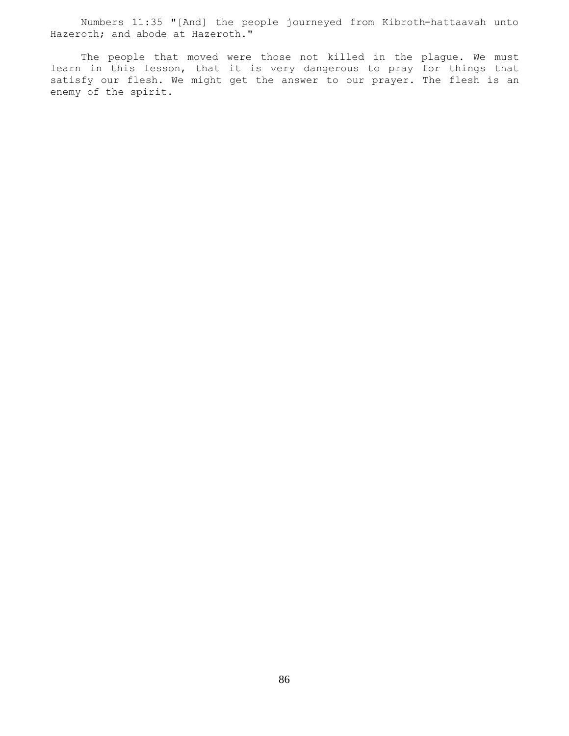Numbers 11:35 "[And] the people journeyed from Kibroth-hattaavah unto Hazeroth; and abode at Hazeroth."

 The people that moved were those not killed in the plague. We must learn in this lesson, that it is very dangerous to pray for things that satisfy our flesh. We might get the answer to our prayer. The flesh is an enemy of the spirit.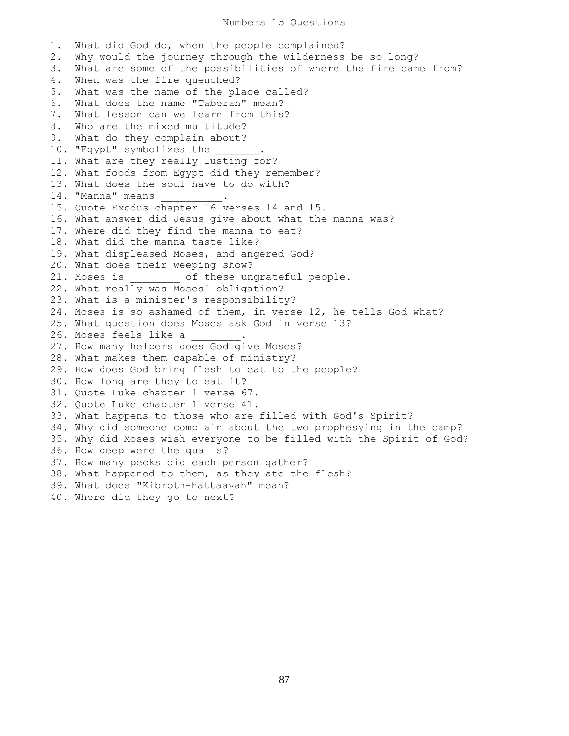Numbers 15 Questions

1. What did God do, when the people complained? 2. Why would the journey through the wilderness be so long? 3. What are some of the possibilities of where the fire came from? 4. When was the fire quenched? 5. What was the name of the place called? 6. What does the name "Taberah" mean? 7. What lesson can we learn from this? 8. Who are the mixed multitude? 9. What do they complain about? 10. "Egypt" symbolizes the 11. What are they really lusting for? 12. What foods from Egypt did they remember? 13. What does the soul have to do with? 14. "Manna" means 15. Quote Exodus chapter 16 verses 14 and 15. 16. What answer did Jesus give about what the manna was? 17. Where did they find the manna to eat? 18. What did the manna taste like? 19. What displeased Moses, and angered God? 20. What does their weeping show? 21. Moses is  $\qquad \qquad$  of these ungrateful people. 22. What really was Moses' obligation? 23. What is a minister's responsibility? 24. Moses is so ashamed of them, in verse 12, he tells God what? 25. What question does Moses ask God in verse 13? 26. Moses feels like a 27. How many helpers does God give Moses? 28. What makes them capable of ministry? 29. How does God bring flesh to eat to the people? 30. How long are they to eat it? 31. Quote Luke chapter 1 verse 67. 32. Quote Luke chapter 1 verse 41. 33. What happens to those who are filled with God's Spirit? 34. Why did someone complain about the two prophesying in the camp? 35. Why did Moses wish everyone to be filled with the Spirit of God? 36. How deep were the quails? 37. How many pecks did each person gather? 38. What happened to them, as they ate the flesh? 39. What does "Kibroth-hattaavah" mean? 40. Where did they go to next?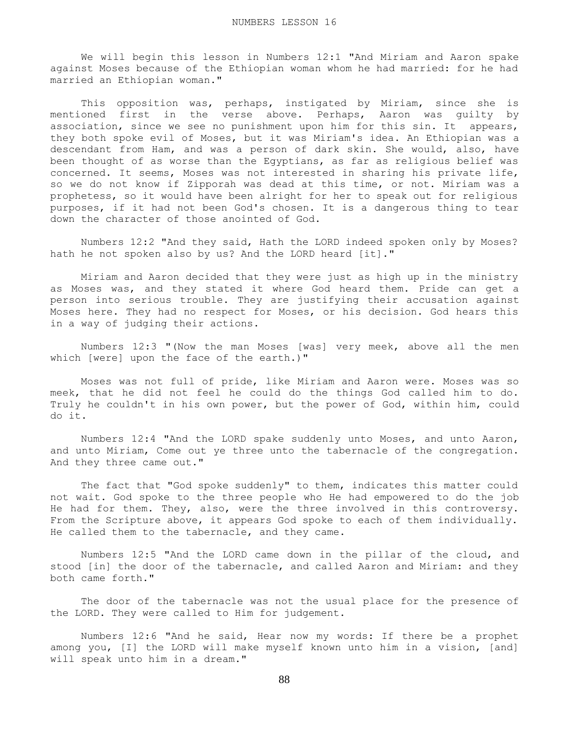We will begin this lesson in Numbers 12:1 "And Miriam and Aaron spake against Moses because of the Ethiopian woman whom he had married: for he had married an Ethiopian woman."

 This opposition was, perhaps, instigated by Miriam, since she is mentioned first in the verse above. Perhaps, Aaron was guilty by association, since we see no punishment upon him for this sin. It appears, they both spoke evil of Moses, but it was Miriam's idea. An Ethiopian was a descendant from Ham, and was a person of dark skin. She would, also, have been thought of as worse than the Egyptians, as far as religious belief was concerned. It seems, Moses was not interested in sharing his private life, so we do not know if Zipporah was dead at this time, or not. Miriam was a prophetess, so it would have been alright for her to speak out for religious purposes, if it had not been God's chosen. It is a dangerous thing to tear down the character of those anointed of God.

 Numbers 12:2 "And they said, Hath the LORD indeed spoken only by Moses? hath he not spoken also by us? And the LORD heard [it]."

 Miriam and Aaron decided that they were just as high up in the ministry as Moses was, and they stated it where God heard them. Pride can get a person into serious trouble. They are justifying their accusation against Moses here. They had no respect for Moses, or his decision. God hears this in a way of judging their actions.

 Numbers 12:3 "(Now the man Moses [was] very meek, above all the men which [were] upon the face of the earth.)"

 Moses was not full of pride, like Miriam and Aaron were. Moses was so meek, that he did not feel he could do the things God called him to do. Truly he couldn't in his own power, but the power of God, within him, could do it.

 Numbers 12:4 "And the LORD spake suddenly unto Moses, and unto Aaron, and unto Miriam, Come out ye three unto the tabernacle of the congregation. And they three came out."

The fact that "God spoke suddenly" to them, indicates this matter could not wait. God spoke to the three people who He had empowered to do the job He had for them. They, also, were the three involved in this controversy. From the Scripture above, it appears God spoke to each of them individually. He called them to the tabernacle, and they came.

 Numbers 12:5 "And the LORD came down in the pillar of the cloud, and stood [in] the door of the tabernacle, and called Aaron and Miriam: and they both came forth."

 The door of the tabernacle was not the usual place for the presence of the LORD. They were called to Him for judgement.

 Numbers 12:6 "And he said, Hear now my words: If there be a prophet among you, [I] the LORD will make myself known unto him in a vision, [and] will speak unto him in a dream."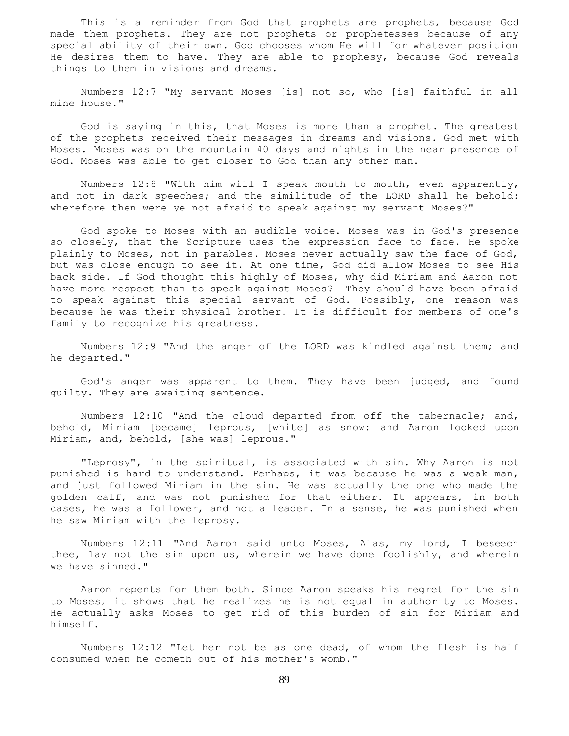This is a reminder from God that prophets are prophets, because God made them prophets. They are not prophets or prophetesses because of any special ability of their own. God chooses whom He will for whatever position He desires them to have. They are able to prophesy, because God reveals things to them in visions and dreams.

 Numbers 12:7 "My servant Moses [is] not so, who [is] faithful in all mine house."

 God is saying in this, that Moses is more than a prophet. The greatest of the prophets received their messages in dreams and visions. God met with Moses. Moses was on the mountain 40 days and nights in the near presence of God. Moses was able to get closer to God than any other man.

 Numbers 12:8 "With him will I speak mouth to mouth, even apparently, and not in dark speeches; and the similitude of the LORD shall he behold: wherefore then were ye not afraid to speak against my servant Moses?"

 God spoke to Moses with an audible voice. Moses was in God's presence so closely, that the Scripture uses the expression face to face. He spoke plainly to Moses, not in parables. Moses never actually saw the face of God, but was close enough to see it. At one time, God did allow Moses to see His back side. If God thought this highly of Moses, why did Miriam and Aaron not have more respect than to speak against Moses? They should have been afraid to speak against this special servant of God. Possibly, one reason was because he was their physical brother. It is difficult for members of one's family to recognize his greatness.

 Numbers 12:9 "And the anger of the LORD was kindled against them; and he departed."

 God's anger was apparent to them. They have been judged, and found guilty. They are awaiting sentence.

 Numbers 12:10 "And the cloud departed from off the tabernacle; and, behold, Miriam [became] leprous, [white] as snow: and Aaron looked upon Miriam, and, behold, [she was] leprous."

 "Leprosy", in the spiritual, is associated with sin. Why Aaron is not punished is hard to understand. Perhaps, it was because he was a weak man, and just followed Miriam in the sin. He was actually the one who made the golden calf, and was not punished for that either. It appears, in both cases, he was a follower, and not a leader. In a sense, he was punished when he saw Miriam with the leprosy.

 Numbers 12:11 "And Aaron said unto Moses, Alas, my lord, I beseech thee, lay not the sin upon us, wherein we have done foolishly, and wherein we have sinned."

 Aaron repents for them both. Since Aaron speaks his regret for the sin to Moses, it shows that he realizes he is not equal in authority to Moses. He actually asks Moses to get rid of this burden of sin for Miriam and himself.

 Numbers 12:12 "Let her not be as one dead, of whom the flesh is half consumed when he cometh out of his mother's womb."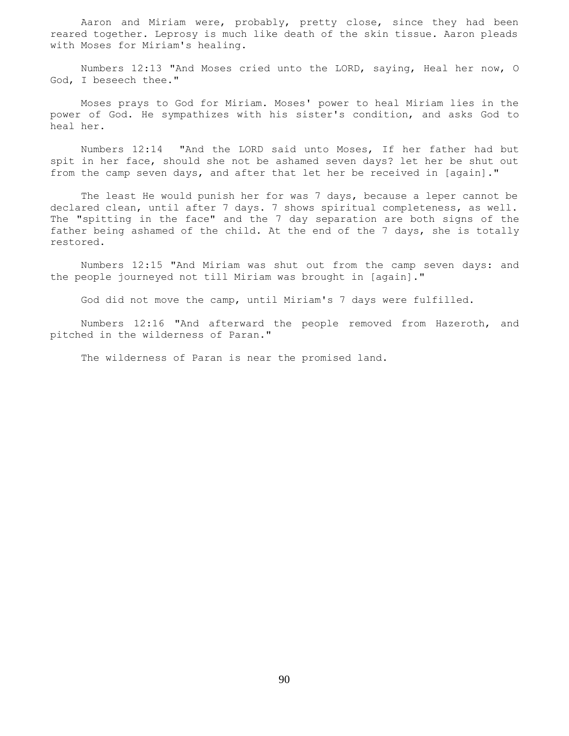Aaron and Miriam were, probably, pretty close, since they had been reared together. Leprosy is much like death of the skin tissue. Aaron pleads with Moses for Miriam's healing.

 Numbers 12:13 "And Moses cried unto the LORD, saying, Heal her now, O God, I beseech thee."

 Moses prays to God for Miriam. Moses' power to heal Miriam lies in the power of God. He sympathizes with his sister's condition, and asks God to heal her.

 Numbers 12:14 "And the LORD said unto Moses, If her father had but spit in her face, should she not be ashamed seven days? let her be shut out from the camp seven days, and after that let her be received in [again]."

 The least He would punish her for was 7 days, because a leper cannot be declared clean, until after 7 days. 7 shows spiritual completeness, as well. The "spitting in the face" and the 7 day separation are both signs of the father being ashamed of the child. At the end of the 7 days, she is totally restored.

 Numbers 12:15 "And Miriam was shut out from the camp seven days: and the people journeyed not till Miriam was brought in [again]."

God did not move the camp, until Miriam's 7 days were fulfilled.

 Numbers 12:16 "And afterward the people removed from Hazeroth, and pitched in the wilderness of Paran."

The wilderness of Paran is near the promised land.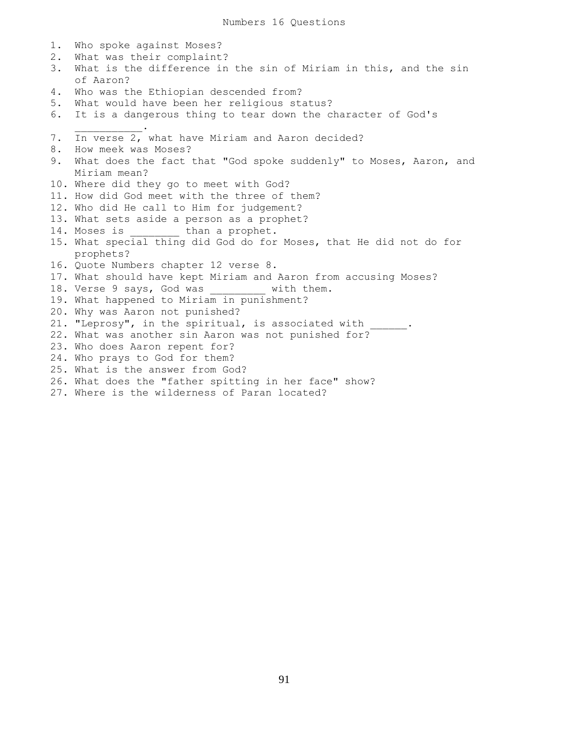1. Who spoke against Moses? 2. What was their complaint? 3. What is the difference in the sin of Miriam in this, and the sin of Aaron? 4. Who was the Ethiopian descended from? 5. What would have been her religious status? 6. It is a dangerous thing to tear down the character of God's  $\overline{\phantom{a}}$  ,  $\overline{\phantom{a}}$  ,  $\overline{\phantom{a}}$  ,  $\overline{\phantom{a}}$  ,  $\overline{\phantom{a}}$  ,  $\overline{\phantom{a}}$  ,  $\overline{\phantom{a}}$  ,  $\overline{\phantom{a}}$  ,  $\overline{\phantom{a}}$  ,  $\overline{\phantom{a}}$  ,  $\overline{\phantom{a}}$  ,  $\overline{\phantom{a}}$  ,  $\overline{\phantom{a}}$  ,  $\overline{\phantom{a}}$  ,  $\overline{\phantom{a}}$  ,  $\overline{\phantom{a}}$ 7. In verse 2, what have Miriam and Aaron decided? 8. How meek was Moses? 9. What does the fact that "God spoke suddenly" to Moses, Aaron, and Miriam mean? 10. Where did they go to meet with God? 11. How did God meet with the three of them? 12. Who did He call to Him for judgement? 13. What sets aside a person as a prophet? 14. Moses is than a prophet. 15. What special thing did God do for Moses, that He did not do for prophets? 16. Quote Numbers chapter 12 verse 8. 17. What should have kept Miriam and Aaron from accusing Moses? 18. Verse 9 says, God was \_\_\_\_\_\_\_\_\_ with them. 19. What happened to Miriam in punishment? 20. Why was Aaron not punished? 21. "Leprosy", in the spiritual, is associated with \_\_\_\_\_\_. 22. What was another sin Aaron was not punished for? 23. Who does Aaron repent for? 24. Who prays to God for them? 25. What is the answer from God? 26. What does the "father spitting in her face" show?

27. Where is the wilderness of Paran located?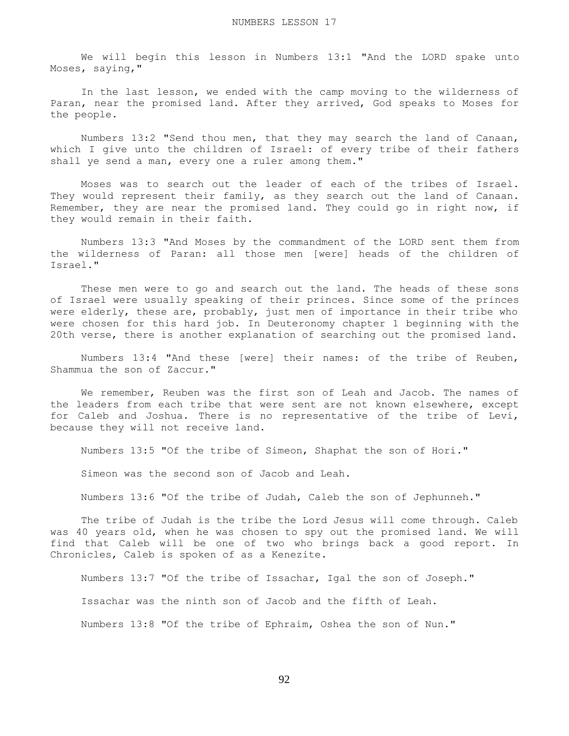We will begin this lesson in Numbers 13:1 "And the LORD spake unto Moses, saying,"

 In the last lesson, we ended with the camp moving to the wilderness of Paran, near the promised land. After they arrived, God speaks to Moses for the people.

 Numbers 13:2 "Send thou men, that they may search the land of Canaan, which I give unto the children of Israel: of every tribe of their fathers shall ye send a man, every one a ruler among them."

 Moses was to search out the leader of each of the tribes of Israel. They would represent their family, as they search out the land of Canaan. Remember, they are near the promised land. They could go in right now, if they would remain in their faith.

 Numbers 13:3 "And Moses by the commandment of the LORD sent them from the wilderness of Paran: all those men [were] heads of the children of Israel."

 These men were to go and search out the land. The heads of these sons of Israel were usually speaking of their princes. Since some of the princes were elderly, these are, probably, just men of importance in their tribe who were chosen for this hard job. In Deuteronomy chapter 1 beginning with the 20th verse, there is another explanation of searching out the promised land.

 Numbers 13:4 "And these [were] their names: of the tribe of Reuben, Shammua the son of Zaccur."

 We remember, Reuben was the first son of Leah and Jacob. The names of the leaders from each tribe that were sent are not known elsewhere, except for Caleb and Joshua. There is no representative of the tribe of Levi, because they will not receive land.

Numbers 13:5 "Of the tribe of Simeon, Shaphat the son of Hori."

Simeon was the second son of Jacob and Leah.

Numbers 13:6 "Of the tribe of Judah, Caleb the son of Jephunneh."

 The tribe of Judah is the tribe the Lord Jesus will come through. Caleb was 40 years old, when he was chosen to spy out the promised land. We will find that Caleb will be one of two who brings back a good report. In Chronicles, Caleb is spoken of as a Kenezite.

 Numbers 13:7 "Of the tribe of Issachar, Igal the son of Joseph." Issachar was the ninth son of Jacob and the fifth of Leah. Numbers 13:8 "Of the tribe of Ephraim, Oshea the son of Nun."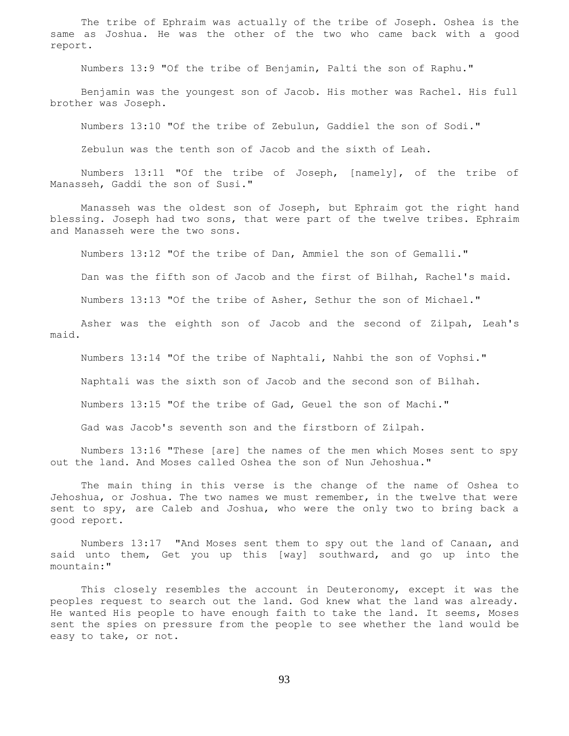The tribe of Ephraim was actually of the tribe of Joseph. Oshea is the same as Joshua. He was the other of the two who came back with a good report.

Numbers 13:9 "Of the tribe of Benjamin, Palti the son of Raphu."

 Benjamin was the youngest son of Jacob. His mother was Rachel. His full brother was Joseph.

Numbers 13:10 "Of the tribe of Zebulun, Gaddiel the son of Sodi."

Zebulun was the tenth son of Jacob and the sixth of Leah.

 Numbers 13:11 "Of the tribe of Joseph, [namely], of the tribe of Manasseh, Gaddi the son of Susi."

 Manasseh was the oldest son of Joseph, but Ephraim got the right hand blessing. Joseph had two sons, that were part of the twelve tribes. Ephraim and Manasseh were the two sons.

Numbers 13:12 "Of the tribe of Dan, Ammiel the son of Gemalli."

Dan was the fifth son of Jacob and the first of Bilhah, Rachel's maid.

Numbers 13:13 "Of the tribe of Asher, Sethur the son of Michael."

 Asher was the eighth son of Jacob and the second of Zilpah, Leah's maid.

Numbers 13:14 "Of the tribe of Naphtali, Nahbi the son of Vophsi."

Naphtali was the sixth son of Jacob and the second son of Bilhah.

Numbers 13:15 "Of the tribe of Gad, Geuel the son of Machi."

Gad was Jacob's seventh son and the firstborn of Zilpah.

 Numbers 13:16 "These [are] the names of the men which Moses sent to spy out the land. And Moses called Oshea the son of Nun Jehoshua."

 The main thing in this verse is the change of the name of Oshea to Jehoshua, or Joshua. The two names we must remember, in the twelve that were sent to spy, are Caleb and Joshua, who were the only two to bring back a good report.

 Numbers 13:17 "And Moses sent them to spy out the land of Canaan, and said unto them, Get you up this [way] southward, and go up into the mountain:"

 This closely resembles the account in Deuteronomy, except it was the peoples request to search out the land. God knew what the land was already. He wanted His people to have enough faith to take the land. It seems, Moses sent the spies on pressure from the people to see whether the land would be easy to take, or not.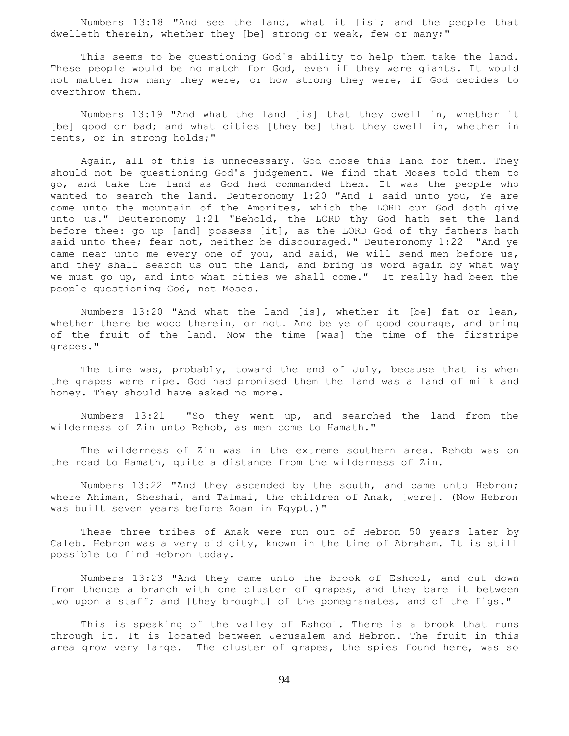Numbers 13:18 "And see the land, what it [is]; and the people that dwelleth therein, whether they [be] strong or weak, few or many;"

 This seems to be questioning God's ability to help them take the land. These people would be no match for God, even if they were giants. It would not matter how many they were, or how strong they were, if God decides to overthrow them.

 Numbers 13:19 "And what the land [is] that they dwell in, whether it [be] good or bad; and what cities [they be] that they dwell in, whether in tents, or in strong holds;"

 Again, all of this is unnecessary. God chose this land for them. They should not be questioning God's judgement. We find that Moses told them to go, and take the land as God had commanded them. It was the people who wanted to search the land. Deuteronomy 1:20 "And I said unto you, Ye are come unto the mountain of the Amorites, which the LORD our God doth give unto us." Deuteronomy 1:21 "Behold, the LORD thy God hath set the land before thee: go up [and] possess [it], as the LORD God of thy fathers hath said unto thee; fear not, neither be discouraged." Deuteronomy 1:22 "And ye came near unto me every one of you, and said, We will send men before us, and they shall search us out the land, and bring us word again by what way we must go up, and into what cities we shall come." It really had been the people questioning God, not Moses.

 Numbers 13:20 "And what the land [is], whether it [be] fat or lean, whether there be wood therein, or not. And be ye of good courage, and bring of the fruit of the land. Now the time [was] the time of the firstripe grapes."

The time was, probably, toward the end of July, because that is when the grapes were ripe. God had promised them the land was a land of milk and honey. They should have asked no more.

 Numbers 13:21 "So they went up, and searched the land from the wilderness of Zin unto Rehob, as men come to Hamath."

 The wilderness of Zin was in the extreme southern area. Rehob was on the road to Hamath, quite a distance from the wilderness of Zin.

 Numbers 13:22 "And they ascended by the south, and came unto Hebron; where Ahiman, Sheshai, and Talmai, the children of Anak, [were]. (Now Hebron was built seven years before Zoan in Egypt.)"

 These three tribes of Anak were run out of Hebron 50 years later by Caleb. Hebron was a very old city, known in the time of Abraham. It is still possible to find Hebron today.

 Numbers 13:23 "And they came unto the brook of Eshcol, and cut down from thence a branch with one cluster of grapes, and they bare it between two upon a staff; and [they brought] of the pomegranates, and of the figs."

 This is speaking of the valley of Eshcol. There is a brook that runs through it. It is located between Jerusalem and Hebron. The fruit in this area grow very large. The cluster of grapes, the spies found here, was so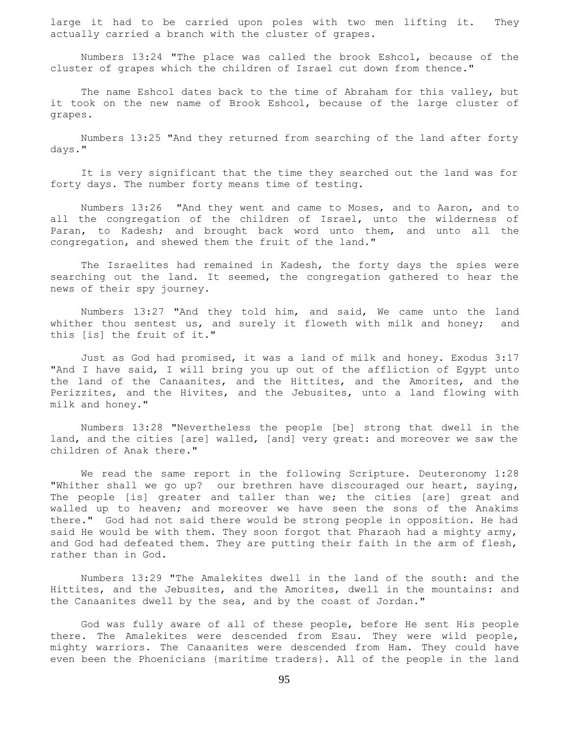large it had to be carried upon poles with two men lifting it. They actually carried a branch with the cluster of grapes.

 Numbers 13:24 "The place was called the brook Eshcol, because of the cluster of grapes which the children of Israel cut down from thence."

The name Eshcol dates back to the time of Abraham for this valley, but it took on the new name of Brook Eshcol, because of the large cluster of grapes.

 Numbers 13:25 "And they returned from searching of the land after forty days."

 It is very significant that the time they searched out the land was for forty days. The number forty means time of testing.

 Numbers 13:26 "And they went and came to Moses, and to Aaron, and to all the congregation of the children of Israel, unto the wilderness of Paran, to Kadesh; and brought back word unto them, and unto all the congregation, and shewed them the fruit of the land."

 The Israelites had remained in Kadesh, the forty days the spies were searching out the land. It seemed, the congregation gathered to hear the news of their spy journey.

 Numbers 13:27 "And they told him, and said, We came unto the land whither thou sentest us, and surely it floweth with milk and honey; and this [is] the fruit of it."

 Just as God had promised, it was a land of milk and honey. Exodus 3:17 "And I have said, I will bring you up out of the affliction of Egypt unto the land of the Canaanites, and the Hittites, and the Amorites, and the Perizzites, and the Hivites, and the Jebusites, unto a land flowing with milk and honey."

 Numbers 13:28 "Nevertheless the people [be] strong that dwell in the land, and the cities [are] walled, [and] very great: and moreover we saw the children of Anak there."

 We read the same report in the following Scripture. Deuteronomy 1:28 "Whither shall we go up? our brethren have discouraged our heart, saying, The people [is] greater and taller than we; the cities [are] great and walled up to heaven; and moreover we have seen the sons of the Anakims there." God had not said there would be strong people in opposition. He had said He would be with them. They soon forgot that Pharaoh had a mighty army, and God had defeated them. They are putting their faith in the arm of flesh, rather than in God.

 Numbers 13:29 "The Amalekites dwell in the land of the south: and the Hittites, and the Jebusites, and the Amorites, dwell in the mountains: and the Canaanites dwell by the sea, and by the coast of Jordan."

 God was fully aware of all of these people, before He sent His people there. The Amalekites were descended from Esau. They were wild people, mighty warriors. The Canaanites were descended from Ham. They could have even been the Phoenicians {maritime traders}. All of the people in the land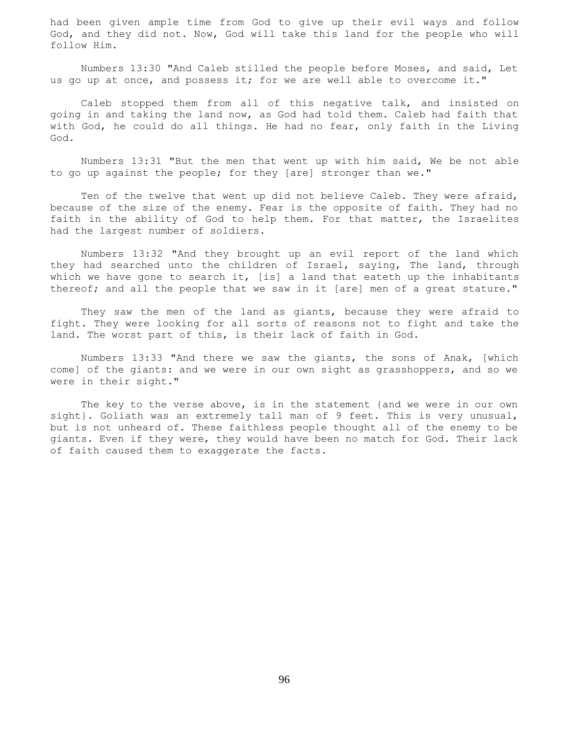had been given ample time from God to give up their evil ways and follow God, and they did not. Now, God will take this land for the people who will follow Him.

 Numbers 13:30 "And Caleb stilled the people before Moses, and said, Let us go up at once, and possess it; for we are well able to overcome it."

 Caleb stopped them from all of this negative talk, and insisted on going in and taking the land now, as God had told them. Caleb had faith that with God, he could do all things. He had no fear, only faith in the Living God.

 Numbers 13:31 "But the men that went up with him said, We be not able to go up against the people; for they [are] stronger than we."

 Ten of the twelve that went up did not believe Caleb. They were afraid, because of the size of the enemy. Fear is the opposite of faith. They had no faith in the ability of God to help them. For that matter, the Israelites had the largest number of soldiers.

 Numbers 13:32 "And they brought up an evil report of the land which they had searched unto the children of Israel, saying, The land, through which we have gone to search it,  $[is]$  a land that eateth up the inhabitants thereof; and all the people that we saw in it [are] men of a great stature."

 They saw the men of the land as giants, because they were afraid to fight. They were looking for all sorts of reasons not to fight and take the land. The worst part of this, is their lack of faith in God.

 Numbers 13:33 "And there we saw the giants, the sons of Anak, [which come] of the giants: and we were in our own sight as grasshoppers, and so we were in their sight."

 The key to the verse above, is in the statement {and we were in our own sight}. Goliath was an extremely tall man of 9 feet. This is very unusual, but is not unheard of. These faithless people thought all of the enemy to be giants. Even if they were, they would have been no match for God. Their lack of faith caused them to exaggerate the facts.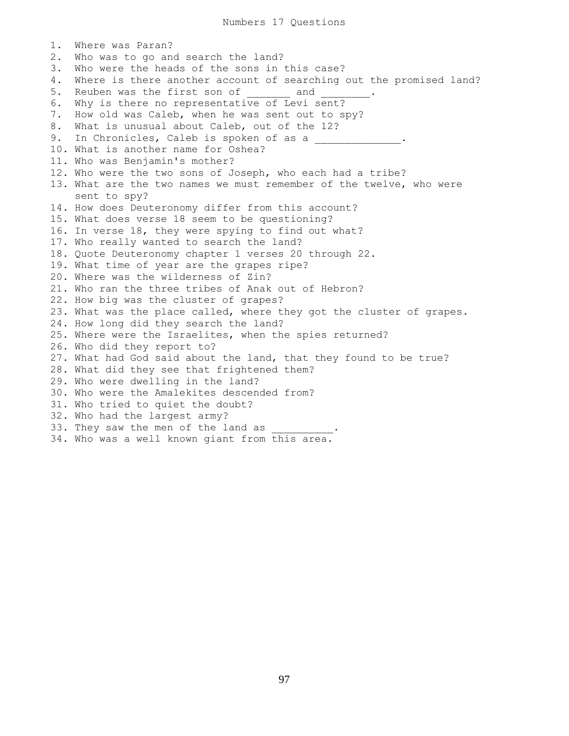1. Where was Paran? 2. Who was to go and search the land? 3. Who were the heads of the sons in this case? 4. Where is there another account of searching out the promised land? 5. Reuben was the first son of \_\_\_\_\_\_\_\_\_ and \_ 6. Why is there no representative of Levi sent? 7. How old was Caleb, when he was sent out to spy? 8. What is unusual about Caleb, out of the 12? 9. In Chronicles, Caleb is spoken of as a \_\_\_\_\_\_\_\_\_\_\_\_\_\_\_. 10. What is another name for Oshea? 11. Who was Benjamin's mother? 12. Who were the two sons of Joseph, who each had a tribe? 13. What are the two names we must remember of the twelve, who were sent to spy? 14. How does Deuteronomy differ from this account? 15. What does verse 18 seem to be questioning? 16. In verse 18, they were spying to find out what? 17. Who really wanted to search the land? 18. Quote Deuteronomy chapter 1 verses 20 through 22. 19. What time of year are the grapes ripe? 20. Where was the wilderness of Zin? 21. Who ran the three tribes of Anak out of Hebron? 22. How big was the cluster of grapes? 23. What was the place called, where they got the cluster of grapes. 24. How long did they search the land? 25. Where were the Israelites, when the spies returned? 26. Who did they report to? 27. What had God said about the land, that they found to be true? 28. What did they see that frightened them? 29. Who were dwelling in the land? 30. Who were the Amalekites descended from? 31. Who tried to quiet the doubt? 32. Who had the largest army? 33. They saw the men of the land as 34. Who was a well known giant from this area.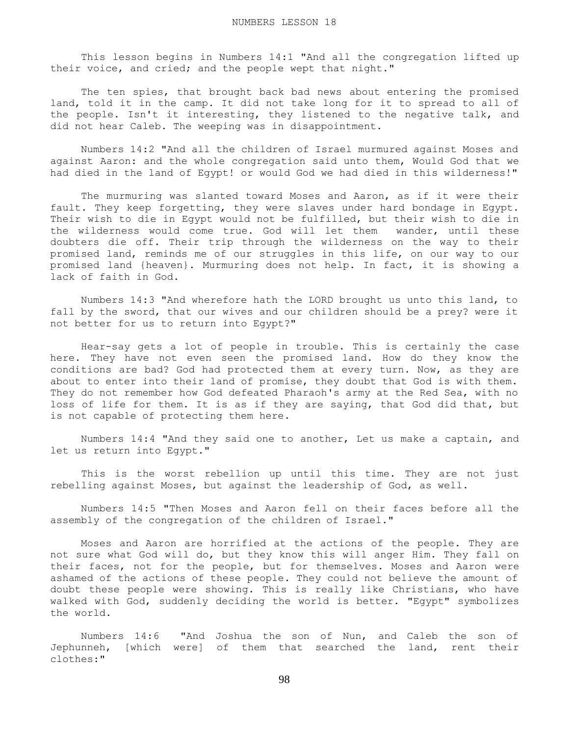This lesson begins in Numbers 14:1 "And all the congregation lifted up their voice, and cried; and the people wept that night."

The ten spies, that brought back bad news about entering the promised land, told it in the camp. It did not take long for it to spread to all of the people. Isn't it interesting, they listened to the negative talk, and did not hear Caleb. The weeping was in disappointment.

 Numbers 14:2 "And all the children of Israel murmured against Moses and against Aaron: and the whole congregation said unto them, Would God that we had died in the land of Egypt! or would God we had died in this wilderness!"

 The murmuring was slanted toward Moses and Aaron, as if it were their fault. They keep forgetting, they were slaves under hard bondage in Egypt. Their wish to die in Egypt would not be fulfilled, but their wish to die in the wilderness would come true. God will let them wander, until these doubters die off. Their trip through the wilderness on the way to their promised land, reminds me of our struggles in this life, on our way to our promised land {heaven}. Murmuring does not help. In fact, it is showing a lack of faith in God.

 Numbers 14:3 "And wherefore hath the LORD brought us unto this land, to fall by the sword, that our wives and our children should be a prey? were it not better for us to return into Egypt?"

 Hear-say gets a lot of people in trouble. This is certainly the case here. They have not even seen the promised land. How do they know the conditions are bad? God had protected them at every turn. Now, as they are about to enter into their land of promise, they doubt that God is with them. They do not remember how God defeated Pharaoh's army at the Red Sea, with no loss of life for them. It is as if they are saying, that God did that, but is not capable of protecting them here.

 Numbers 14:4 "And they said one to another, Let us make a captain, and let us return into Egypt."

 This is the worst rebellion up until this time. They are not just rebelling against Moses, but against the leadership of God, as well.

 Numbers 14:5 "Then Moses and Aaron fell on their faces before all the assembly of the congregation of the children of Israel."

 Moses and Aaron are horrified at the actions of the people. They are not sure what God will do, but they know this will anger Him. They fall on their faces, not for the people, but for themselves. Moses and Aaron were ashamed of the actions of these people. They could not believe the amount of doubt these people were showing. This is really like Christians, who have walked with God, suddenly deciding the world is better. "Egypt" symbolizes the world.

 Numbers 14:6 "And Joshua the son of Nun, and Caleb the son of Jephunneh, [which were] of them that searched the land, rent their clothes:"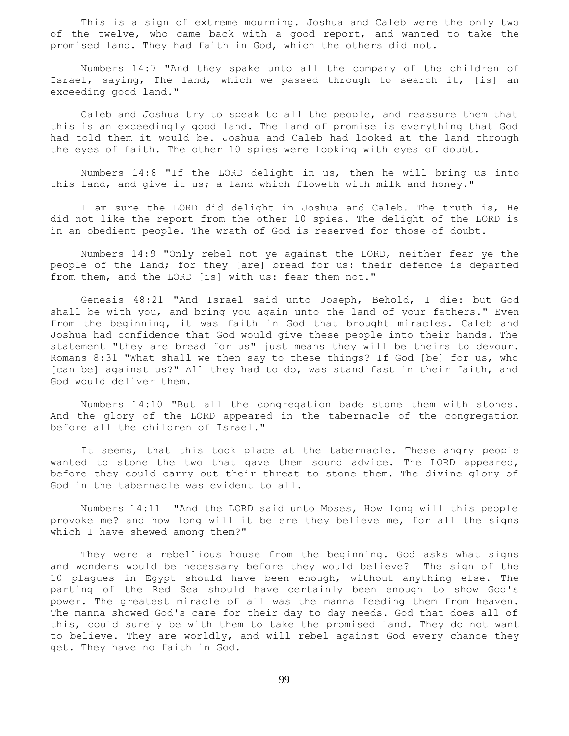This is a sign of extreme mourning. Joshua and Caleb were the only two of the twelve, who came back with a good report, and wanted to take the promised land. They had faith in God, which the others did not.

 Numbers 14:7 "And they spake unto all the company of the children of Israel, saying, The land, which we passed through to search it, [is] an exceeding good land."

 Caleb and Joshua try to speak to all the people, and reassure them that this is an exceedingly good land. The land of promise is everything that God had told them it would be. Joshua and Caleb had looked at the land through the eyes of faith. The other 10 spies were looking with eyes of doubt.

 Numbers 14:8 "If the LORD delight in us, then he will bring us into this land, and give it us; a land which floweth with milk and honey."

 I am sure the LORD did delight in Joshua and Caleb. The truth is, He did not like the report from the other 10 spies. The delight of the LORD is in an obedient people. The wrath of God is reserved for those of doubt.

 Numbers 14:9 "Only rebel not ye against the LORD, neither fear ye the people of the land; for they [are] bread for us: their defence is departed from them, and the LORD [is] with us: fear them not."

 Genesis 48:21 "And Israel said unto Joseph, Behold, I die: but God shall be with you, and bring you again unto the land of your fathers." Even from the beginning, it was faith in God that brought miracles. Caleb and Joshua had confidence that God would give these people into their hands. The statement "they are bread for us" just means they will be theirs to devour. Romans 8:31 "What shall we then say to these things? If God [be] for us, who [can be] against us?" All they had to do, was stand fast in their faith, and God would deliver them.

 Numbers 14:10 "But all the congregation bade stone them with stones. And the glory of the LORD appeared in the tabernacle of the congregation before all the children of Israel."

 It seems, that this took place at the tabernacle. These angry people wanted to stone the two that gave them sound advice. The LORD appeared, before they could carry out their threat to stone them. The divine glory of God in the tabernacle was evident to all.

 Numbers 14:11 "And the LORD said unto Moses, How long will this people provoke me? and how long will it be ere they believe me, for all the signs which I have shewed among them?"

 They were a rebellious house from the beginning. God asks what signs and wonders would be necessary before they would believe? The sign of the 10 plagues in Egypt should have been enough, without anything else. The parting of the Red Sea should have certainly been enough to show God's power. The greatest miracle of all was the manna feeding them from heaven. The manna showed God's care for their day to day needs. God that does all of this, could surely be with them to take the promised land. They do not want to believe. They are worldly, and will rebel against God every chance they get. They have no faith in God.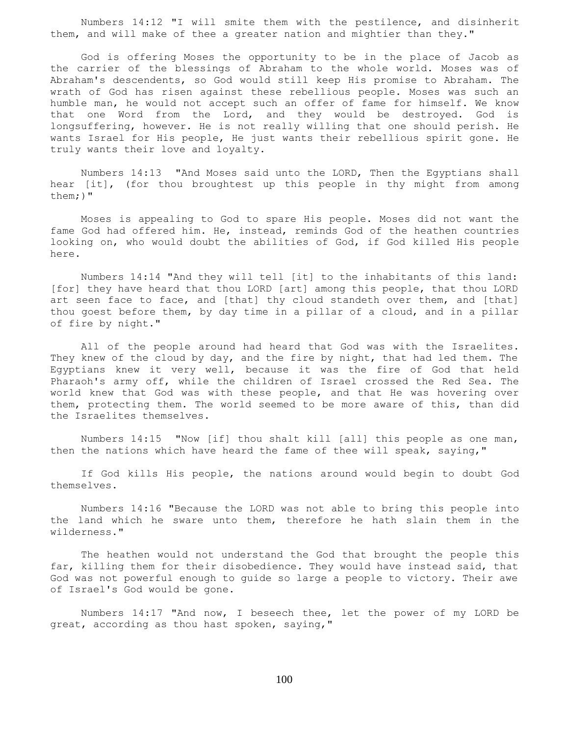Numbers 14:12 "I will smite them with the pestilence, and disinherit them, and will make of thee a greater nation and mightier than they."

 God is offering Moses the opportunity to be in the place of Jacob as the carrier of the blessings of Abraham to the whole world. Moses was of Abraham's descendents, so God would still keep His promise to Abraham. The wrath of God has risen against these rebellious people. Moses was such an humble man, he would not accept such an offer of fame for himself. We know that one Word from the Lord, and they would be destroyed. God is longsuffering, however. He is not really willing that one should perish. He wants Israel for His people, He just wants their rebellious spirit gone. He truly wants their love and loyalty.

 Numbers 14:13 "And Moses said unto the LORD, Then the Egyptians shall hear [it], (for thou broughtest up this people in thy might from among them;)"

 Moses is appealing to God to spare His people. Moses did not want the fame God had offered him. He, instead, reminds God of the heathen countries looking on, who would doubt the abilities of God, if God killed His people here.

 Numbers 14:14 "And they will tell [it] to the inhabitants of this land: [for] they have heard that thou LORD [art] among this people, that thou LORD art seen face to face, and [that] thy cloud standeth over them, and [that] thou goest before them, by day time in a pillar of a cloud, and in a pillar of fire by night."

 All of the people around had heard that God was with the Israelites. They knew of the cloud by day, and the fire by night, that had led them. The Egyptians knew it very well, because it was the fire of God that held Pharaoh's army off, while the children of Israel crossed the Red Sea. The world knew that God was with these people, and that He was hovering over them, protecting them. The world seemed to be more aware of this, than did the Israelites themselves.

 Numbers 14:15 "Now [if] thou shalt kill [all] this people as one man, then the nations which have heard the fame of thee will speak, saying,"

 If God kills His people, the nations around would begin to doubt God themselves.

 Numbers 14:16 "Because the LORD was not able to bring this people into the land which he sware unto them, therefore he hath slain them in the wilderness."

 The heathen would not understand the God that brought the people this far, killing them for their disobedience. They would have instead said, that God was not powerful enough to guide so large a people to victory. Their awe of Israel's God would be gone.

 Numbers 14:17 "And now, I beseech thee, let the power of my LORD be great, according as thou hast spoken, saying,"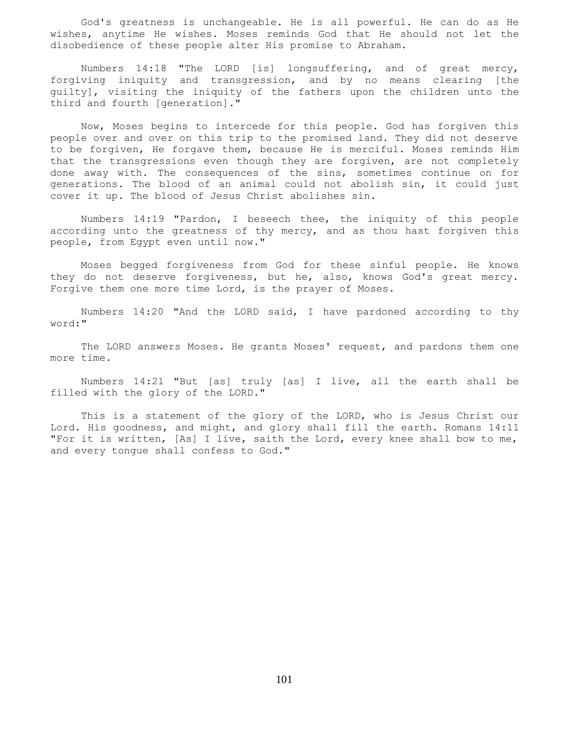God's greatness is unchangeable. He is all powerful. He can do as He wishes, anytime He wishes. Moses reminds God that He should not let the disobedience of these people alter His promise to Abraham.

 Numbers 14:18 "The LORD [is] longsuffering, and of great mercy, forgiving iniquity and transgression, and by no means clearing [the guilty], visiting the iniquity of the fathers upon the children unto the third and fourth [generation]."

 Now, Moses begins to intercede for this people. God has forgiven this people over and over on this trip to the promised land. They did not deserve to be forgiven, He forgave them, because He is merciful. Moses reminds Him that the transgressions even though they are forgiven, are not completely done away with. The consequences of the sins, sometimes continue on for generations. The blood of an animal could not abolish sin, it could just cover it up. The blood of Jesus Christ abolishes sin.

 Numbers 14:19 "Pardon, I beseech thee, the iniquity of this people according unto the greatness of thy mercy, and as thou hast forgiven this people, from Egypt even until now."

 Moses begged forgiveness from God for these sinful people. He knows they do not deserve forgiveness, but he, also, knows God's great mercy. Forgive them one more time Lord, is the prayer of Moses.

 Numbers 14:20 "And the LORD said, I have pardoned according to thy word:"

 The LORD answers Moses. He grants Moses' request, and pardons them one more time.

 Numbers 14:21 "But [as] truly [as] I live, all the earth shall be filled with the glory of the LORD."

 This is a statement of the glory of the LORD, who is Jesus Christ our Lord. His goodness, and might, and glory shall fill the earth. Romans 14:11 "For it is written, [As] I live, saith the Lord, every knee shall bow to me, and every tongue shall confess to God."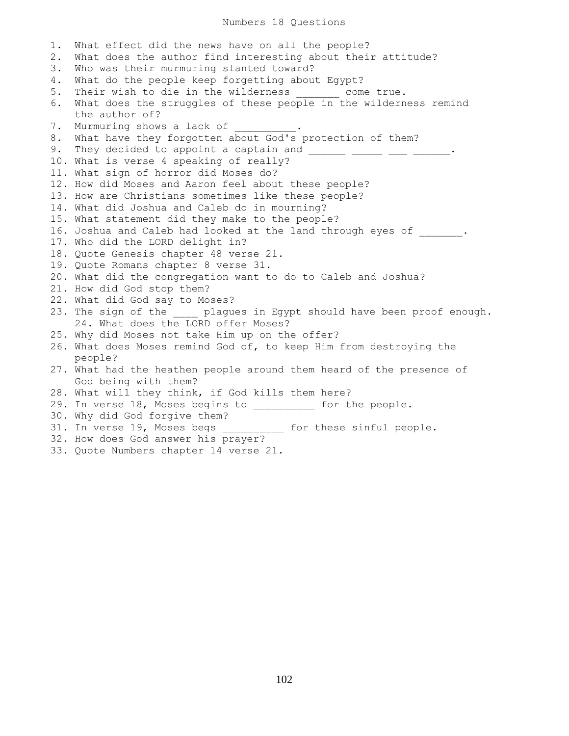Numbers 18 Questions

1. What effect did the news have on all the people? 2. What does the author find interesting about their attitude? 3. Who was their murmuring slanted toward? 4. What do the people keep forgetting about Egypt? 5. Their wish to die in the wilderness come true. 6. What does the struggles of these people in the wilderness remind the author of? 7. Murmuring shows a lack of 8. What have they forgotten about God's protection of them? 9. They decided to appoint a captain and \_\_\_\_\_\_ \_\_\_\_\_ \_\_\_ \_\_\_\_\_. 10. What is verse 4 speaking of really? 11. What sign of horror did Moses do? 12. How did Moses and Aaron feel about these people? 13. How are Christians sometimes like these people? 14. What did Joshua and Caleb do in mourning? 15. What statement did they make to the people? 16. Joshua and Caleb had looked at the land through eyes of . 17. Who did the LORD delight in? 18. Quote Genesis chapter 48 verse 21. 19. Quote Romans chapter 8 verse 31. 20. What did the congregation want to do to Caleb and Joshua? 21. How did God stop them? 22. What did God say to Moses? 23. The sign of the \_\_\_\_ plagues in Egypt should have been proof enough. 24. What does the LORD offer Moses? 25. Why did Moses not take Him up on the offer? 26. What does Moses remind God of, to keep Him from destroying the people? 27. What had the heathen people around them heard of the presence of God being with them? 28. What will they think, if God kills them here? 29. In verse 18, Moses begins to \_\_\_\_\_\_\_\_\_\_ for the people. 30. Why did God forgive them? 31. In verse 19, Moses begs \_\_\_\_\_\_\_\_\_\_\_ for these sinful people. 32. How does God answer his prayer?

33. Quote Numbers chapter 14 verse 21.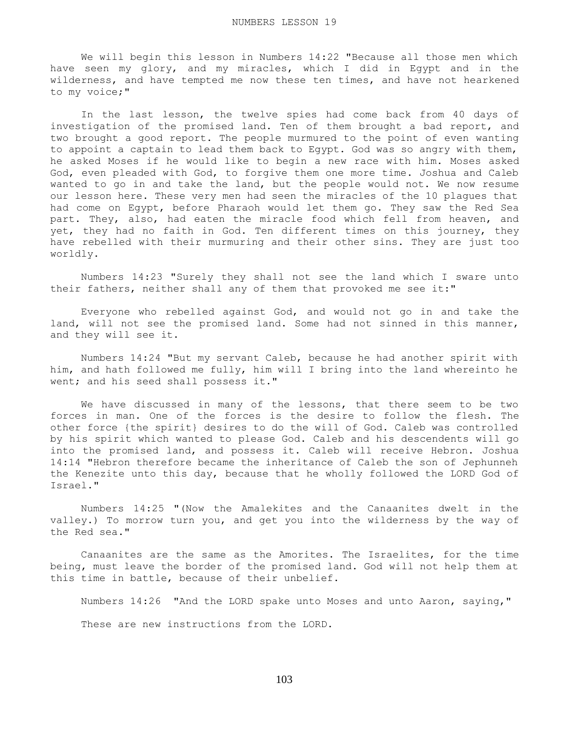We will begin this lesson in Numbers 14:22 "Because all those men which have seen my glory, and my miracles, which I did in Egypt and in the wilderness, and have tempted me now these ten times, and have not hearkened to my voice;"

 In the last lesson, the twelve spies had come back from 40 days of investigation of the promised land. Ten of them brought a bad report, and two brought a good report. The people murmured to the point of even wanting to appoint a captain to lead them back to Egypt. God was so angry with them, he asked Moses if he would like to begin a new race with him. Moses asked God, even pleaded with God, to forgive them one more time. Joshua and Caleb wanted to go in and take the land, but the people would not. We now resume our lesson here. These very men had seen the miracles of the 10 plagues that had come on Egypt, before Pharaoh would let them go. They saw the Red Sea part. They, also, had eaten the miracle food which fell from heaven, and yet, they had no faith in God. Ten different times on this journey, they have rebelled with their murmuring and their other sins. They are just too worldly.

 Numbers 14:23 "Surely they shall not see the land which I sware unto their fathers, neither shall any of them that provoked me see it:"

 Everyone who rebelled against God, and would not go in and take the land, will not see the promised land. Some had not sinned in this manner, and they will see it.

 Numbers 14:24 "But my servant Caleb, because he had another spirit with him, and hath followed me fully, him will I bring into the land whereinto he went; and his seed shall possess it."

 We have discussed in many of the lessons, that there seem to be two forces in man. One of the forces is the desire to follow the flesh. The other force {the spirit} desires to do the will of God. Caleb was controlled by his spirit which wanted to please God. Caleb and his descendents will go into the promised land, and possess it. Caleb will receive Hebron. Joshua 14:14 "Hebron therefore became the inheritance of Caleb the son of Jephunneh the Kenezite unto this day, because that he wholly followed the LORD God of Israel."

 Numbers 14:25 "(Now the Amalekites and the Canaanites dwelt in the valley.) To morrow turn you, and get you into the wilderness by the way of the Red sea."

 Canaanites are the same as the Amorites. The Israelites, for the time being, must leave the border of the promised land. God will not help them at this time in battle, because of their unbelief.

Numbers 14:26 "And the LORD spake unto Moses and unto Aaron, saying,"

These are new instructions from the LORD.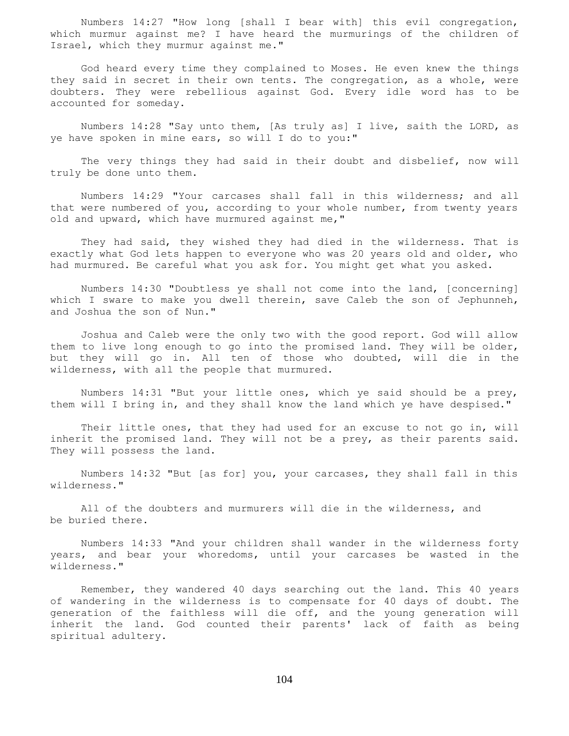Numbers 14:27 "How long [shall I bear with] this evil congregation, which murmur against me? I have heard the murmurings of the children of Israel, which they murmur against me."

 God heard every time they complained to Moses. He even knew the things they said in secret in their own tents. The congregation, as a whole, were doubters. They were rebellious against God. Every idle word has to be accounted for someday.

 Numbers 14:28 "Say unto them, [As truly as] I live, saith the LORD, as ye have spoken in mine ears, so will I do to you:"

 The very things they had said in their doubt and disbelief, now will truly be done unto them.

 Numbers 14:29 "Your carcases shall fall in this wilderness; and all that were numbered of you, according to your whole number, from twenty years old and upward, which have murmured against me,"

 They had said, they wished they had died in the wilderness. That is exactly what God lets happen to everyone who was 20 years old and older, who had murmured. Be careful what you ask for. You might get what you asked.

 Numbers 14:30 "Doubtless ye shall not come into the land, [concerning] which I sware to make you dwell therein, save Caleb the son of Jephunneh, and Joshua the son of Nun."

 Joshua and Caleb were the only two with the good report. God will allow them to live long enough to go into the promised land. They will be older, but they will go in. All ten of those who doubted, will die in the wilderness, with all the people that murmured.

 Numbers 14:31 "But your little ones, which ye said should be a prey, them will I bring in, and they shall know the land which ye have despised."

 Their little ones, that they had used for an excuse to not go in, will inherit the promised land. They will not be a prey, as their parents said. They will possess the land.

 Numbers 14:32 "But [as for] you, your carcases, they shall fall in this wilderness."

 All of the doubters and murmurers will die in the wilderness, and be buried there.

 Numbers 14:33 "And your children shall wander in the wilderness forty years, and bear your whoredoms, until your carcases be wasted in the wilderness."

 Remember, they wandered 40 days searching out the land. This 40 years of wandering in the wilderness is to compensate for 40 days of doubt. The generation of the faithless will die off, and the young generation will inherit the land. God counted their parents' lack of faith as being spiritual adultery.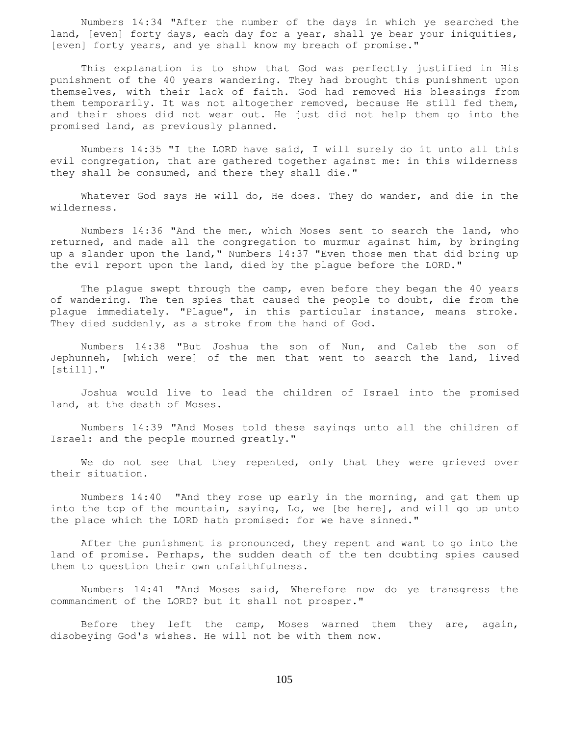Numbers 14:34 "After the number of the days in which ye searched the land, [even] forty days, each day for a year, shall ye bear your iniquities, [even] forty years, and ye shall know my breach of promise."

 This explanation is to show that God was perfectly justified in His punishment of the 40 years wandering. They had brought this punishment upon themselves, with their lack of faith. God had removed His blessings from them temporarily. It was not altogether removed, because He still fed them, and their shoes did not wear out. He just did not help them go into the promised land, as previously planned.

 Numbers 14:35 "I the LORD have said, I will surely do it unto all this evil congregation, that are gathered together against me: in this wilderness they shall be consumed, and there they shall die."

Whatever God says He will do, He does. They do wander, and die in the wilderness.

 Numbers 14:36 "And the men, which Moses sent to search the land, who returned, and made all the congregation to murmur against him, by bringing up a slander upon the land," Numbers 14:37 "Even those men that did bring up the evil report upon the land, died by the plague before the LORD."

 The plague swept through the camp, even before they began the 40 years of wandering. The ten spies that caused the people to doubt, die from the plague immediately. "Plague", in this particular instance, means stroke. They died suddenly, as a stroke from the hand of God.

 Numbers 14:38 "But Joshua the son of Nun, and Caleb the son of Jephunneh, [which were] of the men that went to search the land, lived [still]."

 Joshua would live to lead the children of Israel into the promised land, at the death of Moses.

 Numbers 14:39 "And Moses told these sayings unto all the children of Israel: and the people mourned greatly."

We do not see that they repented, only that they were grieved over their situation.

 Numbers 14:40 "And they rose up early in the morning, and gat them up into the top of the mountain, saying, Lo, we [be here], and will go up unto the place which the LORD hath promised: for we have sinned."

 After the punishment is pronounced, they repent and want to go into the land of promise. Perhaps, the sudden death of the ten doubting spies caused them to question their own unfaithfulness.

 Numbers 14:41 "And Moses said, Wherefore now do ye transgress the commandment of the LORD? but it shall not prosper."

 Before they left the camp, Moses warned them they are, again, disobeying God's wishes. He will not be with them now.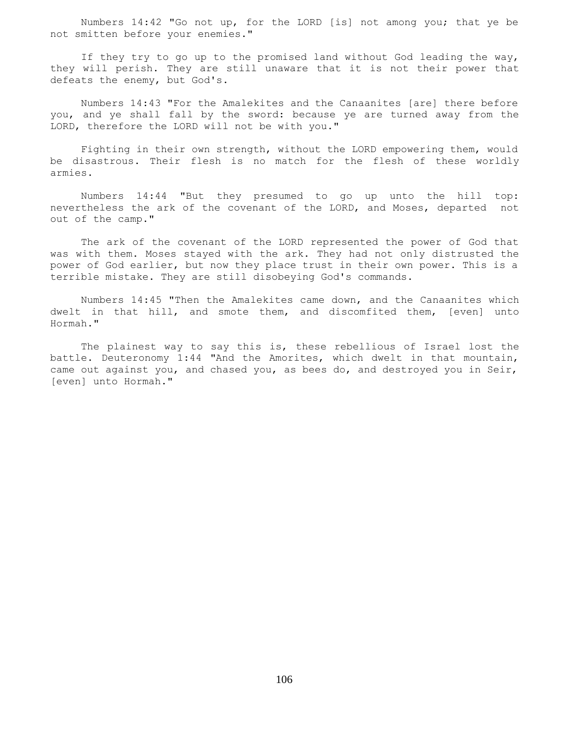Numbers 14:42 "Go not up, for the LORD [is] not among you; that ye be not smitten before your enemies."

 If they try to go up to the promised land without God leading the way, they will perish. They are still unaware that it is not their power that defeats the enemy, but God's.

 Numbers 14:43 "For the Amalekites and the Canaanites [are] there before you, and ye shall fall by the sword: because ye are turned away from the LORD, therefore the LORD will not be with you."

 Fighting in their own strength, without the LORD empowering them, would be disastrous. Their flesh is no match for the flesh of these worldly armies.

 Numbers 14:44 "But they presumed to go up unto the hill top: nevertheless the ark of the covenant of the LORD, and Moses, departed not out of the camp."

 The ark of the covenant of the LORD represented the power of God that was with them. Moses stayed with the ark. They had not only distrusted the power of God earlier, but now they place trust in their own power. This is a terrible mistake. They are still disobeying God's commands.

 Numbers 14:45 "Then the Amalekites came down, and the Canaanites which dwelt in that hill, and smote them, and discomfited them, [even] unto Hormah."

 The plainest way to say this is, these rebellious of Israel lost the battle. Deuteronomy 1:44 "And the Amorites, which dwelt in that mountain, came out against you, and chased you, as bees do, and destroyed you in Seir, [even] unto Hormah."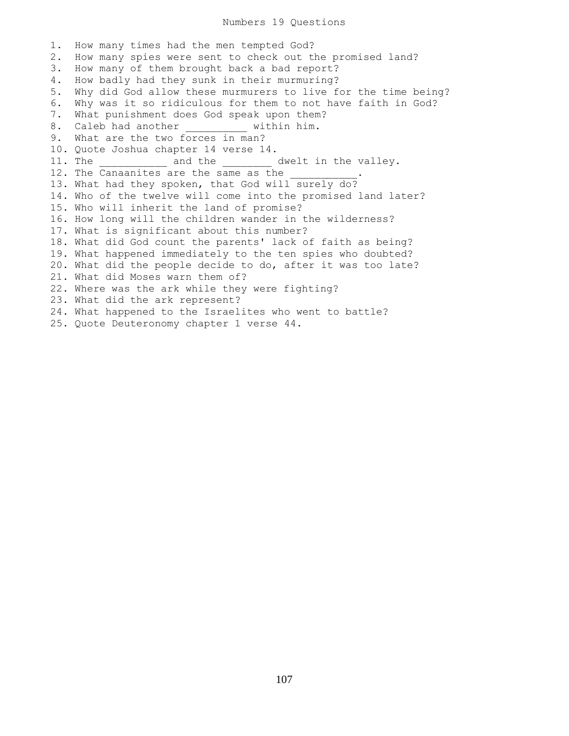1. How many times had the men tempted God? 2. How many spies were sent to check out the promised land? 3. How many of them brought back a bad report? 4. How badly had they sunk in their murmuring? 5. Why did God allow these murmurers to live for the time being? 6. Why was it so ridiculous for them to not have faith in God? 7. What punishment does God speak upon them? 8. Caleb had another \_\_\_\_\_\_\_\_\_\_ within him. 9. What are the two forces in man? 10. Quote Joshua chapter 14 verse 14. 11. The \_\_\_\_\_\_\_\_\_\_\_\_ and the \_\_\_\_\_\_\_\_\_ dwelt in the valley. 12. The Canaanites are the same as the 13. What had they spoken, that God will surely do? 14. Who of the twelve will come into the promised land later? 15. Who will inherit the land of promise? 16. How long will the children wander in the wilderness? 17. What is significant about this number? 18. What did God count the parents' lack of faith as being? 19. What happened immediately to the ten spies who doubted? 20. What did the people decide to do, after it was too late? 21. What did Moses warn them of? 22. Where was the ark while they were fighting? 23. What did the ark represent? 24. What happened to the Israelites who went to battle? 25. Quote Deuteronomy chapter 1 verse 44.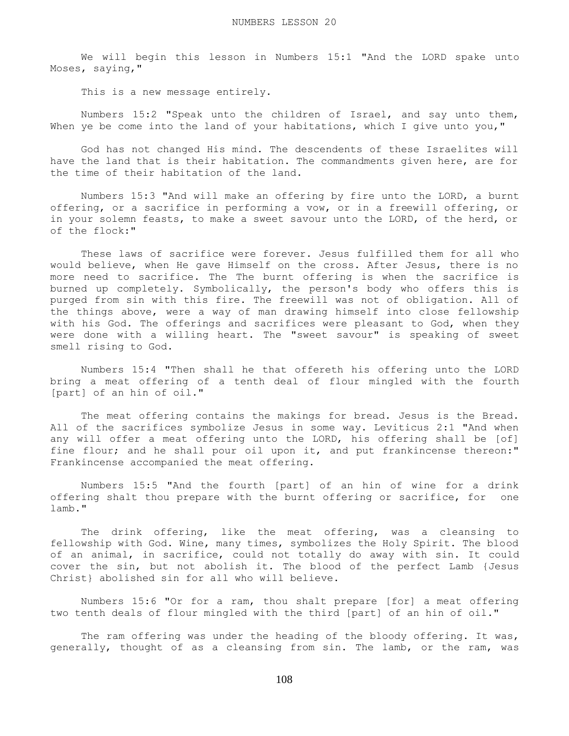We will begin this lesson in Numbers 15:1 "And the LORD spake unto Moses, saying,"

This is a new message entirely.

 Numbers 15:2 "Speak unto the children of Israel, and say unto them, When ye be come into the land of your habitations, which I give unto you,"

 God has not changed His mind. The descendents of these Israelites will have the land that is their habitation. The commandments given here, are for the time of their habitation of the land.

 Numbers 15:3 "And will make an offering by fire unto the LORD, a burnt offering, or a sacrifice in performing a vow, or in a freewill offering, or in your solemn feasts, to make a sweet savour unto the LORD, of the herd, or of the flock:"

 These laws of sacrifice were forever. Jesus fulfilled them for all who would believe, when He gave Himself on the cross. After Jesus, there is no more need to sacrifice. The The burnt offering is when the sacrifice is burned up completely. Symbolically, the person's body who offers this is purged from sin with this fire. The freewill was not of obligation. All of the things above, were a way of man drawing himself into close fellowship with his God. The offerings and sacrifices were pleasant to God, when they were done with a willing heart. The "sweet savour" is speaking of sweet smell rising to God.

 Numbers 15:4 "Then shall he that offereth his offering unto the LORD bring a meat offering of a tenth deal of flour mingled with the fourth [part] of an hin of oil."

 The meat offering contains the makings for bread. Jesus is the Bread. All of the sacrifices symbolize Jesus in some way. Leviticus 2:1 "And when any will offer a meat offering unto the LORD, his offering shall be [of] fine flour; and he shall pour oil upon it, and put frankincense thereon:" Frankincense accompanied the meat offering.

 Numbers 15:5 "And the fourth [part] of an hin of wine for a drink offering shalt thou prepare with the burnt offering or sacrifice, for one lamb."

 The drink offering, like the meat offering, was a cleansing to fellowship with God. Wine, many times, symbolizes the Holy Spirit. The blood of an animal, in sacrifice, could not totally do away with sin. It could cover the sin, but not abolish it. The blood of the perfect Lamb {Jesus Christ} abolished sin for all who will believe.

 Numbers 15:6 "Or for a ram, thou shalt prepare [for] a meat offering two tenth deals of flour mingled with the third [part] of an hin of oil."

The ram offering was under the heading of the bloody offering. It was, generally, thought of as a cleansing from sin. The lamb, or the ram, was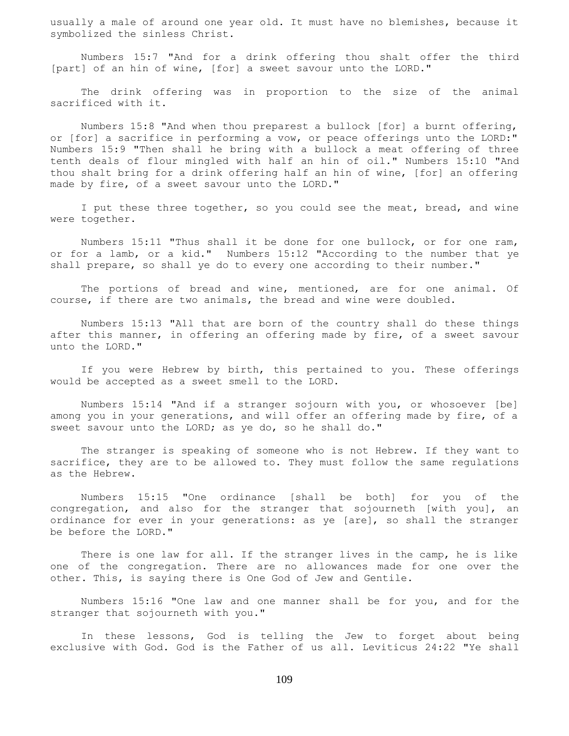usually a male of around one year old. It must have no blemishes, because it symbolized the sinless Christ.

 Numbers 15:7 "And for a drink offering thou shalt offer the third [part] of an hin of wine, [for] a sweet savour unto the LORD."

 The drink offering was in proportion to the size of the animal sacrificed with it.

 Numbers 15:8 "And when thou preparest a bullock [for] a burnt offering, or [for] a sacrifice in performing a vow, or peace offerings unto the LORD:" Numbers 15:9 "Then shall he bring with a bullock a meat offering of three tenth deals of flour mingled with half an hin of oil." Numbers 15:10 "And thou shalt bring for a drink offering half an hin of wine, [for] an offering made by fire, of a sweet savour unto the LORD."

 I put these three together, so you could see the meat, bread, and wine were together.

 Numbers 15:11 "Thus shall it be done for one bullock, or for one ram, or for a lamb, or a kid." Numbers 15:12 "According to the number that ye shall prepare, so shall ye do to every one according to their number."

 The portions of bread and wine, mentioned, are for one animal. Of course, if there are two animals, the bread and wine were doubled.

 Numbers 15:13 "All that are born of the country shall do these things after this manner, in offering an offering made by fire, of a sweet savour unto the LORD."

 If you were Hebrew by birth, this pertained to you. These offerings would be accepted as a sweet smell to the LORD.

 Numbers 15:14 "And if a stranger sojourn with you, or whosoever [be] among you in your generations, and will offer an offering made by fire, of a sweet savour unto the LORD; as ye do, so he shall do."

 The stranger is speaking of someone who is not Hebrew. If they want to sacrifice, they are to be allowed to. They must follow the same regulations as the Hebrew.

 Numbers 15:15 "One ordinance [shall be both] for you of the congregation, and also for the stranger that sojourneth [with you], an ordinance for ever in your generations: as ye [are], so shall the stranger be before the LORD."

 There is one law for all. If the stranger lives in the camp, he is like one of the congregation. There are no allowances made for one over the other. This, is saying there is One God of Jew and Gentile.

 Numbers 15:16 "One law and one manner shall be for you, and for the stranger that sojourneth with you."

 In these lessons, God is telling the Jew to forget about being exclusive with God. God is the Father of us all. Leviticus 24:22 "Ye shall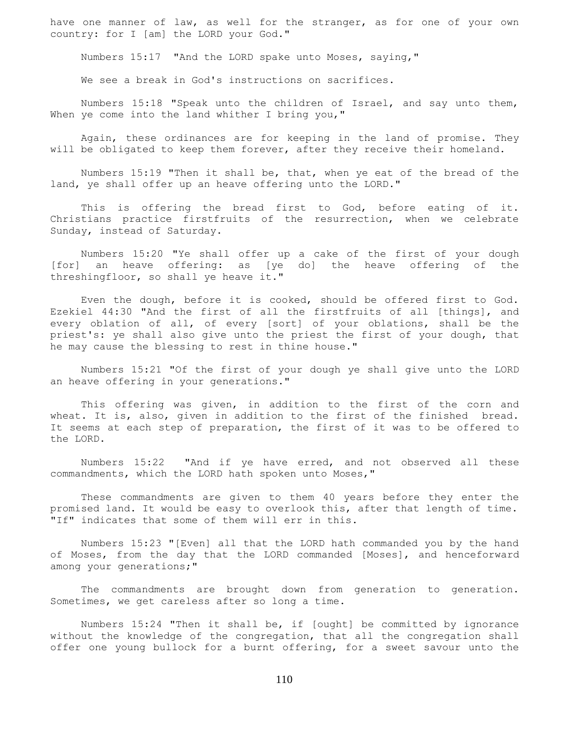have one manner of law, as well for the stranger, as for one of your own country: for I [am] the LORD your God."

Numbers 15:17 "And the LORD spake unto Moses, saying,"

We see a break in God's instructions on sacrifices.

 Numbers 15:18 "Speak unto the children of Israel, and say unto them, When ye come into the land whither I bring you,"

 Again, these ordinances are for keeping in the land of promise. They will be obligated to keep them forever, after they receive their homeland.

 Numbers 15:19 "Then it shall be, that, when ye eat of the bread of the land, ye shall offer up an heave offering unto the LORD."

 This is offering the bread first to God, before eating of it. Christians practice firstfruits of the resurrection, when we celebrate Sunday, instead of Saturday.

 Numbers 15:20 "Ye shall offer up a cake of the first of your dough [for] an heave offering: as [ye do] the heave offering of the threshingfloor, so shall ye heave it."

 Even the dough, before it is cooked, should be offered first to God. Ezekiel 44:30 "And the first of all the firstfruits of all [things], and every oblation of all, of every [sort] of your oblations, shall be the priest's: ye shall also give unto the priest the first of your dough, that he may cause the blessing to rest in thine house."

 Numbers 15:21 "Of the first of your dough ye shall give unto the LORD an heave offering in your generations."

 This offering was given, in addition to the first of the corn and wheat. It is, also, given in addition to the first of the finished bread. It seems at each step of preparation, the first of it was to be offered to the LORD.

 Numbers 15:22 "And if ye have erred, and not observed all these commandments, which the LORD hath spoken unto Moses,"

 These commandments are given to them 40 years before they enter the promised land. It would be easy to overlook this, after that length of time. "If" indicates that some of them will err in this.

 Numbers 15:23 "[Even] all that the LORD hath commanded you by the hand of Moses, from the day that the LORD commanded [Moses], and henceforward among your generations;"

The commandments are brought down from generation to generation. Sometimes, we get careless after so long a time.

 Numbers 15:24 "Then it shall be, if [ought] be committed by ignorance without the knowledge of the congregation, that all the congregation shall offer one young bullock for a burnt offering, for a sweet savour unto the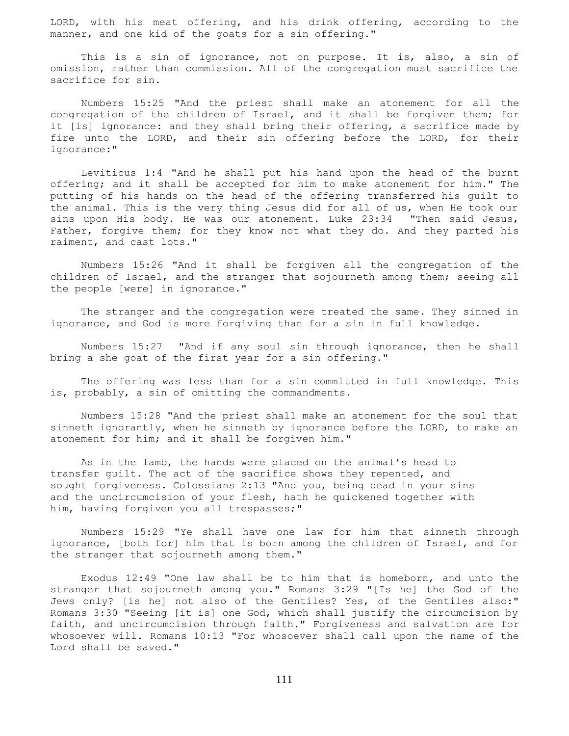LORD, with his meat offering, and his drink offering, according to the manner, and one kid of the goats for a sin offering."

 This is a sin of ignorance, not on purpose. It is, also, a sin of omission, rather than commission. All of the congregation must sacrifice the sacrifice for sin.

 Numbers 15:25 "And the priest shall make an atonement for all the congregation of the children of Israel, and it shall be forgiven them; for it [is] ignorance: and they shall bring their offering, a sacrifice made by fire unto the LORD, and their sin offering before the LORD, for their ignorance:"

 Leviticus 1:4 "And he shall put his hand upon the head of the burnt offering; and it shall be accepted for him to make atonement for him." The putting of his hands on the head of the offering transferred his guilt to the animal. This is the very thing Jesus did for all of us, when He took our sins upon His body. He was our atonement. Luke 23:34 "Then said Jesus, Father, forgive them; for they know not what they do. And they parted his raiment, and cast lots."

 Numbers 15:26 "And it shall be forgiven all the congregation of the children of Israel, and the stranger that sojourneth among them; seeing all the people [were] in ignorance."

 The stranger and the congregation were treated the same. They sinned in ignorance, and God is more forgiving than for a sin in full knowledge.

 Numbers 15:27 "And if any soul sin through ignorance, then he shall bring a she goat of the first year for a sin offering."

 The offering was less than for a sin committed in full knowledge. This is, probably, a sin of omitting the commandments.

 Numbers 15:28 "And the priest shall make an atonement for the soul that sinneth ignorantly, when he sinneth by ignorance before the LORD, to make an atonement for him; and it shall be forgiven him."

 As in the lamb, the hands were placed on the animal's head to transfer guilt. The act of the sacrifice shows they repented, and sought forgiveness. Colossians 2:13 "And you, being dead in your sins and the uncircumcision of your flesh, hath he quickened together with him, having forgiven you all trespasses;"

 Numbers 15:29 "Ye shall have one law for him that sinneth through ignorance, [both for] him that is born among the children of Israel, and for the stranger that sojourneth among them."

 Exodus 12:49 "One law shall be to him that is homeborn, and unto the stranger that sojourneth among you." Romans 3:29 "[Is he] the God of the Jews only? [is he] not also of the Gentiles? Yes, of the Gentiles also:" Romans 3:30 "Seeing [it is] one God, which shall justify the circumcision by faith, and uncircumcision through faith." Forgiveness and salvation are for whosoever will. Romans 10:13 "For whosoever shall call upon the name of the Lord shall be saved."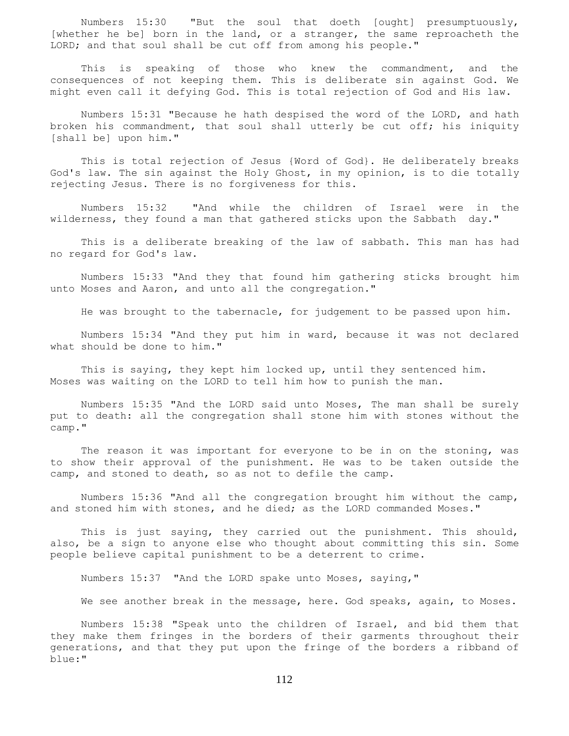Numbers 15:30 "But the soul that doeth [ought] presumptuously, [whether he be] born in the land, or a stranger, the same reproacheth the LORD; and that soul shall be cut off from among his people."

 This is speaking of those who knew the commandment, and the consequences of not keeping them. This is deliberate sin against God. We might even call it defying God. This is total rejection of God and His law.

 Numbers 15:31 "Because he hath despised the word of the LORD, and hath broken his commandment, that soul shall utterly be cut off; his iniquity [shall be] upon him."

 This is total rejection of Jesus {Word of God}. He deliberately breaks God's law. The sin against the Holy Ghost, in my opinion, is to die totally rejecting Jesus. There is no forgiveness for this.

 Numbers 15:32 "And while the children of Israel were in the wilderness, they found a man that gathered sticks upon the Sabbath day."

 This is a deliberate breaking of the law of sabbath. This man has had no regard for God's law.

 Numbers 15:33 "And they that found him gathering sticks brought him unto Moses and Aaron, and unto all the congregation."

He was brought to the tabernacle, for judgement to be passed upon him.

 Numbers 15:34 "And they put him in ward, because it was not declared what should be done to him."

 This is saying, they kept him locked up, until they sentenced him. Moses was waiting on the LORD to tell him how to punish the man.

 Numbers 15:35 "And the LORD said unto Moses, The man shall be surely put to death: all the congregation shall stone him with stones without the camp."

 The reason it was important for everyone to be in on the stoning, was to show their approval of the punishment. He was to be taken outside the camp, and stoned to death, so as not to defile the camp.

 Numbers 15:36 "And all the congregation brought him without the camp, and stoned him with stones, and he died; as the LORD commanded Moses."

 This is just saying, they carried out the punishment. This should, also, be a sign to anyone else who thought about committing this sin. Some people believe capital punishment to be a deterrent to crime.

Numbers 15:37 "And the LORD spake unto Moses, saying,"

We see another break in the message, here. God speaks, again, to Moses.

 Numbers 15:38 "Speak unto the children of Israel, and bid them that they make them fringes in the borders of their garments throughout their generations, and that they put upon the fringe of the borders a ribband of blue:"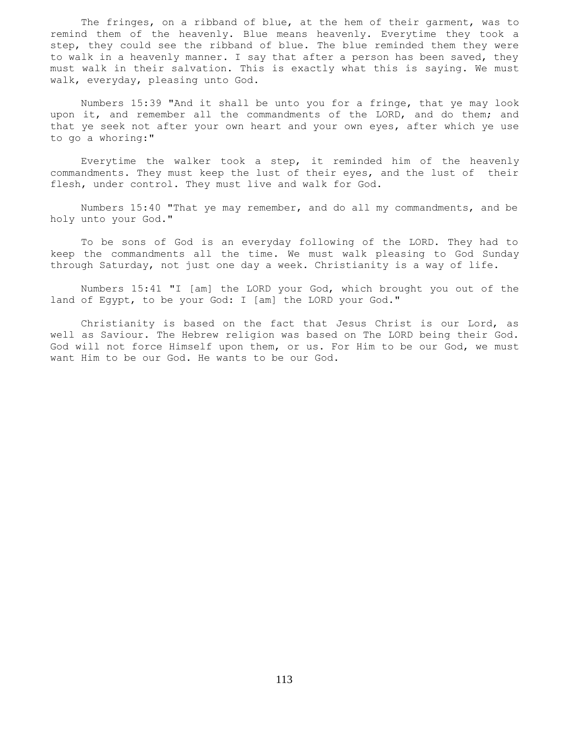The fringes, on a ribband of blue, at the hem of their garment, was to remind them of the heavenly. Blue means heavenly. Everytime they took a step, they could see the ribband of blue. The blue reminded them they were to walk in a heavenly manner. I say that after a person has been saved, they must walk in their salvation. This is exactly what this is saying. We must walk, everyday, pleasing unto God.

 Numbers 15:39 "And it shall be unto you for a fringe, that ye may look upon it, and remember all the commandments of the LORD, and do them; and that ye seek not after your own heart and your own eyes, after which ye use to go a whoring:"

 Everytime the walker took a step, it reminded him of the heavenly commandments. They must keep the lust of their eyes, and the lust of their flesh, under control. They must live and walk for God.

 Numbers 15:40 "That ye may remember, and do all my commandments, and be holy unto your God."

 To be sons of God is an everyday following of the LORD. They had to keep the commandments all the time. We must walk pleasing to God Sunday through Saturday, not just one day a week. Christianity is a way of life.

 Numbers 15:41 "I [am] the LORD your God, which brought you out of the land of Egypt, to be your God: I [am] the LORD your God."

 Christianity is based on the fact that Jesus Christ is our Lord, as well as Saviour. The Hebrew religion was based on The LORD being their God. God will not force Himself upon them, or us. For Him to be our God, we must want Him to be our God. He wants to be our God.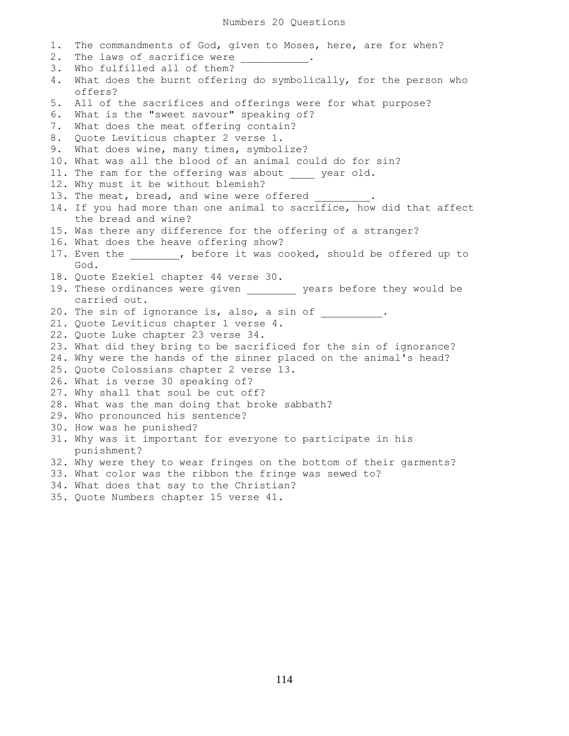1. The commandments of God, given to Moses, here, are for when? 2. The laws of sacrifice were \_\_\_\_\_\_\_\_\_\_\_\_. 3. Who fulfilled all of them? 4. What does the burnt offering do symbolically, for the person who offers? 5. All of the sacrifices and offerings were for what purpose? 6. What is the "sweet savour" speaking of? 7. What does the meat offering contain? 8. Quote Leviticus chapter 2 verse 1. 9. What does wine, many times, symbolize? 10. What was all the blood of an animal could do for sin? 11. The ram for the offering was about year old. 12. Why must it be without blemish? 13. The meat, bread, and wine were offered 14. If you had more than one animal to sacrifice, how did that affect the bread and wine? 15. Was there any difference for the offering of a stranger? 16. What does the heave offering show? 17. Even the  $\qquad \qquad$ , before it was cooked, should be offered up to God. 18. Quote Ezekiel chapter 44 verse 30. 19. These ordinances were given \_\_\_\_\_\_\_\_ years before they would be carried out. 20. The sin of ignorance is, also, a sin of \_\_\_\_\_\_\_\_\_\_. 21. Quote Leviticus chapter 1 verse 4. 22. Quote Luke chapter 23 verse 34. 23. What did they bring to be sacrificed for the sin of ignorance? 24. Why were the hands of the sinner placed on the animal's head? 25. Quote Colossians chapter 2 verse 13. 26. What is verse 30 speaking of? 27. Why shall that soul be cut off? 28. What was the man doing that broke sabbath? 29. Who pronounced his sentence? 30. How was he punished? 31. Why was it important for everyone to participate in his punishment? 32. Why were they to wear fringes on the bottom of their garments? 33. What color was the ribbon the fringe was sewed to? 34. What does that say to the Christian? 35. Quote Numbers chapter 15 verse 41.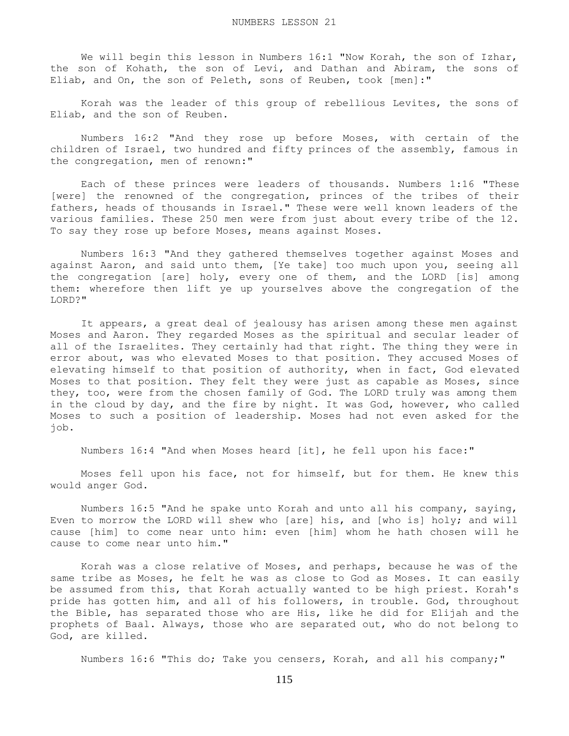We will begin this lesson in Numbers 16:1 "Now Korah, the son of Izhar, the son of Kohath, the son of Levi, and Dathan and Abiram, the sons of Eliab, and On, the son of Peleth, sons of Reuben, took [men]:"

 Korah was the leader of this group of rebellious Levites, the sons of Eliab, and the son of Reuben.

 Numbers 16:2 "And they rose up before Moses, with certain of the children of Israel, two hundred and fifty princes of the assembly, famous in the congregation, men of renown:"

 Each of these princes were leaders of thousands. Numbers 1:16 "These [were] the renowned of the congregation, princes of the tribes of their fathers, heads of thousands in Israel." These were well known leaders of the various families. These 250 men were from just about every tribe of the 12. To say they rose up before Moses, means against Moses.

 Numbers 16:3 "And they gathered themselves together against Moses and against Aaron, and said unto them, [Ye take] too much upon you, seeing all the congregation [are] holy, every one of them, and the LORD [is] among them: wherefore then lift ye up yourselves above the congregation of the LORD?"

 It appears, a great deal of jealousy has arisen among these men against Moses and Aaron. They regarded Moses as the spiritual and secular leader of all of the Israelites. They certainly had that right. The thing they were in error about, was who elevated Moses to that position. They accused Moses of elevating himself to that position of authority, when in fact, God elevated Moses to that position. They felt they were just as capable as Moses, since they, too, were from the chosen family of God. The LORD truly was among them in the cloud by day, and the fire by night. It was God, however, who called Moses to such a position of leadership. Moses had not even asked for the job.

Numbers 16:4 "And when Moses heard [it], he fell upon his face:"

 Moses fell upon his face, not for himself, but for them. He knew this would anger God.

 Numbers 16:5 "And he spake unto Korah and unto all his company, saying, Even to morrow the LORD will shew who [are] his, and [who is] holy; and will cause [him] to come near unto him: even [him] whom he hath chosen will he cause to come near unto him."

 Korah was a close relative of Moses, and perhaps, because he was of the same tribe as Moses, he felt he was as close to God as Moses. It can easily be assumed from this, that Korah actually wanted to be high priest. Korah's pride has gotten him, and all of his followers, in trouble. God, throughout the Bible, has separated those who are His, like he did for Elijah and the prophets of Baal. Always, those who are separated out, who do not belong to God, are killed.

Numbers 16:6 "This do; Take you censers, Korah, and all his company;"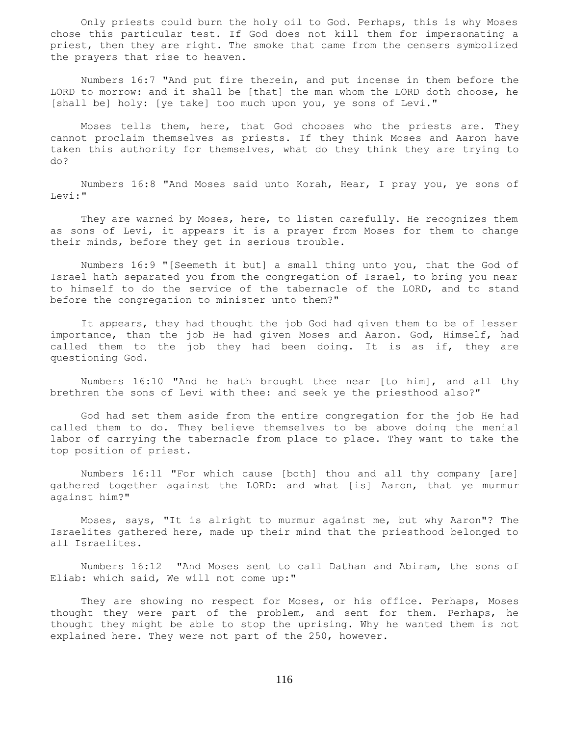Only priests could burn the holy oil to God. Perhaps, this is why Moses chose this particular test. If God does not kill them for impersonating a priest, then they are right. The smoke that came from the censers symbolized the prayers that rise to heaven.

 Numbers 16:7 "And put fire therein, and put incense in them before the LORD to morrow: and it shall be [that] the man whom the LORD doth choose, he [shall be] holy: [ye take] too much upon you, ye sons of Levi."

 Moses tells them, here, that God chooses who the priests are. They cannot proclaim themselves as priests. If they think Moses and Aaron have taken this authority for themselves, what do they think they are trying to do?

 Numbers 16:8 "And Moses said unto Korah, Hear, I pray you, ye sons of Levi:"

 They are warned by Moses, here, to listen carefully. He recognizes them as sons of Levi, it appears it is a prayer from Moses for them to change their minds, before they get in serious trouble.

 Numbers 16:9 "[Seemeth it but] a small thing unto you, that the God of Israel hath separated you from the congregation of Israel, to bring you near to himself to do the service of the tabernacle of the LORD, and to stand before the congregation to minister unto them?"

 It appears, they had thought the job God had given them to be of lesser importance, than the job He had given Moses and Aaron. God, Himself, had called them to the job they had been doing. It is as if, they are questioning God.

 Numbers 16:10 "And he hath brought thee near [to him], and all thy brethren the sons of Levi with thee: and seek ye the priesthood also?"

 God had set them aside from the entire congregation for the job He had called them to do. They believe themselves to be above doing the menial labor of carrying the tabernacle from place to place. They want to take the top position of priest.

 Numbers 16:11 "For which cause [both] thou and all thy company [are] gathered together against the LORD: and what [is] Aaron, that ye murmur against him?"

 Moses, says, "It is alright to murmur against me, but why Aaron"? The Israelites gathered here, made up their mind that the priesthood belonged to all Israelites.

 Numbers 16:12 "And Moses sent to call Dathan and Abiram, the sons of Eliab: which said, We will not come up:"

 They are showing no respect for Moses, or his office. Perhaps, Moses thought they were part of the problem, and sent for them. Perhaps, he thought they might be able to stop the uprising. Why he wanted them is not explained here. They were not part of the 250, however.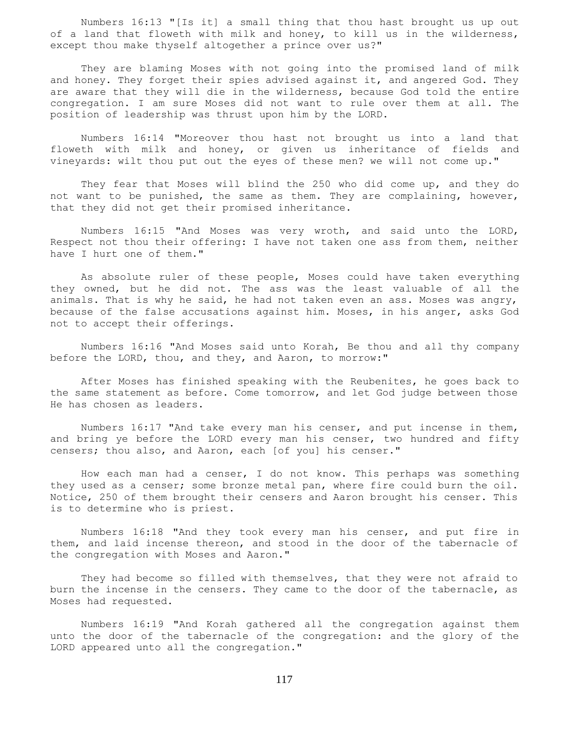Numbers 16:13 "[Is it] a small thing that thou hast brought us up out of a land that floweth with milk and honey, to kill us in the wilderness, except thou make thyself altogether a prince over us?"

 They are blaming Moses with not going into the promised land of milk and honey. They forget their spies advised against it, and angered God. They are aware that they will die in the wilderness, because God told the entire congregation. I am sure Moses did not want to rule over them at all. The position of leadership was thrust upon him by the LORD.

 Numbers 16:14 "Moreover thou hast not brought us into a land that floweth with milk and honey, or given us inheritance of fields and vineyards: wilt thou put out the eyes of these men? we will not come up."

 They fear that Moses will blind the 250 who did come up, and they do not want to be punished, the same as them. They are complaining, however, that they did not get their promised inheritance.

 Numbers 16:15 "And Moses was very wroth, and said unto the LORD, Respect not thou their offering: I have not taken one ass from them, neither have I hurt one of them."

 As absolute ruler of these people, Moses could have taken everything they owned, but he did not. The ass was the least valuable of all the animals. That is why he said, he had not taken even an ass. Moses was angry, because of the false accusations against him. Moses, in his anger, asks God not to accept their offerings.

 Numbers 16:16 "And Moses said unto Korah, Be thou and all thy company before the LORD, thou, and they, and Aaron, to morrow:"

 After Moses has finished speaking with the Reubenites, he goes back to the same statement as before. Come tomorrow, and let God judge between those He has chosen as leaders.

 Numbers 16:17 "And take every man his censer, and put incense in them, and bring ye before the LORD every man his censer, two hundred and fifty censers; thou also, and Aaron, each [of you] his censer."

 How each man had a censer, I do not know. This perhaps was something they used as a censer; some bronze metal pan, where fire could burn the oil. Notice, 250 of them brought their censers and Aaron brought his censer. This is to determine who is priest.

 Numbers 16:18 "And they took every man his censer, and put fire in them, and laid incense thereon, and stood in the door of the tabernacle of the congregation with Moses and Aaron."

 They had become so filled with themselves, that they were not afraid to burn the incense in the censers. They came to the door of the tabernacle, as Moses had requested.

 Numbers 16:19 "And Korah gathered all the congregation against them unto the door of the tabernacle of the congregation: and the glory of the LORD appeared unto all the congregation."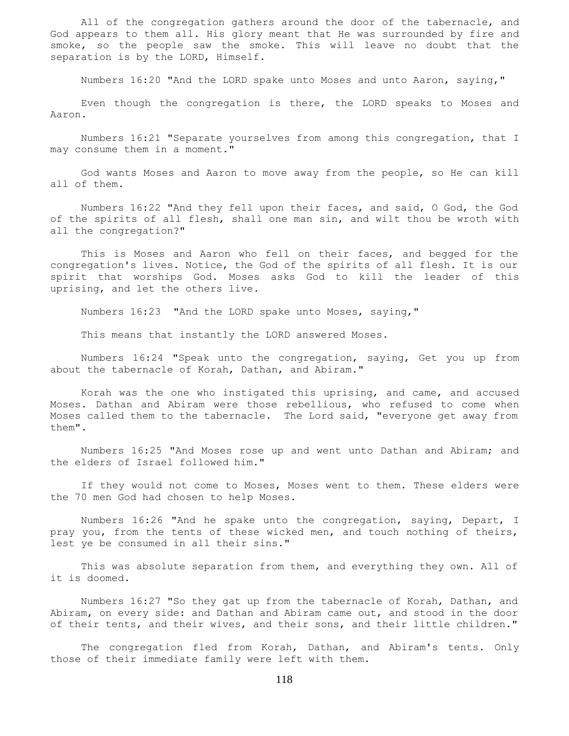All of the congregation gathers around the door of the tabernacle, and God appears to them all. His glory meant that He was surrounded by fire and smoke, so the people saw the smoke. This will leave no doubt that the separation is by the LORD, Himself.

Numbers 16:20 "And the LORD spake unto Moses and unto Aaron, saying,"

 Even though the congregation is there, the LORD speaks to Moses and Aaron.

 Numbers 16:21 "Separate yourselves from among this congregation, that I may consume them in a moment."

 God wants Moses and Aaron to move away from the people, so He can kill all of them.

 Numbers 16:22 "And they fell upon their faces, and said, O God, the God of the spirits of all flesh, shall one man sin, and wilt thou be wroth with all the congregation?"

 This is Moses and Aaron who fell on their faces, and begged for the congregation's lives. Notice, the God of the spirits of all flesh. It is our spirit that worships God. Moses asks God to kill the leader of this uprising, and let the others live.

Numbers 16:23 "And the LORD spake unto Moses, saying,"

This means that instantly the LORD answered Moses.

 Numbers 16:24 "Speak unto the congregation, saying, Get you up from about the tabernacle of Korah, Dathan, and Abiram."

 Korah was the one who instigated this uprising, and came, and accused Moses. Dathan and Abiram were those rebellious, who refused to come when Moses called them to the tabernacle. The Lord said, "everyone get away from them".

 Numbers 16:25 "And Moses rose up and went unto Dathan and Abiram; and the elders of Israel followed him."

 If they would not come to Moses, Moses went to them. These elders were the 70 men God had chosen to help Moses.

 Numbers 16:26 "And he spake unto the congregation, saying, Depart, I pray you, from the tents of these wicked men, and touch nothing of theirs, lest ye be consumed in all their sins."

 This was absolute separation from them, and everything they own. All of it is doomed.

 Numbers 16:27 "So they gat up from the tabernacle of Korah, Dathan, and Abiram, on every side: and Dathan and Abiram came out, and stood in the door of their tents, and their wives, and their sons, and their little children."

 The congregation fled from Korah, Dathan, and Abiram's tents. Only those of their immediate family were left with them.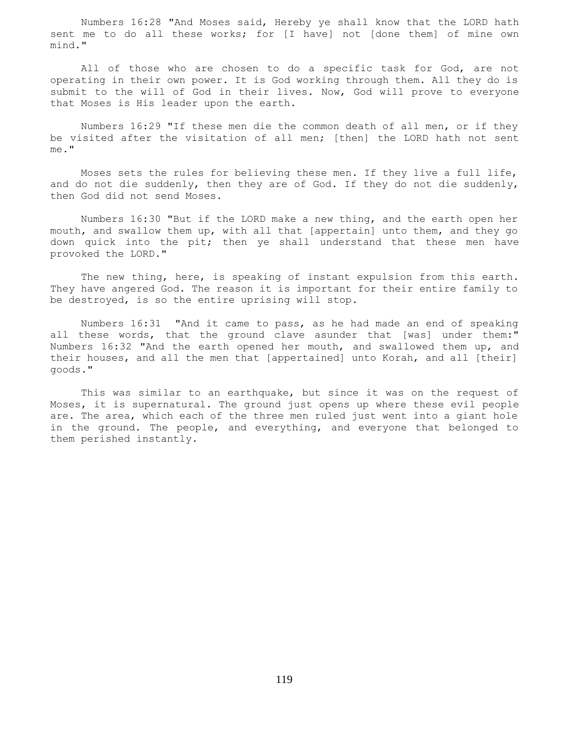Numbers 16:28 "And Moses said, Hereby ye shall know that the LORD hath sent me to do all these works; for [I have] not [done them] of mine own mind."

 All of those who are chosen to do a specific task for God, are not operating in their own power. It is God working through them. All they do is submit to the will of God in their lives. Now, God will prove to everyone that Moses is His leader upon the earth.

 Numbers 16:29 "If these men die the common death of all men, or if they be visited after the visitation of all men; [then] the LORD hath not sent me."

 Moses sets the rules for believing these men. If they live a full life, and do not die suddenly, then they are of God. If they do not die suddenly, then God did not send Moses.

 Numbers 16:30 "But if the LORD make a new thing, and the earth open her mouth, and swallow them up, with all that [appertain] unto them, and they go down quick into the pit; then ye shall understand that these men have provoked the LORD."

 The new thing, here, is speaking of instant expulsion from this earth. They have angered God. The reason it is important for their entire family to be destroyed, is so the entire uprising will stop.

 Numbers 16:31 "And it came to pass, as he had made an end of speaking all these words, that the ground clave asunder that [was] under them:" Numbers 16:32 "And the earth opened her mouth, and swallowed them up, and their houses, and all the men that [appertained] unto Korah, and all [their] goods."

 This was similar to an earthquake, but since it was on the request of Moses, it is supernatural. The ground just opens up where these evil people are. The area, which each of the three men ruled just went into a giant hole in the ground. The people, and everything, and everyone that belonged to them perished instantly.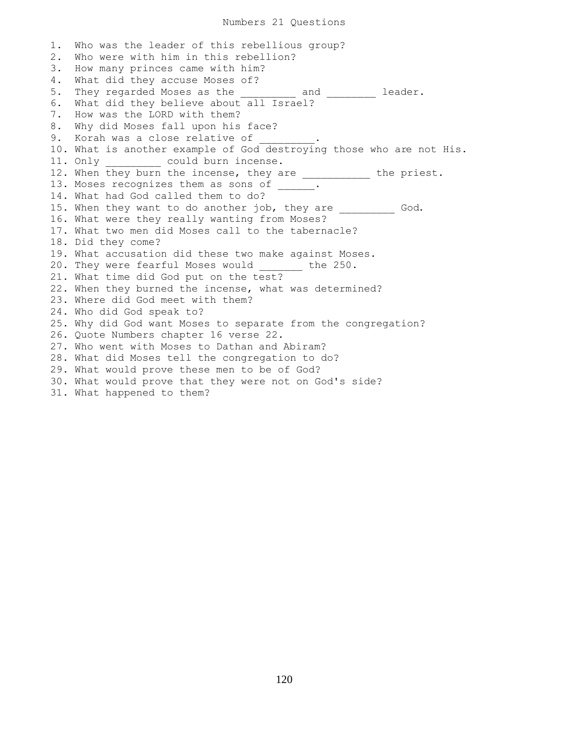1. Who was the leader of this rebellious group? 2. Who were with him in this rebellion? 3. How many princes came with him? 4. What did they accuse Moses of? 5. They regarded Moses as the and and leader. 6. What did they believe about all Israel? 7. How was the LORD with them? 8. Why did Moses fall upon his face? 9. Korah was a close relative of 10. What is another example of God destroying those who are not His. 11. Only \_\_\_\_\_\_\_\_\_ could burn incense. 12. When they burn the incense, they are \_\_\_\_\_\_\_\_\_\_\_ the priest. 13. Moses recognizes them as sons of \_\_\_\_\_. 14. What had God called them to do? 15. When they want to do another job, they are \_\_\_\_\_\_\_\_\_\_ God. 16. What were they really wanting from Moses? 17. What two men did Moses call to the tabernacle? 18. Did they come? 19. What accusation did these two make against Moses. 20. They were fearful Moses would the 250. 21. What time did God put on the test? 22. When they burned the incense, what was determined? 23. Where did God meet with them? 24. Who did God speak to? 25. Why did God want Moses to separate from the congregation? 26. Quote Numbers chapter 16 verse 22. 27. Who went with Moses to Dathan and Abiram? 28. What did Moses tell the congregation to do? 29. What would prove these men to be of God? 30. What would prove that they were not on God's side? 31. What happened to them?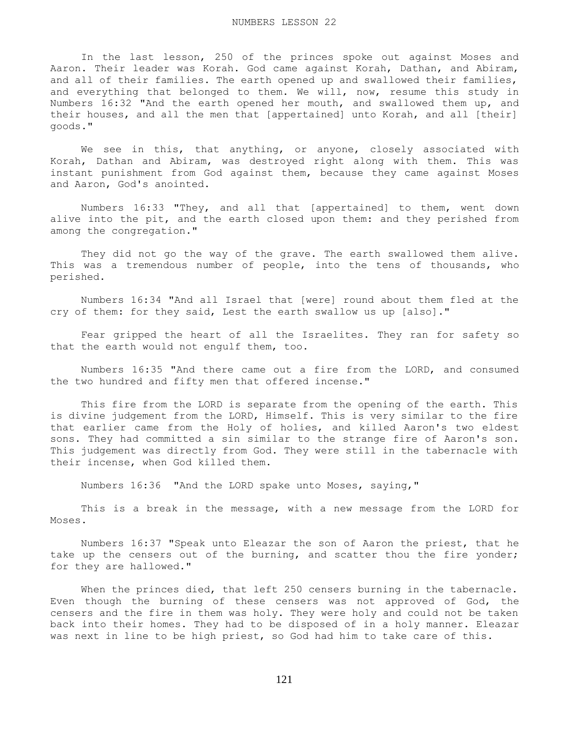In the last lesson, 250 of the princes spoke out against Moses and Aaron. Their leader was Korah. God came against Korah, Dathan, and Abiram, and all of their families. The earth opened up and swallowed their families, and everything that belonged to them. We will, now, resume this study in Numbers 16:32 "And the earth opened her mouth, and swallowed them up, and their houses, and all the men that [appertained] unto Korah, and all [their] goods."

 We see in this, that anything, or anyone, closely associated with Korah, Dathan and Abiram, was destroyed right along with them. This was instant punishment from God against them, because they came against Moses and Aaron, God's anointed.

 Numbers 16:33 "They, and all that [appertained] to them, went down alive into the pit, and the earth closed upon them: and they perished from among the congregation."

 They did not go the way of the grave. The earth swallowed them alive. This was a tremendous number of people, into the tens of thousands, who perished.

 Numbers 16:34 "And all Israel that [were] round about them fled at the cry of them: for they said, Lest the earth swallow us up [also]."

 Fear gripped the heart of all the Israelites. They ran for safety so that the earth would not engulf them, too.

 Numbers 16:35 "And there came out a fire from the LORD, and consumed the two hundred and fifty men that offered incense."

 This fire from the LORD is separate from the opening of the earth. This is divine judgement from the LORD, Himself. This is very similar to the fire that earlier came from the Holy of holies, and killed Aaron's two eldest sons. They had committed a sin similar to the strange fire of Aaron's son. This judgement was directly from God. They were still in the tabernacle with their incense, when God killed them.

Numbers 16:36 "And the LORD spake unto Moses, saying,"

 This is a break in the message, with a new message from the LORD for Moses.

 Numbers 16:37 "Speak unto Eleazar the son of Aaron the priest, that he take up the censers out of the burning, and scatter thou the fire yonder; for they are hallowed."

When the princes died, that left 250 censers burning in the tabernacle. Even though the burning of these censers was not approved of God, the censers and the fire in them was holy. They were holy and could not be taken back into their homes. They had to be disposed of in a holy manner. Eleazar was next in line to be high priest, so God had him to take care of this.

121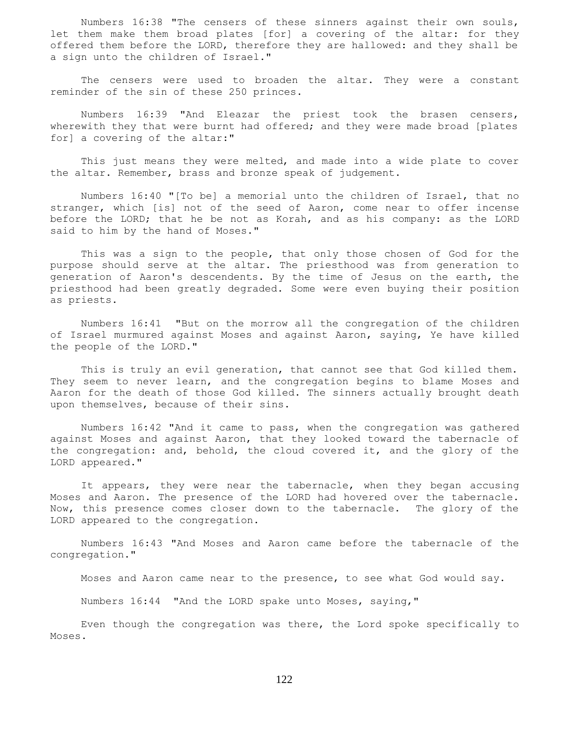Numbers 16:38 "The censers of these sinners against their own souls, let them make them broad plates [for] a covering of the altar: for they offered them before the LORD, therefore they are hallowed: and they shall be a sign unto the children of Israel."

 The censers were used to broaden the altar. They were a constant reminder of the sin of these 250 princes.

 Numbers 16:39 "And Eleazar the priest took the brasen censers, wherewith they that were burnt had offered; and they were made broad [plates for] a covering of the altar:"

 This just means they were melted, and made into a wide plate to cover the altar. Remember, brass and bronze speak of judgement.

 Numbers 16:40 "[To be] a memorial unto the children of Israel, that no stranger, which [is] not of the seed of Aaron, come near to offer incense before the LORD; that he be not as Korah, and as his company: as the LORD said to him by the hand of Moses."

 This was a sign to the people, that only those chosen of God for the purpose should serve at the altar. The priesthood was from generation to generation of Aaron's descendents. By the time of Jesus on the earth, the priesthood had been greatly degraded. Some were even buying their position as priests.

 Numbers 16:41 "But on the morrow all the congregation of the children of Israel murmured against Moses and against Aaron, saying, Ye have killed the people of the LORD."

 This is truly an evil generation, that cannot see that God killed them. They seem to never learn, and the congregation begins to blame Moses and Aaron for the death of those God killed. The sinners actually brought death upon themselves, because of their sins.

 Numbers 16:42 "And it came to pass, when the congregation was gathered against Moses and against Aaron, that they looked toward the tabernacle of the congregation: and, behold, the cloud covered it, and the glory of the LORD appeared."

 It appears, they were near the tabernacle, when they began accusing Moses and Aaron. The presence of the LORD had hovered over the tabernacle. Now, this presence comes closer down to the tabernacle. The glory of the LORD appeared to the congregation.

 Numbers 16:43 "And Moses and Aaron came before the tabernacle of the congregation."

Moses and Aaron came near to the presence, to see what God would say.

Numbers 16:44 "And the LORD spake unto Moses, saying,"

 Even though the congregation was there, the Lord spoke specifically to Moses.

122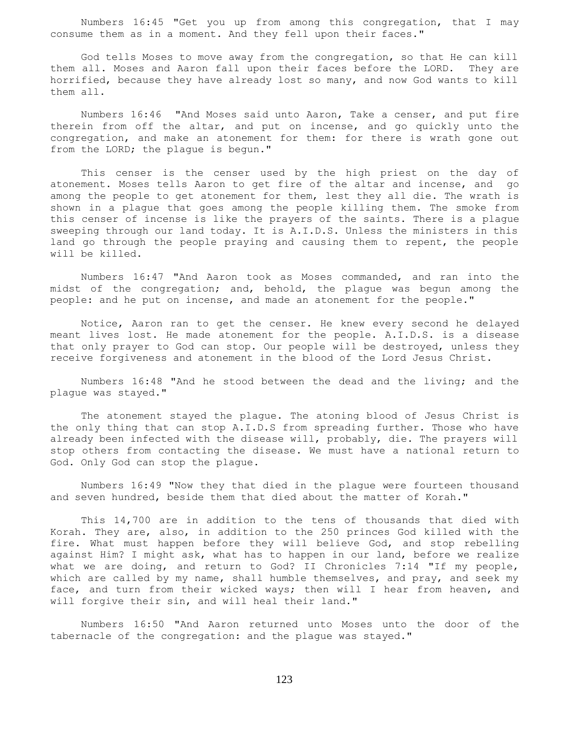Numbers 16:45 "Get you up from among this congregation, that I may consume them as in a moment. And they fell upon their faces."

 God tells Moses to move away from the congregation, so that He can kill them all. Moses and Aaron fall upon their faces before the LORD. They are horrified, because they have already lost so many, and now God wants to kill them all.

 Numbers 16:46 "And Moses said unto Aaron, Take a censer, and put fire therein from off the altar, and put on incense, and go quickly unto the congregation, and make an atonement for them: for there is wrath gone out from the LORD; the plague is begun."

 This censer is the censer used by the high priest on the day of atonement. Moses tells Aaron to get fire of the altar and incense, and go among the people to get atonement for them, lest they all die. The wrath is shown in a plague that goes among the people killing them. The smoke from this censer of incense is like the prayers of the saints. There is a plague sweeping through our land today. It is A.I.D.S. Unless the ministers in this land go through the people praying and causing them to repent, the people will be killed.

 Numbers 16:47 "And Aaron took as Moses commanded, and ran into the midst of the congregation; and, behold, the plague was begun among the people: and he put on incense, and made an atonement for the people."

 Notice, Aaron ran to get the censer. He knew every second he delayed meant lives lost. He made atonement for the people. A.I.D.S. is a disease that only prayer to God can stop. Our people will be destroyed, unless they receive forgiveness and atonement in the blood of the Lord Jesus Christ.

 Numbers 16:48 "And he stood between the dead and the living; and the plague was stayed."

 The atonement stayed the plague. The atoning blood of Jesus Christ is the only thing that can stop A.I.D.S from spreading further. Those who have already been infected with the disease will, probably, die. The prayers will stop others from contacting the disease. We must have a national return to God. Only God can stop the plague.

 Numbers 16:49 "Now they that died in the plague were fourteen thousand and seven hundred, beside them that died about the matter of Korah."

 This 14,700 are in addition to the tens of thousands that died with Korah. They are, also, in addition to the 250 princes God killed with the fire. What must happen before they will believe God, and stop rebelling against Him? I might ask, what has to happen in our land, before we realize what we are doing, and return to God? II Chronicles 7:14 "If my people, which are called by my name, shall humble themselves, and pray, and seek my face, and turn from their wicked ways; then will I hear from heaven, and will forgive their sin, and will heal their land."

 Numbers 16:50 "And Aaron returned unto Moses unto the door of the tabernacle of the congregation: and the plague was stayed."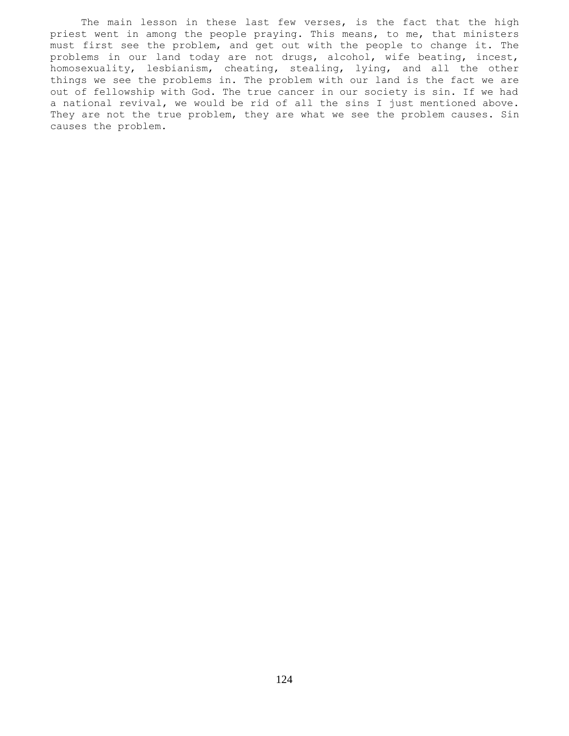The main lesson in these last few verses, is the fact that the high priest went in among the people praying. This means, to me, that ministers must first see the problem, and get out with the people to change it. The problems in our land today are not drugs, alcohol, wife beating, incest, homosexuality, lesbianism, cheating, stealing, lying, and all the other things we see the problems in. The problem with our land is the fact we are out of fellowship with God. The true cancer in our society is sin. If we had a national revival, we would be rid of all the sins I just mentioned above. They are not the true problem, they are what we see the problem causes. Sin causes the problem.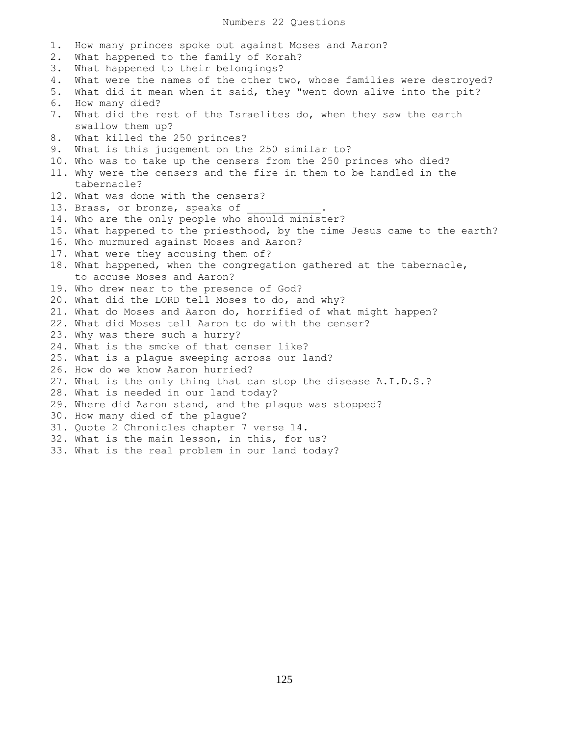1. How many princes spoke out against Moses and Aaron? 2. What happened to the family of Korah? 3. What happened to their belongings? 4. What were the names of the other two, whose families were destroyed? 5. What did it mean when it said, they "went down alive into the pit?" 6. How many died? 7. What did the rest of the Israelites do, when they saw the earth swallow them up? 8. What killed the 250 princes? 9. What is this judgement on the 250 similar to? 10. Who was to take up the censers from the 250 princes who died? 11. Why were the censers and the fire in them to be handled in the tabernacle? 12. What was done with the censers? 13. Brass, or bronze, speaks of 14. Who are the only people who should minister? 15. What happened to the priesthood, by the time Jesus came to the earth? 16. Who murmured against Moses and Aaron? 17. What were they accusing them of? 18. What happened, when the congregation gathered at the tabernacle, to accuse Moses and Aaron? 19. Who drew near to the presence of God? 20. What did the LORD tell Moses to do, and why? 21. What do Moses and Aaron do, horrified of what might happen? 22. What did Moses tell Aaron to do with the censer? 23. Why was there such a hurry? 24. What is the smoke of that censer like? 25. What is a plague sweeping across our land? 26. How do we know Aaron hurried? 27. What is the only thing that can stop the disease A.I.D.S.? 28. What is needed in our land today? 29. Where did Aaron stand, and the plague was stopped? 30. How many died of the plague? 31. Quote 2 Chronicles chapter 7 verse 14. 32. What is the main lesson, in this, for us? 33. What is the real problem in our land today?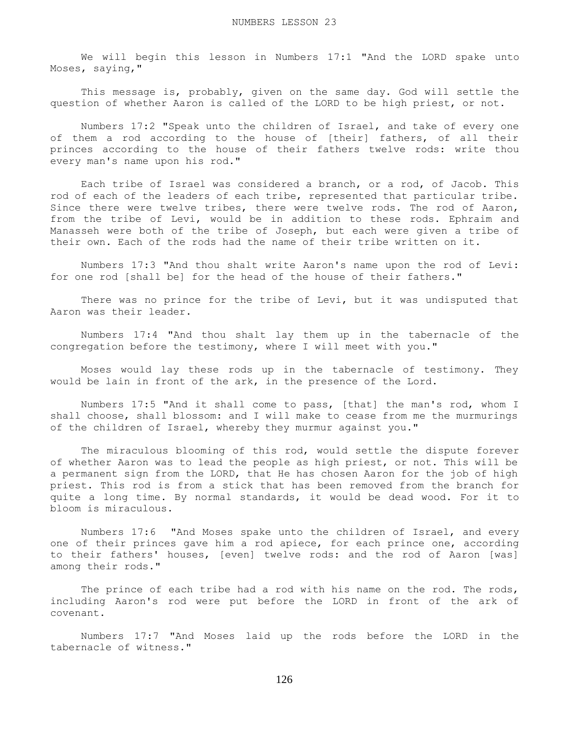We will begin this lesson in Numbers 17:1 "And the LORD spake unto Moses, saying,"

This message is, probably, given on the same day. God will settle the question of whether Aaron is called of the LORD to be high priest, or not.

 Numbers 17:2 "Speak unto the children of Israel, and take of every one of them a rod according to the house of [their] fathers, of all their princes according to the house of their fathers twelve rods: write thou every man's name upon his rod."

 Each tribe of Israel was considered a branch, or a rod, of Jacob. This rod of each of the leaders of each tribe, represented that particular tribe. Since there were twelve tribes, there were twelve rods. The rod of Aaron, from the tribe of Levi, would be in addition to these rods. Ephraim and Manasseh were both of the tribe of Joseph, but each were given a tribe of their own. Each of the rods had the name of their tribe written on it.

 Numbers 17:3 "And thou shalt write Aaron's name upon the rod of Levi: for one rod [shall be] for the head of the house of their fathers."

There was no prince for the tribe of Levi, but it was undisputed that Aaron was their leader.

 Numbers 17:4 "And thou shalt lay them up in the tabernacle of the congregation before the testimony, where I will meet with you."

 Moses would lay these rods up in the tabernacle of testimony. They would be lain in front of the ark, in the presence of the Lord.

 Numbers 17:5 "And it shall come to pass, [that] the man's rod, whom I shall choose, shall blossom: and I will make to cease from me the murmurings of the children of Israel, whereby they murmur against you."

 The miraculous blooming of this rod, would settle the dispute forever of whether Aaron was to lead the people as high priest, or not. This will be a permanent sign from the LORD, that He has chosen Aaron for the job of high priest. This rod is from a stick that has been removed from the branch for quite a long time. By normal standards, it would be dead wood. For it to bloom is miraculous.

 Numbers 17:6 "And Moses spake unto the children of Israel, and every one of their princes gave him a rod apiece, for each prince one, according to their fathers' houses, [even] twelve rods: and the rod of Aaron [was] among their rods."

The prince of each tribe had a rod with his name on the rod. The rods, including Aaron's rod were put before the LORD in front of the ark of covenant.

 Numbers 17:7 "And Moses laid up the rods before the LORD in the tabernacle of witness."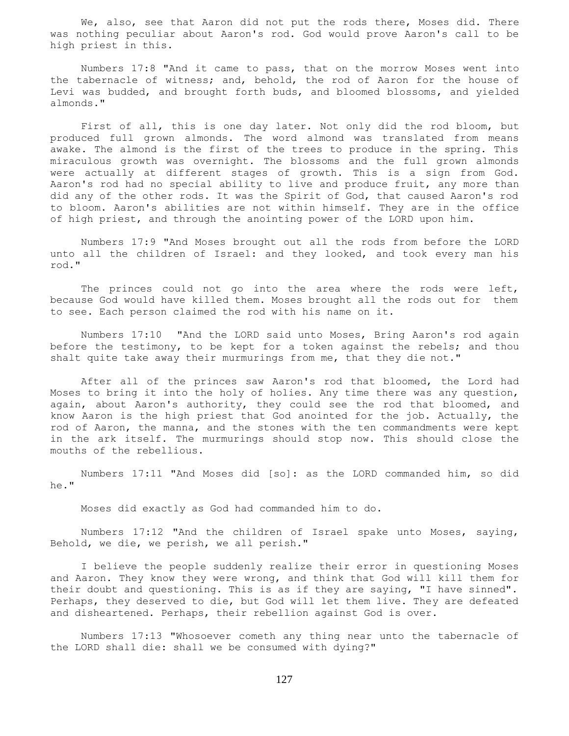We, also, see that Aaron did not put the rods there, Moses did. There was nothing peculiar about Aaron's rod. God would prove Aaron's call to be high priest in this.

 Numbers 17:8 "And it came to pass, that on the morrow Moses went into the tabernacle of witness; and, behold, the rod of Aaron for the house of Levi was budded, and brought forth buds, and bloomed blossoms, and yielded almonds."

 First of all, this is one day later. Not only did the rod bloom, but produced full grown almonds. The word almond was translated from means awake. The almond is the first of the trees to produce in the spring. This miraculous growth was overnight. The blossoms and the full grown almonds were actually at different stages of growth. This is a sign from God. Aaron's rod had no special ability to live and produce fruit, any more than did any of the other rods. It was the Spirit of God, that caused Aaron's rod to bloom. Aaron's abilities are not within himself. They are in the office of high priest, and through the anointing power of the LORD upon him.

 Numbers 17:9 "And Moses brought out all the rods from before the LORD unto all the children of Israel: and they looked, and took every man his rod."

The princes could not go into the area where the rods were left, because God would have killed them. Moses brought all the rods out for them to see. Each person claimed the rod with his name on it.

 Numbers 17:10 "And the LORD said unto Moses, Bring Aaron's rod again before the testimony, to be kept for a token against the rebels; and thou shalt quite take away their murmurings from me, that they die not."

 After all of the princes saw Aaron's rod that bloomed, the Lord had Moses to bring it into the holy of holies. Any time there was any question, again, about Aaron's authority, they could see the rod that bloomed, and know Aaron is the high priest that God anointed for the job. Actually, the rod of Aaron, the manna, and the stones with the ten commandments were kept in the ark itself. The murmurings should stop now. This should close the mouths of the rebellious.

 Numbers 17:11 "And Moses did [so]: as the LORD commanded him, so did he."

Moses did exactly as God had commanded him to do.

 Numbers 17:12 "And the children of Israel spake unto Moses, saying, Behold, we die, we perish, we all perish."

 I believe the people suddenly realize their error in questioning Moses and Aaron. They know they were wrong, and think that God will kill them for their doubt and questioning. This is as if they are saying, "I have sinned". Perhaps, they deserved to die, but God will let them live. They are defeated and disheartened. Perhaps, their rebellion against God is over.

 Numbers 17:13 "Whosoever cometh any thing near unto the tabernacle of the LORD shall die: shall we be consumed with dying?"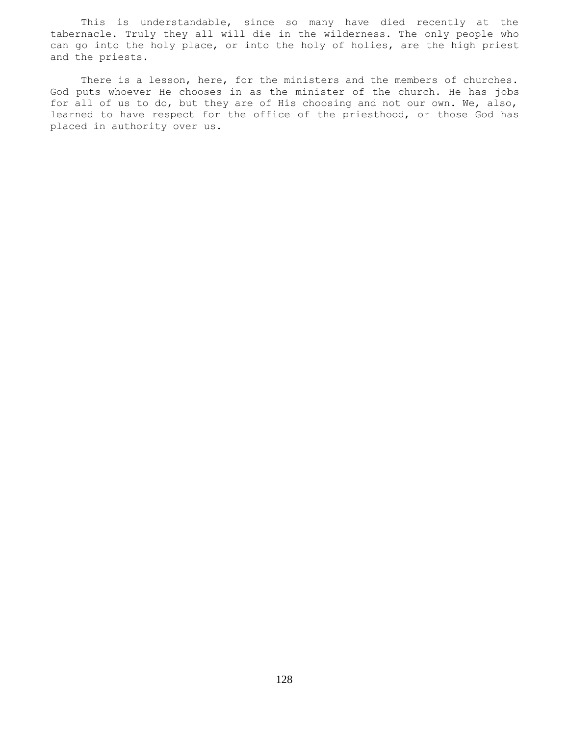This is understandable, since so many have died recently at the tabernacle. Truly they all will die in the wilderness. The only people who can go into the holy place, or into the holy of holies, are the high priest and the priests.

There is a lesson, here, for the ministers and the members of churches. God puts whoever He chooses in as the minister of the church. He has jobs for all of us to do, but they are of His choosing and not our own. We, also, learned to have respect for the office of the priesthood, or those God has placed in authority over us.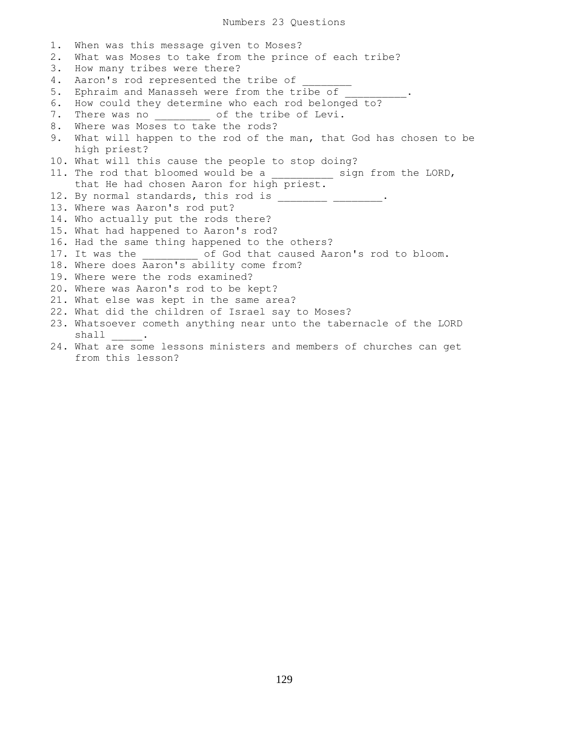Numbers 23 Questions

1. When was this message given to Moses? 2. What was Moses to take from the prince of each tribe? 3. How many tribes were there? 4. Aaron's rod represented the tribe of 5. Ephraim and Manasseh were from the tribe of 6. How could they determine who each rod belonged to? 7. There was no  $\qquad \qquad$  of the tribe of Levi. 8. Where was Moses to take the rods? 9. What will happen to the rod of the man, that God has chosen to be high priest? 10. What will this cause the people to stop doing? 11. The rod that bloomed would be a \_\_\_\_\_\_\_\_\_\_ sign from the LORD, that He had chosen Aaron for high priest. 12. By normal standards, this rod is \_\_\_\_\_\_\_\_ \_\_\_\_\_\_\_\_. 13. Where was Aaron's rod put? 14. Who actually put the rods there? 15. What had happened to Aaron's rod? 16. Had the same thing happened to the others? 17. It was the  $\qquad \qquad$  of God that caused Aaron's rod to bloom. 18. Where does Aaron's ability come from? 19. Where were the rods examined? 20. Where was Aaron's rod to be kept? 21. What else was kept in the same area? 22. What did the children of Israel say to Moses? 23. Whatsoever cometh anything near unto the tabernacle of the LORD shall . 24. What are some lessons ministers and members of churches can get from this lesson?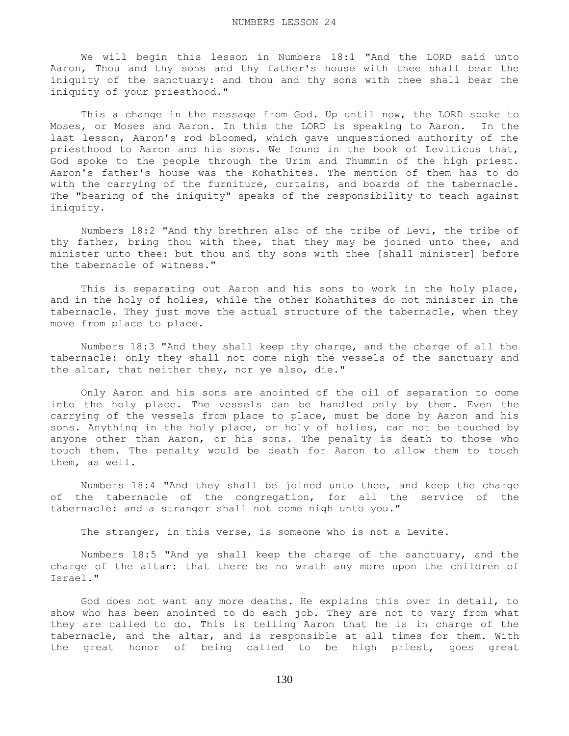We will begin this lesson in Numbers 18:1 "And the LORD said unto Aaron, Thou and thy sons and thy father's house with thee shall bear the iniquity of the sanctuary: and thou and thy sons with thee shall bear the iniquity of your priesthood."

 This a change in the message from God. Up until now, the LORD spoke to Moses, or Moses and Aaron. In this the LORD is speaking to Aaron. In the last lesson, Aaron's rod bloomed, which gave unquestioned authority of the priesthood to Aaron and his sons. We found in the book of Leviticus that, God spoke to the people through the Urim and Thummin of the high priest. Aaron's father's house was the Kohathites. The mention of them has to do with the carrying of the furniture, curtains, and boards of the tabernacle. The "bearing of the iniquity" speaks of the responsibility to teach against iniquity.

 Numbers 18:2 "And thy brethren also of the tribe of Levi, the tribe of thy father, bring thou with thee, that they may be joined unto thee, and minister unto thee: but thou and thy sons with thee [shall minister] before the tabernacle of witness."

 This is separating out Aaron and his sons to work in the holy place, and in the holy of holies, while the other Kohathites do not minister in the tabernacle. They just move the actual structure of the tabernacle, when they move from place to place.

 Numbers 18:3 "And they shall keep thy charge, and the charge of all the tabernacle: only they shall not come nigh the vessels of the sanctuary and the altar, that neither they, nor ye also, die."

 Only Aaron and his sons are anointed of the oil of separation to come into the holy place. The vessels can be handled only by them. Even the carrying of the vessels from place to place, must be done by Aaron and his sons. Anything in the holy place, or holy of holies, can not be touched by anyone other than Aaron, or his sons. The penalty is death to those who touch them. The penalty would be death for Aaron to allow them to touch them, as well.

 Numbers 18:4 "And they shall be joined unto thee, and keep the charge of the tabernacle of the congregation, for all the service of the tabernacle: and a stranger shall not come nigh unto you."

The stranger, in this verse, is someone who is not a Levite.

 Numbers 18:5 "And ye shall keep the charge of the sanctuary, and the charge of the altar: that there be no wrath any more upon the children of Israel."

 God does not want any more deaths. He explains this over in detail, to show who has been anointed to do each job. They are not to vary from what they are called to do. This is telling Aaron that he is in charge of the tabernacle, and the altar, and is responsible at all times for them. With the great honor of being called to be high priest, goes great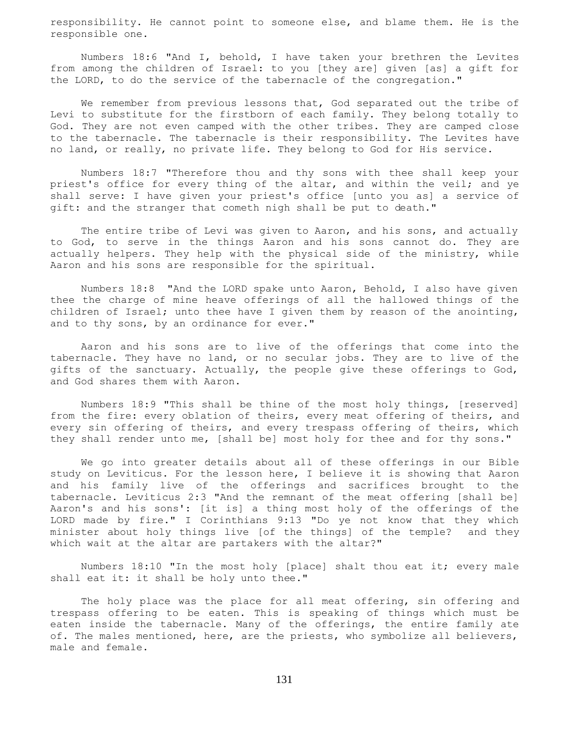responsibility. He cannot point to someone else, and blame them. He is the responsible one.

 Numbers 18:6 "And I, behold, I have taken your brethren the Levites from among the children of Israel: to you [they are] given [as] a gift for the LORD, to do the service of the tabernacle of the congregation."

We remember from previous lessons that, God separated out the tribe of Levi to substitute for the firstborn of each family. They belong totally to God. They are not even camped with the other tribes. They are camped close to the tabernacle. The tabernacle is their responsibility. The Levites have no land, or really, no private life. They belong to God for His service.

 Numbers 18:7 "Therefore thou and thy sons with thee shall keep your priest's office for every thing of the altar, and within the veil; and ye shall serve: I have given your priest's office [unto you as] a service of gift: and the stranger that cometh nigh shall be put to death."

The entire tribe of Levi was given to Aaron, and his sons, and actually to God, to serve in the things Aaron and his sons cannot do. They are actually helpers. They help with the physical side of the ministry, while Aaron and his sons are responsible for the spiritual.

 Numbers 18:8 "And the LORD spake unto Aaron, Behold, I also have given thee the charge of mine heave offerings of all the hallowed things of the children of Israel; unto thee have I given them by reason of the anointing, and to thy sons, by an ordinance for ever."

 Aaron and his sons are to live of the offerings that come into the tabernacle. They have no land, or no secular jobs. They are to live of the gifts of the sanctuary. Actually, the people give these offerings to God, and God shares them with Aaron.

 Numbers 18:9 "This shall be thine of the most holy things, [reserved] from the fire: every oblation of theirs, every meat offering of theirs, and every sin offering of theirs, and every trespass offering of theirs, which they shall render unto me, [shall be] most holy for thee and for thy sons."

 We go into greater details about all of these offerings in our Bible study on Leviticus. For the lesson here, I believe it is showing that Aaron and his family live of the offerings and sacrifices brought to the tabernacle. Leviticus 2:3 "And the remnant of the meat offering [shall be] Aaron's and his sons': [it is] a thing most holy of the offerings of the LORD made by fire." I Corinthians 9:13 "Do ye not know that they which minister about holy things live [of the things] of the temple? and they which wait at the altar are partakers with the altar?"

 Numbers 18:10 "In the most holy [place] shalt thou eat it; every male shall eat it: it shall be holy unto thee."

 The holy place was the place for all meat offering, sin offering and trespass offering to be eaten. This is speaking of things which must be eaten inside the tabernacle. Many of the offerings, the entire family ate of. The males mentioned, here, are the priests, who symbolize all believers, male and female.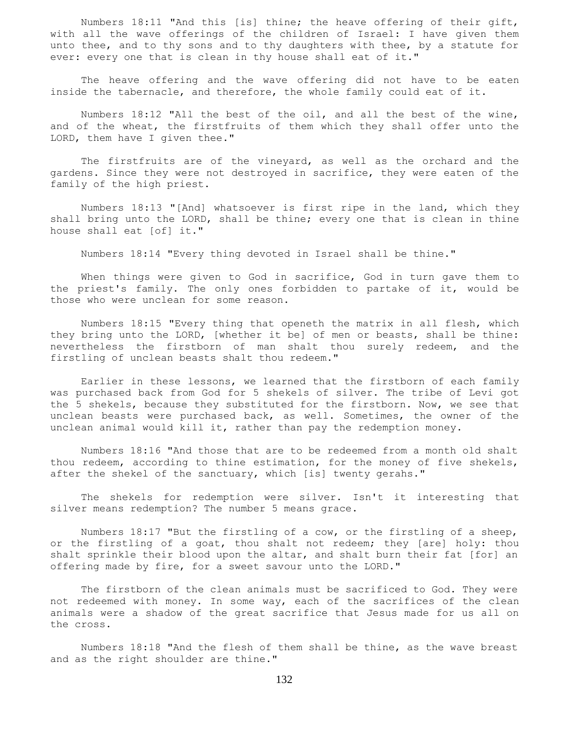Numbers 18:11 "And this [is] thine; the heave offering of their gift, with all the wave offerings of the children of Israel: I have given them unto thee, and to thy sons and to thy daughters with thee, by a statute for ever: every one that is clean in thy house shall eat of it."

 The heave offering and the wave offering did not have to be eaten inside the tabernacle, and therefore, the whole family could eat of it.

 Numbers 18:12 "All the best of the oil, and all the best of the wine, and of the wheat, the firstfruits of them which they shall offer unto the LORD, them have I given thee."

The firstfruits are of the vineyard, as well as the orchard and the gardens. Since they were not destroyed in sacrifice, they were eaten of the family of the high priest.

 Numbers 18:13 "[And] whatsoever is first ripe in the land, which they shall bring unto the LORD, shall be thine; every one that is clean in thine house shall eat [of] it."

Numbers 18:14 "Every thing devoted in Israel shall be thine."

 When things were given to God in sacrifice, God in turn gave them to the priest's family. The only ones forbidden to partake of it, would be those who were unclean for some reason.

 Numbers 18:15 "Every thing that openeth the matrix in all flesh, which they bring unto the LORD, [whether it be] of men or beasts, shall be thine: nevertheless the firstborn of man shalt thou surely redeem, and the firstling of unclean beasts shalt thou redeem."

 Earlier in these lessons, we learned that the firstborn of each family was purchased back from God for 5 shekels of silver. The tribe of Levi got the 5 shekels, because they substituted for the firstborn. Now, we see that unclean beasts were purchased back, as well. Sometimes, the owner of the unclean animal would kill it, rather than pay the redemption money.

 Numbers 18:16 "And those that are to be redeemed from a month old shalt thou redeem, according to thine estimation, for the money of five shekels, after the shekel of the sanctuary, which [is] twenty gerahs."

 The shekels for redemption were silver. Isn't it interesting that silver means redemption? The number 5 means grace.

 Numbers 18:17 "But the firstling of a cow, or the firstling of a sheep, or the firstling of a goat, thou shalt not redeem; they [are] holy: thou shalt sprinkle their blood upon the altar, and shalt burn their fat [for] an offering made by fire, for a sweet savour unto the LORD."

 The firstborn of the clean animals must be sacrificed to God. They were not redeemed with money. In some way, each of the sacrifices of the clean animals were a shadow of the great sacrifice that Jesus made for us all on the cross.

 Numbers 18:18 "And the flesh of them shall be thine, as the wave breast and as the right shoulder are thine."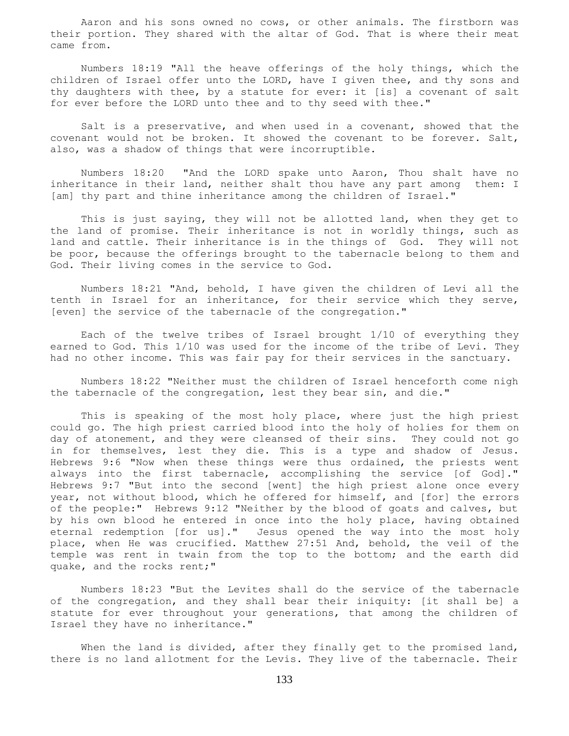Aaron and his sons owned no cows, or other animals. The firstborn was their portion. They shared with the altar of God. That is where their meat came from.

 Numbers 18:19 "All the heave offerings of the holy things, which the children of Israel offer unto the LORD, have I given thee, and thy sons and thy daughters with thee, by a statute for ever: it [is] a covenant of salt for ever before the LORD unto thee and to thy seed with thee."

 Salt is a preservative, and when used in a covenant, showed that the covenant would not be broken. It showed the covenant to be forever. Salt, also, was a shadow of things that were incorruptible.

 Numbers 18:20 "And the LORD spake unto Aaron, Thou shalt have no inheritance in their land, neither shalt thou have any part among them: I [am] thy part and thine inheritance among the children of Israel."

 This is just saying, they will not be allotted land, when they get to the land of promise. Their inheritance is not in worldly things, such as land and cattle. Their inheritance is in the things of God. They will not be poor, because the offerings brought to the tabernacle belong to them and God. Their living comes in the service to God.

 Numbers 18:21 "And, behold, I have given the children of Levi all the tenth in Israel for an inheritance, for their service which they serve, [even] the service of the tabernacle of the congregation."

 Each of the twelve tribes of Israel brought 1/10 of everything they earned to God. This 1/10 was used for the income of the tribe of Levi. They had no other income. This was fair pay for their services in the sanctuary.

 Numbers 18:22 "Neither must the children of Israel henceforth come nigh the tabernacle of the congregation, lest they bear sin, and die."

 This is speaking of the most holy place, where just the high priest could go. The high priest carried blood into the holy of holies for them on day of atonement, and they were cleansed of their sins. They could not go in for themselves, lest they die. This is a type and shadow of Jesus. Hebrews 9:6 "Now when these things were thus ordained, the priests went always into the first tabernacle, accomplishing the service [of God]." Hebrews 9:7 "But into the second [went] the high priest alone once every year, not without blood, which he offered for himself, and [for] the errors of the people:" Hebrews 9:12 "Neither by the blood of goats and calves, but by his own blood he entered in once into the holy place, having obtained eternal redemption [for us]." Jesus opened the way into the most holy place, when He was crucified. Matthew 27:51 And, behold, the veil of the temple was rent in twain from the top to the bottom; and the earth did quake, and the rocks rent;"

 Numbers 18:23 "But the Levites shall do the service of the tabernacle of the congregation, and they shall bear their iniquity: [it shall be] a statute for ever throughout your generations, that among the children of Israel they have no inheritance."

When the land is divided, after they finally get to the promised land, there is no land allotment for the Levis. They live of the tabernacle. Their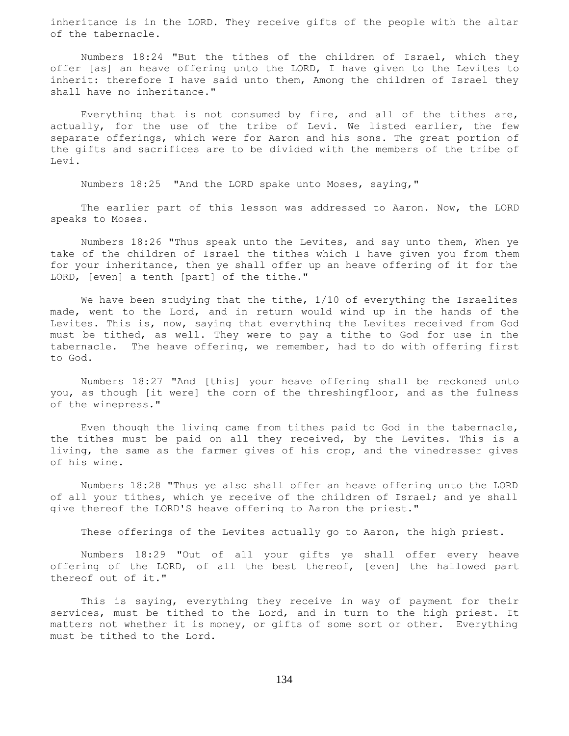inheritance is in the LORD. They receive gifts of the people with the altar of the tabernacle.

 Numbers 18:24 "But the tithes of the children of Israel, which they offer [as] an heave offering unto the LORD, I have given to the Levites to inherit: therefore I have said unto them, Among the children of Israel they shall have no inheritance."

 Everything that is not consumed by fire, and all of the tithes are, actually, for the use of the tribe of Levi. We listed earlier, the few separate offerings, which were for Aaron and his sons. The great portion of the gifts and sacrifices are to be divided with the members of the tribe of Levi.

Numbers 18:25 "And the LORD spake unto Moses, saying,"

 The earlier part of this lesson was addressed to Aaron. Now, the LORD speaks to Moses.

 Numbers 18:26 "Thus speak unto the Levites, and say unto them, When ye take of the children of Israel the tithes which I have given you from them for your inheritance, then ye shall offer up an heave offering of it for the LORD, [even] a tenth [part] of the tithe."

We have been studying that the tithe,  $1/10$  of everything the Israelites made, went to the Lord, and in return would wind up in the hands of the Levites. This is, now, saying that everything the Levites received from God must be tithed, as well. They were to pay a tithe to God for use in the tabernacle. The heave offering, we remember, had to do with offering first to God.

 Numbers 18:27 "And [this] your heave offering shall be reckoned unto you, as though [it were] the corn of the threshingfloor, and as the fulness of the winepress."

 Even though the living came from tithes paid to God in the tabernacle, the tithes must be paid on all they received, by the Levites. This is a living, the same as the farmer gives of his crop, and the vinedresser gives of his wine.

 Numbers 18:28 "Thus ye also shall offer an heave offering unto the LORD of all your tithes, which ye receive of the children of Israel; and ye shall give thereof the LORD'S heave offering to Aaron the priest."

These offerings of the Levites actually go to Aaron, the high priest.

 Numbers 18:29 "Out of all your gifts ye shall offer every heave offering of the LORD, of all the best thereof, [even] the hallowed part thereof out of it."

 This is saying, everything they receive in way of payment for their services, must be tithed to the Lord, and in turn to the high priest. It matters not whether it is money, or gifts of some sort or other. Everything must be tithed to the Lord.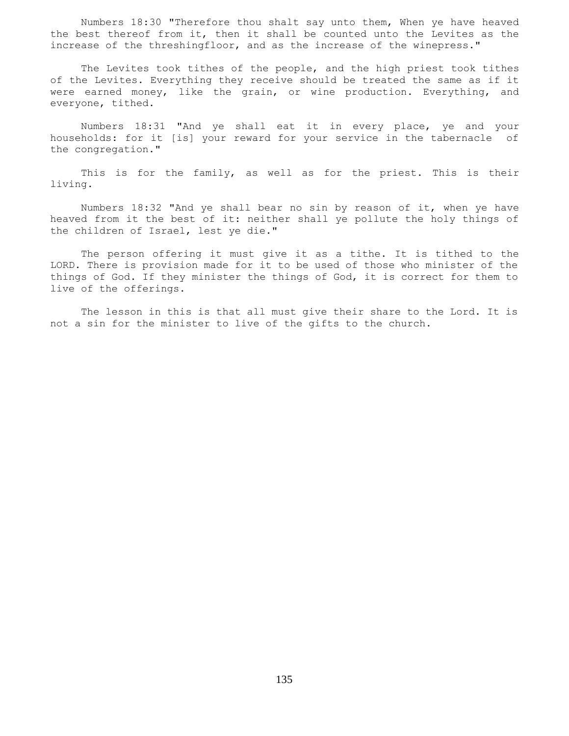Numbers 18:30 "Therefore thou shalt say unto them, When ye have heaved the best thereof from it, then it shall be counted unto the Levites as the increase of the threshingfloor, and as the increase of the winepress."

 The Levites took tithes of the people, and the high priest took tithes of the Levites. Everything they receive should be treated the same as if it were earned money, like the grain, or wine production. Everything, and everyone, tithed.

 Numbers 18:31 "And ye shall eat it in every place, ye and your households: for it [is] your reward for your service in the tabernacle of the congregation."

 This is for the family, as well as for the priest. This is their living.

 Numbers 18:32 "And ye shall bear no sin by reason of it, when ye have heaved from it the best of it: neither shall ye pollute the holy things of the children of Israel, lest ye die."

 The person offering it must give it as a tithe. It is tithed to the LORD. There is provision made for it to be used of those who minister of the things of God. If they minister the things of God, it is correct for them to live of the offerings.

 The lesson in this is that all must give their share to the Lord. It is not a sin for the minister to live of the gifts to the church.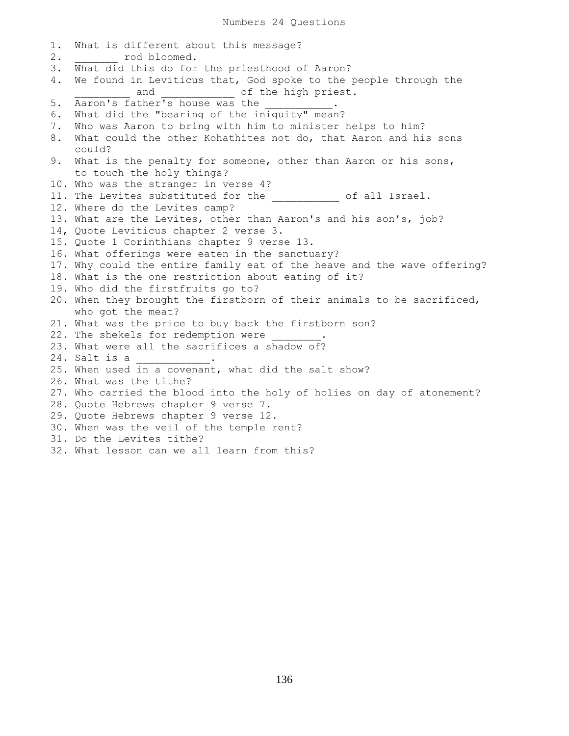1. What is different about this message? 2. cod bloomed. 3. What did this do for the priesthood of Aaron? 4. We found in Leviticus that, God spoke to the people through the and and and of the high priest. 5. Aaron's father's house was the \_\_\_\_\_\_\_\_\_. 6. What did the "bearing of the iniquity" mean? 7. Who was Aaron to bring with him to minister helps to him? 8. What could the other Kohathites not do, that Aaron and his sons could? 9. What is the penalty for someone, other than Aaron or his sons, to touch the holy things? 10. Who was the stranger in verse 4? 11. The Levites substituted for the  $\qquad \qquad$  of all Israel. 12. Where do the Levites camp? 13. What are the Levites, other than Aaron's and his son's, job? 14, Quote Leviticus chapter 2 verse 3. 15. Quote 1 Corinthians chapter 9 verse 13. 16. What offerings were eaten in the sanctuary? 17. Why could the entire family eat of the heave and the wave offering? 18. What is the one restriction about eating of it? 19. Who did the firstfruits go to? 20. When they brought the firstborn of their animals to be sacrificed, who got the meat? 21. What was the price to buy back the firstborn son? 22. The shekels for redemption were 23. What were all the sacrifices a shadow of? 24. Salt is a 25. When used in a covenant, what did the salt show? 26. What was the tithe? 27. Who carried the blood into the holy of holies on day of atonement? 28. Quote Hebrews chapter 9 verse 7. 29. Quote Hebrews chapter 9 verse 12. 30. When was the veil of the temple rent? 31. Do the Levites tithe? 32. What lesson can we all learn from this?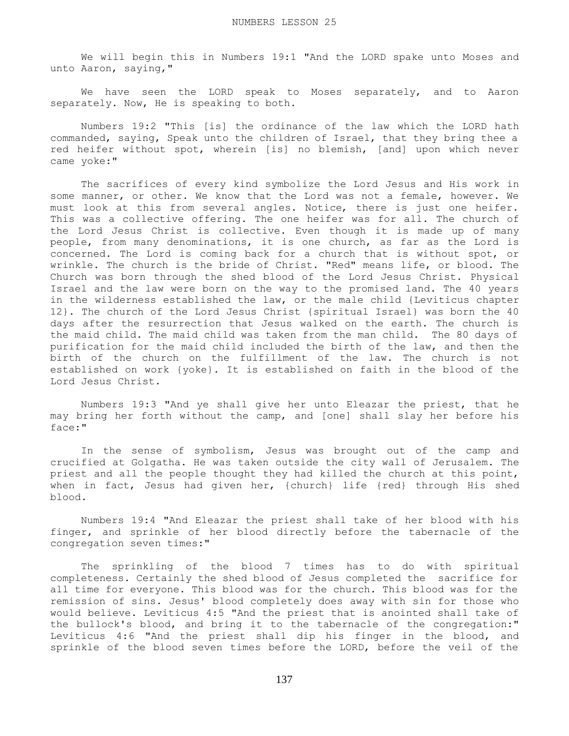We will begin this in Numbers 19:1 "And the LORD spake unto Moses and unto Aaron, saying,"

 We have seen the LORD speak to Moses separately, and to Aaron separately. Now, He is speaking to both.

 Numbers 19:2 "This [is] the ordinance of the law which the LORD hath commanded, saying, Speak unto the children of Israel, that they bring thee a red heifer without spot, wherein [is] no blemish, [and] upon which never came yoke:"

 The sacrifices of every kind symbolize the Lord Jesus and His work in some manner, or other. We know that the Lord was not a female, however. We must look at this from several angles. Notice, there is just one heifer. This was a collective offering. The one heifer was for all. The church of the Lord Jesus Christ is collective. Even though it is made up of many people, from many denominations, it is one church, as far as the Lord is concerned. The Lord is coming back for a church that is without spot, or wrinkle. The church is the bride of Christ. "Red" means life, or blood. The Church was born through the shed blood of the Lord Jesus Christ. Physical Israel and the law were born on the way to the promised land. The 40 years in the wilderness established the law, or the male child {Leviticus chapter 12}. The church of the Lord Jesus Christ {spiritual Israel} was born the 40 days after the resurrection that Jesus walked on the earth. The church is the maid child. The maid child was taken from the man child. The 80 days of purification for the maid child included the birth of the law, and then the birth of the church on the fulfillment of the law. The church is not established on work {yoke}. It is established on faith in the blood of the Lord Jesus Christ.

 Numbers 19:3 "And ye shall give her unto Eleazar the priest, that he may bring her forth without the camp, and [one] shall slay her before his face:"

 In the sense of symbolism, Jesus was brought out of the camp and crucified at Golgatha. He was taken outside the city wall of Jerusalem. The priest and all the people thought they had killed the church at this point, when in fact, Jesus had given her, {church} life {red} through His shed blood.

 Numbers 19:4 "And Eleazar the priest shall take of her blood with his finger, and sprinkle of her blood directly before the tabernacle of the congregation seven times:"

 The sprinkling of the blood 7 times has to do with spiritual completeness. Certainly the shed blood of Jesus completed the sacrifice for all time for everyone. This blood was for the church. This blood was for the remission of sins. Jesus' blood completely does away with sin for those who would believe. Leviticus 4:5 "And the priest that is anointed shall take of the bullock's blood, and bring it to the tabernacle of the congregation:" Leviticus 4:6 "And the priest shall dip his finger in the blood, and sprinkle of the blood seven times before the LORD, before the veil of the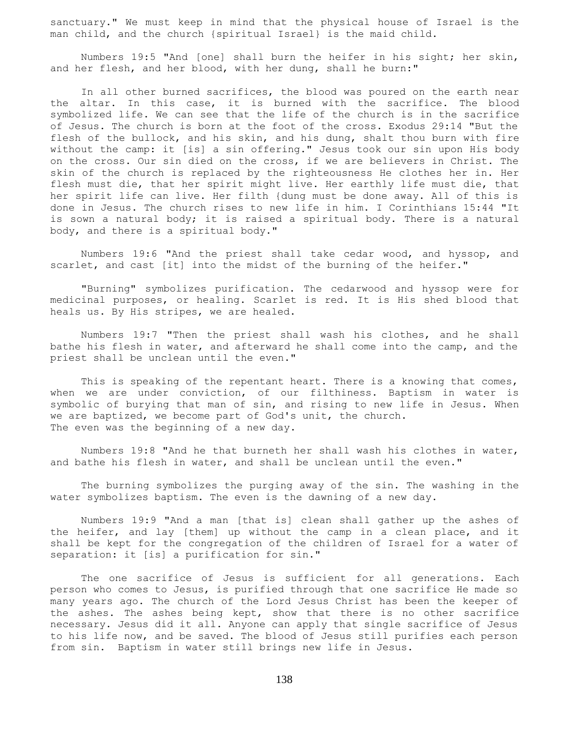sanctuary." We must keep in mind that the physical house of Israel is the man child, and the church {spiritual Israel} is the maid child.

 Numbers 19:5 "And [one] shall burn the heifer in his sight; her skin, and her flesh, and her blood, with her dung, shall he burn:"

 In all other burned sacrifices, the blood was poured on the earth near the altar. In this case, it is burned with the sacrifice. The blood symbolized life. We can see that the life of the church is in the sacrifice of Jesus. The church is born at the foot of the cross. Exodus 29:14 "But the flesh of the bullock, and his skin, and his dung, shalt thou burn with fire without the camp: it [is] a sin offering." Jesus took our sin upon His body on the cross. Our sin died on the cross, if we are believers in Christ. The skin of the church is replaced by the righteousness He clothes her in. Her flesh must die, that her spirit might live. Her earthly life must die, that her spirit life can live. Her filth {dung must be done away. All of this is done in Jesus. The church rises to new life in him. I Corinthians 15:44 "It is sown a natural body; it is raised a spiritual body. There is a natural body, and there is a spiritual body."

 Numbers 19:6 "And the priest shall take cedar wood, and hyssop, and scarlet, and cast [it] into the midst of the burning of the heifer."

 "Burning" symbolizes purification. The cedarwood and hyssop were for medicinal purposes, or healing. Scarlet is red. It is His shed blood that heals us. By His stripes, we are healed.

 Numbers 19:7 "Then the priest shall wash his clothes, and he shall bathe his flesh in water, and afterward he shall come into the camp, and the priest shall be unclean until the even."

This is speaking of the repentant heart. There is a knowing that comes, when we are under conviction, of our filthiness. Baptism in water is symbolic of burying that man of sin, and rising to new life in Jesus. When we are baptized, we become part of God's unit, the church. The even was the beginning of a new day.

 Numbers 19:8 "And he that burneth her shall wash his clothes in water, and bathe his flesh in water, and shall be unclean until the even."

 The burning symbolizes the purging away of the sin. The washing in the water symbolizes baptism. The even is the dawning of a new day.

 Numbers 19:9 "And a man [that is] clean shall gather up the ashes of the heifer, and lay [them] up without the camp in a clean place, and it shall be kept for the congregation of the children of Israel for a water of separation: it [is] a purification for sin."

 The one sacrifice of Jesus is sufficient for all generations. Each person who comes to Jesus, is purified through that one sacrifice He made so many years ago. The church of the Lord Jesus Christ has been the keeper of the ashes. The ashes being kept, show that there is no other sacrifice necessary. Jesus did it all. Anyone can apply that single sacrifice of Jesus to his life now, and be saved. The blood of Jesus still purifies each person from sin. Baptism in water still brings new life in Jesus.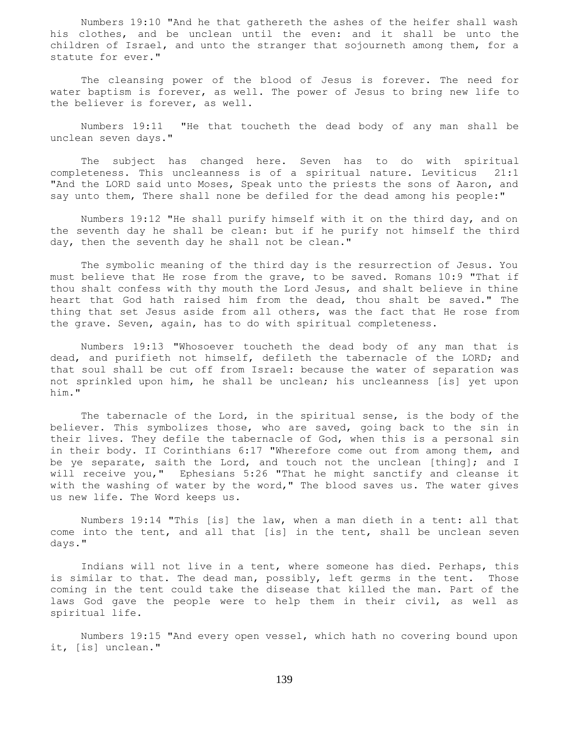Numbers 19:10 "And he that gathereth the ashes of the heifer shall wash his clothes, and be unclean until the even: and it shall be unto the children of Israel, and unto the stranger that sojourneth among them, for a statute for ever."

 The cleansing power of the blood of Jesus is forever. The need for water baptism is forever, as well. The power of Jesus to bring new life to the believer is forever, as well.

 Numbers 19:11 "He that toucheth the dead body of any man shall be unclean seven days."

 The subject has changed here. Seven has to do with spiritual completeness. This uncleanness is of a spiritual nature. Leviticus 21:1 "And the LORD said unto Moses, Speak unto the priests the sons of Aaron, and say unto them, There shall none be defiled for the dead among his people:"

 Numbers 19:12 "He shall purify himself with it on the third day, and on the seventh day he shall be clean: but if he purify not himself the third day, then the seventh day he shall not be clean."

 The symbolic meaning of the third day is the resurrection of Jesus. You must believe that He rose from the grave, to be saved. Romans 10:9 "That if thou shalt confess with thy mouth the Lord Jesus, and shalt believe in thine heart that God hath raised him from the dead, thou shalt be saved." The thing that set Jesus aside from all others, was the fact that He rose from the grave. Seven, again, has to do with spiritual completeness.

 Numbers 19:13 "Whosoever toucheth the dead body of any man that is dead, and purifieth not himself, defileth the tabernacle of the LORD; and that soul shall be cut off from Israel: because the water of separation was not sprinkled upon him, he shall be unclean; his uncleanness [is] yet upon him."

 The tabernacle of the Lord, in the spiritual sense, is the body of the believer. This symbolizes those, who are saved, going back to the sin in their lives. They defile the tabernacle of God, when this is a personal sin in their body. II Corinthians 6:17 "Wherefore come out from among them, and be ye separate, saith the Lord, and touch not the unclean [thing]; and I will receive you," Ephesians 5:26 "That he might sanctify and cleanse it with the washing of water by the word," The blood saves us. The water gives us new life. The Word keeps us.

 Numbers 19:14 "This [is] the law, when a man dieth in a tent: all that come into the tent, and all that [is] in the tent, shall be unclean seven days."

 Indians will not live in a tent, where someone has died. Perhaps, this is similar to that. The dead man, possibly, left germs in the tent. Those coming in the tent could take the disease that killed the man. Part of the laws God gave the people were to help them in their civil, as well as spiritual life.

 Numbers 19:15 "And every open vessel, which hath no covering bound upon it, [is] unclean."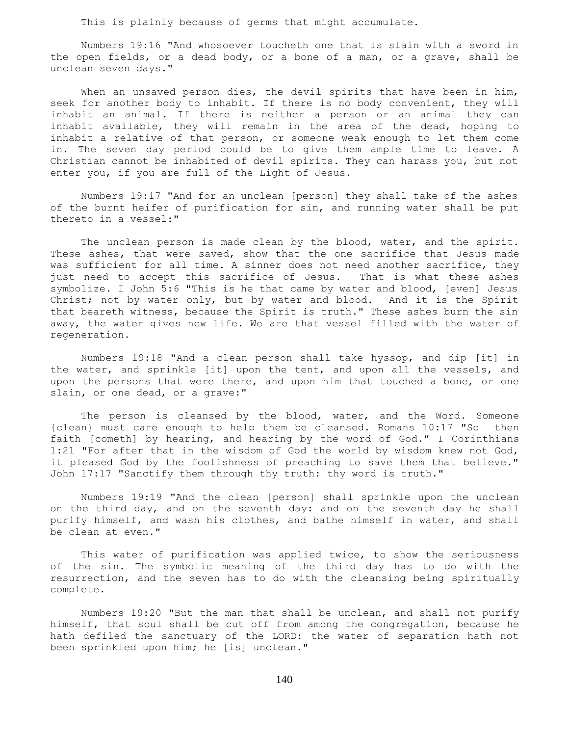This is plainly because of germs that might accumulate.

 Numbers 19:16 "And whosoever toucheth one that is slain with a sword in the open fields, or a dead body, or a bone of a man, or a grave, shall be unclean seven days."

When an unsaved person dies, the devil spirits that have been in him, seek for another body to inhabit. If there is no body convenient, they will inhabit an animal. If there is neither a person or an animal they can inhabit available, they will remain in the area of the dead, hoping to inhabit a relative of that person, or someone weak enough to let them come in. The seven day period could be to give them ample time to leave. A Christian cannot be inhabited of devil spirits. They can harass you, but not enter you, if you are full of the Light of Jesus.

 Numbers 19:17 "And for an unclean [person] they shall take of the ashes of the burnt heifer of purification for sin, and running water shall be put thereto in a vessel:"

 The unclean person is made clean by the blood, water, and the spirit. These ashes, that were saved, show that the one sacrifice that Jesus made was sufficient for all time. A sinner does not need another sacrifice, they just need to accept this sacrifice of Jesus. That is what these ashes symbolize. I John 5:6 "This is he that came by water and blood, [even] Jesus Christ; not by water only, but by water and blood. And it is the Spirit that beareth witness, because the Spirit is truth." These ashes burn the sin away, the water gives new life. We are that vessel filled with the water of regeneration.

 Numbers 19:18 "And a clean person shall take hyssop, and dip [it] in the water, and sprinkle [it] upon the tent, and upon all the vessels, and upon the persons that were there, and upon him that touched a bone, or one slain, or one dead, or a grave:"

The person is cleansed by the blood, water, and the Word. Someone {clean} must care enough to help them be cleansed. Romans 10:17 "So then faith [cometh] by hearing, and hearing by the word of God." I Corinthians 1:21 "For after that in the wisdom of God the world by wisdom knew not God, it pleased God by the foolishness of preaching to save them that believe." John 17:17 "Sanctify them through thy truth: thy word is truth."

 Numbers 19:19 "And the clean [person] shall sprinkle upon the unclean on the third day, and on the seventh day: and on the seventh day he shall purify himself, and wash his clothes, and bathe himself in water, and shall be clean at even."

 This water of purification was applied twice, to show the seriousness of the sin. The symbolic meaning of the third day has to do with the resurrection, and the seven has to do with the cleansing being spiritually complete.

 Numbers 19:20 "But the man that shall be unclean, and shall not purify himself, that soul shall be cut off from among the congregation, because he hath defiled the sanctuary of the LORD: the water of separation hath not been sprinkled upon him; he [is] unclean."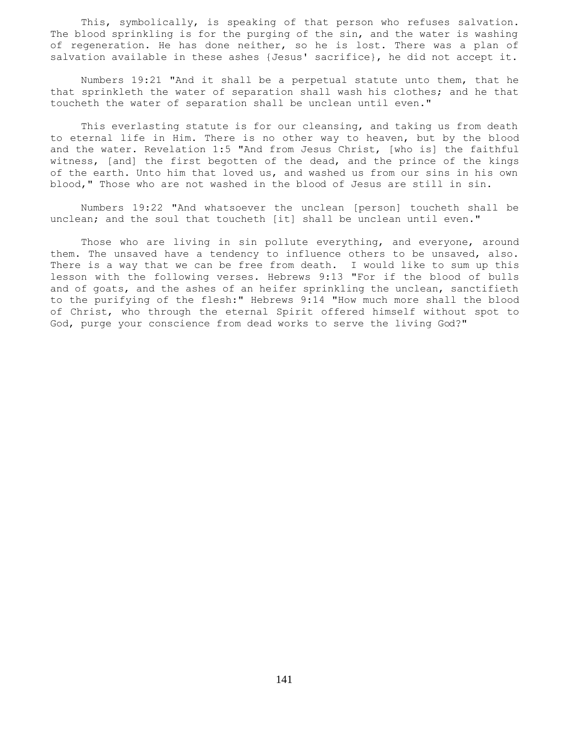This, symbolically, is speaking of that person who refuses salvation. The blood sprinkling is for the purging of the sin, and the water is washing of regeneration. He has done neither, so he is lost. There was a plan of salvation available in these ashes {Jesus' sacrifice}, he did not accept it.

 Numbers 19:21 "And it shall be a perpetual statute unto them, that he that sprinkleth the water of separation shall wash his clothes; and he that toucheth the water of separation shall be unclean until even."

 This everlasting statute is for our cleansing, and taking us from death to eternal life in Him. There is no other way to heaven, but by the blood and the water. Revelation 1:5 "And from Jesus Christ, [who is] the faithful witness, [and] the first begotten of the dead, and the prince of the kings of the earth. Unto him that loved us, and washed us from our sins in his own blood," Those who are not washed in the blood of Jesus are still in sin.

 Numbers 19:22 "And whatsoever the unclean [person] toucheth shall be unclean; and the soul that toucheth [it] shall be unclean until even."

Those who are living in sin pollute everything, and everyone, around them. The unsaved have a tendency to influence others to be unsaved, also. There is a way that we can be free from death. I would like to sum up this lesson with the following verses. Hebrews 9:13 "For if the blood of bulls and of goats, and the ashes of an heifer sprinkling the unclean, sanctifieth to the purifying of the flesh:" Hebrews 9:14 "How much more shall the blood of Christ, who through the eternal Spirit offered himself without spot to God, purge your conscience from dead works to serve the living God?"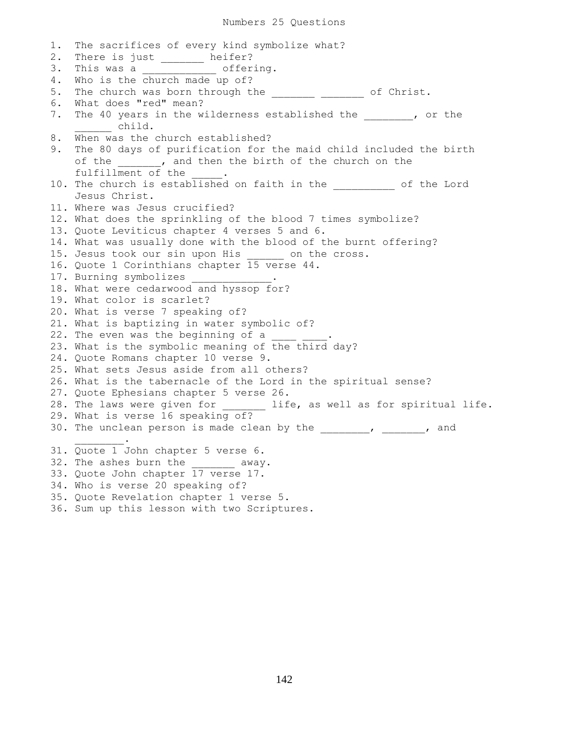1. The sacrifices of every kind symbolize what? 2. There is just \_\_\_\_\_\_\_ heifer? 3. This was a \_\_\_\_\_\_\_\_\_\_\_\_ offering. 4. Who is the church made up of? 5. The church was born through the \_\_\_\_\_\_\_\_ \_\_\_\_\_\_\_ of Christ. 6. What does "red" mean? 7. The 40 years in the wilderness established the the the set of the \_\_\_\_\_\_ child. 8. When was the church established? 9. The 80 days of purification for the maid child included the birth of the \_\_\_\_\_\_, and then the birth of the church on the fulfillment of the 10. The church is established on faith in the  $\qquad$  of the Lord Jesus Christ. 11. Where was Jesus crucified? 12. What does the sprinkling of the blood 7 times symbolize? 13. Quote Leviticus chapter 4 verses 5 and 6. 14. What was usually done with the blood of the burnt offering? 15. Jesus took our sin upon His on the cross. 16. Quote 1 Corinthians chapter 15 verse 44. 17. Burning symbolizes 18. What were cedarwood and hyssop for? 19. What color is scarlet? 20. What is verse 7 speaking of? 21. What is baptizing in water symbolic of? 22. The even was the beginning of a 23. What is the symbolic meaning of the third day? 24. Quote Romans chapter 10 verse 9. 25. What sets Jesus aside from all others? 26. What is the tabernacle of the Lord in the spiritual sense? 27. Quote Ephesians chapter 5 verse 26. 28. The laws were given for \_\_\_\_\_\_\_\_ life, as well as for spiritual life. 29. What is verse 16 speaking of? 30. The unclean person is made clean by the \_\_\_\_\_\_\_, \_\_\_\_\_\_\_, and  $\frac{1}{2}$  and  $\frac{1}{2}$  and  $\frac{1}{2}$  and  $\frac{1}{2}$ 31. Quote 1 John chapter 5 verse 6. 32. The ashes burn the  $a_{way}$ . 33. Quote John chapter 17 verse 17. 34. Who is verse 20 speaking of? 35. Quote Revelation chapter 1 verse 5. 36. Sum up this lesson with two Scriptures.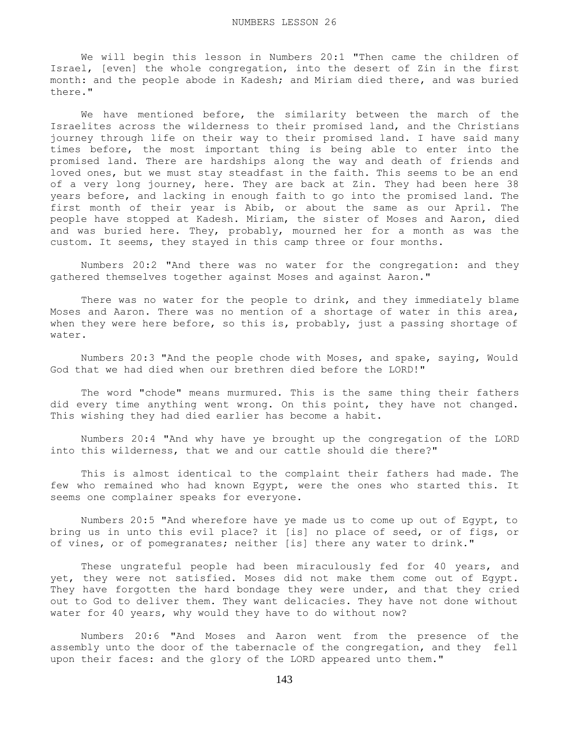We will begin this lesson in Numbers 20:1 "Then came the children of Israel, [even] the whole congregation, into the desert of Zin in the first month: and the people abode in Kadesh; and Miriam died there, and was buried there."

 We have mentioned before, the similarity between the march of the Israelites across the wilderness to their promised land, and the Christians journey through life on their way to their promised land. I have said many times before, the most important thing is being able to enter into the promised land. There are hardships along the way and death of friends and loved ones, but we must stay steadfast in the faith. This seems to be an end of a very long journey, here. They are back at Zin. They had been here 38 years before, and lacking in enough faith to go into the promised land. The first month of their year is Abib, or about the same as our April. The people have stopped at Kadesh. Miriam, the sister of Moses and Aaron, died and was buried here. They, probably, mourned her for a month as was the custom. It seems, they stayed in this camp three or four months.

 Numbers 20:2 "And there was no water for the congregation: and they gathered themselves together against Moses and against Aaron."

 There was no water for the people to drink, and they immediately blame Moses and Aaron. There was no mention of a shortage of water in this area, when they were here before, so this is, probably, just a passing shortage of water.

 Numbers 20:3 "And the people chode with Moses, and spake, saying, Would God that we had died when our brethren died before the LORD!"

 The word "chode" means murmured. This is the same thing their fathers did every time anything went wrong. On this point, they have not changed. This wishing they had died earlier has become a habit.

 Numbers 20:4 "And why have ye brought up the congregation of the LORD into this wilderness, that we and our cattle should die there?"

 This is almost identical to the complaint their fathers had made. The few who remained who had known Egypt, were the ones who started this. It seems one complainer speaks for everyone.

 Numbers 20:5 "And wherefore have ye made us to come up out of Egypt, to bring us in unto this evil place? it [is] no place of seed, or of figs, or of vines, or of pomegranates; neither [is] there any water to drink."

 These ungrateful people had been miraculously fed for 40 years, and yet, they were not satisfied. Moses did not make them come out of Egypt. They have forgotten the hard bondage they were under, and that they cried out to God to deliver them. They want delicacies. They have not done without water for 40 years, why would they have to do without now?

 Numbers 20:6 "And Moses and Aaron went from the presence of the assembly unto the door of the tabernacle of the congregation, and they fell upon their faces: and the glory of the LORD appeared unto them."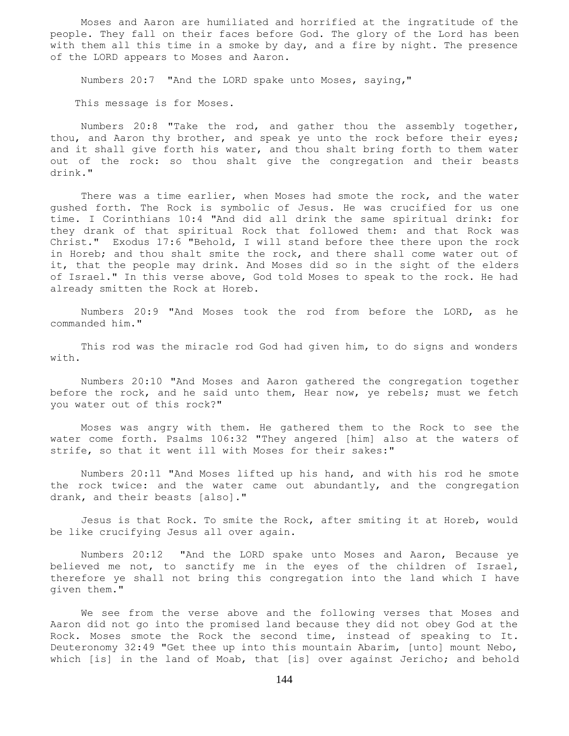Moses and Aaron are humiliated and horrified at the ingratitude of the people. They fall on their faces before God. The glory of the Lord has been with them all this time in a smoke by day, and a fire by night. The presence of the LORD appears to Moses and Aaron.

Numbers 20:7 "And the LORD spake unto Moses, saying,"

This message is for Moses.

 Numbers 20:8 "Take the rod, and gather thou the assembly together, thou, and Aaron thy brother, and speak ye unto the rock before their eyes; and it shall give forth his water, and thou shalt bring forth to them water out of the rock: so thou shalt give the congregation and their beasts drink."

 There was a time earlier, when Moses had smote the rock, and the water gushed forth. The Rock is symbolic of Jesus. He was crucified for us one time. I Corinthians 10:4 "And did all drink the same spiritual drink: for they drank of that spiritual Rock that followed them: and that Rock was Christ." Exodus 17:6 "Behold, I will stand before thee there upon the rock in Horeb; and thou shalt smite the rock, and there shall come water out of it, that the people may drink. And Moses did so in the sight of the elders of Israel." In this verse above, God told Moses to speak to the rock. He had already smitten the Rock at Horeb.

 Numbers 20:9 "And Moses took the rod from before the LORD, as he commanded him."

 This rod was the miracle rod God had given him, to do signs and wonders with.

 Numbers 20:10 "And Moses and Aaron gathered the congregation together before the rock, and he said unto them, Hear now, ye rebels; must we fetch you water out of this rock?"

 Moses was angry with them. He gathered them to the Rock to see the water come forth. Psalms 106:32 "They angered [him] also at the waters of strife, so that it went ill with Moses for their sakes:"

 Numbers 20:11 "And Moses lifted up his hand, and with his rod he smote the rock twice: and the water came out abundantly, and the congregation drank, and their beasts [also]."

 Jesus is that Rock. To smite the Rock, after smiting it at Horeb, would be like crucifying Jesus all over again.

 Numbers 20:12 "And the LORD spake unto Moses and Aaron, Because ye believed me not, to sanctify me in the eyes of the children of Israel, therefore ye shall not bring this congregation into the land which I have given them."

 We see from the verse above and the following verses that Moses and Aaron did not go into the promised land because they did not obey God at the Rock. Moses smote the Rock the second time, instead of speaking to It. Deuteronomy 32:49 "Get thee up into this mountain Abarim, [unto] mount Nebo, which [is] in the land of Moab, that [is] over against Jericho; and behold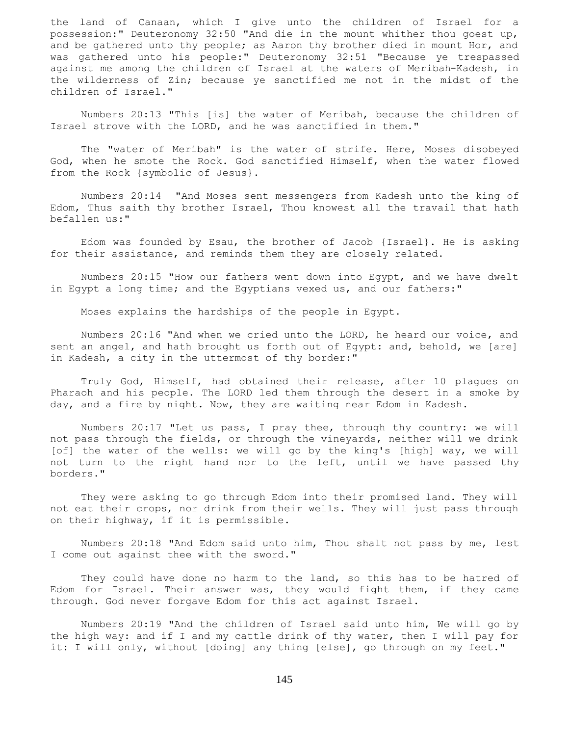the land of Canaan, which I give unto the children of Israel for a possession:" Deuteronomy 32:50 "And die in the mount whither thou goest up, and be gathered unto thy people; as Aaron thy brother died in mount Hor, and was gathered unto his people:" Deuteronomy 32:51 "Because ye trespassed against me among the children of Israel at the waters of Meribah-Kadesh, in the wilderness of Zin; because ye sanctified me not in the midst of the children of Israel."

 Numbers 20:13 "This [is] the water of Meribah, because the children of Israel strove with the LORD, and he was sanctified in them."

 The "water of Meribah" is the water of strife. Here, Moses disobeyed God, when he smote the Rock. God sanctified Himself, when the water flowed from the Rock {symbolic of Jesus}.

 Numbers 20:14 "And Moses sent messengers from Kadesh unto the king of Edom, Thus saith thy brother Israel, Thou knowest all the travail that hath befallen us:"

 Edom was founded by Esau, the brother of Jacob {Israel}. He is asking for their assistance, and reminds them they are closely related.

 Numbers 20:15 "How our fathers went down into Egypt, and we have dwelt in Egypt a long time; and the Egyptians vexed us, and our fathers:"

Moses explains the hardships of the people in Egypt.

 Numbers 20:16 "And when we cried unto the LORD, he heard our voice, and sent an angel, and hath brought us forth out of Egypt: and, behold, we [are] in Kadesh, a city in the uttermost of thy border:"

 Truly God, Himself, had obtained their release, after 10 plagues on Pharaoh and his people. The LORD led them through the desert in a smoke by day, and a fire by night. Now, they are waiting near Edom in Kadesh.

 Numbers 20:17 "Let us pass, I pray thee, through thy country: we will not pass through the fields, or through the vineyards, neither will we drink [of] the water of the wells: we will go by the king's [high] way, we will not turn to the right hand nor to the left, until we have passed thy borders."

 They were asking to go through Edom into their promised land. They will not eat their crops, nor drink from their wells. They will just pass through on their highway, if it is permissible.

 Numbers 20:18 "And Edom said unto him, Thou shalt not pass by me, lest I come out against thee with the sword."

They could have done no harm to the land, so this has to be hatred of Edom for Israel. Their answer was, they would fight them, if they came through. God never forgave Edom for this act against Israel.

 Numbers 20:19 "And the children of Israel said unto him, We will go by the high way: and if I and my cattle drink of thy water, then I will pay for it: I will only, without [doing] any thing [else], go through on my feet."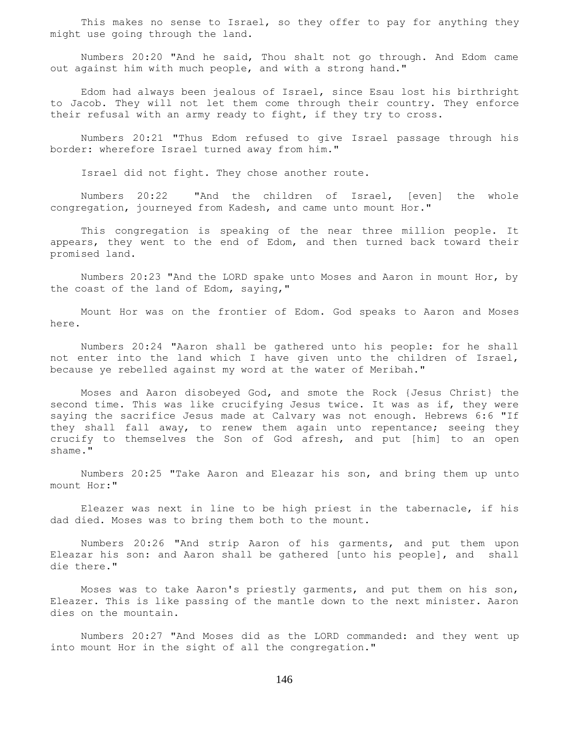This makes no sense to Israel, so they offer to pay for anything they might use going through the land.

 Numbers 20:20 "And he said, Thou shalt not go through. And Edom came out against him with much people, and with a strong hand."

 Edom had always been jealous of Israel, since Esau lost his birthright to Jacob. They will not let them come through their country. They enforce their refusal with an army ready to fight, if they try to cross.

 Numbers 20:21 "Thus Edom refused to give Israel passage through his border: wherefore Israel turned away from him."

Israel did not fight. They chose another route.

 Numbers 20:22 "And the children of Israel, [even] the whole congregation, journeyed from Kadesh, and came unto mount Hor."

 This congregation is speaking of the near three million people. It appears, they went to the end of Edom, and then turned back toward their promised land.

 Numbers 20:23 "And the LORD spake unto Moses and Aaron in mount Hor, by the coast of the land of Edom, saying,"

 Mount Hor was on the frontier of Edom. God speaks to Aaron and Moses here.

 Numbers 20:24 "Aaron shall be gathered unto his people: for he shall not enter into the land which I have given unto the children of Israel, because ye rebelled against my word at the water of Meribah."

 Moses and Aaron disobeyed God, and smote the Rock {Jesus Christ} the second time. This was like crucifying Jesus twice. It was as if, they were saying the sacrifice Jesus made at Calvary was not enough. Hebrews 6:6 "If they shall fall away, to renew them again unto repentance; seeing they crucify to themselves the Son of God afresh, and put [him] to an open shame."

 Numbers 20:25 "Take Aaron and Eleazar his son, and bring them up unto mount Hor:"

 Eleazer was next in line to be high priest in the tabernacle, if his dad died. Moses was to bring them both to the mount.

 Numbers 20:26 "And strip Aaron of his garments, and put them upon Eleazar his son: and Aaron shall be gathered [unto his people], and shall die there."

 Moses was to take Aaron's priestly garments, and put them on his son, Eleazer. This is like passing of the mantle down to the next minister. Aaron dies on the mountain.

 Numbers 20:27 "And Moses did as the LORD commanded: and they went up into mount Hor in the sight of all the congregation."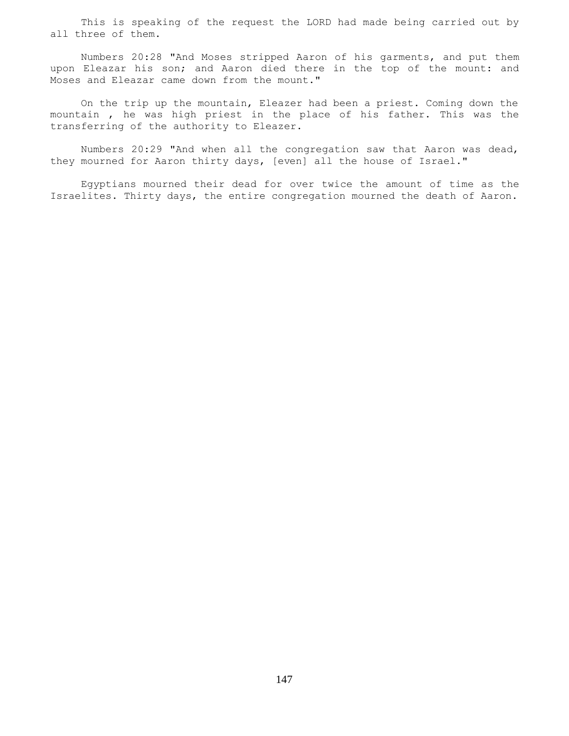This is speaking of the request the LORD had made being carried out by all three of them.

 Numbers 20:28 "And Moses stripped Aaron of his garments, and put them upon Eleazar his son; and Aaron died there in the top of the mount: and Moses and Eleazar came down from the mount."

 On the trip up the mountain, Eleazer had been a priest. Coming down the mountain , he was high priest in the place of his father. This was the transferring of the authority to Eleazer.

 Numbers 20:29 "And when all the congregation saw that Aaron was dead, they mourned for Aaron thirty days, [even] all the house of Israel."

 Egyptians mourned their dead for over twice the amount of time as the Israelites. Thirty days, the entire congregation mourned the death of Aaron.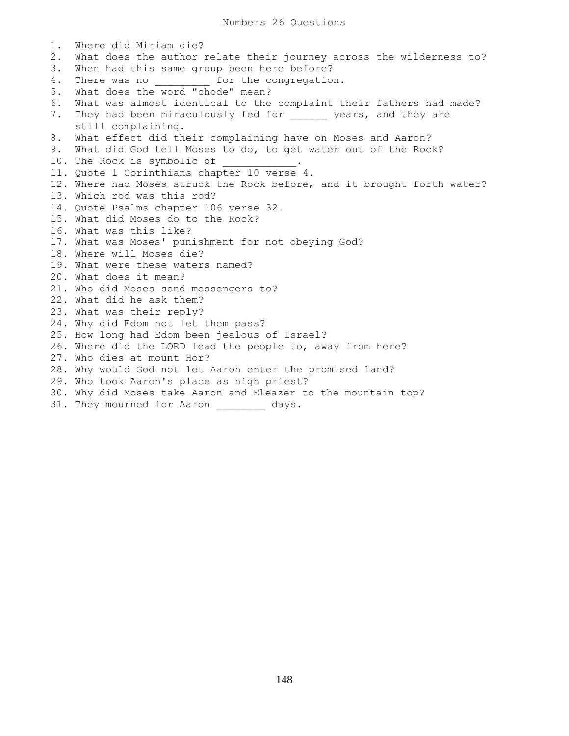1. Where did Miriam die? 2. What does the author relate their journey across the wilderness to? 3. When had this same group been here before? 4. There was no **the congregation**. 5. What does the word "chode" mean? 6. What was almost identical to the complaint their fathers had made? 7. They had been miraculously fed for \_\_\_\_\_\_ years, and they are still complaining. 8. What effect did their complaining have on Moses and Aaron? 9. What did God tell Moses to do, to get water out of the Rock? 10. The Rock is symbolic of 11. Quote 1 Corinthians chapter 10 verse 4. 12. Where had Moses struck the Rock before, and it brought forth water? 13. Which rod was this rod? 14. Quote Psalms chapter 106 verse 32. 15. What did Moses do to the Rock? 16. What was this like? 17. What was Moses' punishment for not obeying God? 18. Where will Moses die? 19. What were these waters named? 20. What does it mean? 21. Who did Moses send messengers to? 22. What did he ask them? 23. What was their reply? 24. Why did Edom not let them pass? 25. How long had Edom been jealous of Israel? 26. Where did the LORD lead the people to, away from here? 27. Who dies at mount Hor? 28. Why would God not let Aaron enter the promised land? 29. Who took Aaron's place as high priest? 30. Why did Moses take Aaron and Eleazer to the mountain top? 31. They mourned for Aaron \_\_\_\_\_\_\_\_ days.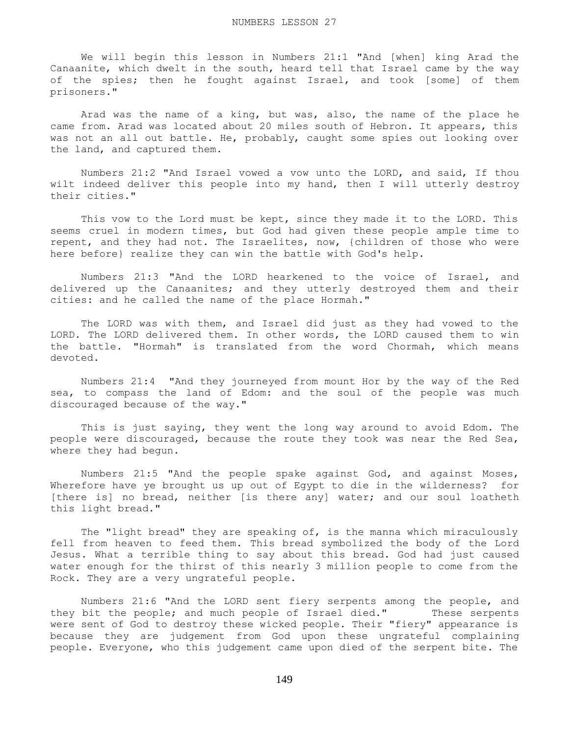We will begin this lesson in Numbers 21:1 "And [when] king Arad the Canaanite, which dwelt in the south, heard tell that Israel came by the way of the spies; then he fought against Israel, and took [some] of them prisoners."

 Arad was the name of a king, but was, also, the name of the place he came from. Arad was located about 20 miles south of Hebron. It appears, this was not an all out battle. He, probably, caught some spies out looking over the land, and captured them.

 Numbers 21:2 "And Israel vowed a vow unto the LORD, and said, If thou wilt indeed deliver this people into my hand, then I will utterly destroy their cities."

 This vow to the Lord must be kept, since they made it to the LORD. This seems cruel in modern times, but God had given these people ample time to repent, and they had not. The Israelites, now, {children of those who were here before} realize they can win the battle with God's help.

 Numbers 21:3 "And the LORD hearkened to the voice of Israel, and delivered up the Canaanites; and they utterly destroyed them and their cities: and he called the name of the place Hormah."

 The LORD was with them, and Israel did just as they had vowed to the LORD. The LORD delivered them. In other words, the LORD caused them to win the battle. "Hormah" is translated from the word Chormah, which means devoted.

 Numbers 21:4 "And they journeyed from mount Hor by the way of the Red sea, to compass the land of Edom: and the soul of the people was much discouraged because of the way."

 This is just saying, they went the long way around to avoid Edom. The people were discouraged, because the route they took was near the Red Sea, where they had begun.

 Numbers 21:5 "And the people spake against God, and against Moses, Wherefore have ye brought us up out of Egypt to die in the wilderness? for [there is] no bread, neither [is there any] water; and our soul loatheth this light bread."

 The "light bread" they are speaking of, is the manna which miraculously fell from heaven to feed them. This bread symbolized the body of the Lord Jesus. What a terrible thing to say about this bread. God had just caused water enough for the thirst of this nearly 3 million people to come from the Rock. They are a very ungrateful people.

 Numbers 21:6 "And the LORD sent fiery serpents among the people, and they bit the people; and much people of Israel died." These serpents were sent of God to destroy these wicked people. Their "fiery" appearance is because they are judgement from God upon these ungrateful complaining people. Everyone, who this judgement came upon died of the serpent bite. The

149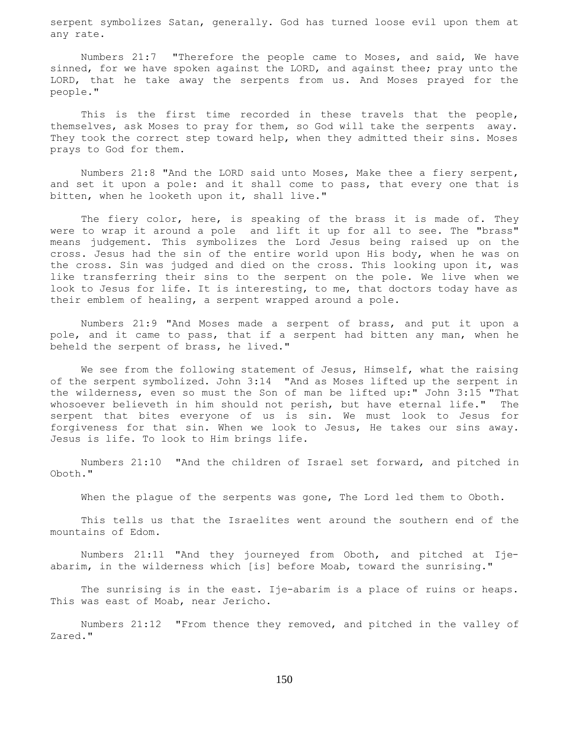serpent symbolizes Satan, generally. God has turned loose evil upon them at any rate.

 Numbers 21:7 "Therefore the people came to Moses, and said, We have sinned, for we have spoken against the LORD, and against thee; pray unto the LORD, that he take away the serpents from us. And Moses prayed for the people."

 This is the first time recorded in these travels that the people, themselves, ask Moses to pray for them, so God will take the serpents away. They took the correct step toward help, when they admitted their sins. Moses prays to God for them.

 Numbers 21:8 "And the LORD said unto Moses, Make thee a fiery serpent, and set it upon a pole: and it shall come to pass, that every one that is bitten, when he looketh upon it, shall live."

The fiery color, here, is speaking of the brass it is made of. They were to wrap it around a pole and lift it up for all to see. The "brass" means judgement. This symbolizes the Lord Jesus being raised up on the cross. Jesus had the sin of the entire world upon His body, when he was on the cross. Sin was judged and died on the cross. This looking upon it, was like transferring their sins to the serpent on the pole. We live when we look to Jesus for life. It is interesting, to me, that doctors today have as their emblem of healing, a serpent wrapped around a pole.

 Numbers 21:9 "And Moses made a serpent of brass, and put it upon a pole, and it came to pass, that if a serpent had bitten any man, when he beheld the serpent of brass, he lived."

 We see from the following statement of Jesus, Himself, what the raising of the serpent symbolized. John 3:14 "And as Moses lifted up the serpent in the wilderness, even so must the Son of man be lifted up:" John 3:15 "That whosoever believeth in him should not perish, but have eternal life." The serpent that bites everyone of us is sin. We must look to Jesus for forgiveness for that sin. When we look to Jesus, He takes our sins away. Jesus is life. To look to Him brings life.

 Numbers 21:10 "And the children of Israel set forward, and pitched in Oboth."

When the plague of the serpents was gone, The Lord led them to Oboth.

 This tells us that the Israelites went around the southern end of the mountains of Edom.

 Numbers 21:11 "And they journeyed from Oboth, and pitched at Ijeabarim, in the wilderness which [is] before Moab, toward the sunrising."

The sunrising is in the east. Ije-abarim is a place of ruins or heaps. This was east of Moab, near Jericho.

 Numbers 21:12 "From thence they removed, and pitched in the valley of Zared."

150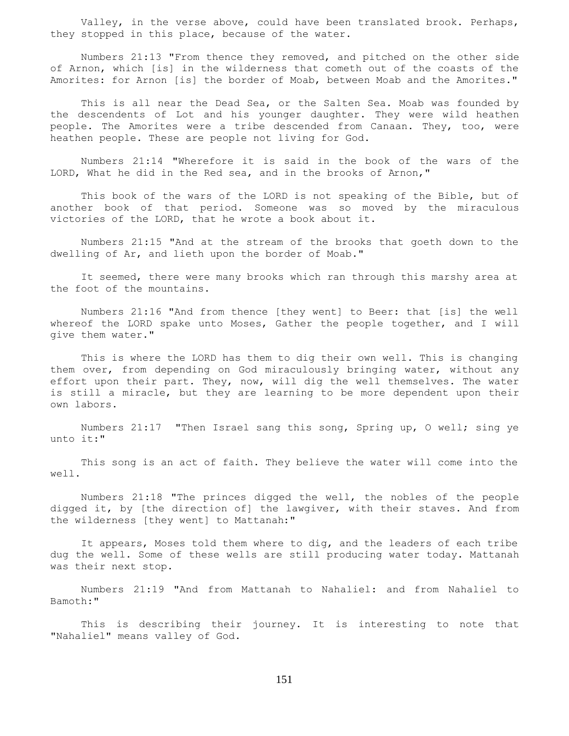Valley, in the verse above, could have been translated brook. Perhaps, they stopped in this place, because of the water.

 Numbers 21:13 "From thence they removed, and pitched on the other side of Arnon, which [is] in the wilderness that cometh out of the coasts of the Amorites: for Arnon [is] the border of Moab, between Moab and the Amorites."

 This is all near the Dead Sea, or the Salten Sea. Moab was founded by the descendents of Lot and his younger daughter. They were wild heathen people. The Amorites were a tribe descended from Canaan. They, too, were heathen people. These are people not living for God.

 Numbers 21:14 "Wherefore it is said in the book of the wars of the LORD, What he did in the Red sea, and in the brooks of Arnon,"

 This book of the wars of the LORD is not speaking of the Bible, but of another book of that period. Someone was so moved by the miraculous victories of the LORD, that he wrote a book about it.

 Numbers 21:15 "And at the stream of the brooks that goeth down to the dwelling of Ar, and lieth upon the border of Moab."

 It seemed, there were many brooks which ran through this marshy area at the foot of the mountains.

 Numbers 21:16 "And from thence [they went] to Beer: that [is] the well whereof the LORD spake unto Moses, Gather the people together, and I will give them water."

 This is where the LORD has them to dig their own well. This is changing them over, from depending on God miraculously bringing water, without any effort upon their part. They, now, will dig the well themselves. The water is still a miracle, but they are learning to be more dependent upon their own labors.

 Numbers 21:17 "Then Israel sang this song, Spring up, O well; sing ye unto it:"

 This song is an act of faith. They believe the water will come into the well.

 Numbers 21:18 "The princes digged the well, the nobles of the people digged it, by [the direction of] the lawgiver, with their staves. And from the wilderness [they went] to Mattanah:"

 It appears, Moses told them where to dig, and the leaders of each tribe dug the well. Some of these wells are still producing water today. Mattanah was their next stop.

 Numbers 21:19 "And from Mattanah to Nahaliel: and from Nahaliel to Bamoth:"

 This is describing their journey. It is interesting to note that "Nahaliel" means valley of God.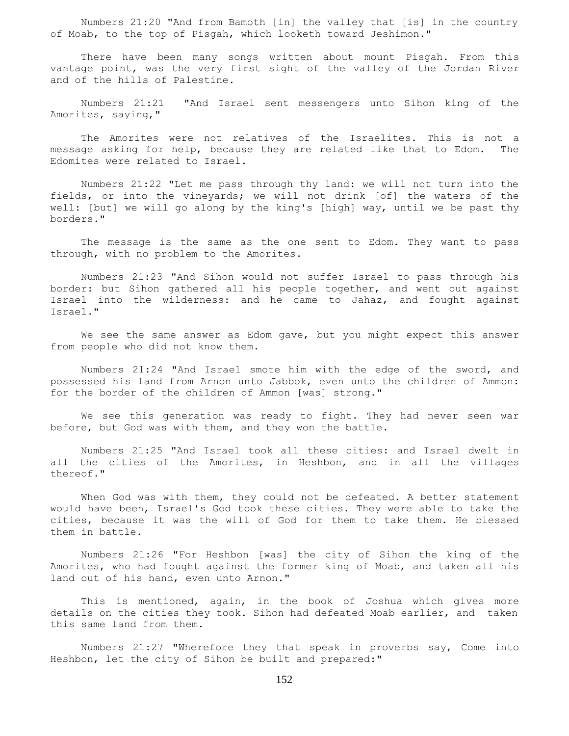Numbers 21:20 "And from Bamoth [in] the valley that [is] in the country of Moab, to the top of Pisgah, which looketh toward Jeshimon."

 There have been many songs written about mount Pisgah. From this vantage point, was the very first sight of the valley of the Jordan River and of the hills of Palestine.

 Numbers 21:21 "And Israel sent messengers unto Sihon king of the Amorites, saying,"

 The Amorites were not relatives of the Israelites. This is not a message asking for help, because they are related like that to Edom. The Edomites were related to Israel.

 Numbers 21:22 "Let me pass through thy land: we will not turn into the fields, or into the vineyards; we will not drink [of] the waters of the well: [but] we will go along by the king's [high] way, until we be past thy borders."

 The message is the same as the one sent to Edom. They want to pass through, with no problem to the Amorites.

 Numbers 21:23 "And Sihon would not suffer Israel to pass through his border: but Sihon gathered all his people together, and went out against Israel into the wilderness: and he came to Jahaz, and fought against Israel."

 We see the same answer as Edom gave, but you might expect this answer from people who did not know them.

 Numbers 21:24 "And Israel smote him with the edge of the sword, and possessed his land from Arnon unto Jabbok, even unto the children of Ammon: for the border of the children of Ammon [was] strong."

 We see this generation was ready to fight. They had never seen war before, but God was with them, and they won the battle.

 Numbers 21:25 "And Israel took all these cities: and Israel dwelt in all the cities of the Amorites, in Heshbon, and in all the villages thereof."

 When God was with them, they could not be defeated. A better statement would have been, Israel's God took these cities. They were able to take the cities, because it was the will of God for them to take them. He blessed them in battle.

 Numbers 21:26 "For Heshbon [was] the city of Sihon the king of the Amorites, who had fought against the former king of Moab, and taken all his land out of his hand, even unto Arnon."

 This is mentioned, again, in the book of Joshua which gives more details on the cities they took. Sihon had defeated Moab earlier, and taken this same land from them.

 Numbers 21:27 "Wherefore they that speak in proverbs say, Come into Heshbon, let the city of Sihon be built and prepared:"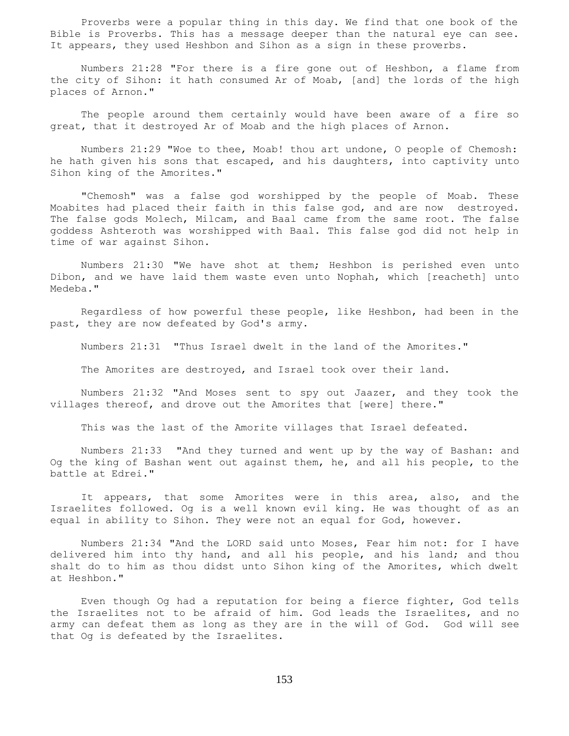Proverbs were a popular thing in this day. We find that one book of the Bible is Proverbs. This has a message deeper than the natural eye can see. It appears, they used Heshbon and Sihon as a sign in these proverbs.

 Numbers 21:28 "For there is a fire gone out of Heshbon, a flame from the city of Sihon: it hath consumed Ar of Moab, [and] the lords of the high places of Arnon."

 The people around them certainly would have been aware of a fire so great, that it destroyed Ar of Moab and the high places of Arnon.

 Numbers 21:29 "Woe to thee, Moab! thou art undone, O people of Chemosh: he hath given his sons that escaped, and his daughters, into captivity unto Sihon king of the Amorites."

 "Chemosh" was a false god worshipped by the people of Moab. These Moabites had placed their faith in this false god, and are now destroyed. The false gods Molech, Milcam, and Baal came from the same root. The false goddess Ashteroth was worshipped with Baal. This false god did not help in time of war against Sihon.

 Numbers 21:30 "We have shot at them; Heshbon is perished even unto Dibon, and we have laid them waste even unto Nophah, which [reacheth] unto Medeba."

 Regardless of how powerful these people, like Heshbon, had been in the past, they are now defeated by God's army.

Numbers 21:31 "Thus Israel dwelt in the land of the Amorites."

The Amorites are destroyed, and Israel took over their land.

 Numbers 21:32 "And Moses sent to spy out Jaazer, and they took the villages thereof, and drove out the Amorites that [were] there."

This was the last of the Amorite villages that Israel defeated.

 Numbers 21:33 "And they turned and went up by the way of Bashan: and Og the king of Bashan went out against them, he, and all his people, to the battle at Edrei."

 It appears, that some Amorites were in this area, also, and the Israelites followed. Og is a well known evil king. He was thought of as an equal in ability to Sihon. They were not an equal for God, however.

 Numbers 21:34 "And the LORD said unto Moses, Fear him not: for I have delivered him into thy hand, and all his people, and his land; and thou shalt do to him as thou didst unto Sihon king of the Amorites, which dwelt at Heshbon."

 Even though Og had a reputation for being a fierce fighter, God tells the Israelites not to be afraid of him. God leads the Israelites, and no army can defeat them as long as they are in the will of God. God will see that Og is defeated by the Israelites.

153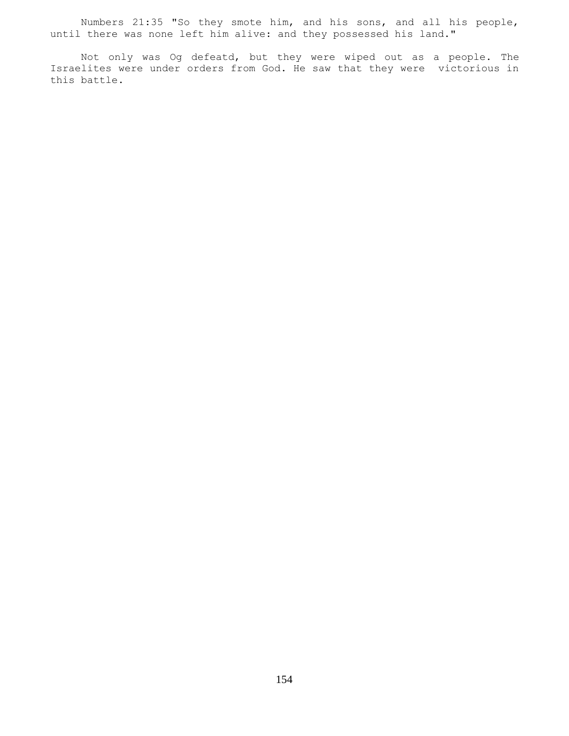Numbers 21:35 "So they smote him, and his sons, and all his people, until there was none left him alive: and they possessed his land."

 Not only was Og defeatd, but they were wiped out as a people. The Israelites were under orders from God. He saw that they were victorious in this battle.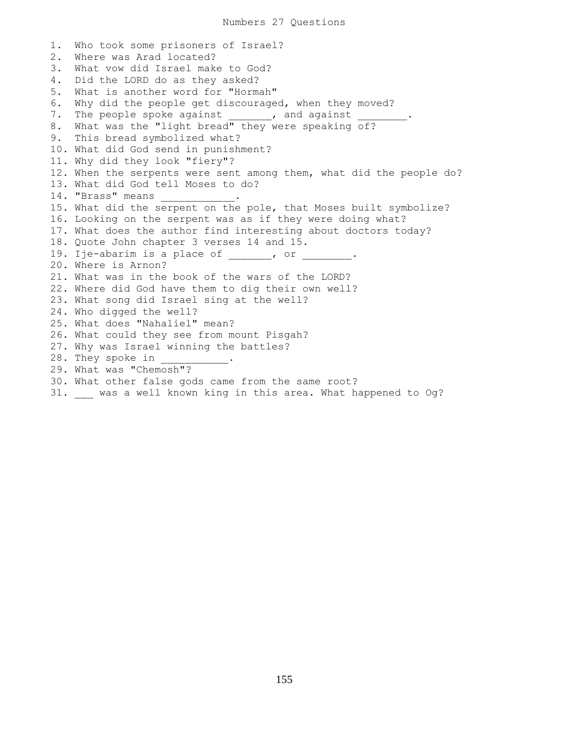1. Who took some prisoners of Israel? 2. Where was Arad located? 3. What vow did Israel make to God? 4. Did the LORD do as they asked? 5. What is another word for "Hormah" 6. Why did the people get discouraged, when they moved? 7. The people spoke against \_\_\_\_\_\_, and against \_ 8. What was the "light bread" they were speaking of? 9. This bread symbolized what? 10. What did God send in punishment? 11. Why did they look "fiery"? 12. When the serpents were sent among them, what did the people do? 13. What did God tell Moses to do? 14. "Brass" means 15. What did the serpent on the pole, that Moses built symbolize? 16. Looking on the serpent was as if they were doing what? 17. What does the author find interesting about doctors today? 18. Quote John chapter 3 verses 14 and 15. 19. Ije-abarim is a place of 19. Or 20. Where is Arnon? 21. What was in the book of the wars of the LORD? 22. Where did God have them to dig their own well? 23. What song did Israel sing at the well? 24. Who digged the well? 25. What does "Nahaliel" mean? 26. What could they see from mount Pisgah? 27. Why was Israel winning the battles? 28. They spoke in 29. What was "Chemosh"? 30. What other false gods came from the same root? 31. was a well known king in this area. What happened to Og?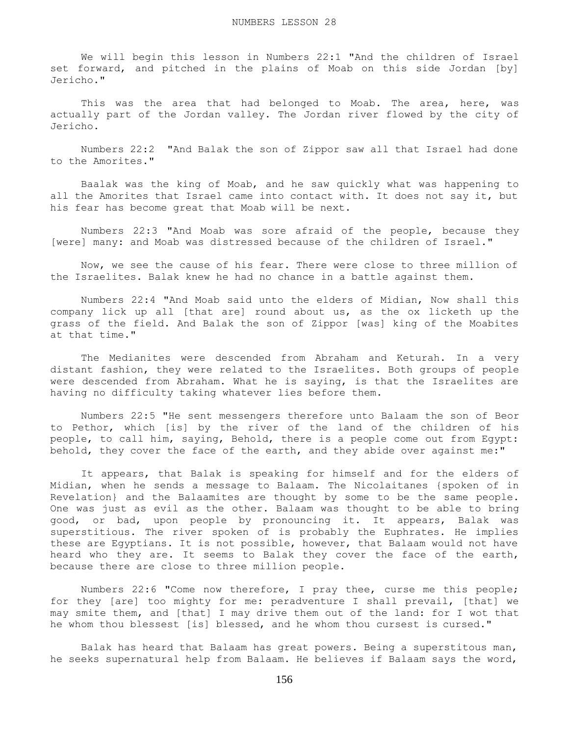We will begin this lesson in Numbers 22:1 "And the children of Israel set forward, and pitched in the plains of Moab on this side Jordan [by] Jericho."

This was the area that had belonged to Moab. The area, here, was actually part of the Jordan valley. The Jordan river flowed by the city of Jericho.

 Numbers 22:2 "And Balak the son of Zippor saw all that Israel had done to the Amorites."

 Baalak was the king of Moab, and he saw quickly what was happening to all the Amorites that Israel came into contact with. It does not say it, but his fear has become great that Moab will be next.

 Numbers 22:3 "And Moab was sore afraid of the people, because they [were] many: and Moab was distressed because of the children of Israel."

 Now, we see the cause of his fear. There were close to three million of the Israelites. Balak knew he had no chance in a battle against them.

 Numbers 22:4 "And Moab said unto the elders of Midian, Now shall this company lick up all [that are] round about us, as the ox licketh up the grass of the field. And Balak the son of Zippor [was] king of the Moabites at that time."

 The Medianites were descended from Abraham and Keturah. In a very distant fashion, they were related to the Israelites. Both groups of people were descended from Abraham. What he is saying, is that the Israelites are having no difficulty taking whatever lies before them.

 Numbers 22:5 "He sent messengers therefore unto Balaam the son of Beor to Pethor, which [is] by the river of the land of the children of his people, to call him, saying, Behold, there is a people come out from Egypt: behold, they cover the face of the earth, and they abide over against me:"

 It appears, that Balak is speaking for himself and for the elders of Midian, when he sends a message to Balaam. The Nicolaitanes {spoken of in Revelation} and the Balaamites are thought by some to be the same people. One was just as evil as the other. Balaam was thought to be able to bring good, or bad, upon people by pronouncing it. It appears, Balak was superstitious. The river spoken of is probably the Euphrates. He implies these are Egyptians. It is not possible, however, that Balaam would not have heard who they are. It seems to Balak they cover the face of the earth, because there are close to three million people.

 Numbers 22:6 "Come now therefore, I pray thee, curse me this people; for they [are] too mighty for me: peradventure I shall prevail, [that] we may smite them, and [that] I may drive them out of the land: for I wot that he whom thou blessest [is] blessed, and he whom thou cursest is cursed."

 Balak has heard that Balaam has great powers. Being a superstitous man, he seeks supernatural help from Balaam. He believes if Balaam says the word,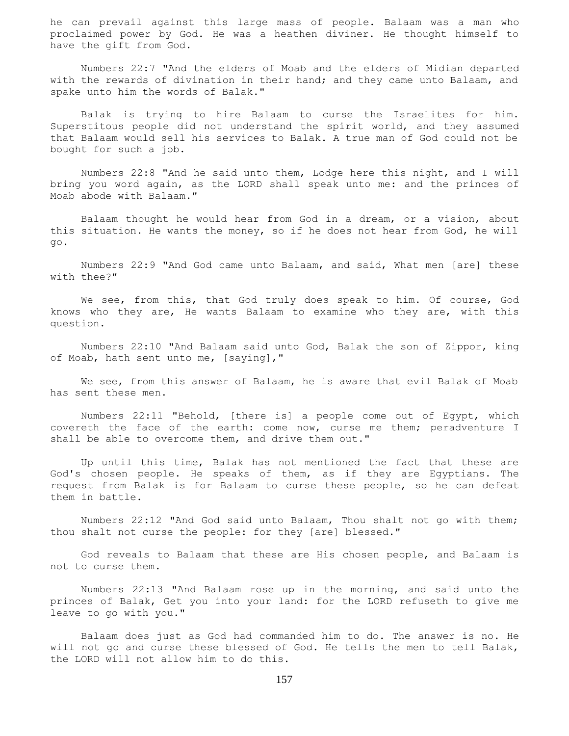he can prevail against this large mass of people. Balaam was a man who proclaimed power by God. He was a heathen diviner. He thought himself to have the gift from God.

 Numbers 22:7 "And the elders of Moab and the elders of Midian departed with the rewards of divination in their hand; and they came unto Balaam, and spake unto him the words of Balak."

 Balak is trying to hire Balaam to curse the Israelites for him. Superstitous people did not understand the spirit world, and they assumed that Balaam would sell his services to Balak. A true man of God could not be bought for such a job.

 Numbers 22:8 "And he said unto them, Lodge here this night, and I will bring you word again, as the LORD shall speak unto me: and the princes of Moab abode with Balaam."

 Balaam thought he would hear from God in a dream, or a vision, about this situation. He wants the money, so if he does not hear from God, he will go.

 Numbers 22:9 "And God came unto Balaam, and said, What men [are] these with thee?"

We see, from this, that God truly does speak to him. Of course, God knows who they are, He wants Balaam to examine who they are, with this question.

 Numbers 22:10 "And Balaam said unto God, Balak the son of Zippor, king of Moab, hath sent unto me, [saying],"

 We see, from this answer of Balaam, he is aware that evil Balak of Moab has sent these men.

 Numbers 22:11 "Behold, [there is] a people come out of Egypt, which covereth the face of the earth: come now, curse me them; peradventure I shall be able to overcome them, and drive them out."

 Up until this time, Balak has not mentioned the fact that these are God's chosen people. He speaks of them, as if they are Egyptians. The request from Balak is for Balaam to curse these people, so he can defeat them in battle.

 Numbers 22:12 "And God said unto Balaam, Thou shalt not go with them; thou shalt not curse the people: for they [are] blessed."

 God reveals to Balaam that these are His chosen people, and Balaam is not to curse them.

 Numbers 22:13 "And Balaam rose up in the morning, and said unto the princes of Balak, Get you into your land: for the LORD refuseth to give me leave to go with you."

 Balaam does just as God had commanded him to do. The answer is no. He will not go and curse these blessed of God. He tells the men to tell Balak, the LORD will not allow him to do this.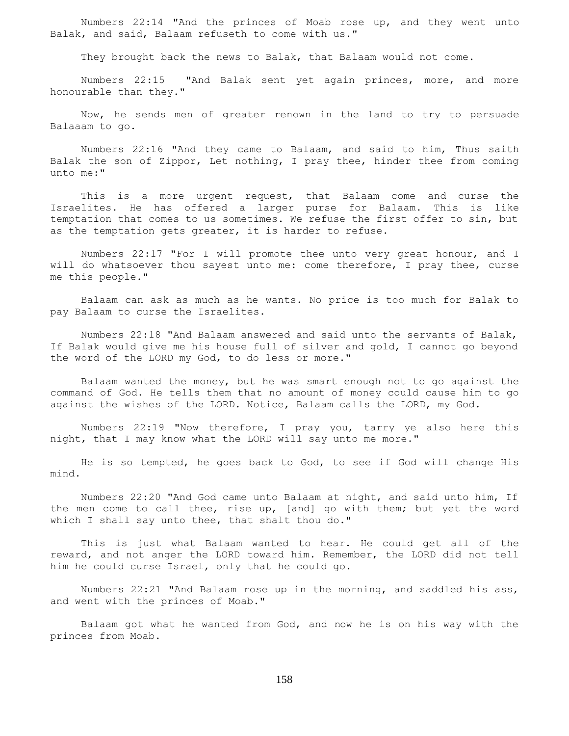Numbers 22:14 "And the princes of Moab rose up, and they went unto Balak, and said, Balaam refuseth to come with us."

They brought back the news to Balak, that Balaam would not come.

 Numbers 22:15 "And Balak sent yet again princes, more, and more honourable than they."

 Now, he sends men of greater renown in the land to try to persuade Balaaam to go.

 Numbers 22:16 "And they came to Balaam, and said to him, Thus saith Balak the son of Zippor, Let nothing, I pray thee, hinder thee from coming unto me:"

 This is a more urgent request, that Balaam come and curse the Israelites. He has offered a larger purse for Balaam. This is like temptation that comes to us sometimes. We refuse the first offer to sin, but as the temptation gets greater, it is harder to refuse.

 Numbers 22:17 "For I will promote thee unto very great honour, and I will do whatsoever thou sayest unto me: come therefore, I pray thee, curse me this people."

 Balaam can ask as much as he wants. No price is too much for Balak to pay Balaam to curse the Israelites.

 Numbers 22:18 "And Balaam answered and said unto the servants of Balak, If Balak would give me his house full of silver and gold, I cannot go beyond the word of the LORD my God, to do less or more."

 Balaam wanted the money, but he was smart enough not to go against the command of God. He tells them that no amount of money could cause him to go against the wishes of the LORD. Notice, Balaam calls the LORD, my God.

 Numbers 22:19 "Now therefore, I pray you, tarry ye also here this night, that I may know what the LORD will say unto me more."

 He is so tempted, he goes back to God, to see if God will change His mind.

 Numbers 22:20 "And God came unto Balaam at night, and said unto him, If the men come to call thee, rise up, [and] go with them; but yet the word which I shall say unto thee, that shalt thou do."

 This is just what Balaam wanted to hear. He could get all of the reward, and not anger the LORD toward him. Remember, the LORD did not tell him he could curse Israel, only that he could go.

 Numbers 22:21 "And Balaam rose up in the morning, and saddled his ass, and went with the princes of Moab."

 Balaam got what he wanted from God, and now he is on his way with the princes from Moab.

158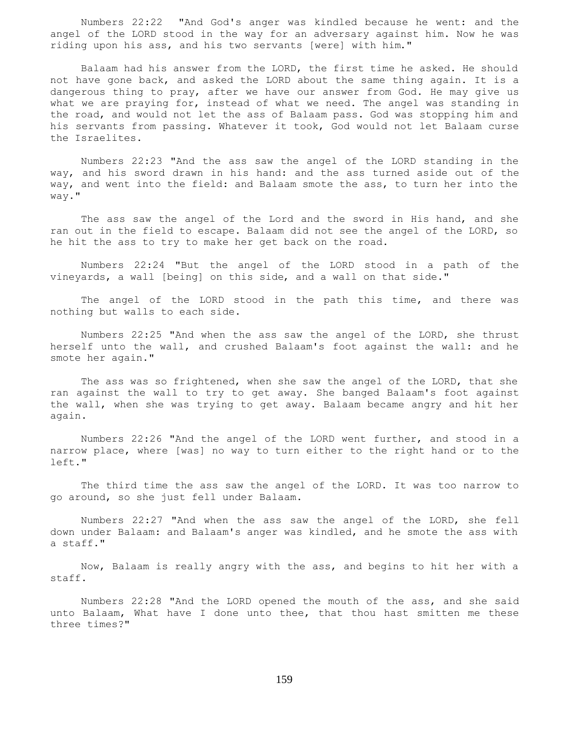Numbers 22:22 "And God's anger was kindled because he went: and the angel of the LORD stood in the way for an adversary against him. Now he was riding upon his ass, and his two servants [were] with him."

 Balaam had his answer from the LORD, the first time he asked. He should not have gone back, and asked the LORD about the same thing again. It is a dangerous thing to pray, after we have our answer from God. He may give us what we are praying for, instead of what we need. The angel was standing in the road, and would not let the ass of Balaam pass. God was stopping him and his servants from passing. Whatever it took, God would not let Balaam curse the Israelites.

 Numbers 22:23 "And the ass saw the angel of the LORD standing in the way, and his sword drawn in his hand: and the ass turned aside out of the way, and went into the field: and Balaam smote the ass, to turn her into the way."

 The ass saw the angel of the Lord and the sword in His hand, and she ran out in the field to escape. Balaam did not see the angel of the LORD, so he hit the ass to try to make her get back on the road.

 Numbers 22:24 "But the angel of the LORD stood in a path of the vineyards, a wall [being] on this side, and a wall on that side."

 The angel of the LORD stood in the path this time, and there was nothing but walls to each side.

 Numbers 22:25 "And when the ass saw the angel of the LORD, she thrust herself unto the wall, and crushed Balaam's foot against the wall: and he smote her again."

 The ass was so frightened, when she saw the angel of the LORD, that she ran against the wall to try to get away. She banged Balaam's foot against the wall, when she was trying to get away. Balaam became angry and hit her again.

 Numbers 22:26 "And the angel of the LORD went further, and stood in a narrow place, where [was] no way to turn either to the right hand or to the left."

 The third time the ass saw the angel of the LORD. It was too narrow to go around, so she just fell under Balaam.

 Numbers 22:27 "And when the ass saw the angel of the LORD, she fell down under Balaam: and Balaam's anger was kindled, and he smote the ass with a staff."

 Now, Balaam is really angry with the ass, and begins to hit her with a staff.

 Numbers 22:28 "And the LORD opened the mouth of the ass, and she said unto Balaam, What have I done unto thee, that thou hast smitten me these three times?"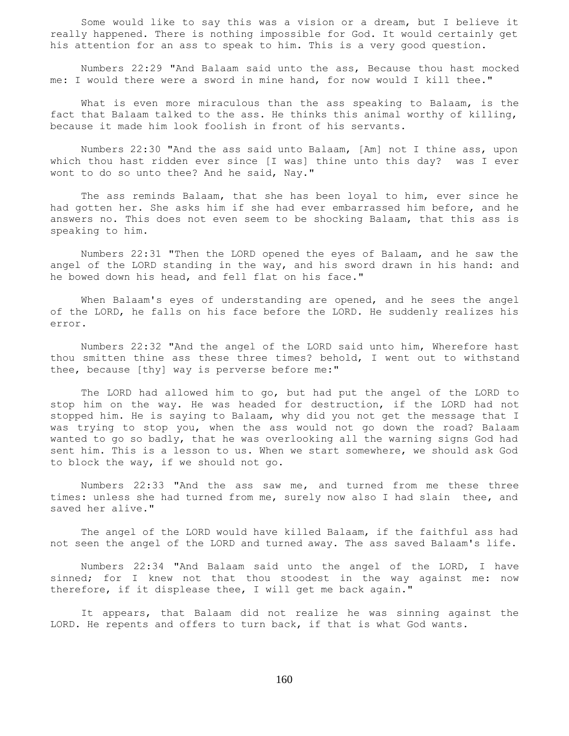Some would like to say this was a vision or a dream, but I believe it really happened. There is nothing impossible for God. It would certainly get his attention for an ass to speak to him. This is a very good question.

 Numbers 22:29 "And Balaam said unto the ass, Because thou hast mocked me: I would there were a sword in mine hand, for now would I kill thee."

 What is even more miraculous than the ass speaking to Balaam, is the fact that Balaam talked to the ass. He thinks this animal worthy of killing, because it made him look foolish in front of his servants.

 Numbers 22:30 "And the ass said unto Balaam, [Am] not I thine ass, upon which thou hast ridden ever since [I was] thine unto this day? was I ever wont to do so unto thee? And he said, Nay."

 The ass reminds Balaam, that she has been loyal to him, ever since he had gotten her. She asks him if she had ever embarrassed him before, and he answers no. This does not even seem to be shocking Balaam, that this ass is speaking to him.

 Numbers 22:31 "Then the LORD opened the eyes of Balaam, and he saw the angel of the LORD standing in the way, and his sword drawn in his hand: and he bowed down his head, and fell flat on his face."

 When Balaam's eyes of understanding are opened, and he sees the angel of the LORD, he falls on his face before the LORD. He suddenly realizes his error.

 Numbers 22:32 "And the angel of the LORD said unto him, Wherefore hast thou smitten thine ass these three times? behold, I went out to withstand thee, because [thy] way is perverse before me:"

 The LORD had allowed him to go, but had put the angel of the LORD to stop him on the way. He was headed for destruction, if the LORD had not stopped him. He is saying to Balaam, why did you not get the message that I was trying to stop you, when the ass would not go down the road? Balaam wanted to go so badly, that he was overlooking all the warning signs God had sent him. This is a lesson to us. When we start somewhere, we should ask God to block the way, if we should not go.

 Numbers 22:33 "And the ass saw me, and turned from me these three times: unless she had turned from me, surely now also I had slain thee, and saved her alive."

 The angel of the LORD would have killed Balaam, if the faithful ass had not seen the angel of the LORD and turned away. The ass saved Balaam's life.

 Numbers 22:34 "And Balaam said unto the angel of the LORD, I have sinned; for I knew not that thou stoodest in the way against me: now therefore, if it displease thee, I will get me back again."

 It appears, that Balaam did not realize he was sinning against the LORD. He repents and offers to turn back, if that is what God wants.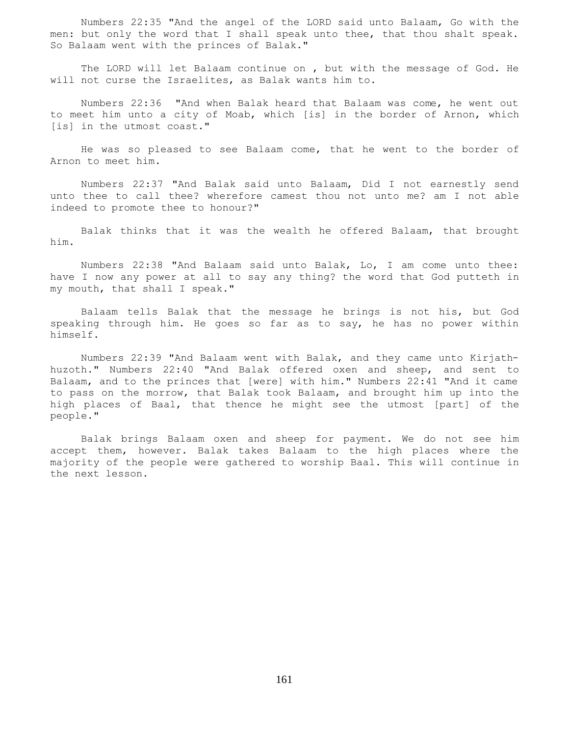Numbers 22:35 "And the angel of the LORD said unto Balaam, Go with the men: but only the word that I shall speak unto thee, that thou shalt speak. So Balaam went with the princes of Balak."

 The LORD will let Balaam continue on , but with the message of God. He will not curse the Israelites, as Balak wants him to.

 Numbers 22:36 "And when Balak heard that Balaam was come, he went out to meet him unto a city of Moab, which [is] in the border of Arnon, which [is] in the utmost coast."

 He was so pleased to see Balaam come, that he went to the border of Arnon to meet him.

 Numbers 22:37 "And Balak said unto Balaam, Did I not earnestly send unto thee to call thee? wherefore camest thou not unto me? am I not able indeed to promote thee to honour?"

 Balak thinks that it was the wealth he offered Balaam, that brought him.

 Numbers 22:38 "And Balaam said unto Balak, Lo, I am come unto thee: have I now any power at all to say any thing? the word that God putteth in my mouth, that shall I speak."

 Balaam tells Balak that the message he brings is not his, but God speaking through him. He goes so far as to say, he has no power within himself.

 Numbers 22:39 "And Balaam went with Balak, and they came unto Kirjathhuzoth." Numbers 22:40 "And Balak offered oxen and sheep, and sent to Balaam, and to the princes that [were] with him." Numbers 22:41 "And it came to pass on the morrow, that Balak took Balaam, and brought him up into the high places of Baal, that thence he might see the utmost [part] of the people."

 Balak brings Balaam oxen and sheep for payment. We do not see him accept them, however. Balak takes Balaam to the high places where the majority of the people were gathered to worship Baal. This will continue in the next lesson.

161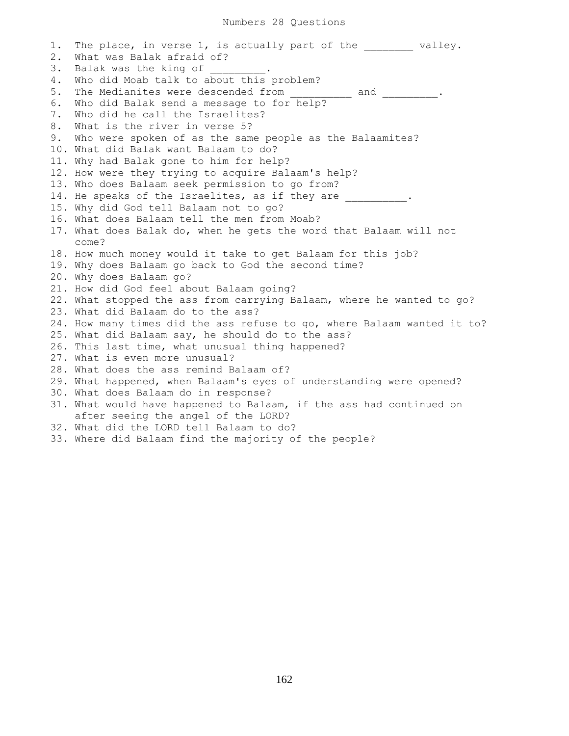1. The place, in verse 1, is actually part of the  $\qquad$  valley. 2. What was Balak afraid of? 3. Balak was the king of 4. Who did Moab talk to about this problem? 5. The Medianites were descended from and and . 6. Who did Balak send a message to for help? 7. Who did he call the Israelites? 8. What is the river in verse 5? 9. Who were spoken of as the same people as the Balaamites? 10. What did Balak want Balaam to do? 11. Why had Balak gone to him for help? 12. How were they trying to acquire Balaam's help? 13. Who does Balaam seek permission to go from? 14. He speaks of the Israelites, as if they are  $\qquad \qquad$ 15. Why did God tell Balaam not to go? 16. What does Balaam tell the men from Moab? 17. What does Balak do, when he gets the word that Balaam will not come? 18. How much money would it take to get Balaam for this job? 19. Why does Balaam go back to God the second time? 20. Why does Balaam go? 21. How did God feel about Balaam going? 22. What stopped the ass from carrying Balaam, where he wanted to go? 23. What did Balaam do to the ass? 24. How many times did the ass refuse to go, where Balaam wanted it to? 25. What did Balaam say, he should do to the ass? 26. This last time, what unusual thing happened? 27. What is even more unusual? 28. What does the ass remind Balaam of? 29. What happened, when Balaam's eyes of understanding were opened? 30. What does Balaam do in response? 31. What would have happened to Balaam, if the ass had continued on after seeing the angel of the LORD? 32. What did the LORD tell Balaam to do? 33. Where did Balaam find the majority of the people?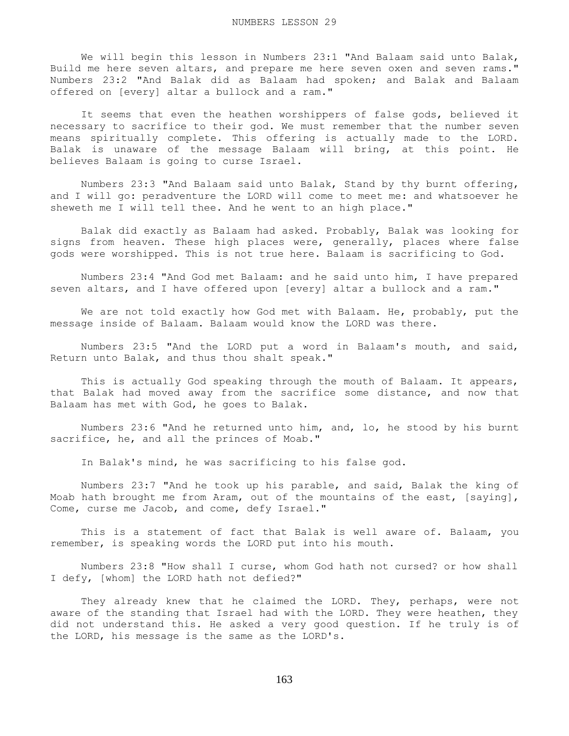We will begin this lesson in Numbers 23:1 "And Balaam said unto Balak, Build me here seven altars, and prepare me here seven oxen and seven rams." Numbers 23:2 "And Balak did as Balaam had spoken; and Balak and Balaam offered on [every] altar a bullock and a ram."

 It seems that even the heathen worshippers of false gods, believed it necessary to sacrifice to their god. We must remember that the number seven means spiritually complete. This offering is actually made to the LORD. Balak is unaware of the message Balaam will bring, at this point. He believes Balaam is going to curse Israel.

 Numbers 23:3 "And Balaam said unto Balak, Stand by thy burnt offering, and I will go: peradventure the LORD will come to meet me: and whatsoever he sheweth me I will tell thee. And he went to an high place."

 Balak did exactly as Balaam had asked. Probably, Balak was looking for signs from heaven. These high places were, generally, places where false gods were worshipped. This is not true here. Balaam is sacrificing to God.

 Numbers 23:4 "And God met Balaam: and he said unto him, I have prepared seven altars, and I have offered upon [every] altar a bullock and a ram."

 We are not told exactly how God met with Balaam. He, probably, put the message inside of Balaam. Balaam would know the LORD was there.

 Numbers 23:5 "And the LORD put a word in Balaam's mouth, and said, Return unto Balak, and thus thou shalt speak."

 This is actually God speaking through the mouth of Balaam. It appears, that Balak had moved away from the sacrifice some distance, and now that Balaam has met with God, he goes to Balak.

 Numbers 23:6 "And he returned unto him, and, lo, he stood by his burnt sacrifice, he, and all the princes of Moab."

In Balak's mind, he was sacrificing to his false god.

 Numbers 23:7 "And he took up his parable, and said, Balak the king of Moab hath brought me from Aram, out of the mountains of the east, [saying], Come, curse me Jacob, and come, defy Israel."

 This is a statement of fact that Balak is well aware of. Balaam, you remember, is speaking words the LORD put into his mouth.

 Numbers 23:8 "How shall I curse, whom God hath not cursed? or how shall I defy, [whom] the LORD hath not defied?"

 They already knew that he claimed the LORD. They, perhaps, were not aware of the standing that Israel had with the LORD. They were heathen, they did not understand this. He asked a very good question. If he truly is of the LORD, his message is the same as the LORD's.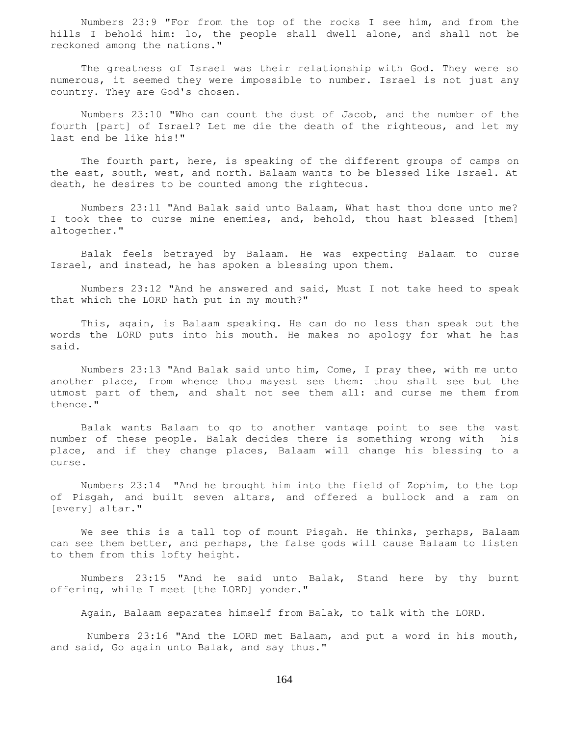Numbers 23:9 "For from the top of the rocks I see him, and from the hills I behold him: lo, the people shall dwell alone, and shall not be reckoned among the nations."

 The greatness of Israel was their relationship with God. They were so numerous, it seemed they were impossible to number. Israel is not just any country. They are God's chosen.

 Numbers 23:10 "Who can count the dust of Jacob, and the number of the fourth [part] of Israel? Let me die the death of the righteous, and let my last end be like his!"

The fourth part, here, is speaking of the different groups of camps on the east, south, west, and north. Balaam wants to be blessed like Israel. At death, he desires to be counted among the righteous.

 Numbers 23:11 "And Balak said unto Balaam, What hast thou done unto me? I took thee to curse mine enemies, and, behold, thou hast blessed [them] altogether."

 Balak feels betrayed by Balaam. He was expecting Balaam to curse Israel, and instead, he has spoken a blessing upon them.

 Numbers 23:12 "And he answered and said, Must I not take heed to speak that which the LORD hath put in my mouth?"

 This, again, is Balaam speaking. He can do no less than speak out the words the LORD puts into his mouth. He makes no apology for what he has said.

 Numbers 23:13 "And Balak said unto him, Come, I pray thee, with me unto another place, from whence thou mayest see them: thou shalt see but the utmost part of them, and shalt not see them all: and curse me them from thence."

 Balak wants Balaam to go to another vantage point to see the vast number of these people. Balak decides there is something wrong with his place, and if they change places, Balaam will change his blessing to a curse.

 Numbers 23:14 "And he brought him into the field of Zophim, to the top of Pisgah, and built seven altars, and offered a bullock and a ram on [every] altar."

 We see this is a tall top of mount Pisgah. He thinks, perhaps, Balaam can see them better, and perhaps, the false gods will cause Balaam to listen to them from this lofty height.

 Numbers 23:15 "And he said unto Balak, Stand here by thy burnt offering, while I meet [the LORD] yonder."

Again, Balaam separates himself from Balak, to talk with the LORD.

 Numbers 23:16 "And the LORD met Balaam, and put a word in his mouth, and said, Go again unto Balak, and say thus."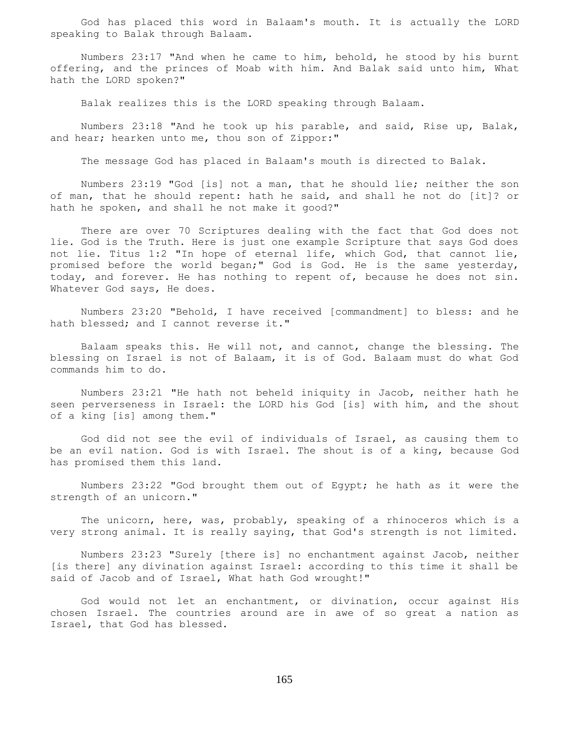God has placed this word in Balaam's mouth. It is actually the LORD speaking to Balak through Balaam.

 Numbers 23:17 "And when he came to him, behold, he stood by his burnt offering, and the princes of Moab with him. And Balak said unto him, What hath the LORD spoken?"

Balak realizes this is the LORD speaking through Balaam.

 Numbers 23:18 "And he took up his parable, and said, Rise up, Balak, and hear; hearken unto me, thou son of Zippor:"

The message God has placed in Balaam's mouth is directed to Balak.

 Numbers 23:19 "God [is] not a man, that he should lie; neither the son of man, that he should repent: hath he said, and shall he not do [it]? or hath he spoken, and shall he not make it good?"

 There are over 70 Scriptures dealing with the fact that God does not lie. God is the Truth. Here is just one example Scripture that says God does not lie. Titus 1:2 "In hope of eternal life, which God, that cannot lie, promised before the world began;" God is God. He is the same yesterday, today, and forever. He has nothing to repent of, because he does not sin. Whatever God says, He does.

 Numbers 23:20 "Behold, I have received [commandment] to bless: and he hath blessed; and I cannot reverse it."

 Balaam speaks this. He will not, and cannot, change the blessing. The blessing on Israel is not of Balaam, it is of God. Balaam must do what God commands him to do.

 Numbers 23:21 "He hath not beheld iniquity in Jacob, neither hath he seen perverseness in Israel: the LORD his God [is] with him, and the shout of a king [is] among them."

 God did not see the evil of individuals of Israel, as causing them to be an evil nation. God is with Israel. The shout is of a king, because God has promised them this land.

 Numbers 23:22 "God brought them out of Egypt; he hath as it were the strength of an unicorn."

 The unicorn, here, was, probably, speaking of a rhinoceros which is a very strong animal. It is really saying, that God's strength is not limited.

 Numbers 23:23 "Surely [there is] no enchantment against Jacob, neither [is there] any divination against Israel: according to this time it shall be said of Jacob and of Israel, What hath God wrought!"

 God would not let an enchantment, or divination, occur against His chosen Israel. The countries around are in awe of so great a nation as Israel, that God has blessed.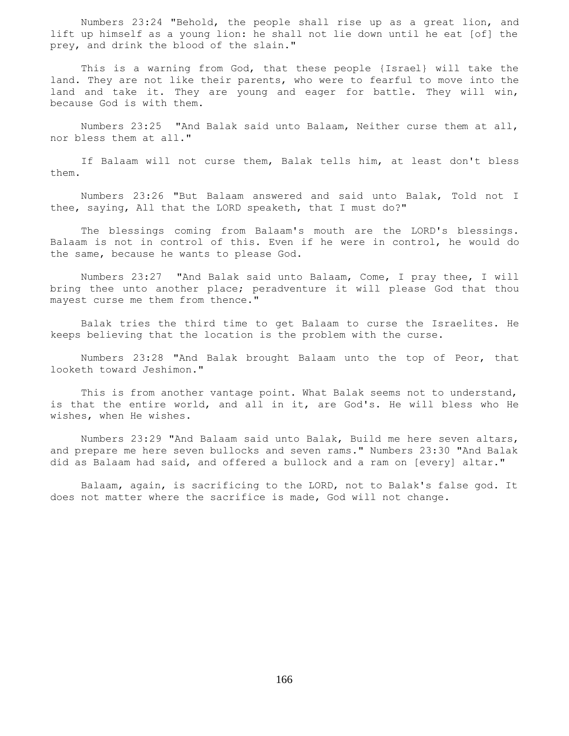Numbers 23:24 "Behold, the people shall rise up as a great lion, and lift up himself as a young lion: he shall not lie down until he eat [of] the prey, and drink the blood of the slain."

 This is a warning from God, that these people {Israel} will take the land. They are not like their parents, who were to fearful to move into the land and take it. They are young and eager for battle. They will win, because God is with them.

 Numbers 23:25 "And Balak said unto Balaam, Neither curse them at all, nor bless them at all."

 If Balaam will not curse them, Balak tells him, at least don't bless them.

 Numbers 23:26 "But Balaam answered and said unto Balak, Told not I thee, saying, All that the LORD speaketh, that I must do?"

 The blessings coming from Balaam's mouth are the LORD's blessings. Balaam is not in control of this. Even if he were in control, he would do the same, because he wants to please God.

 Numbers 23:27 "And Balak said unto Balaam, Come, I pray thee, I will bring thee unto another place; peradventure it will please God that thou mayest curse me them from thence."

 Balak tries the third time to get Balaam to curse the Israelites. He keeps believing that the location is the problem with the curse.

 Numbers 23:28 "And Balak brought Balaam unto the top of Peor, that looketh toward Jeshimon."

 This is from another vantage point. What Balak seems not to understand, is that the entire world, and all in it, are God's. He will bless who He wishes, when He wishes.

 Numbers 23:29 "And Balaam said unto Balak, Build me here seven altars, and prepare me here seven bullocks and seven rams." Numbers 23:30 "And Balak did as Balaam had said, and offered a bullock and a ram on [every] altar."

 Balaam, again, is sacrificing to the LORD, not to Balak's false god. It does not matter where the sacrifice is made, God will not change.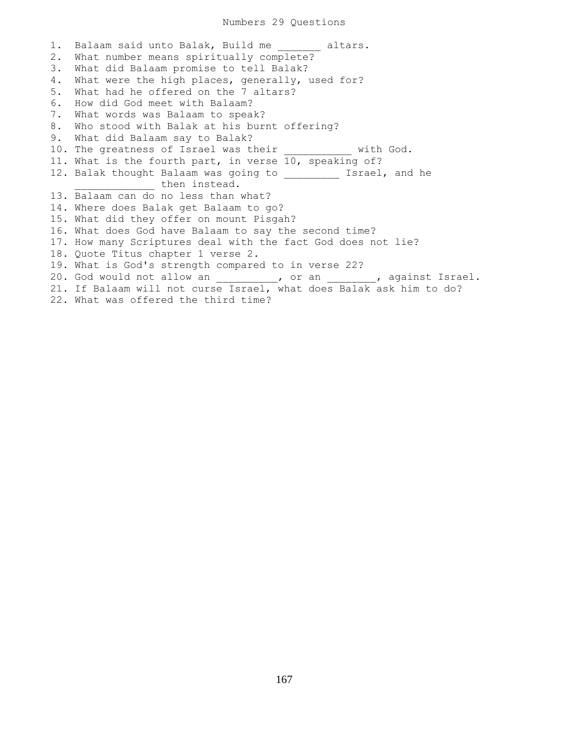## Numbers 29 Questions

1. Balaam said unto Balak, Build me altars. 2. What number means spiritually complete? 3. What did Balaam promise to tell Balak? 4. What were the high places, generally, used for? 5. What had he offered on the 7 altars? 6. How did God meet with Balaam? 7. What words was Balaam to speak? 8. Who stood with Balak at his burnt offering? 9. What did Balaam say to Balak? 10. The greatness of Israel was their \_\_\_\_\_\_\_\_\_\_ with God. 11. What is the fourth part, in verse 10, speaking of? 12. Balak thought Balaam was going to \_\_\_\_\_\_\_\_\_\_ Israel, and he then instead. 13. Balaam can do no less than what? 14. Where does Balak get Balaam to go? 15. What did they offer on mount Pisgah? 16. What does God have Balaam to say the second time? 17. How many Scriptures deal with the fact God does not lie? 18. Quote Titus chapter 1 verse 2. 19. What is God's strength compared to in verse 22? 20. God would not allow an \_\_\_\_\_\_\_\_\_, or an \_\_\_\_\_\_\_, against Israel. 21. If Balaam will not curse Israel, what does Balak ask him to do? 22. What was offered the third time?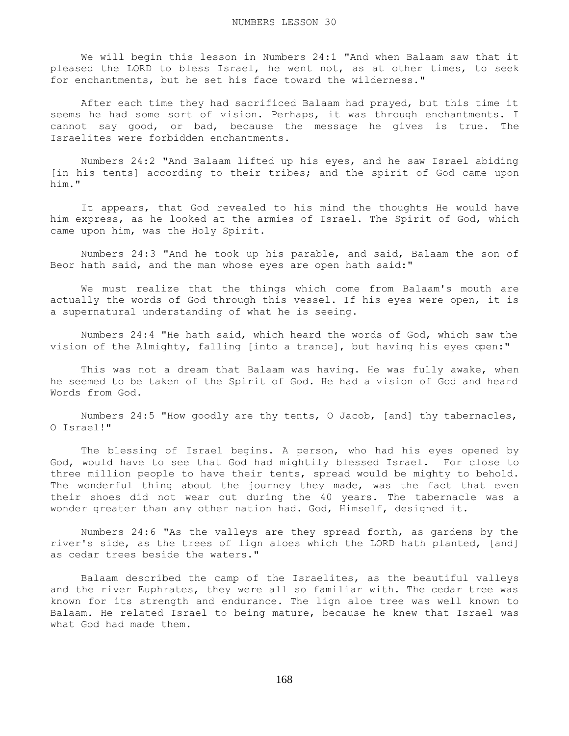We will begin this lesson in Numbers 24:1 "And when Balaam saw that it pleased the LORD to bless Israel, he went not, as at other times, to seek for enchantments, but he set his face toward the wilderness."

 After each time they had sacrificed Balaam had prayed, but this time it seems he had some sort of vision. Perhaps, it was through enchantments. I cannot say good, or bad, because the message he gives is true. The Israelites were forbidden enchantments.

 Numbers 24:2 "And Balaam lifted up his eyes, and he saw Israel abiding [in his tents] according to their tribes; and the spirit of God came upon him."

 It appears, that God revealed to his mind the thoughts He would have him express, as he looked at the armies of Israel. The Spirit of God, which came upon him, was the Holy Spirit.

 Numbers 24:3 "And he took up his parable, and said, Balaam the son of Beor hath said, and the man whose eyes are open hath said:"

 We must realize that the things which come from Balaam's mouth are actually the words of God through this vessel. If his eyes were open, it is a supernatural understanding of what he is seeing.

 Numbers 24:4 "He hath said, which heard the words of God, which saw the vision of the Almighty, falling [into a trance], but having his eyes open:"

This was not a dream that Balaam was having. He was fully awake, when he seemed to be taken of the Spirit of God. He had a vision of God and heard Words from God.

 Numbers 24:5 "How goodly are thy tents, O Jacob, [and] thy tabernacles, O Israel!"

 The blessing of Israel begins. A person, who had his eyes opened by God, would have to see that God had mightily blessed Israel. For close to three million people to have their tents, spread would be mighty to behold. The wonderful thing about the journey they made, was the fact that even their shoes did not wear out during the 40 years. The tabernacle was a wonder greater than any other nation had. God, Himself, designed it.

 Numbers 24:6 "As the valleys are they spread forth, as gardens by the river's side, as the trees of lign aloes which the LORD hath planted, [and] as cedar trees beside the waters."

 Balaam described the camp of the Israelites, as the beautiful valleys and the river Euphrates, they were all so familiar with. The cedar tree was known for its strength and endurance. The lign aloe tree was well known to Balaam. He related Israel to being mature, because he knew that Israel was what God had made them.

168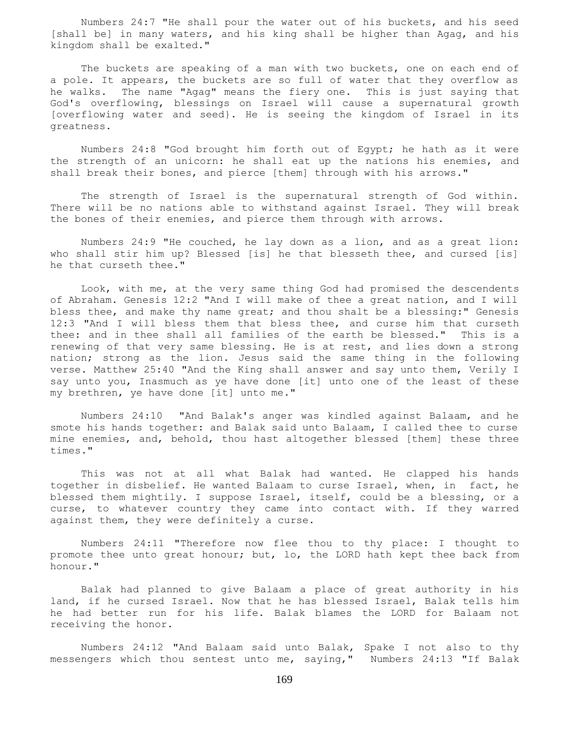Numbers 24:7 "He shall pour the water out of his buckets, and his seed [shall be] in many waters, and his king shall be higher than Agag, and his kingdom shall be exalted."

The buckets are speaking of a man with two buckets, one on each end of a pole. It appears, the buckets are so full of water that they overflow as he walks. The name "Agag" means the fiery one. This is just saying that God's overflowing, blessings on Israel will cause a supernatural growth [overflowing water and seed}. He is seeing the kingdom of Israel in its greatness.

 Numbers 24:8 "God brought him forth out of Egypt; he hath as it were the strength of an unicorn: he shall eat up the nations his enemies, and shall break their bones, and pierce [them] through with his arrows."

 The strength of Israel is the supernatural strength of God within. There will be no nations able to withstand against Israel. They will break the bones of their enemies, and pierce them through with arrows.

 Numbers 24:9 "He couched, he lay down as a lion, and as a great lion: who shall stir him up? Blessed [is] he that blesseth thee, and cursed [is] he that curseth thee."

 Look, with me, at the very same thing God had promised the descendents of Abraham. Genesis 12:2 "And I will make of thee a great nation, and I will bless thee, and make thy name great; and thou shalt be a blessing:" Genesis 12:3 "And I will bless them that bless thee, and curse him that curseth thee: and in thee shall all families of the earth be blessed." This is a renewing of that very same blessing. He is at rest, and lies down a strong nation; strong as the lion. Jesus said the same thing in the following verse. Matthew 25:40 "And the King shall answer and say unto them, Verily I say unto you, Inasmuch as ye have done [it] unto one of the least of these my brethren, ye have done [it] unto me."

 Numbers 24:10 "And Balak's anger was kindled against Balaam, and he smote his hands together: and Balak said unto Balaam, I called thee to curse mine enemies, and, behold, thou hast altogether blessed [them] these three times."

 This was not at all what Balak had wanted. He clapped his hands together in disbelief. He wanted Balaam to curse Israel, when, in fact, he blessed them mightily. I suppose Israel, itself, could be a blessing, or a curse, to whatever country they came into contact with. If they warred against them, they were definitely a curse.

 Numbers 24:11 "Therefore now flee thou to thy place: I thought to promote thee unto great honour; but, lo, the LORD hath kept thee back from honour."

 Balak had planned to give Balaam a place of great authority in his land, if he cursed Israel. Now that he has blessed Israel, Balak tells him he had better run for his life. Balak blames the LORD for Balaam not receiving the honor.

 Numbers 24:12 "And Balaam said unto Balak, Spake I not also to thy messengers which thou sentest unto me, saying," Numbers 24:13 "If Balak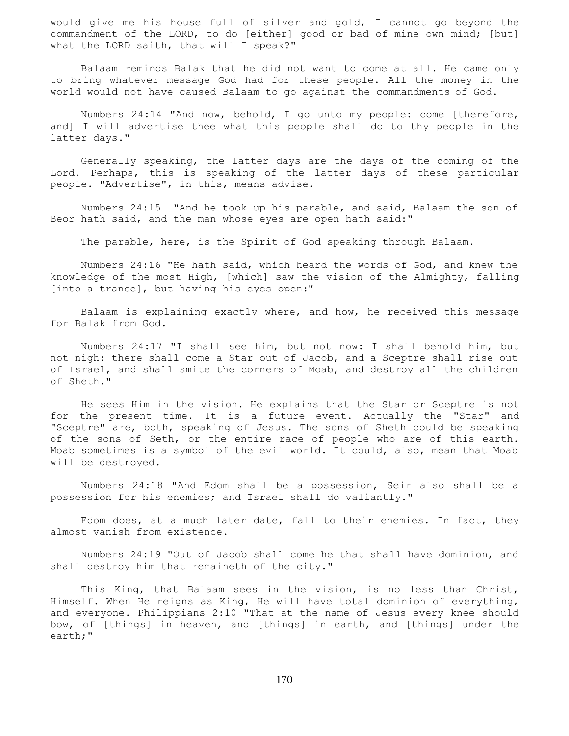would give me his house full of silver and gold, I cannot go beyond the commandment of the LORD, to do [either] good or bad of mine own mind; [but] what the LORD saith, that will I speak?"

 Balaam reminds Balak that he did not want to come at all. He came only to bring whatever message God had for these people. All the money in the world would not have caused Balaam to go against the commandments of God.

 Numbers 24:14 "And now, behold, I go unto my people: come [therefore, and] I will advertise thee what this people shall do to thy people in the latter days."

 Generally speaking, the latter days are the days of the coming of the Lord. Perhaps, this is speaking of the latter days of these particular people. "Advertise", in this, means advise.

 Numbers 24:15 "And he took up his parable, and said, Balaam the son of Beor hath said, and the man whose eyes are open hath said:"

The parable, here, is the Spirit of God speaking through Balaam.

 Numbers 24:16 "He hath said, which heard the words of God, and knew the knowledge of the most High, [which] saw the vision of the Almighty, falling [into a trance], but having his eyes open:"

 Balaam is explaining exactly where, and how, he received this message for Balak from God.

 Numbers 24:17 "I shall see him, but not now: I shall behold him, but not nigh: there shall come a Star out of Jacob, and a Sceptre shall rise out of Israel, and shall smite the corners of Moab, and destroy all the children of Sheth."

 He sees Him in the vision. He explains that the Star or Sceptre is not for the present time. It is a future event. Actually the "Star" and "Sceptre" are, both, speaking of Jesus. The sons of Sheth could be speaking of the sons of Seth, or the entire race of people who are of this earth. Moab sometimes is a symbol of the evil world. It could, also, mean that Moab will be destroyed.

 Numbers 24:18 "And Edom shall be a possession, Seir also shall be a possession for his enemies; and Israel shall do valiantly."

 Edom does, at a much later date, fall to their enemies. In fact, they almost vanish from existence.

 Numbers 24:19 "Out of Jacob shall come he that shall have dominion, and shall destroy him that remaineth of the city."

 This King, that Balaam sees in the vision, is no less than Christ, Himself. When He reigns as King, He will have total dominion of everything, and everyone. Philippians 2:10 "That at the name of Jesus every knee should bow, of [things] in heaven, and [things] in earth, and [things] under the earth;"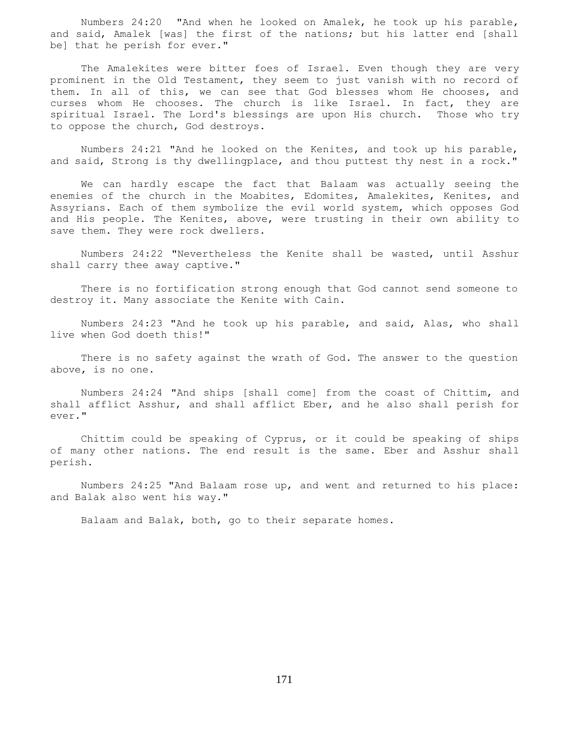Numbers 24:20 "And when he looked on Amalek, he took up his parable, and said, Amalek [was] the first of the nations; but his latter end [shall be] that he perish for ever."

The Amalekites were bitter foes of Israel. Even though they are very prominent in the Old Testament, they seem to just vanish with no record of them. In all of this, we can see that God blesses whom He chooses, and curses whom He chooses. The church is like Israel. In fact, they are spiritual Israel. The Lord's blessings are upon His church. Those who try to oppose the church, God destroys.

 Numbers 24:21 "And he looked on the Kenites, and took up his parable, and said, Strong is thy dwellingplace, and thou puttest thy nest in a rock."

 We can hardly escape the fact that Balaam was actually seeing the enemies of the church in the Moabites, Edomites, Amalekites, Kenites, and Assyrians. Each of them symbolize the evil world system, which opposes God and His people. The Kenites, above, were trusting in their own ability to save them. They were rock dwellers.

 Numbers 24:22 "Nevertheless the Kenite shall be wasted, until Asshur shall carry thee away captive."

 There is no fortification strong enough that God cannot send someone to destroy it. Many associate the Kenite with Cain.

 Numbers 24:23 "And he took up his parable, and said, Alas, who shall live when God doeth this!"

 There is no safety against the wrath of God. The answer to the question above, is no one.

 Numbers 24:24 "And ships [shall come] from the coast of Chittim, and shall afflict Asshur, and shall afflict Eber, and he also shall perish for ever."

 Chittim could be speaking of Cyprus, or it could be speaking of ships of many other nations. The end result is the same. Eber and Asshur shall perish.

 Numbers 24:25 "And Balaam rose up, and went and returned to his place: and Balak also went his way."

Balaam and Balak, both, go to their separate homes.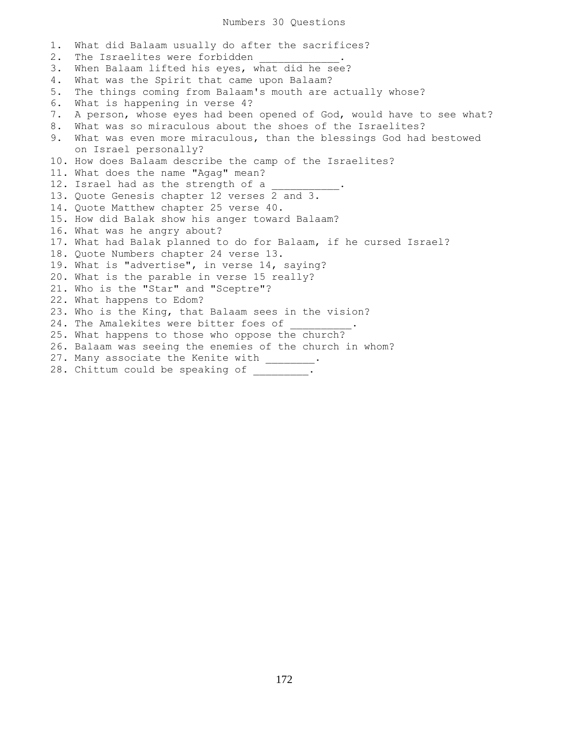## Numbers 30 Questions

1. What did Balaam usually do after the sacrifices? 2. The Israelites were forbidden 3. When Balaam lifted his eyes, what did he see? 4. What was the Spirit that came upon Balaam? 5. The things coming from Balaam's mouth are actually whose? 6. What is happening in verse 4? 7. A person, whose eyes had been opened of God, would have to see what? 8. What was so miraculous about the shoes of the Israelites? 9. What was even more miraculous, than the blessings God had bestowed on Israel personally? 10. How does Balaam describe the camp of the Israelites? 11. What does the name "Agag" mean? 12. Israel had as the strength of a 13. Quote Genesis chapter 12 verses 2 and 3. 14. Quote Matthew chapter 25 verse 40. 15. How did Balak show his anger toward Balaam? 16. What was he angry about? 17. What had Balak planned to do for Balaam, if he cursed Israel? 18. Quote Numbers chapter 24 verse 13. 19. What is "advertise", in verse 14, saying? 20. What is the parable in verse 15 really? 21. Who is the "Star" and "Sceptre"? 22. What happens to Edom? 23. Who is the King, that Balaam sees in the vision? 24. The Amalekites were bitter foes of 25. What happens to those who oppose the church? 26. Balaam was seeing the enemies of the church in whom? 27. Many associate the Kenite with \_\_\_\_\_\_\_\_. 28. Chittum could be speaking of \_\_\_\_\_\_\_\_.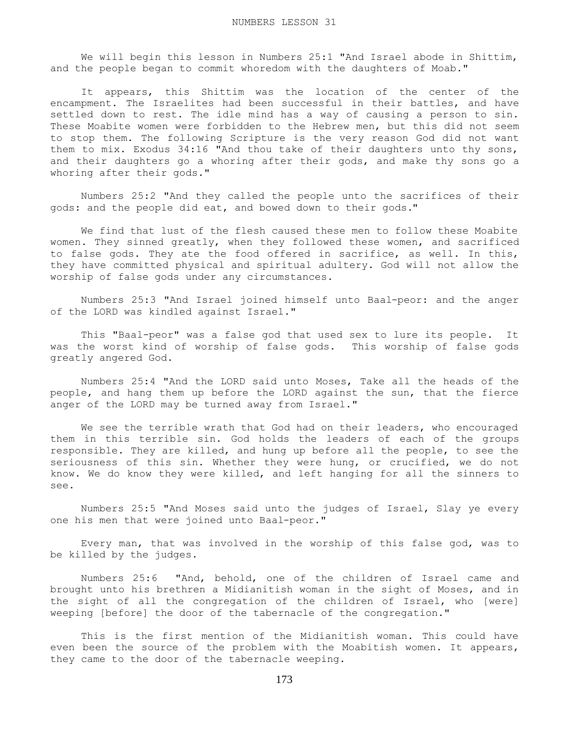We will begin this lesson in Numbers 25:1 "And Israel abode in Shittim, and the people began to commit whoredom with the daughters of Moab."

 It appears, this Shittim was the location of the center of the encampment. The Israelites had been successful in their battles, and have settled down to rest. The idle mind has a way of causing a person to sin. These Moabite women were forbidden to the Hebrew men, but this did not seem to stop them. The following Scripture is the very reason God did not want them to mix. Exodus 34:16 "And thou take of their daughters unto thy sons, and their daughters go a whoring after their gods, and make thy sons go a whoring after their gods."

 Numbers 25:2 "And they called the people unto the sacrifices of their gods: and the people did eat, and bowed down to their gods."

 We find that lust of the flesh caused these men to follow these Moabite women. They sinned greatly, when they followed these women, and sacrificed to false gods. They ate the food offered in sacrifice, as well. In this, they have committed physical and spiritual adultery. God will not allow the worship of false gods under any circumstances.

 Numbers 25:3 "And Israel joined himself unto Baal-peor: and the anger of the LORD was kindled against Israel."

 This "Baal-peor" was a false god that used sex to lure its people. It was the worst kind of worship of false gods. This worship of false gods greatly angered God.

 Numbers 25:4 "And the LORD said unto Moses, Take all the heads of the people, and hang them up before the LORD against the sun, that the fierce anger of the LORD may be turned away from Israel."

 We see the terrible wrath that God had on their leaders, who encouraged them in this terrible sin. God holds the leaders of each of the groups responsible. They are killed, and hung up before all the people, to see the seriousness of this sin. Whether they were hung, or crucified, we do not know. We do know they were killed, and left hanging for all the sinners to see.

 Numbers 25:5 "And Moses said unto the judges of Israel, Slay ye every one his men that were joined unto Baal-peor."

 Every man, that was involved in the worship of this false god, was to be killed by the judges.

 Numbers 25:6 "And, behold, one of the children of Israel came and brought unto his brethren a Midianitish woman in the sight of Moses, and in the sight of all the congregation of the children of Israel, who [were] weeping [before] the door of the tabernacle of the congregation."

 This is the first mention of the Midianitish woman. This could have even been the source of the problem with the Moabitish women. It appears, they came to the door of the tabernacle weeping.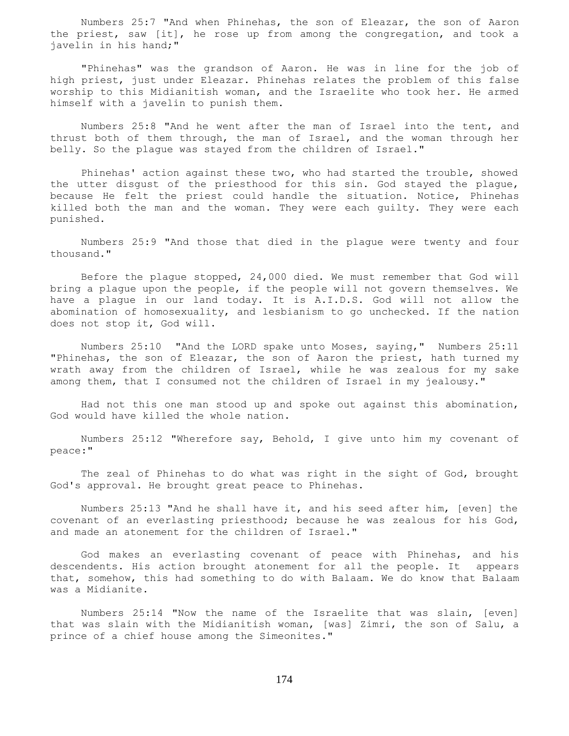Numbers 25:7 "And when Phinehas, the son of Eleazar, the son of Aaron the priest, saw [it], he rose up from among the congregation, and took a javelin in his hand;"

 "Phinehas" was the grandson of Aaron. He was in line for the job of high priest, just under Eleazar. Phinehas relates the problem of this false worship to this Midianitish woman, and the Israelite who took her. He armed himself with a javelin to punish them.

 Numbers 25:8 "And he went after the man of Israel into the tent, and thrust both of them through, the man of Israel, and the woman through her belly. So the plague was stayed from the children of Israel."

 Phinehas' action against these two, who had started the trouble, showed the utter disgust of the priesthood for this sin. God stayed the plague, because He felt the priest could handle the situation. Notice, Phinehas killed both the man and the woman. They were each guilty. They were each punished.

 Numbers 25:9 "And those that died in the plague were twenty and four thousand."

 Before the plague stopped, 24,000 died. We must remember that God will bring a plague upon the people, if the people will not govern themselves. We have a plague in our land today. It is A.I.D.S. God will not allow the abomination of homosexuality, and lesbianism to go unchecked. If the nation does not stop it, God will.

 Numbers 25:10 "And the LORD spake unto Moses, saying," Numbers 25:11 "Phinehas, the son of Eleazar, the son of Aaron the priest, hath turned my wrath away from the children of Israel, while he was zealous for my sake among them, that I consumed not the children of Israel in my jealousy."

 Had not this one man stood up and spoke out against this abomination, God would have killed the whole nation.

 Numbers 25:12 "Wherefore say, Behold, I give unto him my covenant of peace:"

 The zeal of Phinehas to do what was right in the sight of God, brought God's approval. He brought great peace to Phinehas.

 Numbers 25:13 "And he shall have it, and his seed after him, [even] the covenant of an everlasting priesthood; because he was zealous for his God, and made an atonement for the children of Israel."

 God makes an everlasting covenant of peace with Phinehas, and his descendents. His action brought atonement for all the people. It appears that, somehow, this had something to do with Balaam. We do know that Balaam was a Midianite.

 Numbers 25:14 "Now the name of the Israelite that was slain, [even] that was slain with the Midianitish woman, [was] Zimri, the son of Salu, a prince of a chief house among the Simeonites."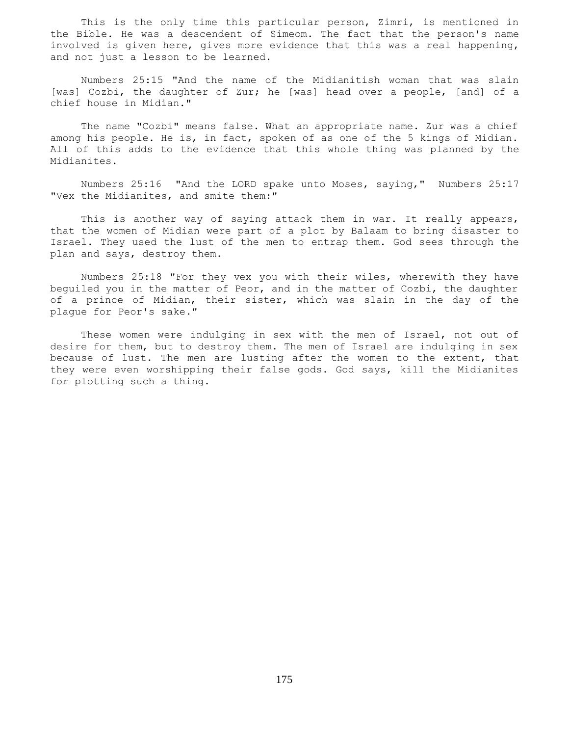This is the only time this particular person, Zimri, is mentioned in the Bible. He was a descendent of Simeom. The fact that the person's name involved is given here, gives more evidence that this was a real happening, and not just a lesson to be learned.

 Numbers 25:15 "And the name of the Midianitish woman that was slain [was] Cozbi, the daughter of Zur; he [was] head over a people, [and] of a chief house in Midian."

 The name "Cozbi" means false. What an appropriate name. Zur was a chief among his people. He is, in fact, spoken of as one of the 5 kings of Midian. All of this adds to the evidence that this whole thing was planned by the Midianites.

 Numbers 25:16 "And the LORD spake unto Moses, saying," Numbers 25:17 "Vex the Midianites, and smite them:"

This is another way of saying attack them in war. It really appears, that the women of Midian were part of a plot by Balaam to bring disaster to Israel. They used the lust of the men to entrap them. God sees through the plan and says, destroy them.

 Numbers 25:18 "For they vex you with their wiles, wherewith they have beguiled you in the matter of Peor, and in the matter of Cozbi, the daughter of a prince of Midian, their sister, which was slain in the day of the plague for Peor's sake."

 These women were indulging in sex with the men of Israel, not out of desire for them, but to destroy them. The men of Israel are indulging in sex because of lust. The men are lusting after the women to the extent, that they were even worshipping their false gods. God says, kill the Midianites for plotting such a thing.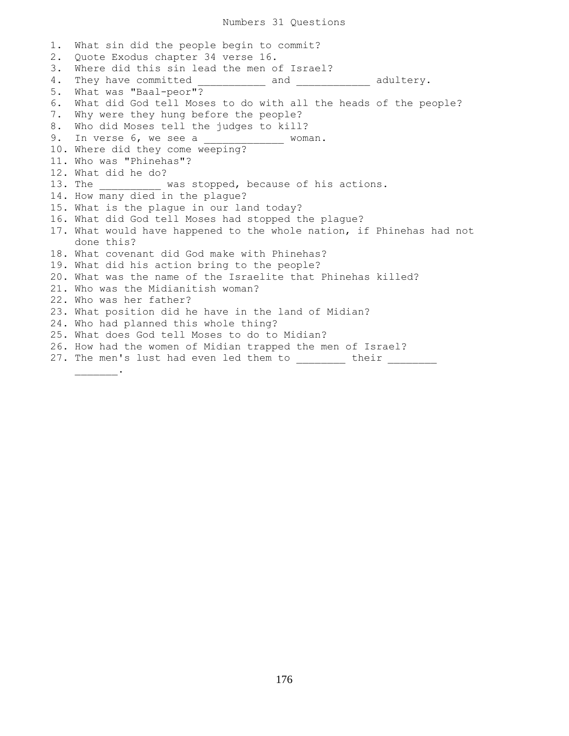1. What sin did the people begin to commit? 2. Quote Exodus chapter 34 verse 16. 3. Where did this sin lead the men of Israel? 4. They have committed \_\_\_\_\_\_\_\_\_\_\_\_ and \_\_\_\_\_\_\_\_\_\_\_\_\_ adultery. 5. What was "Baal-peor"? 6. What did God tell Moses to do with all the heads of the people? 7. Why were they hung before the people? 8. Who did Moses tell the judges to kill? 9. In verse 6, we see a \_\_\_\_\_\_\_\_\_\_\_\_\_ woman. 10. Where did they come weeping? 11. Who was "Phinehas"? 12. What did he do? 13. The was stopped, because of his actions. 14. How many died in the plaque? 15. What is the plague in our land today? 16. What did God tell Moses had stopped the plague? 17. What would have happened to the whole nation, if Phinehas had not done this? 18. What covenant did God make with Phinehas? 19. What did his action bring to the people? 20. What was the name of the Israelite that Phinehas killed? 21. Who was the Midianitish woman? 22. Who was her father? 23. What position did he have in the land of Midian? 24. Who had planned this whole thing? 25. What does God tell Moses to do to Midian? 26. How had the women of Midian trapped the men of Israel? 27. The men's lust had even led them to their

\_\_\_\_\_\_\_.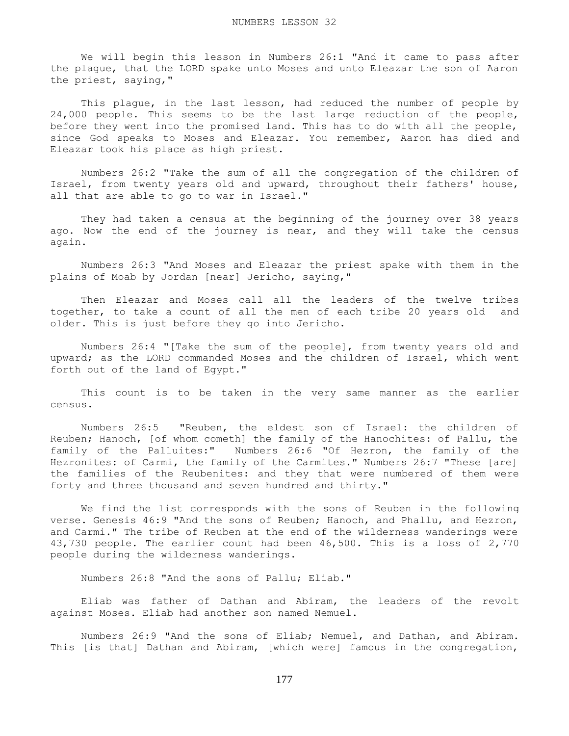We will begin this lesson in Numbers 26:1 "And it came to pass after the plague, that the LORD spake unto Moses and unto Eleazar the son of Aaron the priest, saying,"

This plague, in the last lesson, had reduced the number of people by 24,000 people. This seems to be the last large reduction of the people, before they went into the promised land. This has to do with all the people, since God speaks to Moses and Eleazar. You remember, Aaron has died and Eleazar took his place as high priest.

 Numbers 26:2 "Take the sum of all the congregation of the children of Israel, from twenty years old and upward, throughout their fathers' house, all that are able to go to war in Israel."

 They had taken a census at the beginning of the journey over 38 years ago. Now the end of the journey is near, and they will take the census again.

 Numbers 26:3 "And Moses and Eleazar the priest spake with them in the plains of Moab by Jordan [near] Jericho, saying,"

 Then Eleazar and Moses call all the leaders of the twelve tribes together, to take a count of all the men of each tribe 20 years old and older. This is just before they go into Jericho.

 Numbers 26:4 "[Take the sum of the people], from twenty years old and upward; as the LORD commanded Moses and the children of Israel, which went forth out of the land of Egypt."

 This count is to be taken in the very same manner as the earlier census.

 Numbers 26:5 "Reuben, the eldest son of Israel: the children of Reuben; Hanoch, [of whom cometh] the family of the Hanochites: of Pallu, the family of the Palluites:" Numbers 26:6 "Of Hezron, the family of the Hezronites: of Carmi, the family of the Carmites." Numbers 26:7 "These [are] the families of the Reubenites: and they that were numbered of them were forty and three thousand and seven hundred and thirty."

 We find the list corresponds with the sons of Reuben in the following verse. Genesis 46:9 "And the sons of Reuben; Hanoch, and Phallu, and Hezron, and Carmi." The tribe of Reuben at the end of the wilderness wanderings were 43,730 people. The earlier count had been 46,500. This is a loss of 2,770 people during the wilderness wanderings.

Numbers 26:8 "And the sons of Pallu; Eliab."

 Eliab was father of Dathan and Abiram, the leaders of the revolt against Moses. Eliab had another son named Nemuel.

 Numbers 26:9 "And the sons of Eliab; Nemuel, and Dathan, and Abiram. This [is that] Dathan and Abiram, [which were] famous in the congregation,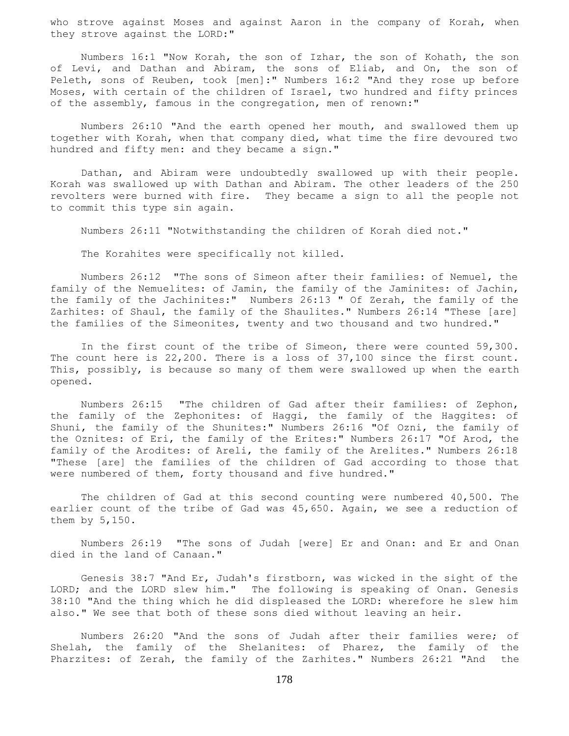who strove against Moses and against Aaron in the company of Korah, when they strove against the LORD:"

 Numbers 16:1 "Now Korah, the son of Izhar, the son of Kohath, the son of Levi, and Dathan and Abiram, the sons of Eliab, and On, the son of Peleth, sons of Reuben, took [men]:" Numbers 16:2 "And they rose up before Moses, with certain of the children of Israel, two hundred and fifty princes of the assembly, famous in the congregation, men of renown:"

 Numbers 26:10 "And the earth opened her mouth, and swallowed them up together with Korah, when that company died, what time the fire devoured two hundred and fifty men: and they became a sign."

 Dathan, and Abiram were undoubtedly swallowed up with their people. Korah was swallowed up with Dathan and Abiram. The other leaders of the 250 revolters were burned with fire. They became a sign to all the people not to commit this type sin again.

Numbers 26:11 "Notwithstanding the children of Korah died not."

The Korahites were specifically not killed.

 Numbers 26:12 "The sons of Simeon after their families: of Nemuel, the family of the Nemuelites: of Jamin, the family of the Jaminites: of Jachin, the family of the Jachinites:" Numbers 26:13 " Of Zerah, the family of the Zarhites: of Shaul, the family of the Shaulites." Numbers 26:14 "These [are] the families of the Simeonites, twenty and two thousand and two hundred."

 In the first count of the tribe of Simeon, there were counted 59,300. The count here is 22,200. There is a loss of 37,100 since the first count. This, possibly, is because so many of them were swallowed up when the earth opened.

 Numbers 26:15 "The children of Gad after their families: of Zephon, the family of the Zephonites: of Haggi, the family of the Haggites: of Shuni, the family of the Shunites:" Numbers 26:16 "Of Ozni, the family of the Oznites: of Eri, the family of the Erites:" Numbers 26:17 "Of Arod, the family of the Arodites: of Areli, the family of the Arelites." Numbers 26:18 "These [are] the families of the children of Gad according to those that were numbered of them, forty thousand and five hundred."

 The children of Gad at this second counting were numbered 40,500. The earlier count of the tribe of Gad was 45,650. Again, we see a reduction of them by 5,150.

 Numbers 26:19 "The sons of Judah [were] Er and Onan: and Er and Onan died in the land of Canaan."

 Genesis 38:7 "And Er, Judah's firstborn, was wicked in the sight of the LORD; and the LORD slew him." The following is speaking of Onan. Genesis 38:10 "And the thing which he did displeased the LORD: wherefore he slew him also." We see that both of these sons died without leaving an heir.

 Numbers 26:20 "And the sons of Judah after their families were; of Shelah, the family of the Shelanites: of Pharez, the family of the Pharzites: of Zerah, the family of the Zarhites." Numbers 26:21 "And the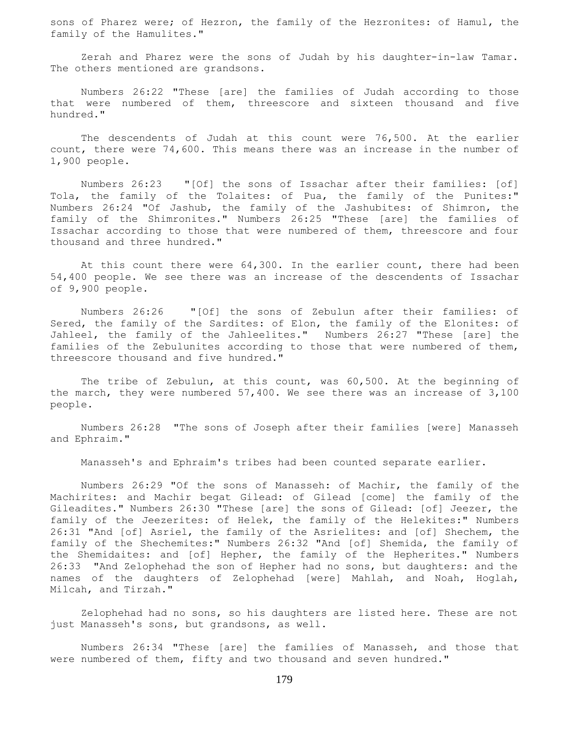sons of Pharez were; of Hezron, the family of the Hezronites: of Hamul, the family of the Hamulites."

 Zerah and Pharez were the sons of Judah by his daughter-in-law Tamar. The others mentioned are grandsons.

 Numbers 26:22 "These [are] the families of Judah according to those that were numbered of them, threescore and sixteen thousand and five hundred."

 The descendents of Judah at this count were 76,500. At the earlier count, there were 74,600. This means there was an increase in the number of 1,900 people.

 Numbers 26:23 "[Of] the sons of Issachar after their families: [of] Tola, the family of the Tolaites: of Pua, the family of the Punites:" Numbers 26:24 "Of Jashub, the family of the Jashubites: of Shimron, the family of the Shimronites." Numbers 26:25 "These [are] the families of Issachar according to those that were numbered of them, threescore and four thousand and three hundred."

At this count there were 64,300. In the earlier count, there had been 54,400 people. We see there was an increase of the descendents of Issachar of 9,900 people.

 Numbers 26:26 "[Of] the sons of Zebulun after their families: of Sered, the family of the Sardites: of Elon, the family of the Elonites: of Jahleel, the family of the Jahleelites." Numbers 26:27 "These [are] the families of the Zebulunites according to those that were numbered of them, threescore thousand and five hundred."

 The tribe of Zebulun, at this count, was 60,500. At the beginning of the march, they were numbered 57,400. We see there was an increase of 3,100 people.

 Numbers 26:28 "The sons of Joseph after their families [were] Manasseh and Ephraim."

Manasseh's and Ephraim's tribes had been counted separate earlier.

 Numbers 26:29 "Of the sons of Manasseh: of Machir, the family of the Machirites: and Machir begat Gilead: of Gilead [come] the family of the Gileadites." Numbers 26:30 "These [are] the sons of Gilead: [of] Jeezer, the family of the Jeezerites: of Helek, the family of the Helekites:" Numbers 26:31 "And [of] Asriel, the family of the Asrielites: and [of] Shechem, the family of the Shechemites:" Numbers 26:32 "And [of] Shemida, the family of the Shemidaites: and [of] Hepher, the family of the Hepherites." Numbers 26:33 "And Zelophehad the son of Hepher had no sons, but daughters: and the names of the daughters of Zelophehad [were] Mahlah, and Noah, Hoglah, Milcah, and Tirzah."

 Zelophehad had no sons, so his daughters are listed here. These are not just Manasseh's sons, but grandsons, as well.

 Numbers 26:34 "These [are] the families of Manasseh, and those that were numbered of them, fifty and two thousand and seven hundred."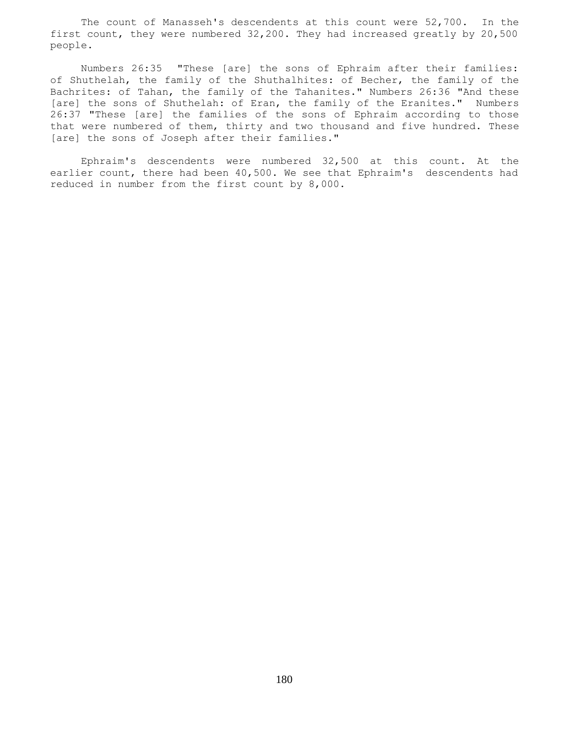The count of Manasseh's descendents at this count were 52,700. In the first count, they were numbered 32,200. They had increased greatly by 20,500 people.

 Numbers 26:35 "These [are] the sons of Ephraim after their families: of Shuthelah, the family of the Shuthalhites: of Becher, the family of the Bachrites: of Tahan, the family of the Tahanites." Numbers 26:36 "And these [are] the sons of Shuthelah: of Eran, the family of the Eranites." Numbers 26:37 "These [are] the families of the sons of Ephraim according to those that were numbered of them, thirty and two thousand and five hundred. These [are] the sons of Joseph after their families."

 Ephraim's descendents were numbered 32,500 at this count. At the earlier count, there had been 40,500. We see that Ephraim's descendents had reduced in number from the first count by 8,000.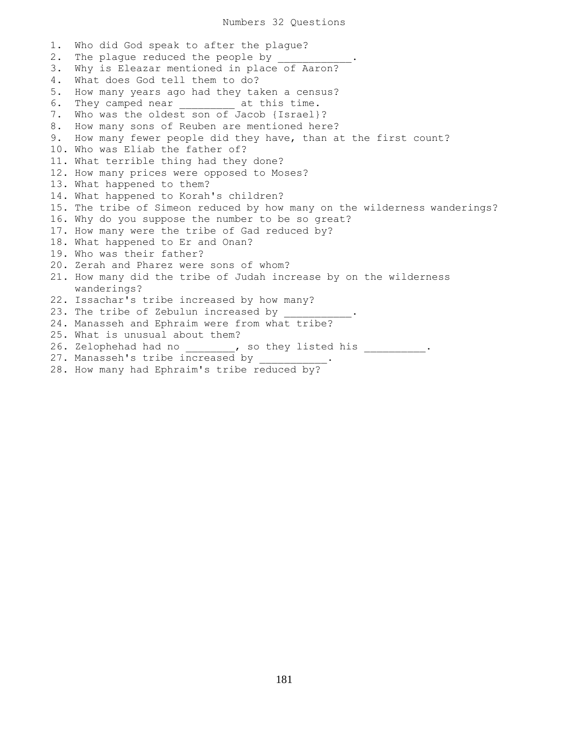Numbers 32 Questions

1. Who did God speak to after the plague? 2. The plague reduced the people by 3. Why is Eleazar mentioned in place of Aaron? 4. What does God tell them to do? 5. How many years ago had they taken a census? 6. They camped near \_\_\_\_\_\_\_\_ at this time. 7. Who was the oldest son of Jacob {Israel}? 8. How many sons of Reuben are mentioned here? 9. How many fewer people did they have, than at the first count? 10. Who was Eliab the father of? 11. What terrible thing had they done? 12. How many prices were opposed to Moses? 13. What happened to them? 14. What happened to Korah's children? 15. The tribe of Simeon reduced by how many on the wilderness wanderings? 16. Why do you suppose the number to be so great? 17. How many were the tribe of Gad reduced by? 18. What happened to Er and Onan? 19. Who was their father? 20. Zerah and Pharez were sons of whom? 21. How many did the tribe of Judah increase by on the wilderness wanderings? 22. Issachar's tribe increased by how many? 23. The tribe of Zebulun increased by 24. Manasseh and Ephraim were from what tribe? 25. What is unusual about them? 26. Zelophehad had no \_\_\_\_\_\_\_\_, so they listed his \_\_\_\_\_\_\_\_\_\_. 27. Manasseh's tribe increased by

28. How many had Ephraim's tribe reduced by?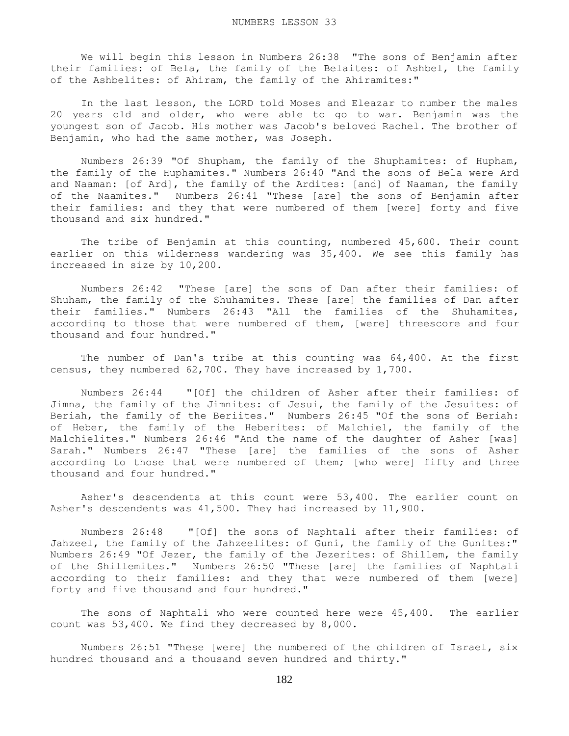We will begin this lesson in Numbers 26:38 "The sons of Benjamin after their families: of Bela, the family of the Belaites: of Ashbel, the family of the Ashbelites: of Ahiram, the family of the Ahiramites:"

 In the last lesson, the LORD told Moses and Eleazar to number the males 20 years old and older, who were able to go to war. Benjamin was the youngest son of Jacob. His mother was Jacob's beloved Rachel. The brother of Benjamin, who had the same mother, was Joseph.

 Numbers 26:39 "Of Shupham, the family of the Shuphamites: of Hupham, the family of the Huphamites." Numbers 26:40 "And the sons of Bela were Ard and Naaman: [of Ard], the family of the Ardites: [and] of Naaman, the family of the Naamites." Numbers 26:41 "These [are] the sons of Benjamin after their families: and they that were numbered of them [were] forty and five thousand and six hundred."

 The tribe of Benjamin at this counting, numbered 45,600. Their count earlier on this wilderness wandering was 35,400. We see this family has increased in size by 10,200.

 Numbers 26:42 "These [are] the sons of Dan after their families: of Shuham, the family of the Shuhamites. These [are] the families of Dan after their families." Numbers 26:43 "All the families of the Shuhamites, according to those that were numbered of them, [were] threescore and four thousand and four hundred."

 The number of Dan's tribe at this counting was 64,400. At the first census, they numbered 62,700. They have increased by 1,700.

 Numbers 26:44 "[Of] the children of Asher after their families: of Jimna, the family of the Jimnites: of Jesui, the family of the Jesuites: of Beriah, the family of the Beriites." Numbers 26:45 "Of the sons of Beriah: of Heber, the family of the Heberites: of Malchiel, the family of the Malchielites." Numbers 26:46 "And the name of the daughter of Asher [was] Sarah." Numbers 26:47 "These [are] the families of the sons of Asher according to those that were numbered of them; [who were] fifty and three thousand and four hundred."

 Asher's descendents at this count were 53,400. The earlier count on Asher's descendents was 41,500. They had increased by 11,900.

 Numbers 26:48 "[Of] the sons of Naphtali after their families: of Jahzeel, the family of the Jahzeelites: of Guni, the family of the Gunites:" Numbers 26:49 "Of Jezer, the family of the Jezerites: of Shillem, the family of the Shillemites." Numbers 26:50 "These [are] the families of Naphtali according to their families: and they that were numbered of them [were] forty and five thousand and four hundred."

 The sons of Naphtali who were counted here were 45,400. The earlier count was 53,400. We find they decreased by 8,000.

 Numbers 26:51 "These [were] the numbered of the children of Israel, six hundred thousand and a thousand seven hundred and thirty."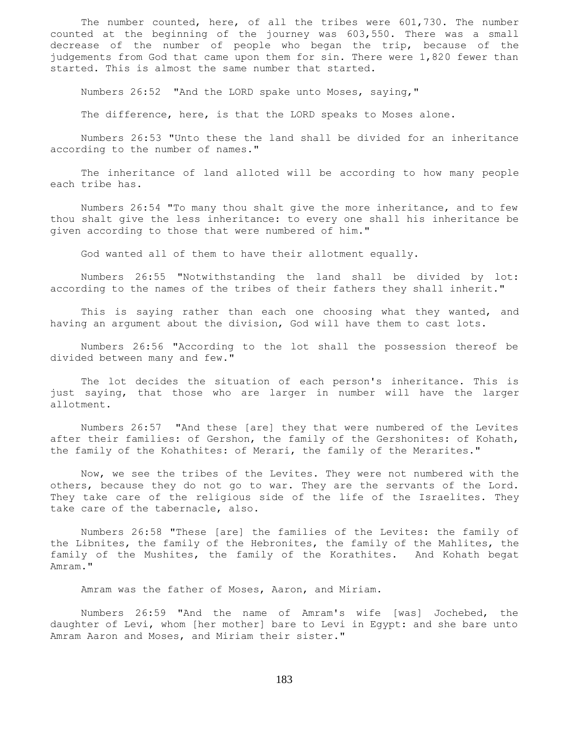The number counted, here, of all the tribes were 601,730. The number counted at the beginning of the journey was 603,550. There was a small decrease of the number of people who began the trip, because of the judgements from God that came upon them for sin. There were 1,820 fewer than started. This is almost the same number that started.

Numbers 26:52 "And the LORD spake unto Moses, saying,"

The difference, here, is that the LORD speaks to Moses alone.

 Numbers 26:53 "Unto these the land shall be divided for an inheritance according to the number of names."

 The inheritance of land alloted will be according to how many people each tribe has.

 Numbers 26:54 "To many thou shalt give the more inheritance, and to few thou shalt give the less inheritance: to every one shall his inheritance be given according to those that were numbered of him."

God wanted all of them to have their allotment equally.

 Numbers 26:55 "Notwithstanding the land shall be divided by lot: according to the names of the tribes of their fathers they shall inherit."

 This is saying rather than each one choosing what they wanted, and having an argument about the division, God will have them to cast lots.

 Numbers 26:56 "According to the lot shall the possession thereof be divided between many and few."

 The lot decides the situation of each person's inheritance. This is just saying, that those who are larger in number will have the larger allotment.

 Numbers 26:57 "And these [are] they that were numbered of the Levites after their families: of Gershon, the family of the Gershonites: of Kohath, the family of the Kohathites: of Merari, the family of the Merarites."

 Now, we see the tribes of the Levites. They were not numbered with the others, because they do not go to war. They are the servants of the Lord. They take care of the religious side of the life of the Israelites. They take care of the tabernacle, also.

 Numbers 26:58 "These [are] the families of the Levites: the family of the Libnites, the family of the Hebronites, the family of the Mahlites, the family of the Mushites, the family of the Korathites. And Kohath begat Amram."

Amram was the father of Moses, Aaron, and Miriam.

 Numbers 26:59 "And the name of Amram's wife [was] Jochebed, the daughter of Levi, whom [her mother] bare to Levi in Egypt: and she bare unto Amram Aaron and Moses, and Miriam their sister."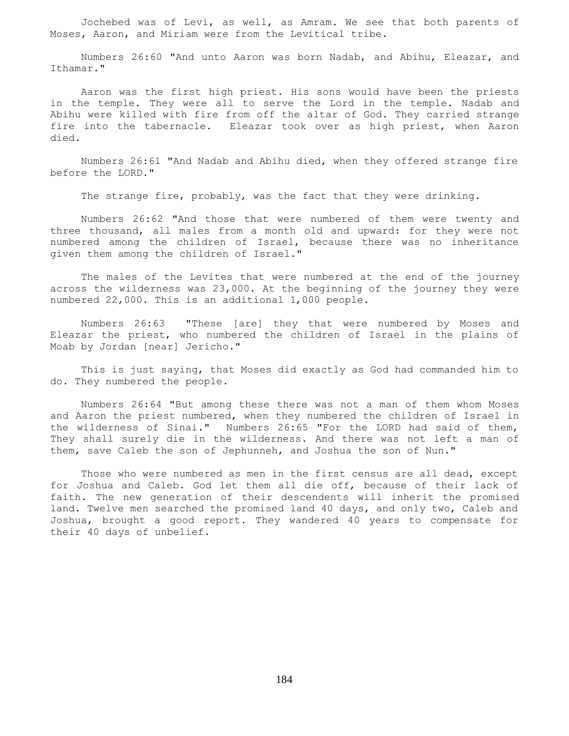Jochebed was of Levi, as well, as Amram. We see that both parents of Moses, Aaron, and Miriam were from the Levitical tribe.

 Numbers 26:60 "And unto Aaron was born Nadab, and Abihu, Eleazar, and Ithamar."

 Aaron was the first high priest. His sons would have been the priests in the temple. They were all to serve the Lord in the temple. Nadab and Abihu were killed with fire from off the altar of God. They carried strange fire into the tabernacle. Eleazar took over as high priest, when Aaron died.

 Numbers 26:61 "And Nadab and Abihu died, when they offered strange fire before the LORD."

The strange fire, probably, was the fact that they were drinking.

 Numbers 26:62 "And those that were numbered of them were twenty and three thousand, all males from a month old and upward: for they were not numbered among the children of Israel, because there was no inheritance given them among the children of Israel."

 The males of the Levites that were numbered at the end of the journey across the wilderness was 23,000. At the beginning of the journey they were numbered 22,000. This is an additional 1,000 people.

 Numbers 26:63 "These [are] they that were numbered by Moses and Eleazar the priest, who numbered the children of Israel in the plains of Moab by Jordan [near] Jericho."

 This is just saying, that Moses did exactly as God had commanded him to do. They numbered the people.

 Numbers 26:64 "But among these there was not a man of them whom Moses and Aaron the priest numbered, when they numbered the children of Israel in the wilderness of Sinai." Numbers 26:65 "For the LORD had said of them, They shall surely die in the wilderness. And there was not left a man of them, save Caleb the son of Jephunneh, and Joshua the son of Nun."

 Those who were numbered as men in the first census are all dead, except for Joshua and Caleb. God let them all die off, because of their lack of faith. The new generation of their descendents will inherit the promised land. Twelve men searched the promised land 40 days, and only two, Caleb and Joshua, brought a good report. They wandered 40 years to compensate for their 40 days of unbelief.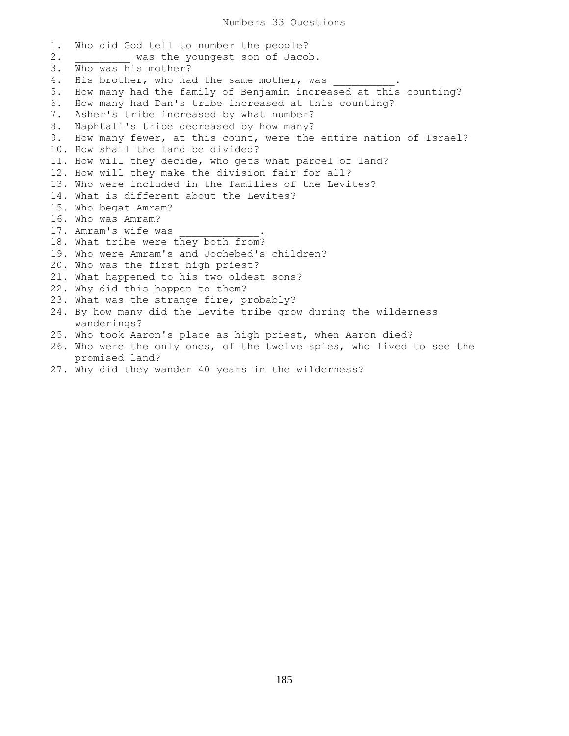1. Who did God tell to number the people? 2. Was the youngest son of Jacob. 3. Who was his mother? 4. His brother, who had the same mother, was 5. How many had the family of Benjamin increased at this counting? 6. How many had Dan's tribe increased at this counting? 7. Asher's tribe increased by what number? 8. Naphtali's tribe decreased by how many? 9. How many fewer, at this count, were the entire nation of Israel? 10. How shall the land be divided? 11. How will they decide, who gets what parcel of land? 12. How will they make the division fair for all? 13. Who were included in the families of the Levites? 14. What is different about the Levites? 15. Who begat Amram? 16. Who was Amram? 17. Amram's wife was 18. What tribe were they both from? 19. Who were Amram's and Jochebed's children? 20. Who was the first high priest? 21. What happened to his two oldest sons? 22. Why did this happen to them? 23. What was the strange fire, probably? 24. By how many did the Levite tribe grow during the wilderness wanderings? 25. Who took Aaron's place as high priest, when Aaron died? 26. Who were the only ones, of the twelve spies, who lived to see the promised land? 27. Why did they wander 40 years in the wilderness?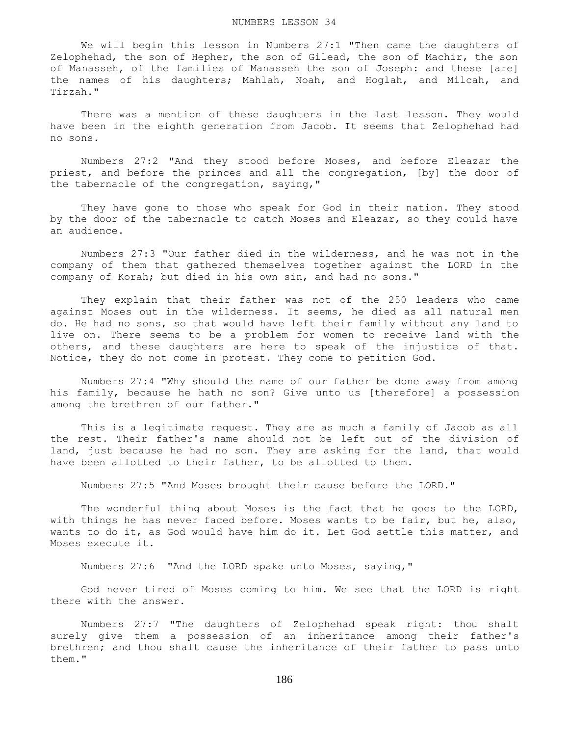We will begin this lesson in Numbers 27:1 "Then came the daughters of Zelophehad, the son of Hepher, the son of Gilead, the son of Machir, the son of Manasseh, of the families of Manasseh the son of Joseph: and these [are] the names of his daughters; Mahlah, Noah, and Hoglah, and Milcah, and Tirzah."

 There was a mention of these daughters in the last lesson. They would have been in the eighth generation from Jacob. It seems that Zelophehad had no sons.

 Numbers 27:2 "And they stood before Moses, and before Eleazar the priest, and before the princes and all the congregation, [by] the door of the tabernacle of the congregation, saying,"

 They have gone to those who speak for God in their nation. They stood by the door of the tabernacle to catch Moses and Eleazar, so they could have an audience.

 Numbers 27:3 "Our father died in the wilderness, and he was not in the company of them that gathered themselves together against the LORD in the company of Korah; but died in his own sin, and had no sons."

 They explain that their father was not of the 250 leaders who came against Moses out in the wilderness. It seems, he died as all natural men do. He had no sons, so that would have left their family without any land to live on. There seems to be a problem for women to receive land with the others, and these daughters are here to speak of the injustice of that. Notice, they do not come in protest. They come to petition God.

 Numbers 27:4 "Why should the name of our father be done away from among his family, because he hath no son? Give unto us [therefore] a possession among the brethren of our father."

 This is a legitimate request. They are as much a family of Jacob as all the rest. Their father's name should not be left out of the division of land, just because he had no son. They are asking for the land, that would have been allotted to their father, to be allotted to them.

Numbers 27:5 "And Moses brought their cause before the LORD."

 The wonderful thing about Moses is the fact that he goes to the LORD, with things he has never faced before. Moses wants to be fair, but he, also, wants to do it, as God would have him do it. Let God settle this matter, and Moses execute it.

Numbers 27:6 "And the LORD spake unto Moses, saying,"

 God never tired of Moses coming to him. We see that the LORD is right there with the answer.

 Numbers 27:7 "The daughters of Zelophehad speak right: thou shalt surely give them a possession of an inheritance among their father's brethren; and thou shalt cause the inheritance of their father to pass unto them."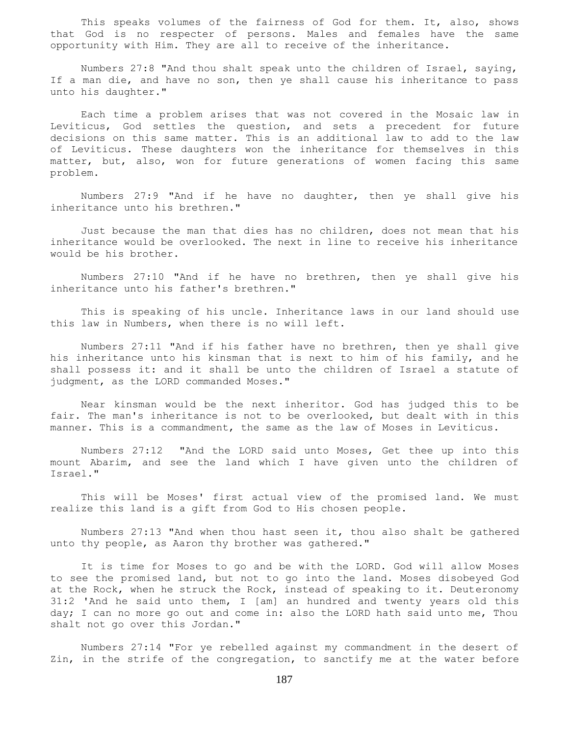This speaks volumes of the fairness of God for them. It, also, shows that God is no respecter of persons. Males and females have the same opportunity with Him. They are all to receive of the inheritance.

 Numbers 27:8 "And thou shalt speak unto the children of Israel, saying, If a man die, and have no son, then ye shall cause his inheritance to pass unto his daughter."

 Each time a problem arises that was not covered in the Mosaic law in Leviticus, God settles the question, and sets a precedent for future decisions on this same matter. This is an additional law to add to the law of Leviticus. These daughters won the inheritance for themselves in this matter, but, also, won for future generations of women facing this same problem.

 Numbers 27:9 "And if he have no daughter, then ye shall give his inheritance unto his brethren."

 Just because the man that dies has no children, does not mean that his inheritance would be overlooked. The next in line to receive his inheritance would be his brother.

 Numbers 27:10 "And if he have no brethren, then ye shall give his inheritance unto his father's brethren."

 This is speaking of his uncle. Inheritance laws in our land should use this law in Numbers, when there is no will left.

 Numbers 27:11 "And if his father have no brethren, then ye shall give his inheritance unto his kinsman that is next to him of his family, and he shall possess it: and it shall be unto the children of Israel a statute of judgment, as the LORD commanded Moses."

 Near kinsman would be the next inheritor. God has judged this to be fair. The man's inheritance is not to be overlooked, but dealt with in this manner. This is a commandment, the same as the law of Moses in Leviticus.

 Numbers 27:12 "And the LORD said unto Moses, Get thee up into this mount Abarim, and see the land which I have given unto the children of Israel."

 This will be Moses' first actual view of the promised land. We must realize this land is a gift from God to His chosen people.

 Numbers 27:13 "And when thou hast seen it, thou also shalt be gathered unto thy people, as Aaron thy brother was gathered."

 It is time for Moses to go and be with the LORD. God will allow Moses to see the promised land, but not to go into the land. Moses disobeyed God at the Rock, when he struck the Rock, instead of speaking to it. Deuteronomy 31:2 'And he said unto them, I [am] an hundred and twenty years old this day; I can no more go out and come in: also the LORD hath said unto me, Thou shalt not go over this Jordan."

 Numbers 27:14 "For ye rebelled against my commandment in the desert of Zin, in the strife of the congregation, to sanctify me at the water before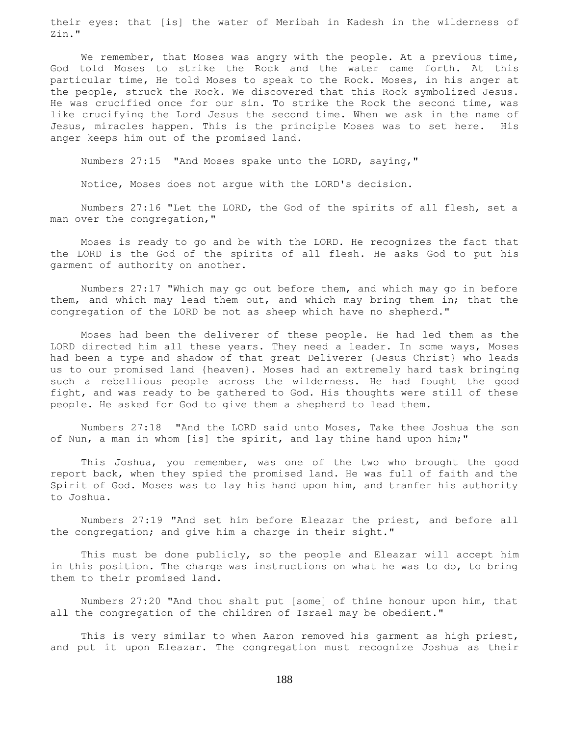their eyes: that [is] the water of Meribah in Kadesh in the wilderness of Zin."

We remember, that Moses was angry with the people. At a previous time, God told Moses to strike the Rock and the water came forth. At this particular time, He told Moses to speak to the Rock. Moses, in his anger at the people, struck the Rock. We discovered that this Rock symbolized Jesus. He was crucified once for our sin. To strike the Rock the second time, was like crucifying the Lord Jesus the second time. When we ask in the name of Jesus, miracles happen. This is the principle Moses was to set here. His anger keeps him out of the promised land.

Numbers 27:15 "And Moses spake unto the LORD, saying,"

Notice, Moses does not argue with the LORD's decision.

 Numbers 27:16 "Let the LORD, the God of the spirits of all flesh, set a man over the congregation,"

 Moses is ready to go and be with the LORD. He recognizes the fact that the LORD is the God of the spirits of all flesh. He asks God to put his garment of authority on another.

 Numbers 27:17 "Which may go out before them, and which may go in before them, and which may lead them out, and which may bring them in; that the congregation of the LORD be not as sheep which have no shepherd."

 Moses had been the deliverer of these people. He had led them as the LORD directed him all these years. They need a leader. In some ways, Moses had been a type and shadow of that great Deliverer {Jesus Christ} who leads us to our promised land {heaven}. Moses had an extremely hard task bringing such a rebellious people across the wilderness. He had fought the good fight, and was ready to be gathered to God. His thoughts were still of these people. He asked for God to give them a shepherd to lead them.

 Numbers 27:18 "And the LORD said unto Moses, Take thee Joshua the son of Nun, a man in whom [is] the spirit, and lay thine hand upon him;"

 This Joshua, you remember, was one of the two who brought the good report back, when they spied the promised land. He was full of faith and the Spirit of God. Moses was to lay his hand upon him, and tranfer his authority to Joshua.

 Numbers 27:19 "And set him before Eleazar the priest, and before all the congregation; and give him a charge in their sight."

 This must be done publicly, so the people and Eleazar will accept him in this position. The charge was instructions on what he was to do, to bring them to their promised land.

 Numbers 27:20 "And thou shalt put [some] of thine honour upon him, that all the congregation of the children of Israel may be obedient."

 This is very similar to when Aaron removed his garment as high priest, and put it upon Eleazar. The congregation must recognize Joshua as their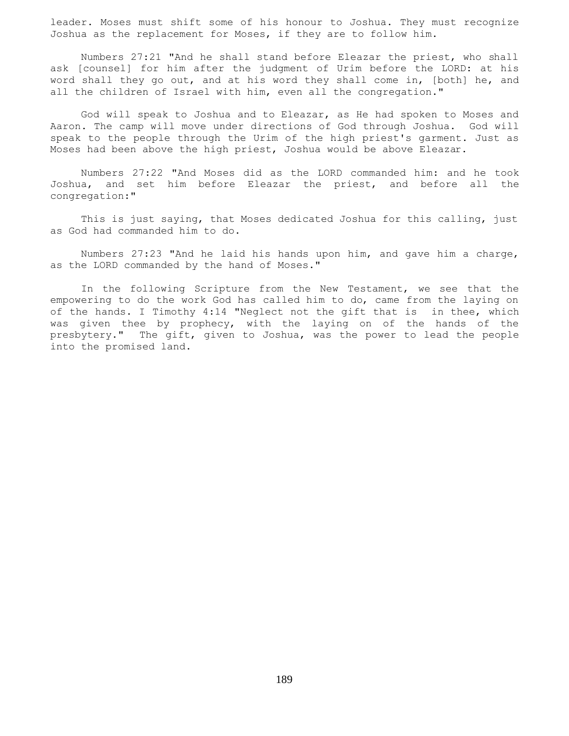leader. Moses must shift some of his honour to Joshua. They must recognize Joshua as the replacement for Moses, if they are to follow him.

 Numbers 27:21 "And he shall stand before Eleazar the priest, who shall ask [counsel] for him after the judgment of Urim before the LORD: at his word shall they go out, and at his word they shall come in, [both] he, and all the children of Israel with him, even all the congregation."

 God will speak to Joshua and to Eleazar, as He had spoken to Moses and Aaron. The camp will move under directions of God through Joshua. God will speak to the people through the Urim of the high priest's garment. Just as Moses had been above the high priest, Joshua would be above Eleazar.

 Numbers 27:22 "And Moses did as the LORD commanded him: and he took Joshua, and set him before Eleazar the priest, and before all the congregation:"

 This is just saying, that Moses dedicated Joshua for this calling, just as God had commanded him to do.

 Numbers 27:23 "And he laid his hands upon him, and gave him a charge, as the LORD commanded by the hand of Moses."

 In the following Scripture from the New Testament, we see that the empowering to do the work God has called him to do, came from the laying on of the hands. I Timothy 4:14 "Neglect not the gift that is in thee, which was given thee by prophecy, with the laying on of the hands of the presbytery." The gift, given to Joshua, was the power to lead the people into the promised land.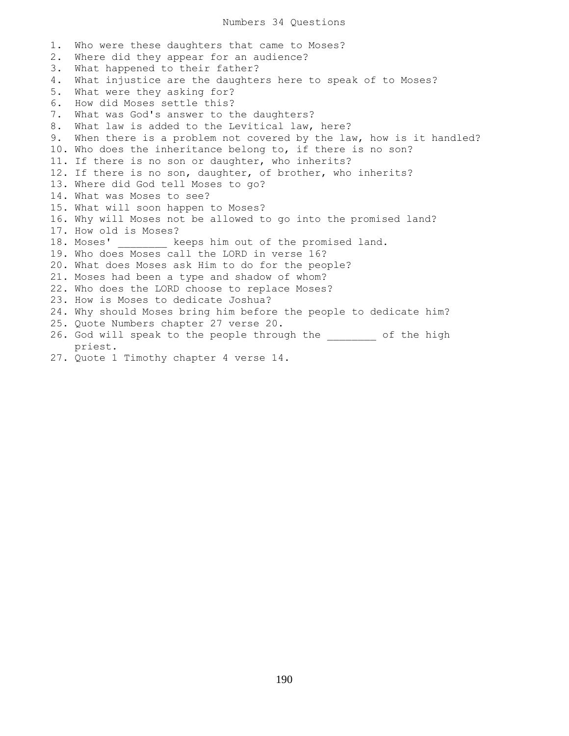1. Who were these daughters that came to Moses? 2. Where did they appear for an audience? 3. What happened to their father? 4. What injustice are the daughters here to speak of to Moses? 5. What were they asking for? 6. How did Moses settle this? 7. What was God's answer to the daughters? 8. What law is added to the Levitical law, here? 9. When there is a problem not covered by the law, how is it handled? 10. Who does the inheritance belong to, if there is no son? 11. If there is no son or daughter, who inherits? 12. If there is no son, daughter, of brother, who inherits? 13. Where did God tell Moses to go? 14. What was Moses to see? 15. What will soon happen to Moses? 16. Why will Moses not be allowed to go into the promised land? 17. How old is Moses? 18. Moses' keeps him out of the promised land. 19. Who does Moses call the LORD in verse 16? 20. What does Moses ask Him to do for the people? 21. Moses had been a type and shadow of whom? 22. Who does the LORD choose to replace Moses? 23. How is Moses to dedicate Joshua? 24. Why should Moses bring him before the people to dedicate him? 25. Quote Numbers chapter 27 verse 20. 26. God will speak to the people through the \_\_\_\_\_\_\_\_ of the high priest.

27. Quote 1 Timothy chapter 4 verse 14.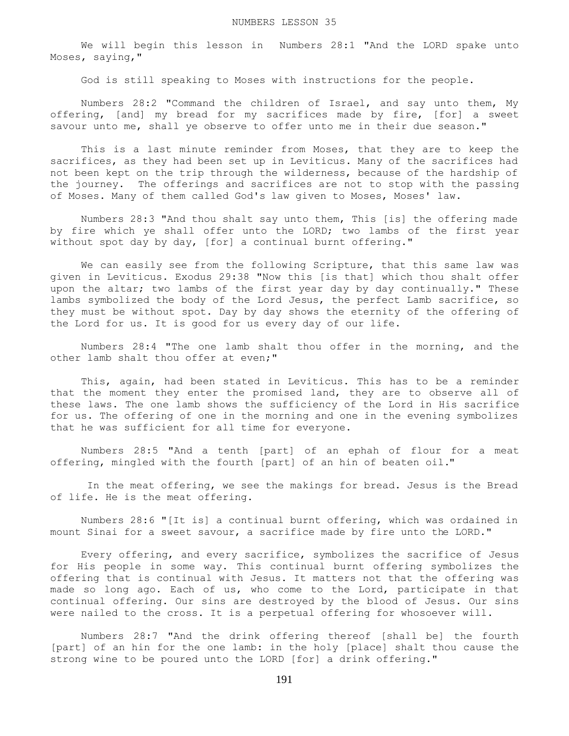We will begin this lesson in Numbers 28:1 "And the LORD spake unto Moses, saying,"

God is still speaking to Moses with instructions for the people.

 Numbers 28:2 "Command the children of Israel, and say unto them, My offering, [and] my bread for my sacrifices made by fire, [for] a sweet savour unto me, shall ye observe to offer unto me in their due season."

 This is a last minute reminder from Moses, that they are to keep the sacrifices, as they had been set up in Leviticus. Many of the sacrifices had not been kept on the trip through the wilderness, because of the hardship of the journey. The offerings and sacrifices are not to stop with the passing of Moses. Many of them called God's law given to Moses, Moses' law.

 Numbers 28:3 "And thou shalt say unto them, This [is] the offering made by fire which ye shall offer unto the LORD; two lambs of the first year without spot day by day, [for] a continual burnt offering."

 We can easily see from the following Scripture, that this same law was given in Leviticus. Exodus 29:38 "Now this [is that] which thou shalt offer upon the altar; two lambs of the first year day by day continually." These lambs symbolized the body of the Lord Jesus, the perfect Lamb sacrifice, so they must be without spot. Day by day shows the eternity of the offering of the Lord for us. It is good for us every day of our life.

 Numbers 28:4 "The one lamb shalt thou offer in the morning, and the other lamb shalt thou offer at even;"

 This, again, had been stated in Leviticus. This has to be a reminder that the moment they enter the promised land, they are to observe all of these laws. The one lamb shows the sufficiency of the Lord in His sacrifice for us. The offering of one in the morning and one in the evening symbolizes that he was sufficient for all time for everyone.

 Numbers 28:5 "And a tenth [part] of an ephah of flour for a meat offering, mingled with the fourth [part] of an hin of beaten oil."

 In the meat offering, we see the makings for bread. Jesus is the Bread of life. He is the meat offering.

 Numbers 28:6 "[It is] a continual burnt offering, which was ordained in mount Sinai for a sweet savour, a sacrifice made by fire unto the LORD."

 Every offering, and every sacrifice, symbolizes the sacrifice of Jesus for His people in some way. This continual burnt offering symbolizes the offering that is continual with Jesus. It matters not that the offering was made so long ago. Each of us, who come to the Lord, participate in that continual offering. Our sins are destroyed by the blood of Jesus. Our sins were nailed to the cross. It is a perpetual offering for whosoever will.

 Numbers 28:7 "And the drink offering thereof [shall be] the fourth [part] of an hin for the one lamb: in the holy [place] shalt thou cause the strong wine to be poured unto the LORD [for] a drink offering."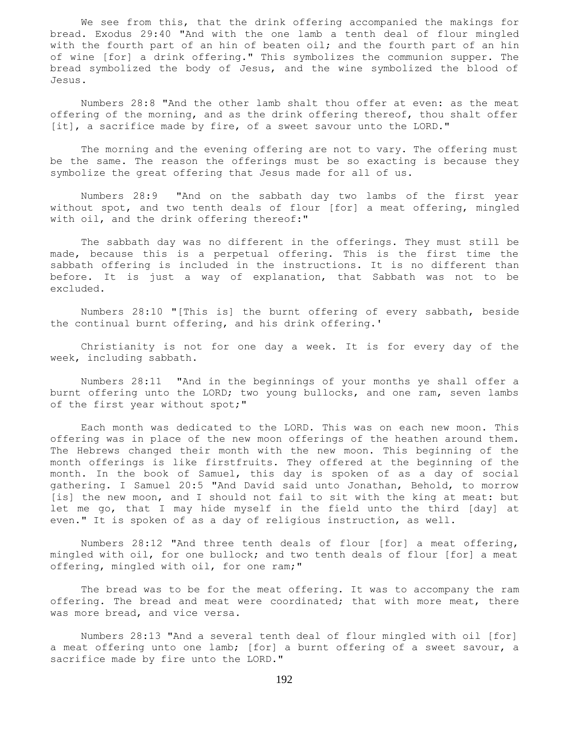We see from this, that the drink offering accompanied the makings for bread. Exodus 29:40 "And with the one lamb a tenth deal of flour mingled with the fourth part of an hin of beaten oil; and the fourth part of an hin of wine [for] a drink offering." This symbolizes the communion supper. The bread symbolized the body of Jesus, and the wine symbolized the blood of Jesus.

 Numbers 28:8 "And the other lamb shalt thou offer at even: as the meat offering of the morning, and as the drink offering thereof, thou shalt offer [it], a sacrifice made by fire, of a sweet savour unto the LORD."

 The morning and the evening offering are not to vary. The offering must be the same. The reason the offerings must be so exacting is because they symbolize the great offering that Jesus made for all of us.

 Numbers 28:9 "And on the sabbath day two lambs of the first year without spot, and two tenth deals of flour [for] a meat offering, mingled with oil, and the drink offering thereof:"

 The sabbath day was no different in the offerings. They must still be made, because this is a perpetual offering. This is the first time the sabbath offering is included in the instructions. It is no different than before. It is just a way of explanation, that Sabbath was not to be excluded.

 Numbers 28:10 "[This is] the burnt offering of every sabbath, beside the continual burnt offering, and his drink offering.'

 Christianity is not for one day a week. It is for every day of the week, including sabbath.

 Numbers 28:11 "And in the beginnings of your months ye shall offer a burnt offering unto the LORD; two young bullocks, and one ram, seven lambs of the first year without spot;"

 Each month was dedicated to the LORD. This was on each new moon. This offering was in place of the new moon offerings of the heathen around them. The Hebrews changed their month with the new moon. This beginning of the month offerings is like firstfruits. They offered at the beginning of the month. In the book of Samuel, this day is spoken of as a day of social gathering. I Samuel 20:5 "And David said unto Jonathan, Behold, to morrow [is] the new moon, and I should not fail to sit with the king at meat: but let me go, that I may hide myself in the field unto the third [day] at even." It is spoken of as a day of religious instruction, as well.

 Numbers 28:12 "And three tenth deals of flour [for] a meat offering, mingled with oil, for one bullock; and two tenth deals of flour [for] a meat offering, mingled with oil, for one ram;"

 The bread was to be for the meat offering. It was to accompany the ram offering. The bread and meat were coordinated; that with more meat, there was more bread, and vice versa.

 Numbers 28:13 "And a several tenth deal of flour mingled with oil [for] a meat offering unto one lamb; [for] a burnt offering of a sweet savour, a sacrifice made by fire unto the LORD."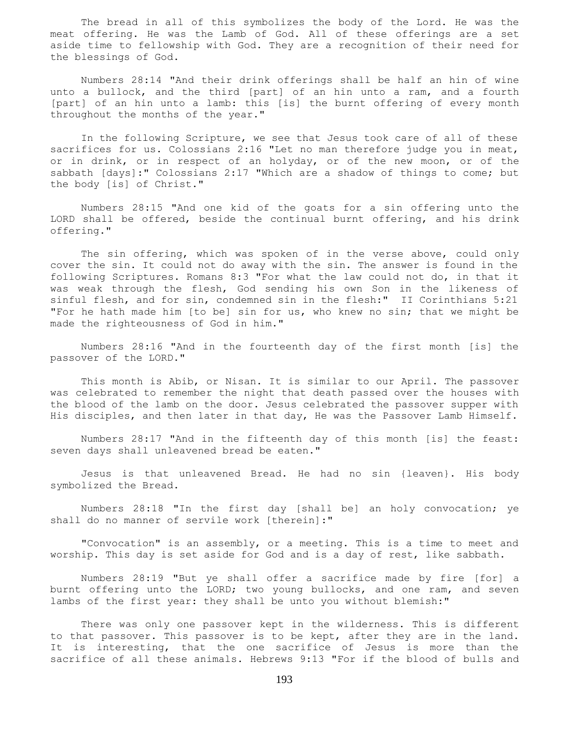The bread in all of this symbolizes the body of the Lord. He was the meat offering. He was the Lamb of God. All of these offerings are a set aside time to fellowship with God. They are a recognition of their need for the blessings of God.

 Numbers 28:14 "And their drink offerings shall be half an hin of wine unto a bullock, and the third [part] of an hin unto a ram, and a fourth [part] of an hin unto a lamb: this [is] the burnt offering of every month throughout the months of the year."

 In the following Scripture, we see that Jesus took care of all of these sacrifices for us. Colossians 2:16 "Let no man therefore judge you in meat, or in drink, or in respect of an holyday, or of the new moon, or of the sabbath [days]:" Colossians 2:17 "Which are a shadow of things to come; but the body [is] of Christ."

 Numbers 28:15 "And one kid of the goats for a sin offering unto the LORD shall be offered, beside the continual burnt offering, and his drink offering."

 The sin offering, which was spoken of in the verse above, could only cover the sin. It could not do away with the sin. The answer is found in the following Scriptures. Romans 8:3 "For what the law could not do, in that it was weak through the flesh, God sending his own Son in the likeness of sinful flesh, and for sin, condemned sin in the flesh:" II Corinthians 5:21 "For he hath made him [to be] sin for us, who knew no sin; that we might be made the righteousness of God in him."

 Numbers 28:16 "And in the fourteenth day of the first month [is] the passover of the LORD."

 This month is Abib, or Nisan. It is similar to our April. The passover was celebrated to remember the night that death passed over the houses with the blood of the lamb on the door. Jesus celebrated the passover supper with His disciples, and then later in that day, He was the Passover Lamb Himself.

 Numbers 28:17 "And in the fifteenth day of this month [is] the feast: seven days shall unleavened bread be eaten."

 Jesus is that unleavened Bread. He had no sin {leaven}. His body symbolized the Bread.

 Numbers 28:18 "In the first day [shall be] an holy convocation; ye shall do no manner of servile work [therein]:"

 "Convocation" is an assembly, or a meeting. This is a time to meet and worship. This day is set aside for God and is a day of rest, like sabbath.

 Numbers 28:19 "But ye shall offer a sacrifice made by fire [for] a burnt offering unto the LORD; two young bullocks, and one ram, and seven lambs of the first year: they shall be unto you without blemish:"

 There was only one passover kept in the wilderness. This is different to that passover. This passover is to be kept, after they are in the land. It is interesting, that the one sacrifice of Jesus is more than the sacrifice of all these animals. Hebrews 9:13 "For if the blood of bulls and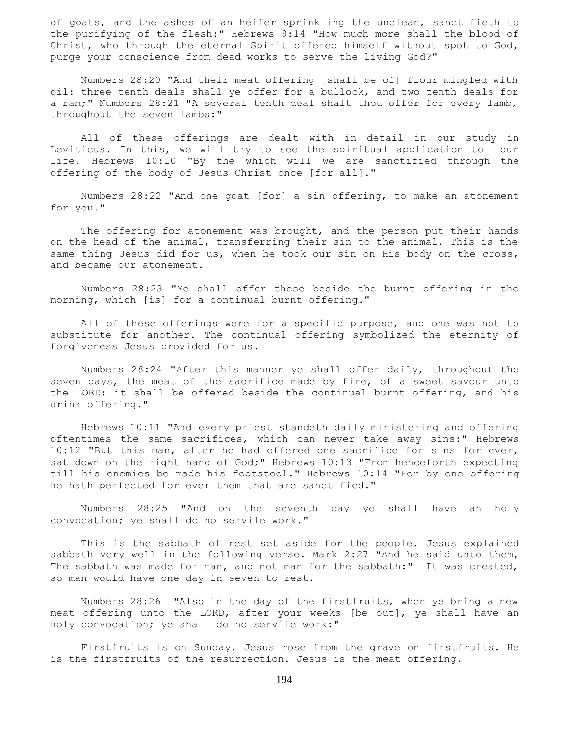of goats, and the ashes of an heifer sprinkling the unclean, sanctifieth to the purifying of the flesh:" Hebrews 9:14 "How much more shall the blood of Christ, who through the eternal Spirit offered himself without spot to God, purge your conscience from dead works to serve the living God?"

 Numbers 28:20 "And their meat offering [shall be of] flour mingled with oil: three tenth deals shall ye offer for a bullock, and two tenth deals for a ram;" Numbers 28:21 "A several tenth deal shalt thou offer for every lamb, throughout the seven lambs:"

 All of these offerings are dealt with in detail in our study in Leviticus. In this, we will try to see the spiritual application to our life. Hebrews 10:10 "By the which will we are sanctified through the offering of the body of Jesus Christ once [for all]."

 Numbers 28:22 "And one goat [for] a sin offering, to make an atonement for you."

The offering for atonement was brought, and the person put their hands on the head of the animal, transferring their sin to the animal. This is the same thing Jesus did for us, when he took our sin on His body on the cross, and became our atonement.

 Numbers 28:23 "Ye shall offer these beside the burnt offering in the morning, which [is] for a continual burnt offering."

 All of these offerings were for a specific purpose, and one was not to substitute for another. The continual offering symbolized the eternity of forgiveness Jesus provided for us.

 Numbers 28:24 "After this manner ye shall offer daily, throughout the seven days, the meat of the sacrifice made by fire, of a sweet savour unto the LORD: it shall be offered beside the continual burnt offering, and his drink offering."

 Hebrews 10:11 "And every priest standeth daily ministering and offering oftentimes the same sacrifices, which can never take away sins:" Hebrews 10:12 "But this man, after he had offered one sacrifice for sins for ever, sat down on the right hand of God;" Hebrews 10:13 "From henceforth expecting till his enemies be made his footstool." Hebrews 10:14 "For by one offering he hath perfected for ever them that are sanctified."

 Numbers 28:25 "And on the seventh day ye shall have an holy convocation; ye shall do no servile work."

 This is the sabbath of rest set aside for the people. Jesus explained sabbath very well in the following verse. Mark 2:27 "And he said unto them, The sabbath was made for man, and not man for the sabbath:" It was created, so man would have one day in seven to rest.

 Numbers 28:26 "Also in the day of the firstfruits, when ye bring a new meat offering unto the LORD, after your weeks [be out], ye shall have an holy convocation; ye shall do no servile work:"

 Firstfruits is on Sunday. Jesus rose from the grave on firstfruits. He is the firstfruits of the resurrection. Jesus is the meat offering.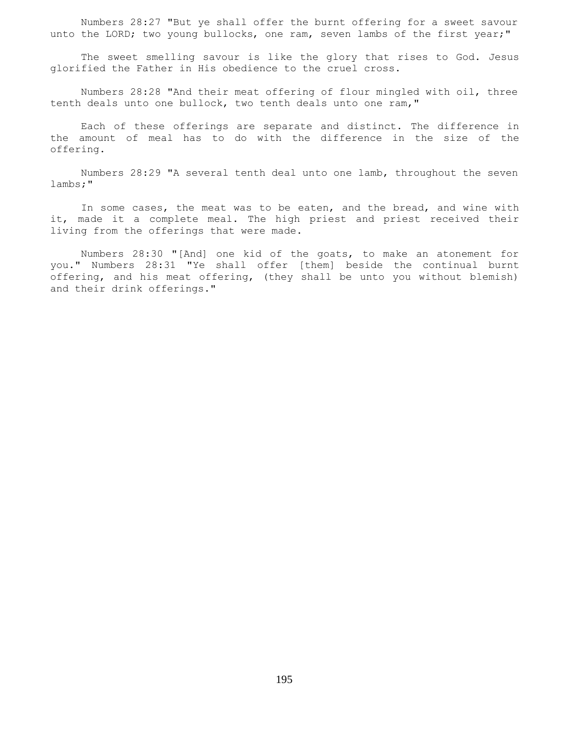Numbers 28:27 "But ye shall offer the burnt offering for a sweet savour unto the LORD; two young bullocks, one ram, seven lambs of the first year;"

 The sweet smelling savour is like the glory that rises to God. Jesus glorified the Father in His obedience to the cruel cross.

 Numbers 28:28 "And their meat offering of flour mingled with oil, three tenth deals unto one bullock, two tenth deals unto one ram,"

 Each of these offerings are separate and distinct. The difference in the amount of meal has to do with the difference in the size of the offering.

 Numbers 28:29 "A several tenth deal unto one lamb, throughout the seven lambs;"

 In some cases, the meat was to be eaten, and the bread, and wine with it, made it a complete meal. The high priest and priest received their living from the offerings that were made.

 Numbers 28:30 "[And] one kid of the goats, to make an atonement for you." Numbers 28:31 "Ye shall offer [them] beside the continual burnt offering, and his meat offering, (they shall be unto you without blemish) and their drink offerings."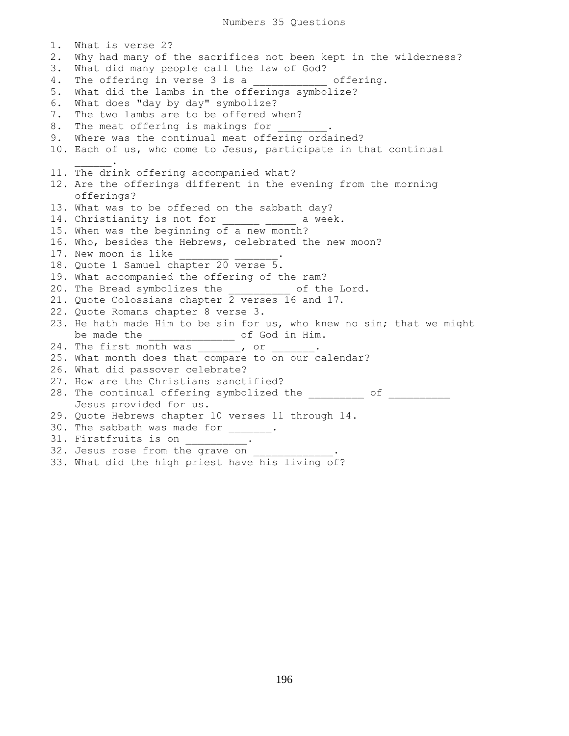1. What is verse 2? 2. Why had many of the sacrifices not been kept in the wilderness? 3. What did many people call the law of God? 4. The offering in verse 3 is a \_\_\_\_\_\_\_\_\_\_\_\_ offering. 5. What did the lambs in the offerings symbolize? 6. What does "day by day" symbolize? 7. The two lambs are to be offered when? 8. The meat offering is makings for 9. Where was the continual meat offering ordained? 10. Each of us, who come to Jesus, participate in that continual  $\mathcal{L}=\mathcal{L}^{\mathcal{L}}$ 11. The drink offering accompanied what? 12. Are the offerings different in the evening from the morning offerings? 13. What was to be offered on the sabbath day? 14. Christianity is not for \_\_\_\_\_\_\_ \_\_\_\_\_ a week. 15. When was the beginning of a new month? 16. Who, besides the Hebrews, celebrated the new moon? 17. New moon is like 18. Quote 1 Samuel chapter 20 verse 5. 19. What accompanied the offering of the ram? 20. The Bread symbolizes the \_\_\_\_\_\_\_\_\_\_ of the Lord. 21. Quote Colossians chapter 2 verses 16 and 17. 22. Quote Romans chapter 8 verse 3. 23. He hath made Him to be sin for us, who knew no sin; that we might be made the end of God in Him. 24. The first month was , or . 25. What month does that compare to on our calendar? 26. What did passover celebrate? 27. How are the Christians sanctified? 28. The continual offering symbolized the entirely of Jesus provided for us. 29. Quote Hebrews chapter 10 verses 11 through 14. 30. The sabbath was made for \_\_\_\_\_\_. 31. Firstfruits is on \_\_\_\_\_\_\_\_\_\_. 32. Jesus rose from the grave on 33. What did the high priest have his living of?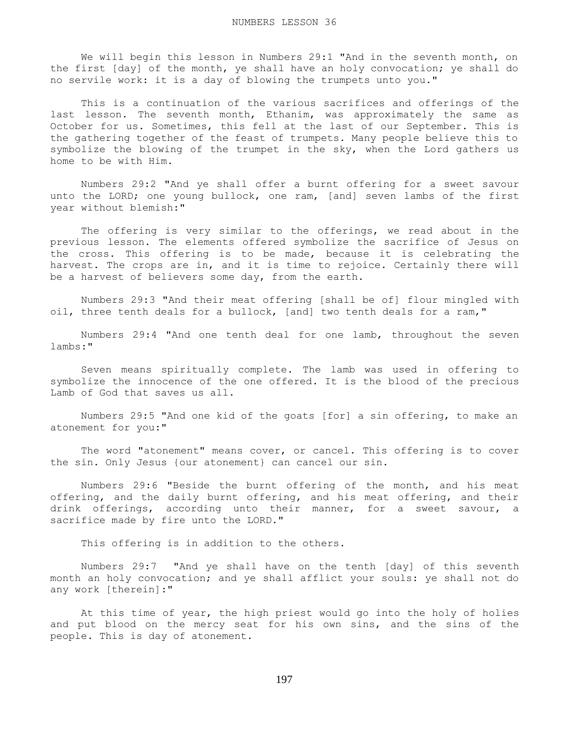We will begin this lesson in Numbers 29:1 "And in the seventh month, on the first [day] of the month, ye shall have an holy convocation; ye shall do no servile work: it is a day of blowing the trumpets unto you."

 This is a continuation of the various sacrifices and offerings of the last lesson. The seventh month, Ethanim, was approximately the same as October for us. Sometimes, this fell at the last of our September. This is the gathering together of the feast of trumpets. Many people believe this to symbolize the blowing of the trumpet in the sky, when the Lord gathers us home to be with Him.

 Numbers 29:2 "And ye shall offer a burnt offering for a sweet savour unto the LORD; one young bullock, one ram, [and] seven lambs of the first year without blemish:"

 The offering is very similar to the offerings, we read about in the previous lesson. The elements offered symbolize the sacrifice of Jesus on the cross. This offering is to be made, because it is celebrating the harvest. The crops are in, and it is time to rejoice. Certainly there will be a harvest of believers some day, from the earth.

 Numbers 29:3 "And their meat offering [shall be of] flour mingled with oil, three tenth deals for a bullock, [and] two tenth deals for a ram,"

 Numbers 29:4 "And one tenth deal for one lamb, throughout the seven lambs:"

 Seven means spiritually complete. The lamb was used in offering to symbolize the innocence of the one offered. It is the blood of the precious Lamb of God that saves us all.

 Numbers 29:5 "And one kid of the goats [for] a sin offering, to make an atonement for you:"

 The word "atonement" means cover, or cancel. This offering is to cover the sin. Only Jesus {our atonement} can cancel our sin.

 Numbers 29:6 "Beside the burnt offering of the month, and his meat offering, and the daily burnt offering, and his meat offering, and their drink offerings, according unto their manner, for a sweet savour, a sacrifice made by fire unto the LORD."

This offering is in addition to the others.

 Numbers 29:7 "And ye shall have on the tenth [day] of this seventh month an holy convocation; and ye shall afflict your souls: ye shall not do any work [therein]:"

 At this time of year, the high priest would go into the holy of holies and put blood on the mercy seat for his own sins, and the sins of the people. This is day of atonement.

197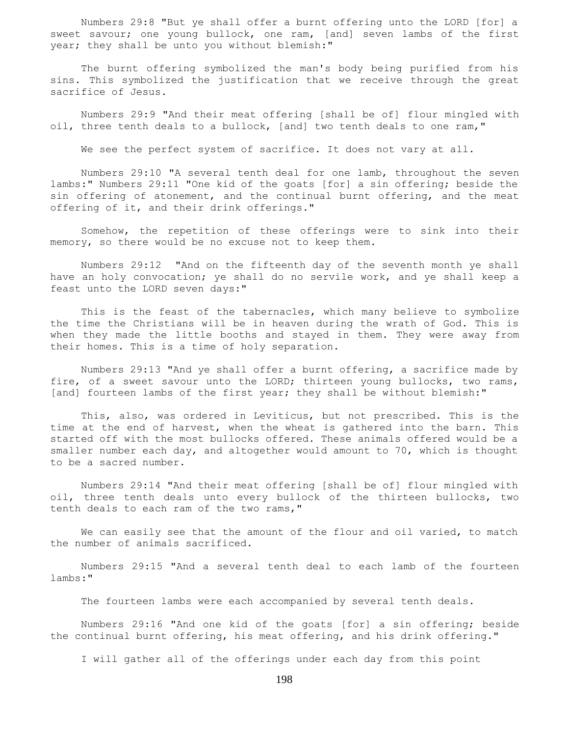Numbers 29:8 "But ye shall offer a burnt offering unto the LORD [for] a sweet savour; one young bullock, one ram, [and] seven lambs of the first year; they shall be unto you without blemish:"

 The burnt offering symbolized the man's body being purified from his sins. This symbolized the justification that we receive through the great sacrifice of Jesus.

 Numbers 29:9 "And their meat offering [shall be of] flour mingled with oil, three tenth deals to a bullock, [and] two tenth deals to one ram,"

We see the perfect system of sacrifice. It does not vary at all.

 Numbers 29:10 "A several tenth deal for one lamb, throughout the seven lambs:" Numbers 29:11 "One kid of the goats [for] a sin offering; beside the sin offering of atonement, and the continual burnt offering, and the meat offering of it, and their drink offerings."

 Somehow, the repetition of these offerings were to sink into their memory, so there would be no excuse not to keep them.

 Numbers 29:12 "And on the fifteenth day of the seventh month ye shall have an holy convocation; ye shall do no servile work, and ye shall keep a feast unto the LORD seven days:"

 This is the feast of the tabernacles, which many believe to symbolize the time the Christians will be in heaven during the wrath of God. This is when they made the little booths and stayed in them. They were away from their homes. This is a time of holy separation.

 Numbers 29:13 "And ye shall offer a burnt offering, a sacrifice made by fire, of a sweet savour unto the LORD; thirteen young bullocks, two rams, [and] fourteen lambs of the first year; they shall be without blemish:"

 This, also, was ordered in Leviticus, but not prescribed. This is the time at the end of harvest, when the wheat is gathered into the barn. This started off with the most bullocks offered. These animals offered would be a smaller number each day, and altogether would amount to 70, which is thought to be a sacred number.

 Numbers 29:14 "And their meat offering [shall be of] flour mingled with oil, three tenth deals unto every bullock of the thirteen bullocks, two tenth deals to each ram of the two rams,"

We can easily see that the amount of the flour and oil varied, to match the number of animals sacrificed.

 Numbers 29:15 "And a several tenth deal to each lamb of the fourteen lambs:"

The fourteen lambs were each accompanied by several tenth deals.

 Numbers 29:16 "And one kid of the goats [for] a sin offering; beside the continual burnt offering, his meat offering, and his drink offering."

I will gather all of the offerings under each day from this point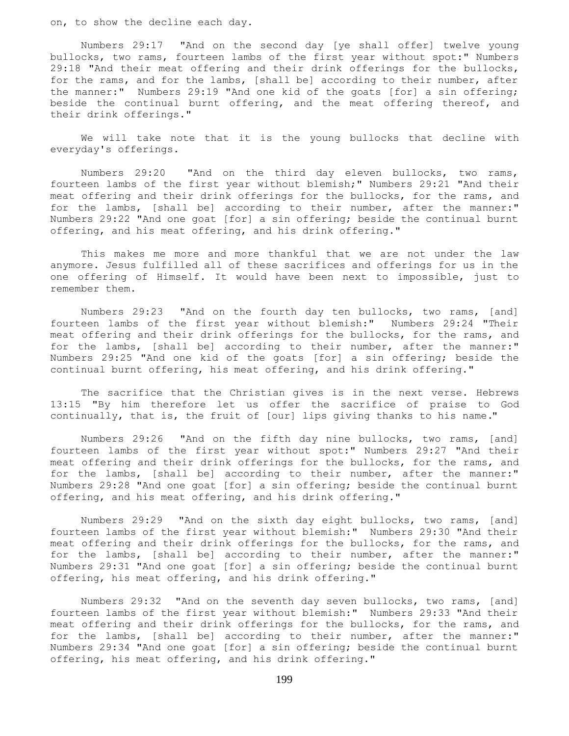on, to show the decline each day.

 Numbers 29:17 "And on the second day [ye shall offer] twelve young bullocks, two rams, fourteen lambs of the first year without spot:" Numbers 29:18 "And their meat offering and their drink offerings for the bullocks, for the rams, and for the lambs, [shall be] according to their number, after the manner:" Numbers 29:19 "And one kid of the goats [for] a sin offering; beside the continual burnt offering, and the meat offering thereof, and their drink offerings."

 We will take note that it is the young bullocks that decline with everyday's offerings.

 Numbers 29:20 "And on the third day eleven bullocks, two rams, fourteen lambs of the first year without blemish;" Numbers 29:21 "And their meat offering and their drink offerings for the bullocks, for the rams, and for the lambs, [shall be] according to their number, after the manner:" Numbers 29:22 "And one goat [for] a sin offering; beside the continual burnt offering, and his meat offering, and his drink offering."

 This makes me more and more thankful that we are not under the law anymore. Jesus fulfilled all of these sacrifices and offerings for us in the one offering of Himself. It would have been next to impossible, just to remember them.

 Numbers 29:23 "And on the fourth day ten bullocks, two rams, [and] fourteen lambs of the first year without blemish:" Numbers 29:24 "Their meat offering and their drink offerings for the bullocks, for the rams, and for the lambs, [shall be] according to their number, after the manner:" Numbers 29:25 "And one kid of the goats [for] a sin offering; beside the continual burnt offering, his meat offering, and his drink offering."

 The sacrifice that the Christian gives is in the next verse. Hebrews 13:15 "By him therefore let us offer the sacrifice of praise to God continually, that is, the fruit of [our] lips giving thanks to his name."

 Numbers 29:26 "And on the fifth day nine bullocks, two rams, [and] fourteen lambs of the first year without spot:" Numbers 29:27 "And their meat offering and their drink offerings for the bullocks, for the rams, and for the lambs, [shall be] according to their number, after the manner:" Numbers 29:28 "And one goat [for] a sin offering; beside the continual burnt offering, and his meat offering, and his drink offering."

 Numbers 29:29 "And on the sixth day eight bullocks, two rams, [and] fourteen lambs of the first year without blemish:" Numbers 29:30 "And their meat offering and their drink offerings for the bullocks, for the rams, and for the lambs, [shall be] according to their number, after the manner:" Numbers 29:31 "And one goat [for] a sin offering; beside the continual burnt offering, his meat offering, and his drink offering."

 Numbers 29:32 "And on the seventh day seven bullocks, two rams, [and] fourteen lambs of the first year without blemish:" Numbers 29:33 "And their meat offering and their drink offerings for the bullocks, for the rams, and for the lambs, [shall be] according to their number, after the manner:" Numbers 29:34 "And one goat [for] a sin offering; beside the continual burnt offering, his meat offering, and his drink offering."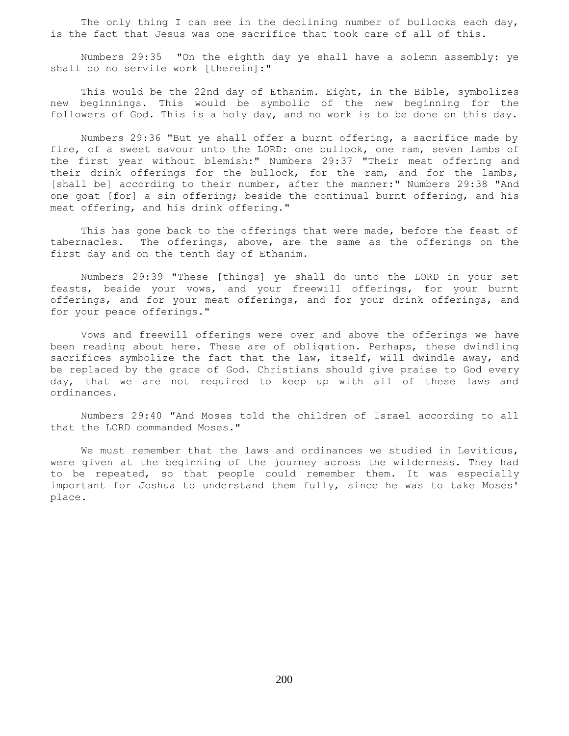The only thing I can see in the declining number of bullocks each day, is the fact that Jesus was one sacrifice that took care of all of this.

 Numbers 29:35 "On the eighth day ye shall have a solemn assembly: ye shall do no servile work [therein]:"

 This would be the 22nd day of Ethanim. Eight, in the Bible, symbolizes new beginnings. This would be symbolic of the new beginning for the followers of God. This is a holy day, and no work is to be done on this day.

 Numbers 29:36 "But ye shall offer a burnt offering, a sacrifice made by fire, of a sweet savour unto the LORD: one bullock, one ram, seven lambs of the first year without blemish:" Numbers 29:37 "Their meat offering and their drink offerings for the bullock, for the ram, and for the lambs, [shall be] according to their number, after the manner:" Numbers 29:38 "And one goat [for] a sin offering; beside the continual burnt offering, and his meat offering, and his drink offering."

This has gone back to the offerings that were made, before the feast of tabernacles. The offerings, above, are the same as the offerings on the first day and on the tenth day of Ethanim.

 Numbers 29:39 "These [things] ye shall do unto the LORD in your set feasts, beside your vows, and your freewill offerings, for your burnt offerings, and for your meat offerings, and for your drink offerings, and for your peace offerings."

 Vows and freewill offerings were over and above the offerings we have been reading about here. These are of obligation. Perhaps, these dwindling sacrifices symbolize the fact that the law, itself, will dwindle away, and be replaced by the grace of God. Christians should give praise to God every day, that we are not required to keep up with all of these laws and ordinances.

 Numbers 29:40 "And Moses told the children of Israel according to all that the LORD commanded Moses."

We must remember that the laws and ordinances we studied in Leviticus, were given at the beginning of the journey across the wilderness. They had to be repeated, so that people could remember them. It was especially important for Joshua to understand them fully, since he was to take Moses' place.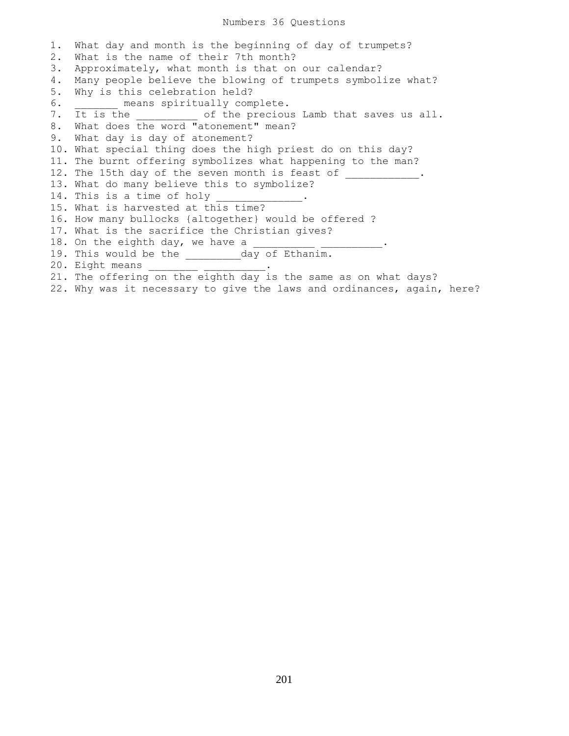1. What day and month is the beginning of day of trumpets? 2. What is the name of their 7th month? 3. Approximately, what month is that on our calendar? 4. Many people believe the blowing of trumpets symbolize what? 5. Why is this celebration held? 6. \_\_\_\_\_\_\_ means spiritually complete. 7. It is the \_\_\_\_\_\_\_\_\_\_ of the precious Lamb that saves us all. 8. What does the word "atonement" mean? 9. What day is day of atonement? 10. What special thing does the high priest do on this day? 11. The burnt offering symbolizes what happening to the man? 12. The 15th day of the seven month is feast of \_\_\_\_\_\_\_\_\_\_\_. 13. What do many believe this to symbolize? 14. This is a time of holy 15. What is harvested at this time? 16. How many bullocks {altogether} would be offered ? 17. What is the sacrifice the Christian gives? 18. On the eighth day, we have a \_\_\_\_\_\_\_\_\_\_\_\_\_\_\_\_\_\_\_\_\_\_. 19. This would be the \_\_\_\_\_\_\_\_\_day of Ethanim. 20. Eight means \_\_\_\_\_\_\_\_\_\_\_\_\_\_\_\_\_. 21. The offering on the eighth day is the same as on what days? 22. Why was it necessary to give the laws and ordinances, again, here?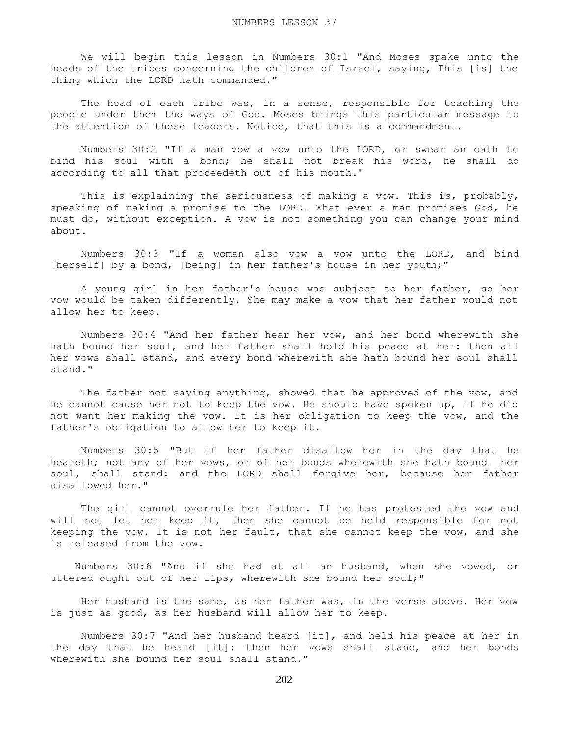We will begin this lesson in Numbers 30:1 "And Moses spake unto the heads of the tribes concerning the children of Israel, saying, This [is] the thing which the LORD hath commanded."

The head of each tribe was, in a sense, responsible for teaching the people under them the ways of God. Moses brings this particular message to the attention of these leaders. Notice, that this is a commandment.

 Numbers 30:2 "If a man vow a vow unto the LORD, or swear an oath to bind his soul with a bond; he shall not break his word, he shall do according to all that proceedeth out of his mouth."

This is explaining the seriousness of making a vow. This is, probably, speaking of making a promise to the LORD. What ever a man promises God, he must do, without exception. A vow is not something you can change your mind about.

 Numbers 30:3 "If a woman also vow a vow unto the LORD, and bind [herself] by a bond, [being] in her father's house in her youth;"

 A young girl in her father's house was subject to her father, so her vow would be taken differently. She may make a vow that her father would not allow her to keep.

 Numbers 30:4 "And her father hear her vow, and her bond wherewith she hath bound her soul, and her father shall hold his peace at her: then all her vows shall stand, and every bond wherewith she hath bound her soul shall stand."

 The father not saying anything, showed that he approved of the vow, and he cannot cause her not to keep the vow. He should have spoken up, if he did not want her making the vow. It is her obligation to keep the vow, and the father's obligation to allow her to keep it.

 Numbers 30:5 "But if her father disallow her in the day that he heareth; not any of her vows, or of her bonds wherewith she hath bound her soul, shall stand: and the LORD shall forgive her, because her father disallowed her."

 The girl cannot overrule her father. If he has protested the vow and will not let her keep it, then she cannot be held responsible for not keeping the vow. It is not her fault, that she cannot keep the vow, and she is released from the vow.

 Numbers 30:6 "And if she had at all an husband, when she vowed, or uttered ought out of her lips, wherewith she bound her soul;"

 Her husband is the same, as her father was, in the verse above. Her vow is just as good, as her husband will allow her to keep.

 Numbers 30:7 "And her husband heard [it], and held his peace at her in the day that he heard [it]: then her vows shall stand, and her bonds wherewith she bound her soul shall stand."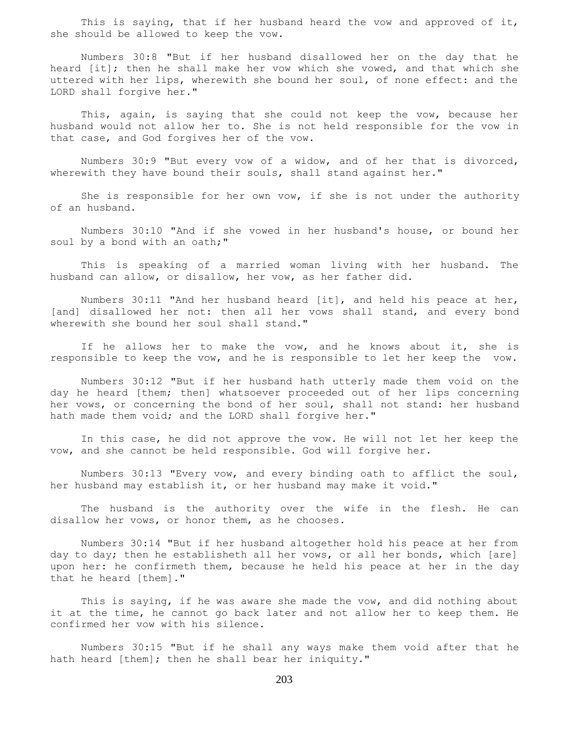This is saying, that if her husband heard the vow and approved of it, she should be allowed to keep the vow.

 Numbers 30:8 "But if her husband disallowed her on the day that he heard [it]; then he shall make her vow which she vowed, and that which she uttered with her lips, wherewith she bound her soul, of none effect: and the LORD shall forgive her."

 This, again, is saying that she could not keep the vow, because her husband would not allow her to. She is not held responsible for the vow in that case, and God forgives her of the vow.

 Numbers 30:9 "But every vow of a widow, and of her that is divorced, wherewith they have bound their souls, shall stand against her."

 She is responsible for her own vow, if she is not under the authority of an husband.

 Numbers 30:10 "And if she vowed in her husband's house, or bound her soul by a bond with an oath;"

 This is speaking of a married woman living with her husband. The husband can allow, or disallow, her vow, as her father did.

 Numbers 30:11 "And her husband heard [it], and held his peace at her, [and] disallowed her not: then all her vows shall stand, and every bond wherewith she bound her soul shall stand."

 If he allows her to make the vow, and he knows about it, she is responsible to keep the vow, and he is responsible to let her keep the vow.

 Numbers 30:12 "But if her husband hath utterly made them void on the day he heard [them; then] whatsoever proceeded out of her lips concerning her vows, or concerning the bond of her soul, shall not stand: her husband hath made them void; and the LORD shall forgive her."

 In this case, he did not approve the vow. He will not let her keep the vow, and she cannot be held responsible. God will forgive her.

 Numbers 30:13 "Every vow, and every binding oath to afflict the soul, her husband may establish it, or her husband may make it void."

 The husband is the authority over the wife in the flesh. He can disallow her vows, or honor them, as he chooses.

 Numbers 30:14 "But if her husband altogether hold his peace at her from day to day; then he establisheth all her vows, or all her bonds, which [are] upon her: he confirmeth them, because he held his peace at her in the day that he heard [them]."

 This is saying, if he was aware she made the vow, and did nothing about it at the time, he cannot go back later and not allow her to keep them. He confirmed her vow with his silence.

 Numbers 30:15 "But if he shall any ways make them void after that he hath heard [them]; then he shall bear her iniquity."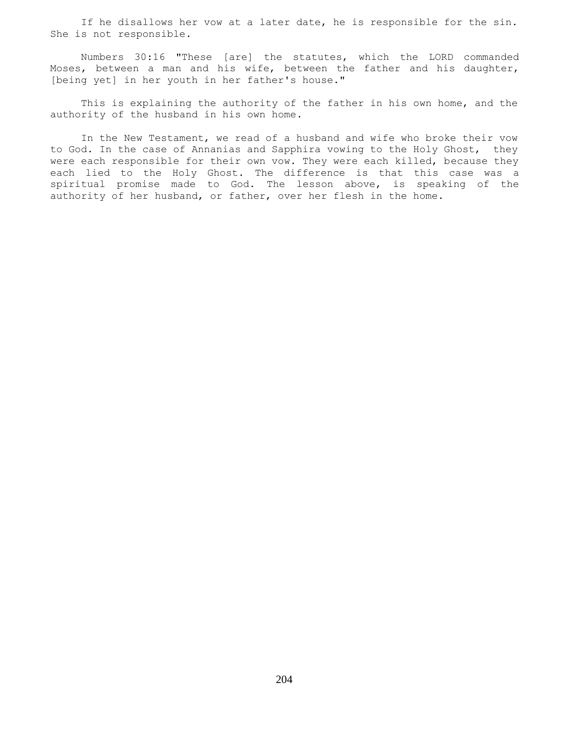If he disallows her vow at a later date, he is responsible for the sin. She is not responsible.

 Numbers 30:16 "These [are] the statutes, which the LORD commanded Moses, between a man and his wife, between the father and his daughter, [being yet] in her youth in her father's house."

 This is explaining the authority of the father in his own home, and the authority of the husband in his own home.

 In the New Testament, we read of a husband and wife who broke their vow to God. In the case of Annanias and Sapphira vowing to the Holy Ghost, they were each responsible for their own vow. They were each killed, because they each lied to the Holy Ghost. The difference is that this case was a spiritual promise made to God. The lesson above, is speaking of the authority of her husband, or father, over her flesh in the home.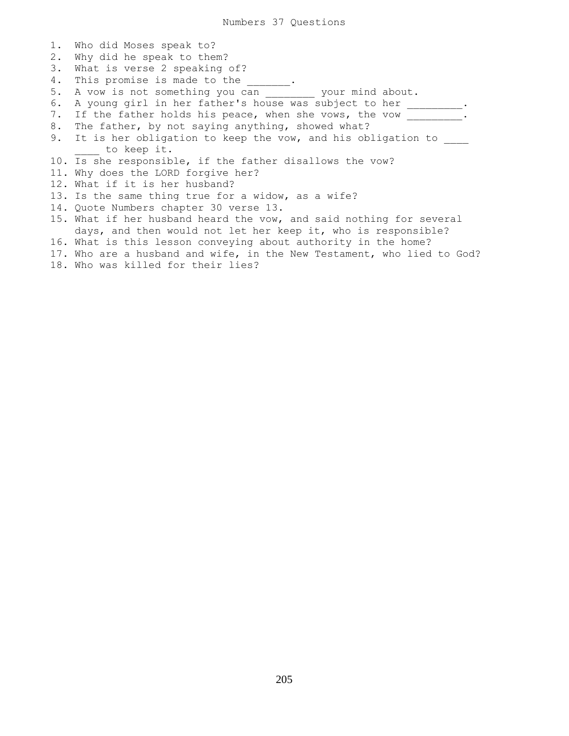1. Who did Moses speak to? 2. Why did he speak to them? 3. What is verse 2 speaking of? 4. This promise is made to the 1. 5. A vow is not something you can \_\_\_\_\_\_\_\_ your mind about. 6. A young girl in her father's house was subject to her \_\_\_\_\_\_\_\_. 7. If the father holds his peace, when she vows, the vow \_\_\_\_\_\_\_\_. 8. The father, by not saying anything, showed what? 9. It is her obligation to keep the vow, and his obligation to to keep it. 10. Is she responsible, if the father disallows the vow? 11. Why does the LORD forgive her? 12. What if it is her husband? 13. Is the same thing true for a widow, as a wife? 14. Quote Numbers chapter 30 verse 13. 15. What if her husband heard the vow, and said nothing for several days, and then would not let her keep it, who is responsible? 16. What is this lesson conveying about authority in the home? 17. Who are a husband and wife, in the New Testament, who lied to God? 18. Who was killed for their lies?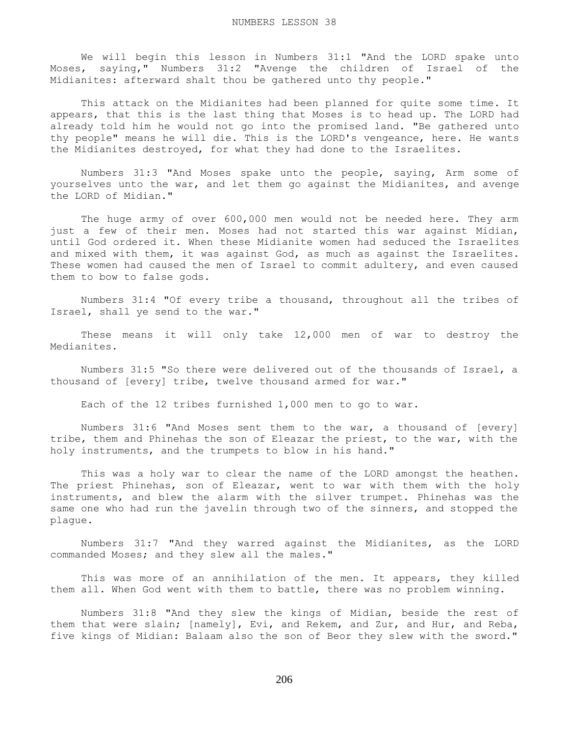We will begin this lesson in Numbers 31:1 "And the LORD spake unto Moses, saying," Numbers 31:2 "Avenge the children of Israel of the Midianites: afterward shalt thou be gathered unto thy people."

 This attack on the Midianites had been planned for quite some time. It appears, that this is the last thing that Moses is to head up. The LORD had already told him he would not go into the promised land. "Be gathered unto thy people" means he will die. This is the LORD's vengeance, here. He wants the Midianites destroyed, for what they had done to the Israelites.

 Numbers 31:3 "And Moses spake unto the people, saying, Arm some of yourselves unto the war, and let them go against the Midianites, and avenge the LORD of Midian."

 The huge army of over 600,000 men would not be needed here. They arm just a few of their men. Moses had not started this war against Midian, until God ordered it. When these Midianite women had seduced the Israelites and mixed with them, it was against God, as much as against the Israelites. These women had caused the men of Israel to commit adultery, and even caused them to bow to false gods.

 Numbers 31:4 "Of every tribe a thousand, throughout all the tribes of Israel, shall ye send to the war."

 These means it will only take 12,000 men of war to destroy the Medianites.

 Numbers 31:5 "So there were delivered out of the thousands of Israel, a thousand of [every] tribe, twelve thousand armed for war."

Each of the 12 tribes furnished 1,000 men to go to war.

 Numbers 31:6 "And Moses sent them to the war, a thousand of [every] tribe, them and Phinehas the son of Eleazar the priest, to the war, with the holy instruments, and the trumpets to blow in his hand."

 This was a holy war to clear the name of the LORD amongst the heathen. The priest Phinehas, son of Eleazar, went to war with them with the holy instruments, and blew the alarm with the silver trumpet. Phinehas was the same one who had run the javelin through two of the sinners, and stopped the plague.

 Numbers 31:7 "And they warred against the Midianites, as the LORD commanded Moses; and they slew all the males."

This was more of an annihilation of the men. It appears, they killed them all. When God went with them to battle, there was no problem winning.

 Numbers 31:8 "And they slew the kings of Midian, beside the rest of them that were slain; [namely], Evi, and Rekem, and Zur, and Hur, and Reba, five kings of Midian: Balaam also the son of Beor they slew with the sword."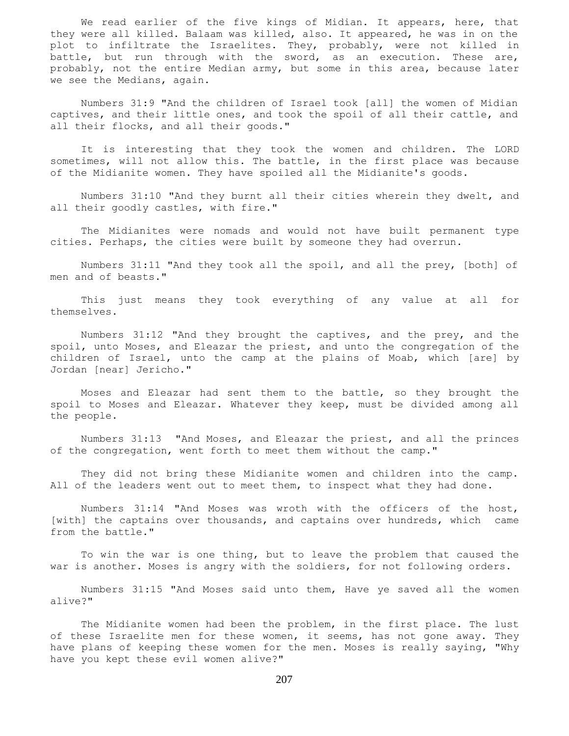We read earlier of the five kings of Midian. It appears, here, that they were all killed. Balaam was killed, also. It appeared, he was in on the plot to infiltrate the Israelites. They, probably, were not killed in battle, but run through with the sword, as an execution. These are, probably, not the entire Median army, but some in this area, because later we see the Medians, again.

 Numbers 31:9 "And the children of Israel took [all] the women of Midian captives, and their little ones, and took the spoil of all their cattle, and all their flocks, and all their goods."

 It is interesting that they took the women and children. The LORD sometimes, will not allow this. The battle, in the first place was because of the Midianite women. They have spoiled all the Midianite's goods.

 Numbers 31:10 "And they burnt all their cities wherein they dwelt, and all their goodly castles, with fire."

 The Midianites were nomads and would not have built permanent type cities. Perhaps, the cities were built by someone they had overrun.

 Numbers 31:11 "And they took all the spoil, and all the prey, [both] of men and of beasts."

 This just means they took everything of any value at all for themselves.

 Numbers 31:12 "And they brought the captives, and the prey, and the spoil, unto Moses, and Eleazar the priest, and unto the congregation of the children of Israel, unto the camp at the plains of Moab, which [are] by Jordan [near] Jericho."

 Moses and Eleazar had sent them to the battle, so they brought the spoil to Moses and Eleazar. Whatever they keep, must be divided among all the people.

 Numbers 31:13 "And Moses, and Eleazar the priest, and all the princes of the congregation, went forth to meet them without the camp."

 They did not bring these Midianite women and children into the camp. All of the leaders went out to meet them, to inspect what they had done.

 Numbers 31:14 "And Moses was wroth with the officers of the host, [with] the captains over thousands, and captains over hundreds, which came from the battle."

 To win the war is one thing, but to leave the problem that caused the war is another. Moses is angry with the soldiers, for not following orders.

 Numbers 31:15 "And Moses said unto them, Have ye saved all the women alive?"

 The Midianite women had been the problem, in the first place. The lust of these Israelite men for these women, it seems, has not gone away. They have plans of keeping these women for the men. Moses is really saying, "Why have you kept these evil women alive?"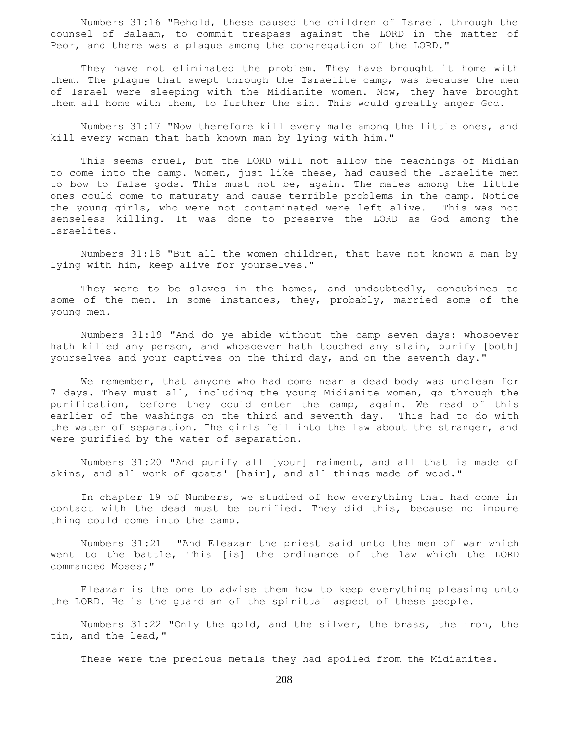Numbers 31:16 "Behold, these caused the children of Israel, through the counsel of Balaam, to commit trespass against the LORD in the matter of Peor, and there was a plague among the congregation of the LORD."

 They have not eliminated the problem. They have brought it home with them. The plague that swept through the Israelite camp, was because the men of Israel were sleeping with the Midianite women. Now, they have brought them all home with them, to further the sin. This would greatly anger God.

 Numbers 31:17 "Now therefore kill every male among the little ones, and kill every woman that hath known man by lying with him."

 This seems cruel, but the LORD will not allow the teachings of Midian to come into the camp. Women, just like these, had caused the Israelite men to bow to false gods. This must not be, again. The males among the little ones could come to maturaty and cause terrible problems in the camp. Notice the young girls, who were not contaminated were left alive. This was not senseless killing. It was done to preserve the LORD as God among the Israelites.

 Numbers 31:18 "But all the women children, that have not known a man by lying with him, keep alive for yourselves."

 They were to be slaves in the homes, and undoubtedly, concubines to some of the men. In some instances, they, probably, married some of the young men.

 Numbers 31:19 "And do ye abide without the camp seven days: whosoever hath killed any person, and whosoever hath touched any slain, purify [both] yourselves and your captives on the third day, and on the seventh day."

We remember, that anyone who had come near a dead body was unclean for 7 days. They must all, including the young Midianite women, go through the purification, before they could enter the camp, again. We read of this earlier of the washings on the third and seventh day. This had to do with the water of separation. The girls fell into the law about the stranger, and were purified by the water of separation.

 Numbers 31:20 "And purify all [your] raiment, and all that is made of skins, and all work of goats' [hair], and all things made of wood."

 In chapter 19 of Numbers, we studied of how everything that had come in contact with the dead must be purified. They did this, because no impure thing could come into the camp.

 Numbers 31:21 "And Eleazar the priest said unto the men of war which went to the battle, This [is] the ordinance of the law which the LORD commanded Moses;"

 Eleazar is the one to advise them how to keep everything pleasing unto the LORD. He is the guardian of the spiritual aspect of these people.

 Numbers 31:22 "Only the gold, and the silver, the brass, the iron, the tin, and the lead,"

These were the precious metals they had spoiled from the Midianites.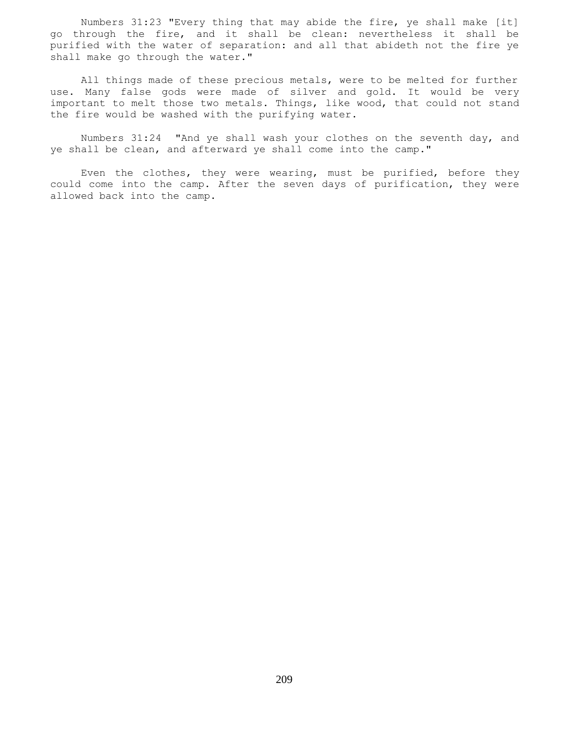Numbers 31:23 "Every thing that may abide the fire, ye shall make [it] go through the fire, and it shall be clean: nevertheless it shall be purified with the water of separation: and all that abideth not the fire ye shall make go through the water."

 All things made of these precious metals, were to be melted for further use. Many false gods were made of silver and gold. It would be very important to melt those two metals. Things, like wood, that could not stand the fire would be washed with the purifying water.

 Numbers 31:24 "And ye shall wash your clothes on the seventh day, and ye shall be clean, and afterward ye shall come into the camp."

 Even the clothes, they were wearing, must be purified, before they could come into the camp. After the seven days of purification, they were allowed back into the camp.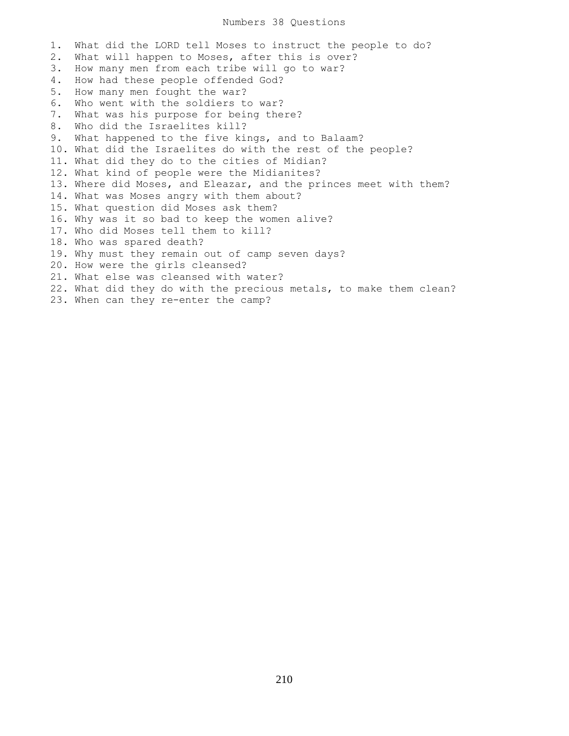## Numbers 38 Questions

1. What did the LORD tell Moses to instruct the people to do? 2. What will happen to Moses, after this is over? 3. How many men from each tribe will go to war? 4. How had these people offended God? 5. How many men fought the war? 6. Who went with the soldiers to war? 7. What was his purpose for being there? 8. Who did the Israelites kill? 9. What happened to the five kings, and to Balaam? 10. What did the Israelites do with the rest of the people? 11. What did they do to the cities of Midian? 12. What kind of people were the Midianites? 13. Where did Moses, and Eleazar, and the princes meet with them? 14. What was Moses angry with them about? 15. What question did Moses ask them? 16. Why was it so bad to keep the women alive? 17. Who did Moses tell them to kill? 18. Who was spared death? 19. Why must they remain out of camp seven days? 20. How were the girls cleansed? 21. What else was cleansed with water? 22. What did they do with the precious metals, to make them clean? 23. When can they re-enter the camp?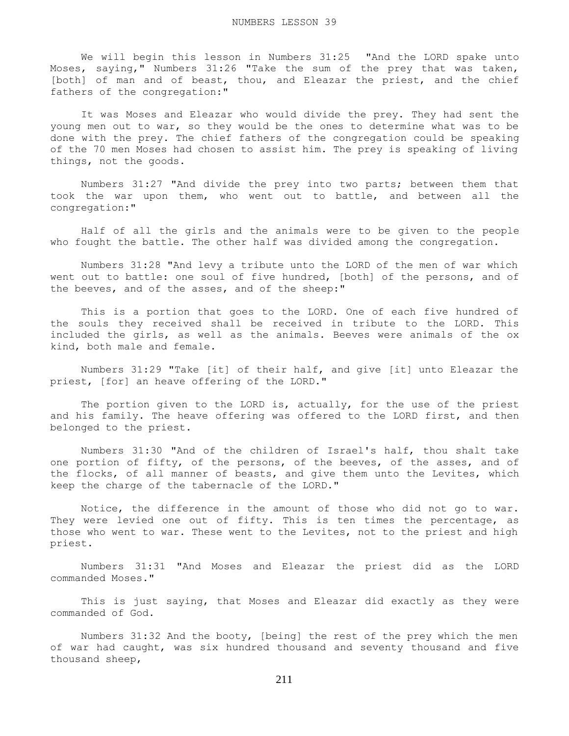We will begin this lesson in Numbers 31:25 "And the LORD spake unto Moses, saying," Numbers 31:26 "Take the sum of the prey that was taken, [both] of man and of beast, thou, and Eleazar the priest, and the chief fathers of the congregation:"

 It was Moses and Eleazar who would divide the prey. They had sent the young men out to war, so they would be the ones to determine what was to be done with the prey. The chief fathers of the congregation could be speaking of the 70 men Moses had chosen to assist him. The prey is speaking of living things, not the goods.

 Numbers 31:27 "And divide the prey into two parts; between them that took the war upon them, who went out to battle, and between all the congregation:"

 Half of all the girls and the animals were to be given to the people who fought the battle. The other half was divided among the congregation.

 Numbers 31:28 "And levy a tribute unto the LORD of the men of war which went out to battle: one soul of five hundred, [both] of the persons, and of the beeves, and of the asses, and of the sheep:"

 This is a portion that goes to the LORD. One of each five hundred of the souls they received shall be received in tribute to the LORD. This included the girls, as well as the animals. Beeves were animals of the ox kind, both male and female.

 Numbers 31:29 "Take [it] of their half, and give [it] unto Eleazar the priest, [for] an heave offering of the LORD."

The portion given to the LORD is, actually, for the use of the priest and his family. The heave offering was offered to the LORD first, and then belonged to the priest.

 Numbers 31:30 "And of the children of Israel's half, thou shalt take one portion of fifty, of the persons, of the beeves, of the asses, and of the flocks, of all manner of beasts, and give them unto the Levites, which keep the charge of the tabernacle of the LORD."

 Notice, the difference in the amount of those who did not go to war. They were levied one out of fifty. This is ten times the percentage, as those who went to war. These went to the Levites, not to the priest and high priest.

 Numbers 31:31 "And Moses and Eleazar the priest did as the LORD commanded Moses."

 This is just saying, that Moses and Eleazar did exactly as they were commanded of God.

 Numbers 31:32 And the booty, [being] the rest of the prey which the men of war had caught, was six hundred thousand and seventy thousand and five thousand sheep,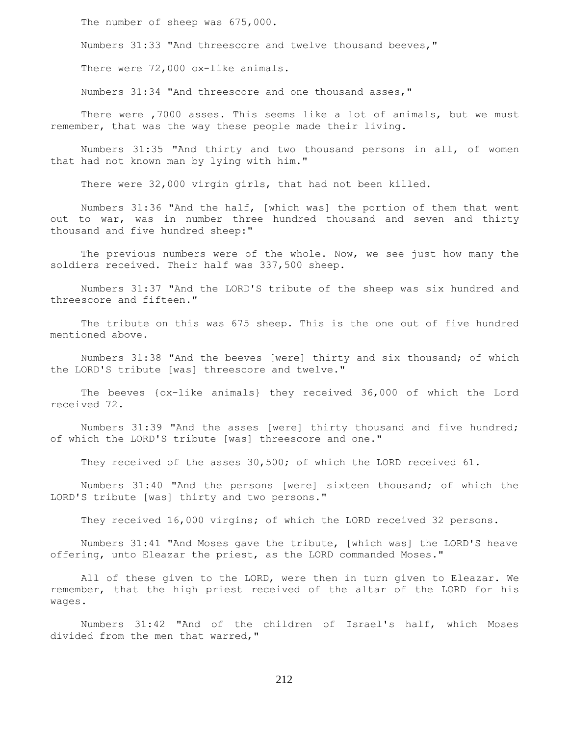The number of sheep was 675,000.

Numbers 31:33 "And threescore and twelve thousand beeves,"

There were 72,000 ox-like animals.

Numbers 31:34 "And threescore and one thousand asses,"

 There were ,7000 asses. This seems like a lot of animals, but we must remember, that was the way these people made their living.

 Numbers 31:35 "And thirty and two thousand persons in all, of women that had not known man by lying with him."

There were 32,000 virgin girls, that had not been killed.

 Numbers 31:36 "And the half, [which was] the portion of them that went out to war, was in number three hundred thousand and seven and thirty thousand and five hundred sheep:"

 The previous numbers were of the whole. Now, we see just how many the soldiers received. Their half was 337,500 sheep.

 Numbers 31:37 "And the LORD'S tribute of the sheep was six hundred and threescore and fifteen."

 The tribute on this was 675 sheep. This is the one out of five hundred mentioned above.

 Numbers 31:38 "And the beeves [were] thirty and six thousand; of which the LORD'S tribute [was] threescore and twelve."

 The beeves {ox-like animals} they received 36,000 of which the Lord received 72.

 Numbers 31:39 "And the asses [were] thirty thousand and five hundred; of which the LORD'S tribute [was] threescore and one."

They received of the asses 30,500; of which the LORD received 61.

 Numbers 31:40 "And the persons [were] sixteen thousand; of which the LORD'S tribute [was] thirty and two persons."

They received 16,000 virgins; of which the LORD received 32 persons.

 Numbers 31:41 "And Moses gave the tribute, [which was] the LORD'S heave offering, unto Eleazar the priest, as the LORD commanded Moses."

 All of these given to the LORD, were then in turn given to Eleazar. We remember, that the high priest received of the altar of the LORD for his wages.

 Numbers 31:42 "And of the children of Israel's half, which Moses divided from the men that warred,"

212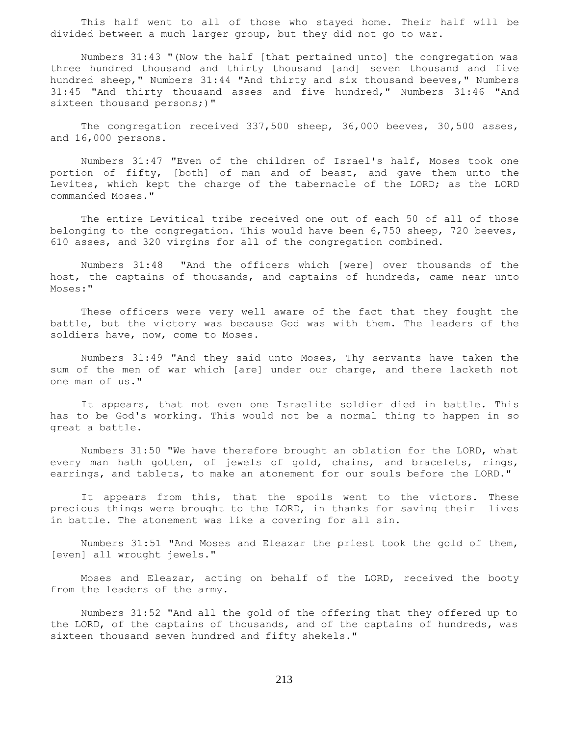This half went to all of those who stayed home. Their half will be divided between a much larger group, but they did not go to war.

 Numbers 31:43 "(Now the half [that pertained unto] the congregation was three hundred thousand and thirty thousand [and] seven thousand and five hundred sheep," Numbers 31:44 "And thirty and six thousand beeves," Numbers 31:45 "And thirty thousand asses and five hundred," Numbers 31:46 "And sixteen thousand persons;)"

 The congregation received 337,500 sheep, 36,000 beeves, 30,500 asses, and 16,000 persons.

 Numbers 31:47 "Even of the children of Israel's half, Moses took one portion of fifty, [both] of man and of beast, and gave them unto the Levites, which kept the charge of the tabernacle of the LORD; as the LORD commanded Moses."

 The entire Levitical tribe received one out of each 50 of all of those belonging to the congregation. This would have been 6,750 sheep, 720 beeves, 610 asses, and 320 virgins for all of the congregation combined.

 Numbers 31:48 "And the officers which [were] over thousands of the host, the captains of thousands, and captains of hundreds, came near unto Moses:"

 These officers were very well aware of the fact that they fought the battle, but the victory was because God was with them. The leaders of the soldiers have, now, come to Moses.

 Numbers 31:49 "And they said unto Moses, Thy servants have taken the sum of the men of war which [are] under our charge, and there lacketh not one man of us."

 It appears, that not even one Israelite soldier died in battle. This has to be God's working. This would not be a normal thing to happen in so great a battle.

 Numbers 31:50 "We have therefore brought an oblation for the LORD, what every man hath gotten, of jewels of gold, chains, and bracelets, rings, earrings, and tablets, to make an atonement for our souls before the LORD."

It appears from this, that the spoils went to the victors. These precious things were brought to the LORD, in thanks for saving their lives in battle. The atonement was like a covering for all sin.

 Numbers 31:51 "And Moses and Eleazar the priest took the gold of them, [even] all wrought jewels."

 Moses and Eleazar, acting on behalf of the LORD, received the booty from the leaders of the army.

 Numbers 31:52 "And all the gold of the offering that they offered up to the LORD, of the captains of thousands, and of the captains of hundreds, was sixteen thousand seven hundred and fifty shekels."

213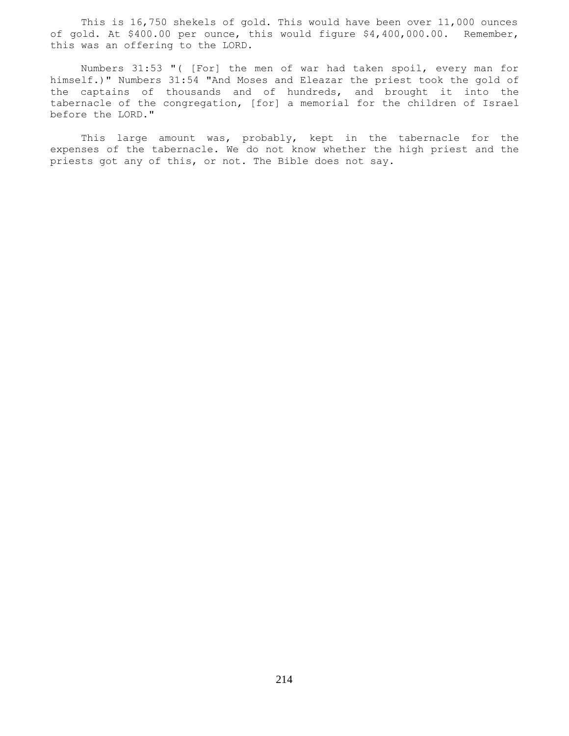This is 16,750 shekels of gold. This would have been over 11,000 ounces of gold. At \$400.00 per ounce, this would figure \$4,400,000.00. Remember, this was an offering to the LORD.

 Numbers 31:53 "( [For] the men of war had taken spoil, every man for himself.)" Numbers 31:54 "And Moses and Eleazar the priest took the gold of the captains of thousands and of hundreds, and brought it into the tabernacle of the congregation, [for] a memorial for the children of Israel before the LORD."

This large amount was, probably, kept in the tabernacle for the expenses of the tabernacle. We do not know whether the high priest and the priests got any of this, or not. The Bible does not say.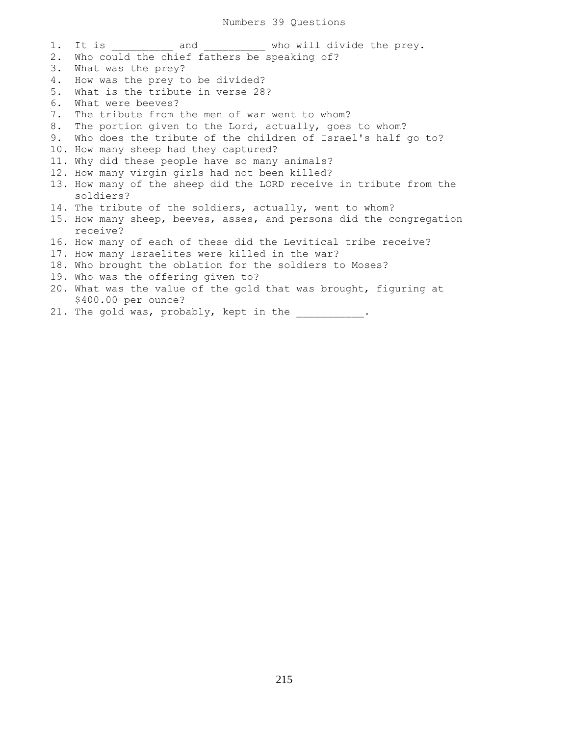1. It is  $\qquad \qquad \qquad \text{and} \qquad \qquad \text{who will divide the prey.}$ 2. Who could the chief fathers be speaking of? 3. What was the prey? 4. How was the prey to be divided? 5. What is the tribute in verse 28? 6. What were beeves? 7. The tribute from the men of war went to whom? 8. The portion given to the Lord, actually, goes to whom? 9. Who does the tribute of the children of Israel's half go to? 10. How many sheep had they captured? 11. Why did these people have so many animals? 12. How many virgin girls had not been killed? 13. How many of the sheep did the LORD receive in tribute from the soldiers? 14. The tribute of the soldiers, actually, went to whom? 15. How many sheep, beeves, asses, and persons did the congregation receive? 16. How many of each of these did the Levitical tribe receive? 17. How many Israelites were killed in the war? 18. Who brought the oblation for the soldiers to Moses? 19. Who was the offering given to? 20. What was the value of the gold that was brought, figuring at \$400.00 per ounce?

21. The gold was, probably, kept in the  $\qquad \qquad$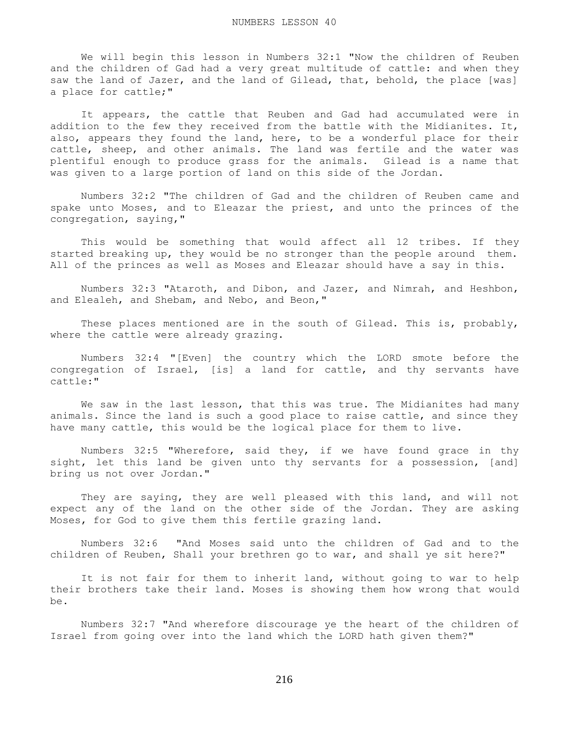We will begin this lesson in Numbers 32:1 "Now the children of Reuben and the children of Gad had a very great multitude of cattle: and when they saw the land of Jazer, and the land of Gilead, that, behold, the place [was] a place for cattle;"

 It appears, the cattle that Reuben and Gad had accumulated were in addition to the few they received from the battle with the Midianites. It, also, appears they found the land, here, to be a wonderful place for their cattle, sheep, and other animals. The land was fertile and the water was plentiful enough to produce grass for the animals. Gilead is a name that was given to a large portion of land on this side of the Jordan.

 Numbers 32:2 "The children of Gad and the children of Reuben came and spake unto Moses, and to Eleazar the priest, and unto the princes of the congregation, saying,"

 This would be something that would affect all 12 tribes. If they started breaking up, they would be no stronger than the people around them. All of the princes as well as Moses and Eleazar should have a say in this.

 Numbers 32:3 "Ataroth, and Dibon, and Jazer, and Nimrah, and Heshbon, and Elealeh, and Shebam, and Nebo, and Beon,"

These places mentioned are in the south of Gilead. This is, probably, where the cattle were already grazing.

 Numbers 32:4 "[Even] the country which the LORD smote before the congregation of Israel, [is] a land for cattle, and thy servants have cattle:"

 We saw in the last lesson, that this was true. The Midianites had many animals. Since the land is such a good place to raise cattle, and since they have many cattle, this would be the logical place for them to live.

 Numbers 32:5 "Wherefore, said they, if we have found grace in thy sight, let this land be given unto thy servants for a possession, [and] bring us not over Jordan."

 They are saying, they are well pleased with this land, and will not expect any of the land on the other side of the Jordan. They are asking Moses, for God to give them this fertile grazing land.

 Numbers 32:6 "And Moses said unto the children of Gad and to the children of Reuben, Shall your brethren go to war, and shall ye sit here?"

It is not fair for them to inherit land, without going to war to help their brothers take their land. Moses is showing them how wrong that would be.

 Numbers 32:7 "And wherefore discourage ye the heart of the children of Israel from going over into the land which the LORD hath given them?"

216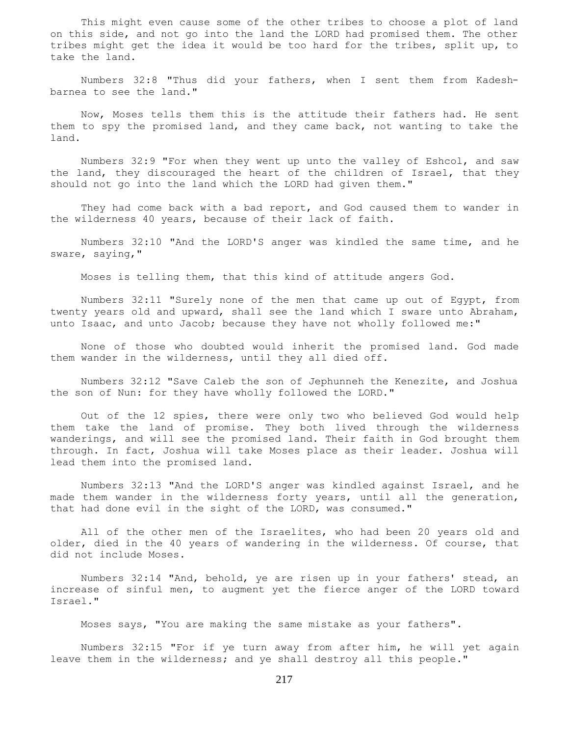This might even cause some of the other tribes to choose a plot of land on this side, and not go into the land the LORD had promised them. The other tribes might get the idea it would be too hard for the tribes, split up, to take the land.

 Numbers 32:8 "Thus did your fathers, when I sent them from Kadeshbarnea to see the land."

 Now, Moses tells them this is the attitude their fathers had. He sent them to spy the promised land, and they came back, not wanting to take the land.

 Numbers 32:9 "For when they went up unto the valley of Eshcol, and saw the land, they discouraged the heart of the children of Israel, that they should not go into the land which the LORD had given them."

 They had come back with a bad report, and God caused them to wander in the wilderness 40 years, because of their lack of faith.

 Numbers 32:10 "And the LORD'S anger was kindled the same time, and he sware, saying,"

Moses is telling them, that this kind of attitude angers God.

 Numbers 32:11 "Surely none of the men that came up out of Egypt, from twenty years old and upward, shall see the land which I sware unto Abraham, unto Isaac, and unto Jacob; because they have not wholly followed me:"

 None of those who doubted would inherit the promised land. God made them wander in the wilderness, until they all died off.

 Numbers 32:12 "Save Caleb the son of Jephunneh the Kenezite, and Joshua the son of Nun: for they have wholly followed the LORD."

 Out of the 12 spies, there were only two who believed God would help them take the land of promise. They both lived through the wilderness wanderings, and will see the promised land. Their faith in God brought them through. In fact, Joshua will take Moses place as their leader. Joshua will lead them into the promised land.

 Numbers 32:13 "And the LORD'S anger was kindled against Israel, and he made them wander in the wilderness forty years, until all the generation, that had done evil in the sight of the LORD, was consumed."

 All of the other men of the Israelites, who had been 20 years old and older, died in the 40 years of wandering in the wilderness. Of course, that did not include Moses.

 Numbers 32:14 "And, behold, ye are risen up in your fathers' stead, an increase of sinful men, to augment yet the fierce anger of the LORD toward Israel."

Moses says, "You are making the same mistake as your fathers".

 Numbers 32:15 "For if ye turn away from after him, he will yet again leave them in the wilderness; and ye shall destroy all this people."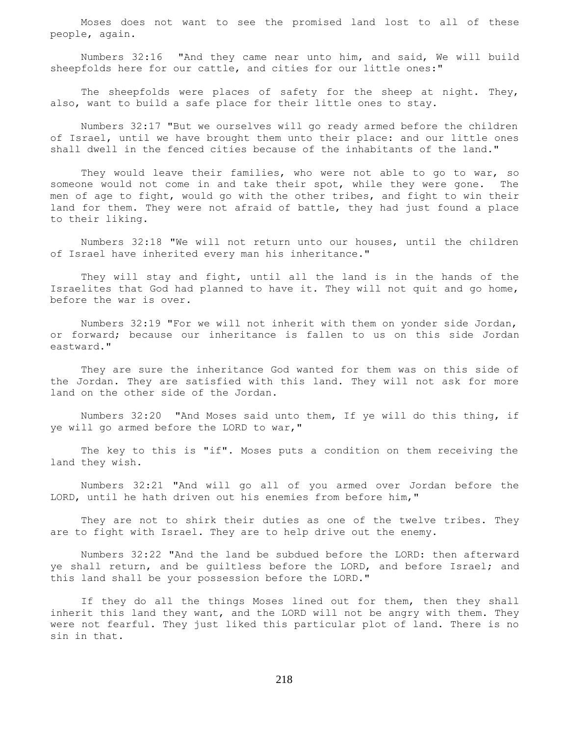Moses does not want to see the promised land lost to all of these people, again.

 Numbers 32:16 "And they came near unto him, and said, We will build sheepfolds here for our cattle, and cities for our little ones:"

The sheepfolds were places of safety for the sheep at night. They, also, want to build a safe place for their little ones to stay.

 Numbers 32:17 "But we ourselves will go ready armed before the children of Israel, until we have brought them unto their place: and our little ones shall dwell in the fenced cities because of the inhabitants of the land."

 They would leave their families, who were not able to go to war, so someone would not come in and take their spot, while they were gone. The men of age to fight, would go with the other tribes, and fight to win their land for them. They were not afraid of battle, they had just found a place to their liking.

 Numbers 32:18 "We will not return unto our houses, until the children of Israel have inherited every man his inheritance."

 They will stay and fight, until all the land is in the hands of the Israelites that God had planned to have it. They will not quit and go home, before the war is over.

 Numbers 32:19 "For we will not inherit with them on yonder side Jordan, or forward; because our inheritance is fallen to us on this side Jordan eastward."

 They are sure the inheritance God wanted for them was on this side of the Jordan. They are satisfied with this land. They will not ask for more land on the other side of the Jordan.

 Numbers 32:20 "And Moses said unto them, If ye will do this thing, if ye will go armed before the LORD to war,"

 The key to this is "if". Moses puts a condition on them receiving the land they wish.

 Numbers 32:21 "And will go all of you armed over Jordan before the LORD, until he hath driven out his enemies from before him,"

They are not to shirk their duties as one of the twelve tribes. They are to fight with Israel. They are to help drive out the enemy.

 Numbers 32:22 "And the land be subdued before the LORD: then afterward ye shall return, and be guiltless before the LORD, and before Israel; and this land shall be your possession before the LORD."

 If they do all the things Moses lined out for them, then they shall inherit this land they want, and the LORD will not be angry with them. They were not fearful. They just liked this particular plot of land. There is no sin in that.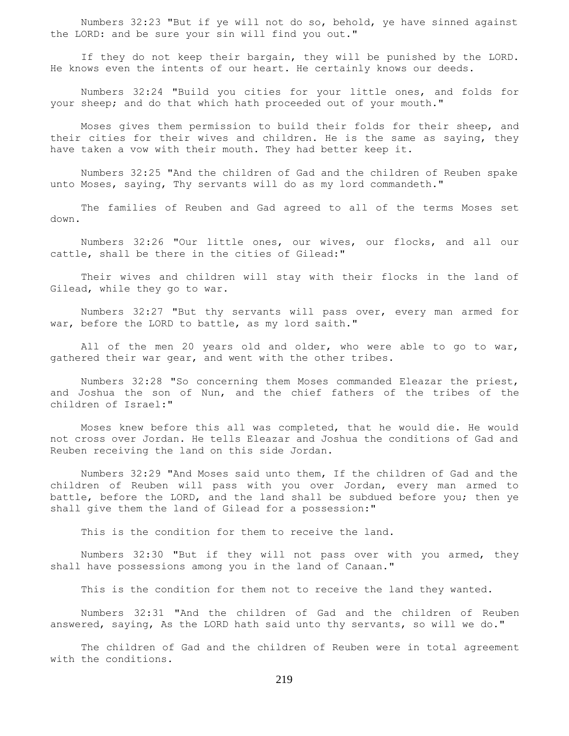Numbers 32:23 "But if ye will not do so, behold, ye have sinned against the LORD: and be sure your sin will find you out."

 If they do not keep their bargain, they will be punished by the LORD. He knows even the intents of our heart. He certainly knows our deeds.

 Numbers 32:24 "Build you cities for your little ones, and folds for your sheep; and do that which hath proceeded out of your mouth."

 Moses gives them permission to build their folds for their sheep, and their cities for their wives and children. He is the same as saying, they have taken a vow with their mouth. They had better keep it.

 Numbers 32:25 "And the children of Gad and the children of Reuben spake unto Moses, saying, Thy servants will do as my lord commandeth."

 The families of Reuben and Gad agreed to all of the terms Moses set down.

 Numbers 32:26 "Our little ones, our wives, our flocks, and all our cattle, shall be there in the cities of Gilead:"

 Their wives and children will stay with their flocks in the land of Gilead, while they go to war.

 Numbers 32:27 "But thy servants will pass over, every man armed for war, before the LORD to battle, as my lord saith."

All of the men 20 years old and older, who were able to go to war, gathered their war gear, and went with the other tribes.

 Numbers 32:28 "So concerning them Moses commanded Eleazar the priest, and Joshua the son of Nun, and the chief fathers of the tribes of the children of Israel:"

 Moses knew before this all was completed, that he would die. He would not cross over Jordan. He tells Eleazar and Joshua the conditions of Gad and Reuben receiving the land on this side Jordan.

 Numbers 32:29 "And Moses said unto them, If the children of Gad and the children of Reuben will pass with you over Jordan, every man armed to battle, before the LORD, and the land shall be subdued before you; then ye shall give them the land of Gilead for a possession:"

This is the condition for them to receive the land.

 Numbers 32:30 "But if they will not pass over with you armed, they shall have possessions among you in the land of Canaan."

This is the condition for them not to receive the land they wanted.

 Numbers 32:31 "And the children of Gad and the children of Reuben answered, saying, As the LORD hath said unto thy servants, so will we do."

 The children of Gad and the children of Reuben were in total agreement with the conditions.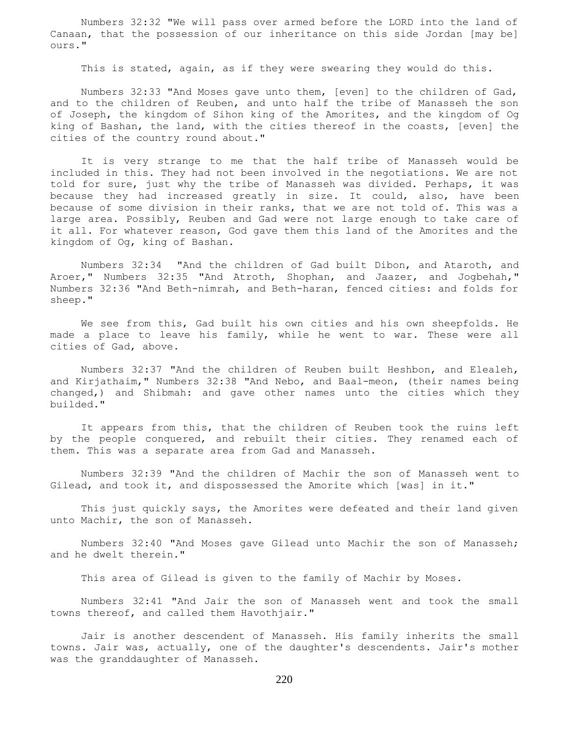Numbers 32:32 "We will pass over armed before the LORD into the land of Canaan, that the possession of our inheritance on this side Jordan [may be] ours."

This is stated, again, as if they were swearing they would do this.

 Numbers 32:33 "And Moses gave unto them, [even] to the children of Gad, and to the children of Reuben, and unto half the tribe of Manasseh the son of Joseph, the kingdom of Sihon king of the Amorites, and the kingdom of Og king of Bashan, the land, with the cities thereof in the coasts, [even] the cities of the country round about."

 It is very strange to me that the half tribe of Manasseh would be included in this. They had not been involved in the negotiations. We are not told for sure, just why the tribe of Manasseh was divided. Perhaps, it was because they had increased greatly in size. It could, also, have been because of some division in their ranks, that we are not told of. This was a large area. Possibly, Reuben and Gad were not large enough to take care of it all. For whatever reason, God gave them this land of the Amorites and the kingdom of Og, king of Bashan.

 Numbers 32:34 "And the children of Gad built Dibon, and Ataroth, and Aroer," Numbers 32:35 "And Atroth, Shophan, and Jaazer, and Jogbehah," Numbers 32:36 "And Beth-nimrah, and Beth-haran, fenced cities: and folds for sheep."

 We see from this, Gad built his own cities and his own sheepfolds. He made a place to leave his family, while he went to war. These were all cities of Gad, above.

 Numbers 32:37 "And the children of Reuben built Heshbon, and Elealeh, and Kirjathaim," Numbers 32:38 "And Nebo, and Baal-meon, (their names being changed,) and Shibmah: and gave other names unto the cities which they builded."

 It appears from this, that the children of Reuben took the ruins left by the people conquered, and rebuilt their cities. They renamed each of them. This was a separate area from Gad and Manasseh.

 Numbers 32:39 "And the children of Machir the son of Manasseh went to Gilead, and took it, and dispossessed the Amorite which [was] in it."

 This just quickly says, the Amorites were defeated and their land given unto Machir, the son of Manasseh.

 Numbers 32:40 "And Moses gave Gilead unto Machir the son of Manasseh; and he dwelt therein."

This area of Gilead is given to the family of Machir by Moses.

 Numbers 32:41 "And Jair the son of Manasseh went and took the small towns thereof, and called them Havothjair."

 Jair is another descendent of Manasseh. His family inherits the small towns. Jair was, actually, one of the daughter's descendents. Jair's mother was the granddaughter of Manasseh.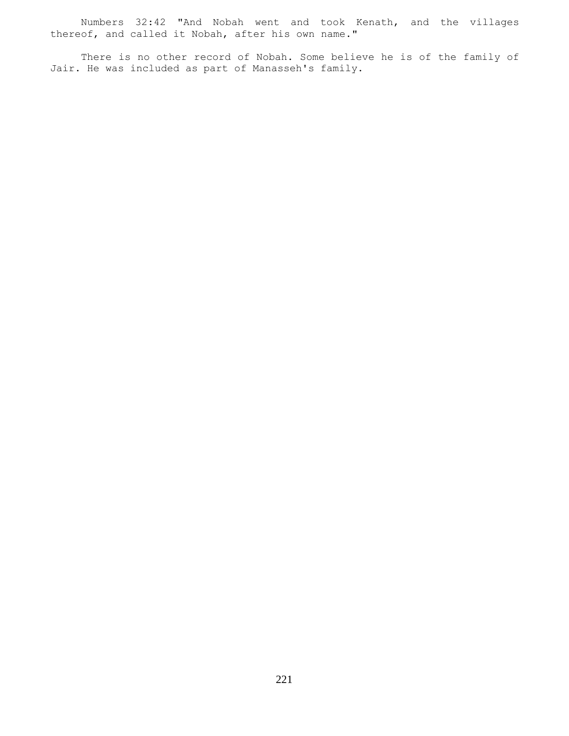Numbers 32:42 "And Nobah went and took Kenath, and the villages thereof, and called it Nobah, after his own name."

 There is no other record of Nobah. Some believe he is of the family of Jair. He was included as part of Manasseh's family.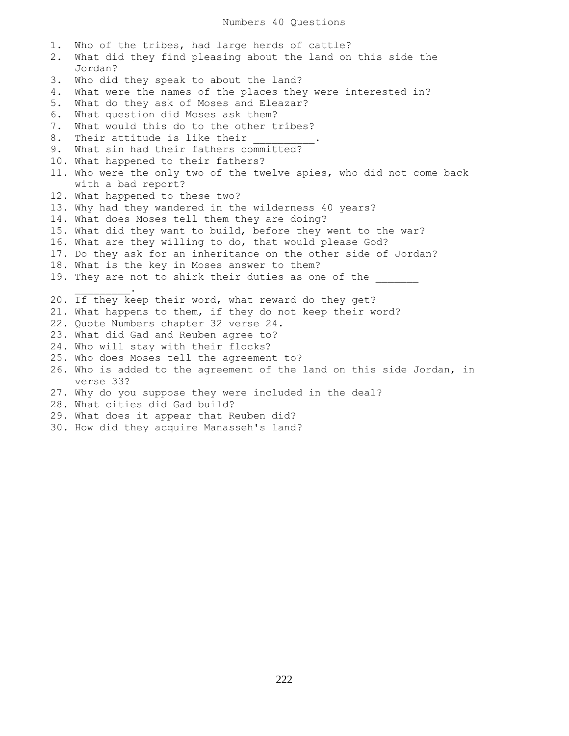1. Who of the tribes, had large herds of cattle? 2. What did they find pleasing about the land on this side the Jordan? 3. Who did they speak to about the land? 4. What were the names of the places they were interested in? 5. What do they ask of Moses and Eleazar? 6. What question did Moses ask them? 7. What would this do to the other tribes? 8. Their attitude is like their 9. What sin had their fathers committed? 10. What happened to their fathers? 11. Who were the only two of the twelve spies, who did not come back with a bad report? 12. What happened to these two? 13. Why had they wandered in the wilderness 40 years? 14. What does Moses tell them they are doing? 15. What did they want to build, before they went to the war? 16. What are they willing to do, that would please God? 17. Do they ask for an inheritance on the other side of Jordan? 18. What is the key in Moses answer to them? 19. They are not to shirk their duties as one of the  $\frac{1}{2}$  and  $\frac{1}{2}$  and  $\frac{1}{2}$  and  $\frac{1}{2}$  and  $\frac{1}{2}$ 20. If they keep their word, what reward do they get? 21. What happens to them, if they do not keep their word? 22. Quote Numbers chapter 32 verse 24. 23. What did Gad and Reuben agree to? 24. Who will stay with their flocks? 25. Who does Moses tell the agreement to? 26. Who is added to the agreement of the land on this side Jordan, in verse 33? 27. Why do you suppose they were included in the deal? 28. What cities did Gad build? 29. What does it appear that Reuben did? 30. How did they acquire Manasseh's land?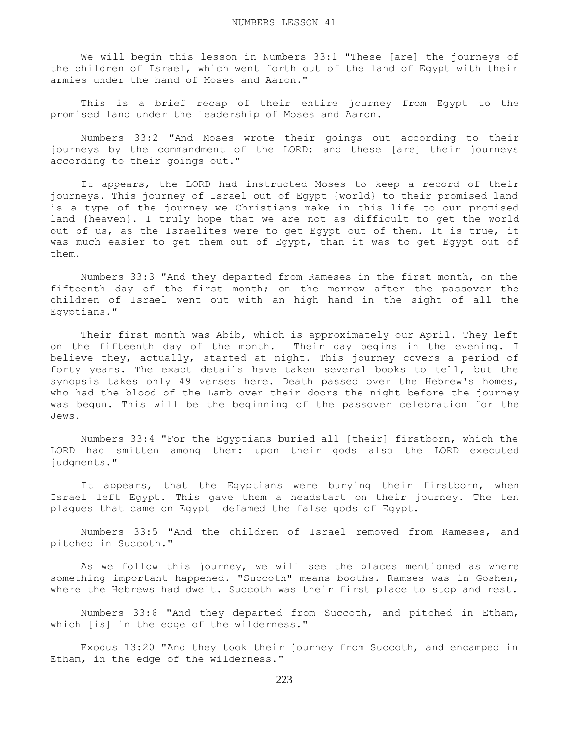We will begin this lesson in Numbers 33:1 "These [are] the journeys of the children of Israel, which went forth out of the land of Egypt with their armies under the hand of Moses and Aaron."

 This is a brief recap of their entire journey from Egypt to the promised land under the leadership of Moses and Aaron.

 Numbers 33:2 "And Moses wrote their goings out according to their journeys by the commandment of the LORD: and these [are] their journeys according to their goings out."

 It appears, the LORD had instructed Moses to keep a record of their journeys. This journey of Israel out of Egypt {world} to their promised land is a type of the journey we Christians make in this life to our promised land {heaven}. I truly hope that we are not as difficult to get the world out of us, as the Israelites were to get Egypt out of them. It is true, it was much easier to get them out of Egypt, than it was to get Egypt out of them.

 Numbers 33:3 "And they departed from Rameses in the first month, on the fifteenth day of the first month; on the morrow after the passover the children of Israel went out with an high hand in the sight of all the Egyptians."

 Their first month was Abib, which is approximately our April. They left on the fifteenth day of the month. Their day begins in the evening. I believe they, actually, started at night. This journey covers a period of forty years. The exact details have taken several books to tell, but the synopsis takes only 49 verses here. Death passed over the Hebrew's homes, who had the blood of the Lamb over their doors the night before the journey was begun. This will be the beginning of the passover celebration for the Jews.

 Numbers 33:4 "For the Egyptians buried all [their] firstborn, which the LORD had smitten among them: upon their gods also the LORD executed judgments."

It appears, that the Egyptians were burying their firstborn, when Israel left Egypt. This gave them a headstart on their journey. The ten plagues that came on Egypt defamed the false gods of Egypt.

 Numbers 33:5 "And the children of Israel removed from Rameses, and pitched in Succoth."

 As we follow this journey, we will see the places mentioned as where something important happened. "Succoth" means booths. Ramses was in Goshen, where the Hebrews had dwelt. Succoth was their first place to stop and rest.

 Numbers 33:6 "And they departed from Succoth, and pitched in Etham, which [is] in the edge of the wilderness."

 Exodus 13:20 "And they took their journey from Succoth, and encamped in Etham, in the edge of the wilderness."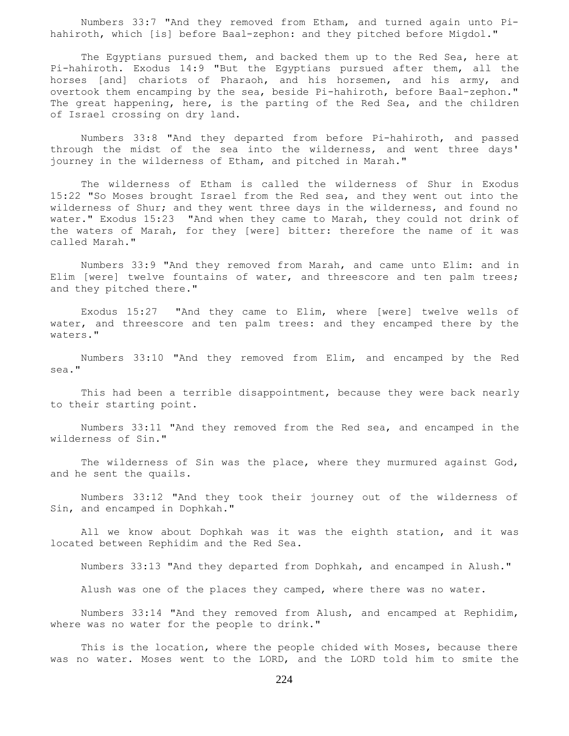Numbers 33:7 "And they removed from Etham, and turned again unto Pihahiroth, which [is] before Baal-zephon: and they pitched before Migdol."

 The Egyptians pursued them, and backed them up to the Red Sea, here at Pi-hahiroth. Exodus 14:9 "But the Egyptians pursued after them, all the horses [and] chariots of Pharaoh, and his horsemen, and his army, and overtook them encamping by the sea, beside Pi-hahiroth, before Baal-zephon." The great happening, here, is the parting of the Red Sea, and the children of Israel crossing on dry land.

 Numbers 33:8 "And they departed from before Pi-hahiroth, and passed through the midst of the sea into the wilderness, and went three days' journey in the wilderness of Etham, and pitched in Marah."

 The wilderness of Etham is called the wilderness of Shur in Exodus 15:22 "So Moses brought Israel from the Red sea, and they went out into the wilderness of Shur; and they went three days in the wilderness, and found no water." Exodus 15:23 "And when they came to Marah, they could not drink of the waters of Marah, for they [were] bitter: therefore the name of it was called Marah."

 Numbers 33:9 "And they removed from Marah, and came unto Elim: and in Elim [were] twelve fountains of water, and threescore and ten palm trees; and they pitched there."

 Exodus 15:27 "And they came to Elim, where [were] twelve wells of water, and threescore and ten palm trees: and they encamped there by the waters."

 Numbers 33:10 "And they removed from Elim, and encamped by the Red sea."

 This had been a terrible disappointment, because they were back nearly to their starting point.

 Numbers 33:11 "And they removed from the Red sea, and encamped in the wilderness of Sin."

 The wilderness of Sin was the place, where they murmured against God, and he sent the quails.

 Numbers 33:12 "And they took their journey out of the wilderness of Sin, and encamped in Dophkah."

 All we know about Dophkah was it was the eighth station, and it was located between Rephidim and the Red Sea.

Numbers 33:13 "And they departed from Dophkah, and encamped in Alush."

Alush was one of the places they camped, where there was no water.

 Numbers 33:14 "And they removed from Alush, and encamped at Rephidim, where was no water for the people to drink."

 This is the location, where the people chided with Moses, because there was no water. Moses went to the LORD, and the LORD told him to smite the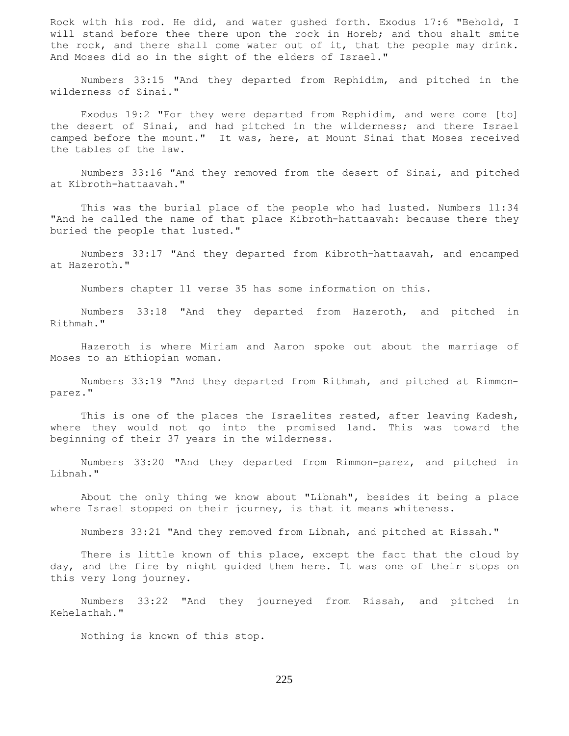Rock with his rod. He did, and water gushed forth. Exodus 17:6 "Behold, I will stand before thee there upon the rock in Horeb; and thou shalt smite the rock, and there shall come water out of it, that the people may drink. And Moses did so in the sight of the elders of Israel."

 Numbers 33:15 "And they departed from Rephidim, and pitched in the wilderness of Sinai."

 Exodus 19:2 "For they were departed from Rephidim, and were come [to] the desert of Sinai, and had pitched in the wilderness; and there Israel camped before the mount." It was, here, at Mount Sinai that Moses received the tables of the law.

 Numbers 33:16 "And they removed from the desert of Sinai, and pitched at Kibroth-hattaavah."

 This was the burial place of the people who had lusted. Numbers 11:34 "And he called the name of that place Kibroth-hattaavah: because there they buried the people that lusted."

 Numbers 33:17 "And they departed from Kibroth-hattaavah, and encamped at Hazeroth."

Numbers chapter 11 verse 35 has some information on this.

 Numbers 33:18 "And they departed from Hazeroth, and pitched in Rithmah."

 Hazeroth is where Miriam and Aaron spoke out about the marriage of Moses to an Ethiopian woman.

 Numbers 33:19 "And they departed from Rithmah, and pitched at Rimmonparez."

 This is one of the places the Israelites rested, after leaving Kadesh, where they would not go into the promised land. This was toward the beginning of their 37 years in the wilderness.

 Numbers 33:20 "And they departed from Rimmon-parez, and pitched in Libnah."

 About the only thing we know about "Libnah", besides it being a place where Israel stopped on their journey, is that it means whiteness.

Numbers 33:21 "And they removed from Libnah, and pitched at Rissah."

There is little known of this place, except the fact that the cloud by day, and the fire by night guided them here. It was one of their stops on this very long journey.

 Numbers 33:22 "And they journeyed from Rissah, and pitched in Kehelathah."

Nothing is known of this stop.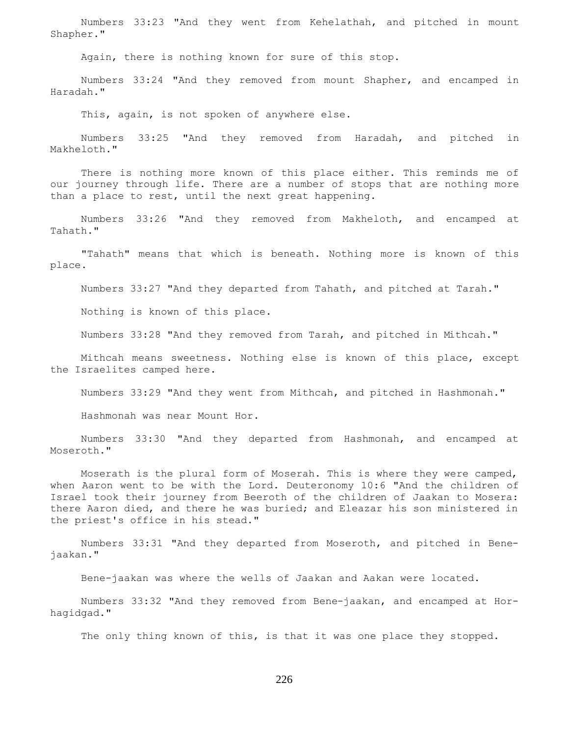Numbers 33:23 "And they went from Kehelathah, and pitched in mount Shapher."

Again, there is nothing known for sure of this stop.

 Numbers 33:24 "And they removed from mount Shapher, and encamped in Haradah."

This, again, is not spoken of anywhere else.

 Numbers 33:25 "And they removed from Haradah, and pitched in Makheloth."

 There is nothing more known of this place either. This reminds me of our journey through life. There are a number of stops that are nothing more than a place to rest, until the next great happening.

 Numbers 33:26 "And they removed from Makheloth, and encamped at Tahath."

 "Tahath" means that which is beneath. Nothing more is known of this place.

Numbers 33:27 "And they departed from Tahath, and pitched at Tarah."

Nothing is known of this place.

Numbers 33:28 "And they removed from Tarah, and pitched in Mithcah."

 Mithcah means sweetness. Nothing else is known of this place, except the Israelites camped here.

Numbers 33:29 "And they went from Mithcah, and pitched in Hashmonah."

Hashmonah was near Mount Hor.

 Numbers 33:30 "And they departed from Hashmonah, and encamped at Moseroth."

 Moserath is the plural form of Moserah. This is where they were camped, when Aaron went to be with the Lord. Deuteronomy 10:6 "And the children of Israel took their journey from Beeroth of the children of Jaakan to Mosera: there Aaron died, and there he was buried; and Eleazar his son ministered in the priest's office in his stead."

 Numbers 33:31 "And they departed from Moseroth, and pitched in Benejaakan."

Bene-jaakan was where the wells of Jaakan and Aakan were located.

 Numbers 33:32 "And they removed from Bene-jaakan, and encamped at Horhagidgad."

The only thing known of this, is that it was one place they stopped.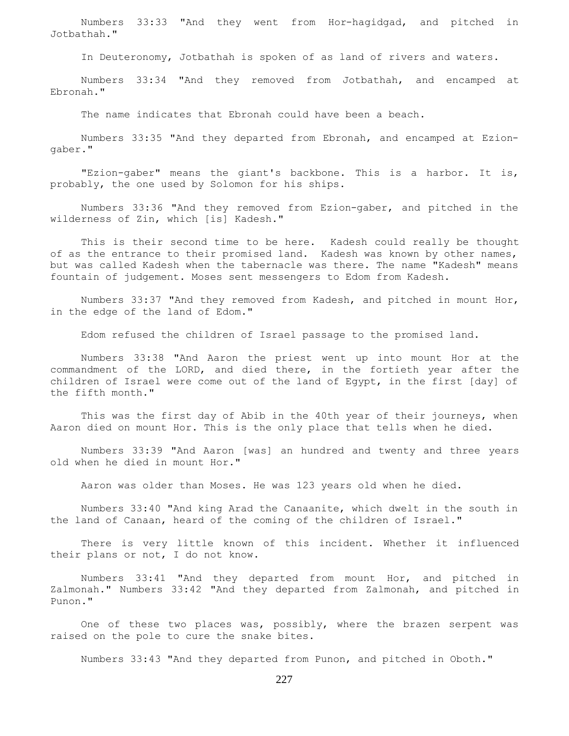Numbers 33:33 "And they went from Hor-hagidgad, and pitched in Jotbathah."

In Deuteronomy, Jotbathah is spoken of as land of rivers and waters.

 Numbers 33:34 "And they removed from Jotbathah, and encamped at Ebronah."

The name indicates that Ebronah could have been a beach.

 Numbers 33:35 "And they departed from Ebronah, and encamped at Eziongaber."

 "Ezion-gaber" means the giant's backbone. This is a harbor. It is, probably, the one used by Solomon for his ships.

 Numbers 33:36 "And they removed from Ezion-gaber, and pitched in the wilderness of Zin, which [is] Kadesh."

 This is their second time to be here. Kadesh could really be thought of as the entrance to their promised land. Kadesh was known by other names, but was called Kadesh when the tabernacle was there. The name "Kadesh" means fountain of judgement. Moses sent messengers to Edom from Kadesh.

 Numbers 33:37 "And they removed from Kadesh, and pitched in mount Hor, in the edge of the land of Edom."

Edom refused the children of Israel passage to the promised land.

 Numbers 33:38 "And Aaron the priest went up into mount Hor at the commandment of the LORD, and died there, in the fortieth year after the children of Israel were come out of the land of Egypt, in the first [day] of the fifth month."

 This was the first day of Abib in the 40th year of their journeys, when Aaron died on mount Hor. This is the only place that tells when he died.

 Numbers 33:39 "And Aaron [was] an hundred and twenty and three years old when he died in mount Hor."

Aaron was older than Moses. He was 123 years old when he died.

 Numbers 33:40 "And king Arad the Canaanite, which dwelt in the south in the land of Canaan, heard of the coming of the children of Israel."

 There is very little known of this incident. Whether it influenced their plans or not, I do not know.

 Numbers 33:41 "And they departed from mount Hor, and pitched in Zalmonah." Numbers 33:42 "And they departed from Zalmonah, and pitched in Punon."

 One of these two places was, possibly, where the brazen serpent was raised on the pole to cure the snake bites.

Numbers 33:43 "And they departed from Punon, and pitched in Oboth."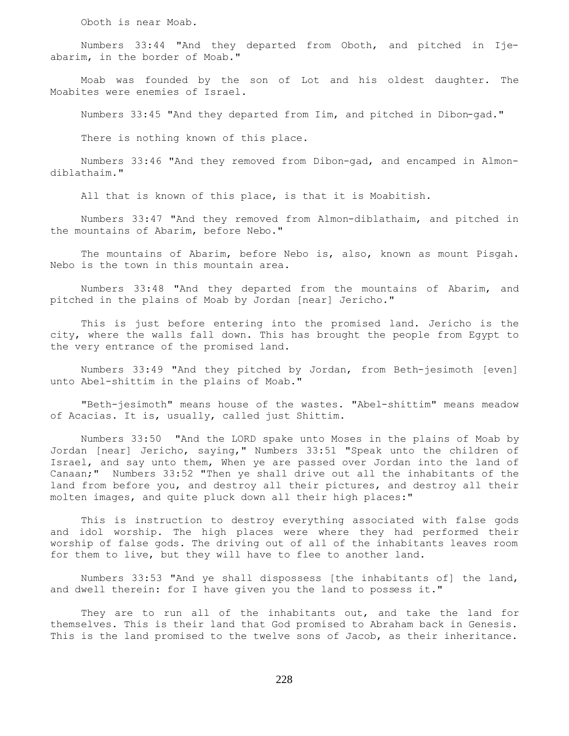Oboth is near Moab.

 Numbers 33:44 "And they departed from Oboth, and pitched in Ijeabarim, in the border of Moab."

 Moab was founded by the son of Lot and his oldest daughter. The Moabites were enemies of Israel.

Numbers 33:45 "And they departed from Iim, and pitched in Dibon-gad."

There is nothing known of this place.

 Numbers 33:46 "And they removed from Dibon-gad, and encamped in Almondiblathaim."

All that is known of this place, is that it is Moabitish.

 Numbers 33:47 "And they removed from Almon-diblathaim, and pitched in the mountains of Abarim, before Nebo."

 The mountains of Abarim, before Nebo is, also, known as mount Pisgah. Nebo is the town in this mountain area.

 Numbers 33:48 "And they departed from the mountains of Abarim, and pitched in the plains of Moab by Jordan [near] Jericho."

 This is just before entering into the promised land. Jericho is the city, where the walls fall down. This has brought the people from Egypt to the very entrance of the promised land.

 Numbers 33:49 "And they pitched by Jordan, from Beth-jesimoth [even] unto Abel-shittim in the plains of Moab."

 "Beth-jesimoth" means house of the wastes. "Abel-shittim" means meadow of Acacias. It is, usually, called just Shittim.

 Numbers 33:50 "And the LORD spake unto Moses in the plains of Moab by Jordan [near] Jericho, saying," Numbers 33:51 "Speak unto the children of Israel, and say unto them, When ye are passed over Jordan into the land of Canaan;" Numbers 33:52 "Then ye shall drive out all the inhabitants of the land from before you, and destroy all their pictures, and destroy all their molten images, and quite pluck down all their high places:"

 This is instruction to destroy everything associated with false gods and idol worship. The high places were where they had performed their worship of false gods. The driving out of all of the inhabitants leaves room for them to live, but they will have to flee to another land.

 Numbers 33:53 "And ye shall dispossess [the inhabitants of] the land, and dwell therein: for I have given you the land to possess it."

They are to run all of the inhabitants out, and take the land for themselves. This is their land that God promised to Abraham back in Genesis. This is the land promised to the twelve sons of Jacob, as their inheritance.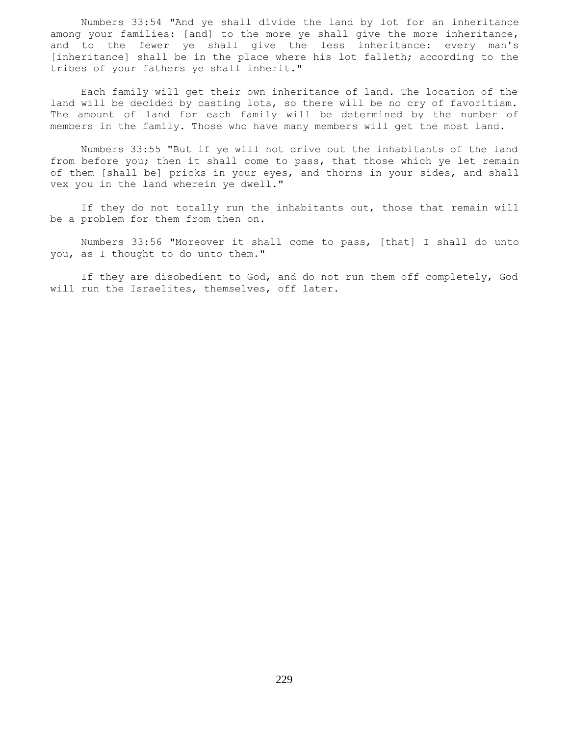Numbers 33:54 "And ye shall divide the land by lot for an inheritance among your families: [and] to the more ye shall give the more inheritance, and to the fewer ye shall give the less inheritance: every man's [inheritance] shall be in the place where his lot falleth; according to the tribes of your fathers ye shall inherit."

 Each family will get their own inheritance of land. The location of the land will be decided by casting lots, so there will be no cry of favoritism. The amount of land for each family will be determined by the number of members in the family. Those who have many members will get the most land.

 Numbers 33:55 "But if ye will not drive out the inhabitants of the land from before you; then it shall come to pass, that those which ye let remain of them [shall be] pricks in your eyes, and thorns in your sides, and shall vex you in the land wherein ye dwell."

 If they do not totally run the inhabitants out, those that remain will be a problem for them from then on.

 Numbers 33:56 "Moreover it shall come to pass, [that] I shall do unto you, as I thought to do unto them."

 If they are disobedient to God, and do not run them off completely, God will run the Israelites, themselves, off later.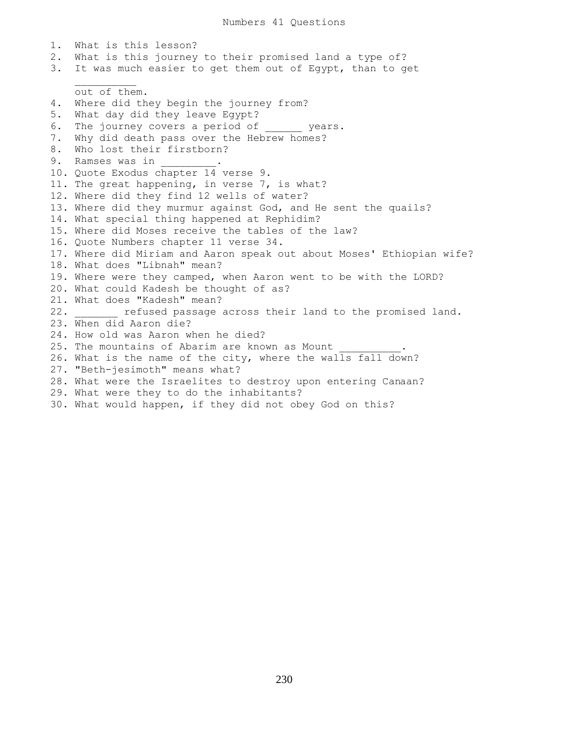1. What is this lesson? 2. What is this journey to their promised land a type of? 3. It was much easier to get them out of Egypt, than to get  $\mathcal{L}=\mathcal{L}=\mathcal{L}=\mathcal{L}=\mathcal{L}=\mathcal{L}=\mathcal{L}$  out of them. 4. Where did they begin the journey from? 5. What day did they leave Egypt? 6. The journey covers a period of years. 7. Why did death pass over the Hebrew homes? 8. Who lost their firstborn? 9. Ramses was in 10. Quote Exodus chapter 14 verse 9. 11. The great happening, in verse 7, is what? 12. Where did they find 12 wells of water? 13. Where did they murmur against God, and He sent the quails? 14. What special thing happened at Rephidim? 15. Where did Moses receive the tables of the law? 16. Quote Numbers chapter 11 verse 34. 17. Where did Miriam and Aaron speak out about Moses' Ethiopian wife? 18. What does "Libnah" mean? 19. Where were they camped, when Aaron went to be with the LORD? 20. What could Kadesh be thought of as? 21. What does "Kadesh" mean? 22. **Example 22.** refused passage across their land to the promised land. 23. When did Aaron die? 24. How old was Aaron when he died? 25. The mountains of Abarim are known as Mount 26. What is the name of the city, where the walls fall down? 27. "Beth-jesimoth" means what? 28. What were the Israelites to destroy upon entering Canaan? 29. What were they to do the inhabitants? 30. What would happen, if they did not obey God on this?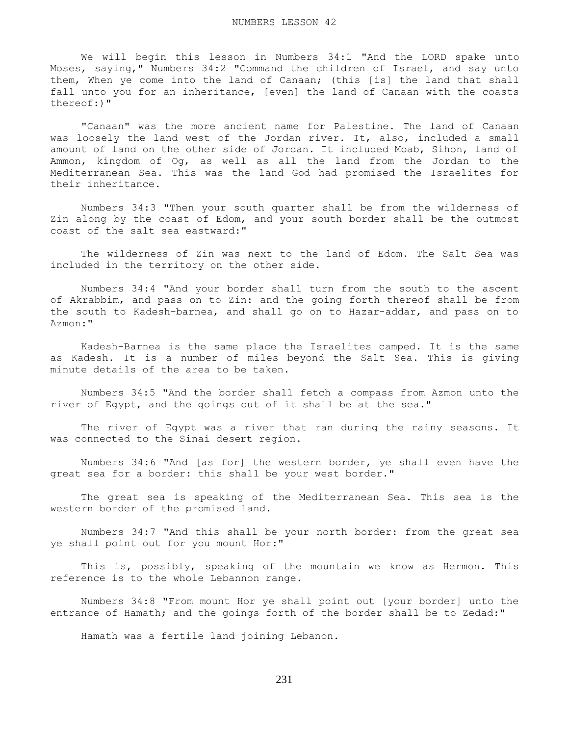We will begin this lesson in Numbers 34:1 "And the LORD spake unto Moses, saying," Numbers 34:2 "Command the children of Israel, and say unto them, When ye come into the land of Canaan; (this [is] the land that shall fall unto you for an inheritance, [even] the land of Canaan with the coasts thereof:)"

 "Canaan" was the more ancient name for Palestine. The land of Canaan was loosely the land west of the Jordan river. It, also, included a small amount of land on the other side of Jordan. It included Moab, Sihon, land of Ammon, kingdom of Og, as well as all the land from the Jordan to the Mediterranean Sea. This was the land God had promised the Israelites for their inheritance.

 Numbers 34:3 "Then your south quarter shall be from the wilderness of Zin along by the coast of Edom, and your south border shall be the outmost coast of the salt sea eastward:"

 The wilderness of Zin was next to the land of Edom. The Salt Sea was included in the territory on the other side.

 Numbers 34:4 "And your border shall turn from the south to the ascent of Akrabbim, and pass on to Zin: and the going forth thereof shall be from the south to Kadesh-barnea, and shall go on to Hazar-addar, and pass on to Azmon:"

 Kadesh-Barnea is the same place the Israelites camped. It is the same as Kadesh. It is a number of miles beyond the Salt Sea. This is giving minute details of the area to be taken.

 Numbers 34:5 "And the border shall fetch a compass from Azmon unto the river of Egypt, and the goings out of it shall be at the sea."

 The river of Egypt was a river that ran during the rainy seasons. It was connected to the Sinai desert region.

 Numbers 34:6 "And [as for] the western border, ye shall even have the great sea for a border: this shall be your west border."

 The great sea is speaking of the Mediterranean Sea. This sea is the western border of the promised land.

 Numbers 34:7 "And this shall be your north border: from the great sea ye shall point out for you mount Hor:"

 This is, possibly, speaking of the mountain we know as Hermon. This reference is to the whole Lebannon range.

 Numbers 34:8 "From mount Hor ye shall point out [your border] unto the entrance of Hamath; and the goings forth of the border shall be to Zedad:"

Hamath was a fertile land joining Lebanon.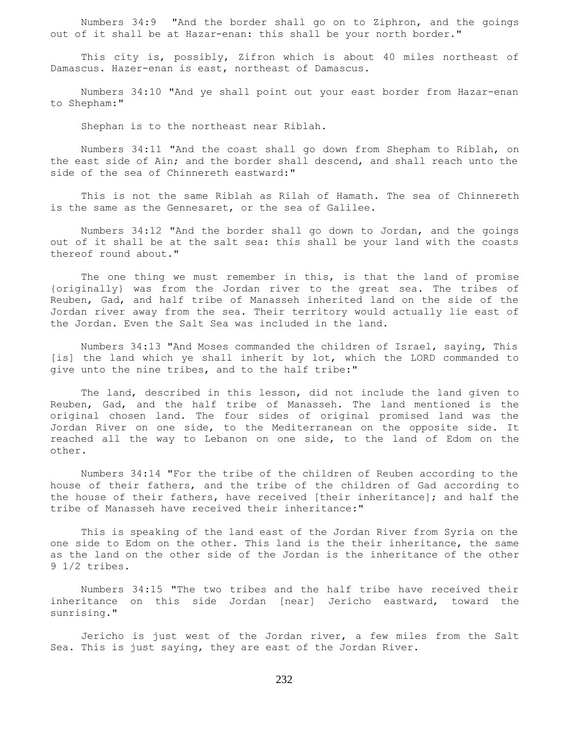Numbers 34:9 "And the border shall go on to Ziphron, and the goings out of it shall be at Hazar-enan: this shall be your north border."

 This city is, possibly, Zifron which is about 40 miles northeast of Damascus. Hazer-enan is east, northeast of Damascus.

 Numbers 34:10 "And ye shall point out your east border from Hazar-enan to Shepham:"

Shephan is to the northeast near Riblah.

 Numbers 34:11 "And the coast shall go down from Shepham to Riblah, on the east side of Ain; and the border shall descend, and shall reach unto the side of the sea of Chinnereth eastward:"

 This is not the same Riblah as Rilah of Hamath. The sea of Chinnereth is the same as the Gennesaret, or the sea of Galilee.

 Numbers 34:12 "And the border shall go down to Jordan, and the goings out of it shall be at the salt sea: this shall be your land with the coasts thereof round about."

The one thing we must remember in this, is that the land of promise {originally} was from the Jordan river to the great sea. The tribes of Reuben, Gad, and half tribe of Manasseh inherited land on the side of the Jordan river away from the sea. Their territory would actually lie east of the Jordan. Even the Salt Sea was included in the land.

 Numbers 34:13 "And Moses commanded the children of Israel, saying, This [is] the land which ye shall inherit by lot, which the LORD commanded to give unto the nine tribes, and to the half tribe:"

 The land, described in this lesson, did not include the land given to Reuben, Gad, and the half tribe of Manasseh. The land mentioned is the original chosen land. The four sides of original promised land was the Jordan River on one side, to the Mediterranean on the opposite side. It reached all the way to Lebanon on one side, to the land of Edom on the other.

 Numbers 34:14 "For the tribe of the children of Reuben according to the house of their fathers, and the tribe of the children of Gad according to the house of their fathers, have received [their inheritance]; and half the tribe of Manasseh have received their inheritance:"

 This is speaking of the land east of the Jordan River from Syria on the one side to Edom on the other. This land is the their inheritance, the same as the land on the other side of the Jordan is the inheritance of the other 9 1/2 tribes.

 Numbers 34:15 "The two tribes and the half tribe have received their inheritance on this side Jordan [near] Jericho eastward, toward the sunrising."

 Jericho is just west of the Jordan river, a few miles from the Salt Sea. This is just saying, they are east of the Jordan River.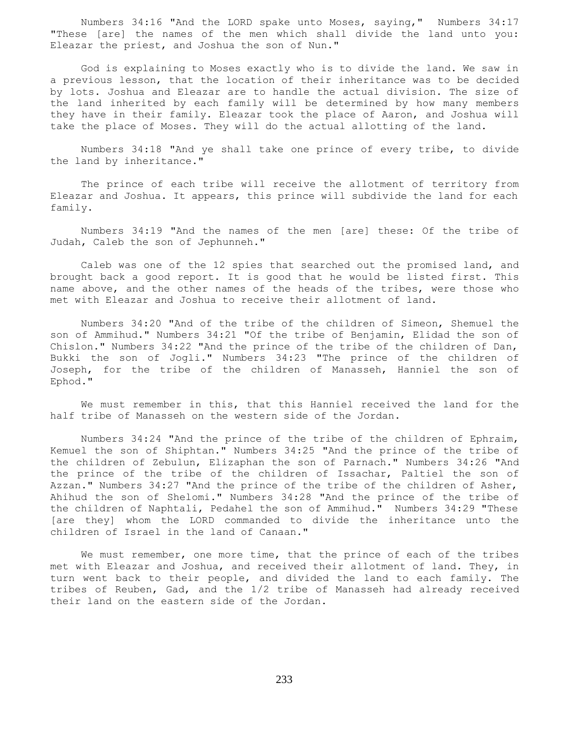Numbers 34:16 "And the LORD spake unto Moses, saying," Numbers 34:17 "These [are] the names of the men which shall divide the land unto you: Eleazar the priest, and Joshua the son of Nun."

 God is explaining to Moses exactly who is to divide the land. We saw in a previous lesson, that the location of their inheritance was to be decided by lots. Joshua and Eleazar are to handle the actual division. The size of the land inherited by each family will be determined by how many members they have in their family. Eleazar took the place of Aaron, and Joshua will take the place of Moses. They will do the actual allotting of the land.

 Numbers 34:18 "And ye shall take one prince of every tribe, to divide the land by inheritance."

 The prince of each tribe will receive the allotment of territory from Eleazar and Joshua. It appears, this prince will subdivide the land for each family.

 Numbers 34:19 "And the names of the men [are] these: Of the tribe of Judah, Caleb the son of Jephunneh."

 Caleb was one of the 12 spies that searched out the promised land, and brought back a good report. It is good that he would be listed first. This name above, and the other names of the heads of the tribes, were those who met with Eleazar and Joshua to receive their allotment of land.

 Numbers 34:20 "And of the tribe of the children of Simeon, Shemuel the son of Ammihud." Numbers 34:21 "Of the tribe of Benjamin, Elidad the son of Chislon." Numbers 34:22 "And the prince of the tribe of the children of Dan, Bukki the son of Jogli." Numbers 34:23 "The prince of the children of Joseph, for the tribe of the children of Manasseh, Hanniel the son of Ephod."

 We must remember in this, that this Hanniel received the land for the half tribe of Manasseh on the western side of the Jordan.

 Numbers 34:24 "And the prince of the tribe of the children of Ephraim, Kemuel the son of Shiphtan." Numbers 34:25 "And the prince of the tribe of the children of Zebulun, Elizaphan the son of Parnach." Numbers 34:26 "And the prince of the tribe of the children of Issachar, Paltiel the son of Azzan." Numbers 34:27 "And the prince of the tribe of the children of Asher, Ahihud the son of Shelomi." Numbers 34:28 "And the prince of the tribe of the children of Naphtali, Pedahel the son of Ammihud." Numbers 34:29 "These [are they] whom the LORD commanded to divide the inheritance unto the children of Israel in the land of Canaan."

 We must remember, one more time, that the prince of each of the tribes met with Eleazar and Joshua, and received their allotment of land. They, in turn went back to their people, and divided the land to each family. The tribes of Reuben, Gad, and the 1/2 tribe of Manasseh had already received their land on the eastern side of the Jordan.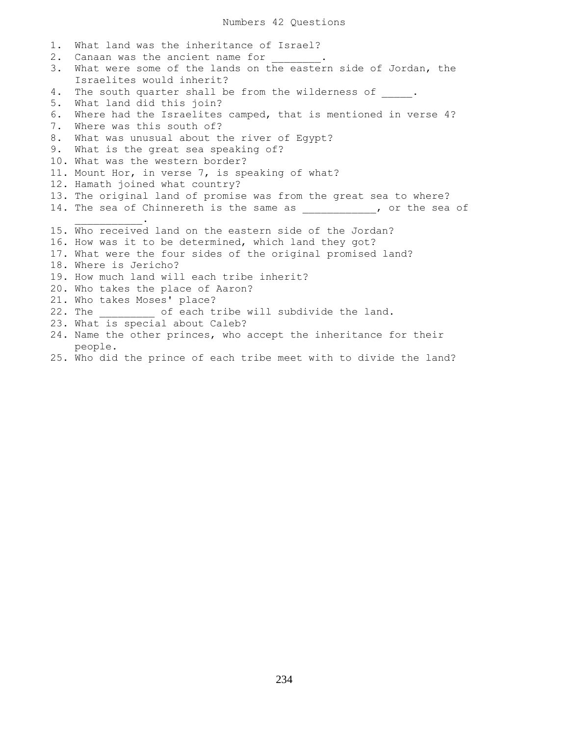1. What land was the inheritance of Israel? 2. Canaan was the ancient name for 3. What were some of the lands on the eastern side of Jordan, the Israelites would inherit? 4. The south quarter shall be from the wilderness of . 5. What land did this join? 6. Where had the Israelites camped, that is mentioned in verse 4? 7. Where was this south of? 8. What was unusual about the river of Egypt? 9. What is the great sea speaking of? 10. What was the western border? 11. Mount Hor, in verse 7, is speaking of what? 12. Hamath joined what country? 13. The original land of promise was from the great sea to where? 14. The sea of Chinnereth is the same as \_\_\_\_\_\_\_\_\_\_\_, or the sea of  $\overline{\phantom{a}}$  ,  $\overline{\phantom{a}}$  ,  $\overline{\phantom{a}}$  ,  $\overline{\phantom{a}}$  ,  $\overline{\phantom{a}}$  ,  $\overline{\phantom{a}}$  ,  $\overline{\phantom{a}}$  ,  $\overline{\phantom{a}}$  ,  $\overline{\phantom{a}}$  ,  $\overline{\phantom{a}}$  ,  $\overline{\phantom{a}}$  ,  $\overline{\phantom{a}}$  ,  $\overline{\phantom{a}}$  ,  $\overline{\phantom{a}}$  ,  $\overline{\phantom{a}}$  ,  $\overline{\phantom{a}}$ 15. Who received land on the eastern side of the Jordan? 16. How was it to be determined, which land they got? 17. What were the four sides of the original promised land? 18. Where is Jericho? 19. How much land will each tribe inherit? 20. Who takes the place of Aaron? 21. Who takes Moses' place? 22. The  $\qquad$  of each tribe will subdivide the land. 23. What is special about Caleb? 24. Name the other princes, who accept the inheritance for their people.

25. Who did the prince of each tribe meet with to divide the land?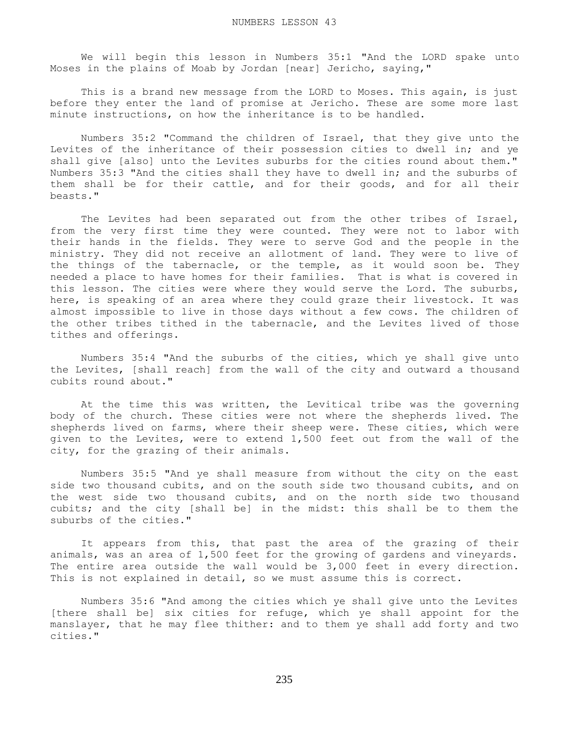We will begin this lesson in Numbers 35:1 "And the LORD spake unto Moses in the plains of Moab by Jordan [near] Jericho, saying,"

This is a brand new message from the LORD to Moses. This again, is just before they enter the land of promise at Jericho. These are some more last minute instructions, on how the inheritance is to be handled.

 Numbers 35:2 "Command the children of Israel, that they give unto the Levites of the inheritance of their possession cities to dwell in; and ye shall give [also] unto the Levites suburbs for the cities round about them." Numbers 35:3 "And the cities shall they have to dwell in; and the suburbs of them shall be for their cattle, and for their goods, and for all their beasts."

 The Levites had been separated out from the other tribes of Israel, from the very first time they were counted. They were not to labor with their hands in the fields. They were to serve God and the people in the ministry. They did not receive an allotment of land. They were to live of the things of the tabernacle, or the temple, as it would soon be. They needed a place to have homes for their families. That is what is covered in this lesson. The cities were where they would serve the Lord. The suburbs, here, is speaking of an area where they could graze their livestock. It was almost impossible to live in those days without a few cows. The children of the other tribes tithed in the tabernacle, and the Levites lived of those tithes and offerings.

 Numbers 35:4 "And the suburbs of the cities, which ye shall give unto the Levites, [shall reach] from the wall of the city and outward a thousand cubits round about."

 At the time this was written, the Levitical tribe was the governing body of the church. These cities were not where the shepherds lived. The shepherds lived on farms, where their sheep were. These cities, which were given to the Levites, were to extend 1,500 feet out from the wall of the city, for the grazing of their animals.

 Numbers 35:5 "And ye shall measure from without the city on the east side two thousand cubits, and on the south side two thousand cubits, and on the west side two thousand cubits, and on the north side two thousand cubits; and the city [shall be] in the midst: this shall be to them the suburbs of the cities."

 It appears from this, that past the area of the grazing of their animals, was an area of 1,500 feet for the growing of gardens and vineyards. The entire area outside the wall would be 3,000 feet in every direction. This is not explained in detail, so we must assume this is correct.

 Numbers 35:6 "And among the cities which ye shall give unto the Levites [there shall be] six cities for refuge, which ye shall appoint for the manslayer, that he may flee thither: and to them ye shall add forty and two cities."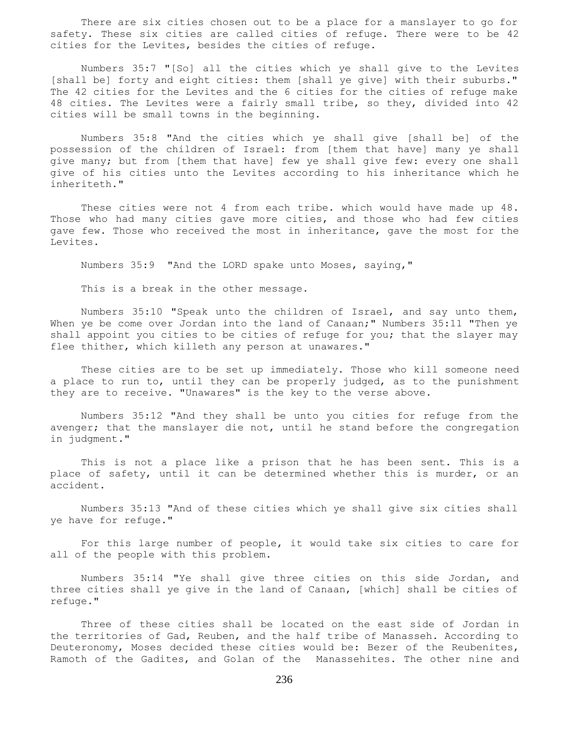There are six cities chosen out to be a place for a manslayer to go for safety. These six cities are called cities of refuge. There were to be 42 cities for the Levites, besides the cities of refuge.

 Numbers 35:7 "[So] all the cities which ye shall give to the Levites [shall be] forty and eight cities: them [shall ye give] with their suburbs." The 42 cities for the Levites and the 6 cities for the cities of refuge make 48 cities. The Levites were a fairly small tribe, so they, divided into 42 cities will be small towns in the beginning.

 Numbers 35:8 "And the cities which ye shall give [shall be] of the possession of the children of Israel: from [them that have] many ye shall give many; but from [them that have] few ye shall give few: every one shall give of his cities unto the Levites according to his inheritance which he inheriteth."

These cities were not 4 from each tribe. which would have made up 48. Those who had many cities gave more cities, and those who had few cities gave few. Those who received the most in inheritance, gave the most for the Levites.

Numbers 35:9 "And the LORD spake unto Moses, saying,"

This is a break in the other message.

 Numbers 35:10 "Speak unto the children of Israel, and say unto them, When ye be come over Jordan into the land of Canaan;" Numbers 35:11 "Then ye shall appoint you cities to be cities of refuge for you; that the slayer may flee thither, which killeth any person at unawares."

 These cities are to be set up immediately. Those who kill someone need a place to run to, until they can be properly judged, as to the punishment they are to receive. "Unawares" is the key to the verse above.

 Numbers 35:12 "And they shall be unto you cities for refuge from the avenger; that the manslayer die not, until he stand before the congregation in judgment."

 This is not a place like a prison that he has been sent. This is a place of safety, until it can be determined whether this is murder, or an accident.

 Numbers 35:13 "And of these cities which ye shall give six cities shall ye have for refuge."

 For this large number of people, it would take six cities to care for all of the people with this problem.

 Numbers 35:14 "Ye shall give three cities on this side Jordan, and three cities shall ye give in the land of Canaan, [which] shall be cities of refuge."

 Three of these cities shall be located on the east side of Jordan in the territories of Gad, Reuben, and the half tribe of Manasseh. According to Deuteronomy, Moses decided these cities would be: Bezer of the Reubenites, Ramoth of the Gadites, and Golan of the Manassehites. The other nine and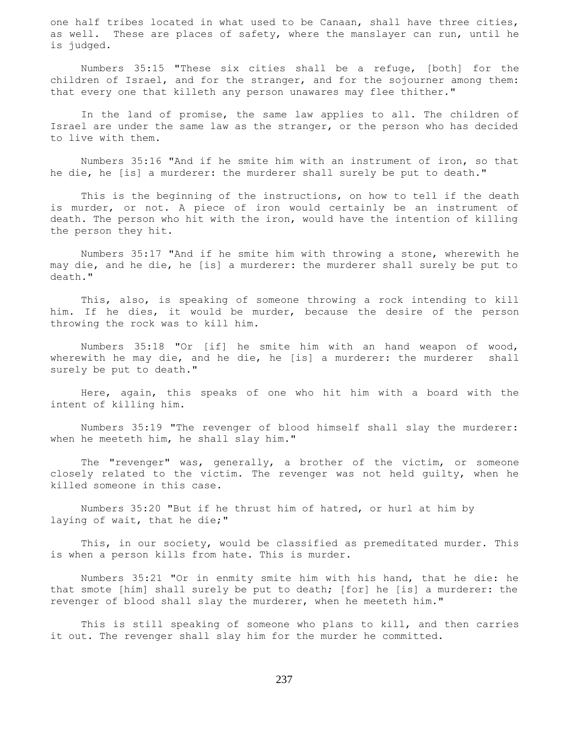one half tribes located in what used to be Canaan, shall have three cities, as well. These are places of safety, where the manslayer can run, until he is judged.

 Numbers 35:15 "These six cities shall be a refuge, [both] for the children of Israel, and for the stranger, and for the sojourner among them: that every one that killeth any person unawares may flee thither."

 In the land of promise, the same law applies to all. The children of Israel are under the same law as the stranger, or the person who has decided to live with them.

 Numbers 35:16 "And if he smite him with an instrument of iron, so that he die, he [is] a murderer: the murderer shall surely be put to death."

 This is the beginning of the instructions, on how to tell if the death is murder, or not. A piece of iron would certainly be an instrument of death. The person who hit with the iron, would have the intention of killing the person they hit.

 Numbers 35:17 "And if he smite him with throwing a stone, wherewith he may die, and he die, he [is] a murderer: the murderer shall surely be put to death."

 This, also, is speaking of someone throwing a rock intending to kill him. If he dies, it would be murder, because the desire of the person throwing the rock was to kill him.

 Numbers 35:18 "Or [if] he smite him with an hand weapon of wood, wherewith he may die, and he die, he [is] a murderer: the murderer shall surely be put to death."

 Here, again, this speaks of one who hit him with a board with the intent of killing him.

 Numbers 35:19 "The revenger of blood himself shall slay the murderer: when he meeteth him, he shall slay him."

 The "revenger" was, generally, a brother of the victim, or someone closely related to the victim. The revenger was not held guilty, when he killed someone in this case.

 Numbers 35:20 "But if he thrust him of hatred, or hurl at him by laying of wait, that he die;"

 This, in our society, would be classified as premeditated murder. This is when a person kills from hate. This is murder.

 Numbers 35:21 "Or in enmity smite him with his hand, that he die: he that smote [him] shall surely be put to death; [for] he [is] a murderer: the revenger of blood shall slay the murderer, when he meeteth him."

 This is still speaking of someone who plans to kill, and then carries it out. The revenger shall slay him for the murder he committed.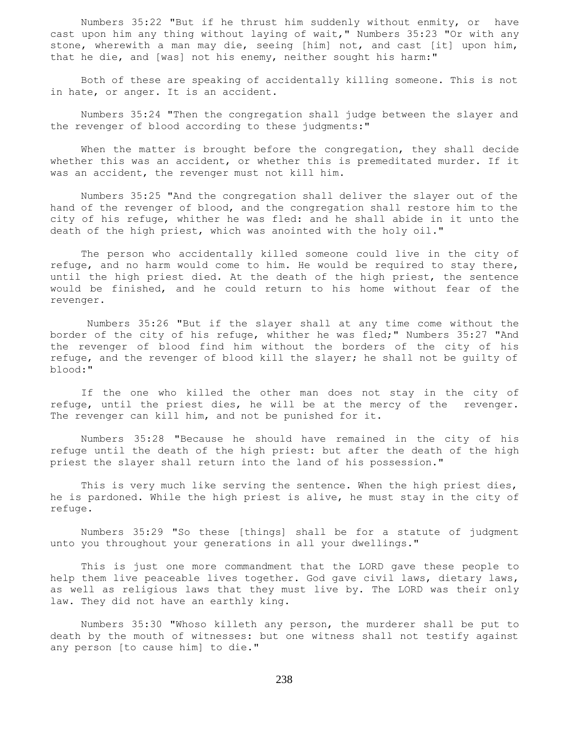Numbers 35:22 "But if he thrust him suddenly without enmity, or have cast upon him any thing without laying of wait," Numbers 35:23 "Or with any stone, wherewith a man may die, seeing [him] not, and cast [it] upon him, that he die, and [was] not his enemy, neither sought his harm:"

 Both of these are speaking of accidentally killing someone. This is not in hate, or anger. It is an accident.

 Numbers 35:24 "Then the congregation shall judge between the slayer and the revenger of blood according to these judgments:"

When the matter is brought before the congregation, they shall decide whether this was an accident, or whether this is premeditated murder. If it was an accident, the revenger must not kill him.

 Numbers 35:25 "And the congregation shall deliver the slayer out of the hand of the revenger of blood, and the congregation shall restore him to the city of his refuge, whither he was fled: and he shall abide in it unto the death of the high priest, which was anointed with the holy oil."

 The person who accidentally killed someone could live in the city of refuge, and no harm would come to him. He would be required to stay there, until the high priest died. At the death of the high priest, the sentence would be finished, and he could return to his home without fear of the revenger.

 Numbers 35:26 "But if the slayer shall at any time come without the border of the city of his refuge, whither he was fled;" Numbers 35:27 "And the revenger of blood find him without the borders of the city of his refuge, and the revenger of blood kill the slayer; he shall not be guilty of blood:"

 If the one who killed the other man does not stay in the city of refuge, until the priest dies, he will be at the mercy of the revenger. The revenger can kill him, and not be punished for it.

 Numbers 35:28 "Because he should have remained in the city of his refuge until the death of the high priest: but after the death of the high priest the slayer shall return into the land of his possession."

This is very much like serving the sentence. When the high priest dies, he is pardoned. While the high priest is alive, he must stay in the city of refuge.

 Numbers 35:29 "So these [things] shall be for a statute of judgment unto you throughout your generations in all your dwellings."

 This is just one more commandment that the LORD gave these people to help them live peaceable lives together. God gave civil laws, dietary laws, as well as religious laws that they must live by. The LORD was their only law. They did not have an earthly king.

 Numbers 35:30 "Whoso killeth any person, the murderer shall be put to death by the mouth of witnesses: but one witness shall not testify against any person [to cause him] to die."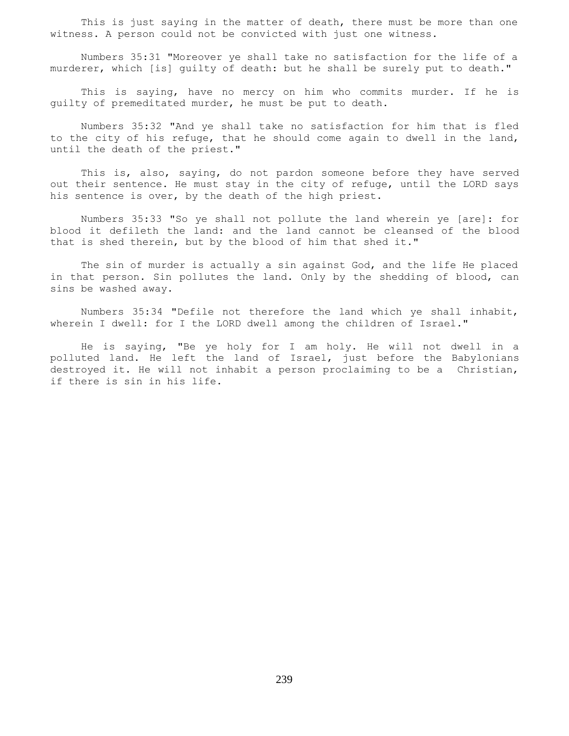This is just saying in the matter of death, there must be more than one witness. A person could not be convicted with just one witness.

 Numbers 35:31 "Moreover ye shall take no satisfaction for the life of a murderer, which [is] guilty of death: but he shall be surely put to death."

 This is saying, have no mercy on him who commits murder. If he is guilty of premeditated murder, he must be put to death.

 Numbers 35:32 "And ye shall take no satisfaction for him that is fled to the city of his refuge, that he should come again to dwell in the land, until the death of the priest."

 This is, also, saying, do not pardon someone before they have served out their sentence. He must stay in the city of refuge, until the LORD says his sentence is over, by the death of the high priest.

 Numbers 35:33 "So ye shall not pollute the land wherein ye [are]: for blood it defileth the land: and the land cannot be cleansed of the blood that is shed therein, but by the blood of him that shed it."

 The sin of murder is actually a sin against God, and the life He placed in that person. Sin pollutes the land. Only by the shedding of blood, can sins be washed away.

 Numbers 35:34 "Defile not therefore the land which ye shall inhabit, wherein I dwell: for I the LORD dwell among the children of Israel."

 He is saying, "Be ye holy for I am holy. He will not dwell in a polluted land. He left the land of Israel, just before the Babylonians destroyed it. He will not inhabit a person proclaiming to be a Christian, if there is sin in his life.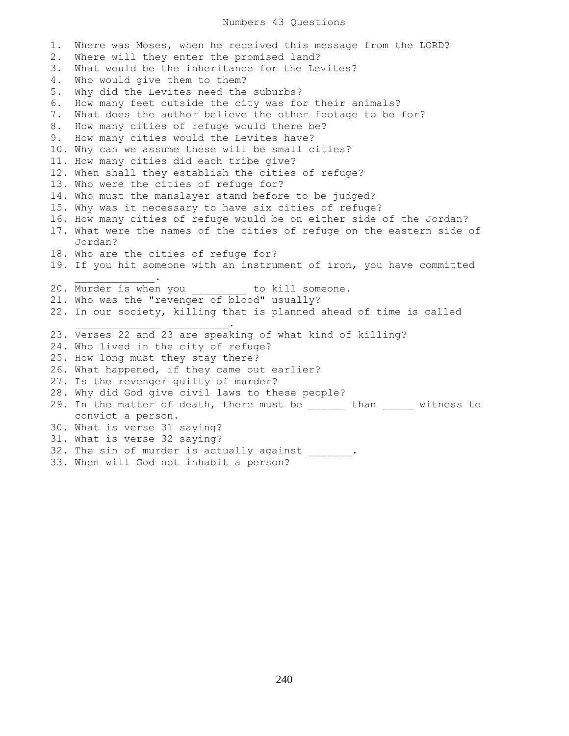1. Where was Moses, when he received this message from the LORD? 2. Where will they enter the promised land? 3. What would be the inheritance for the Levites? 4. Who would give them to them? 5. Why did the Levites need the suburbs? 6. How many feet outside the city was for their animals? 7. What does the author believe the other footage to be for? 8. How many cities of refuge would there be? 9. How many cities would the Levites have? 10. Why can we assume these will be small cities? 11. How many cities did each tribe give? 12. When shall they establish the cities of refuge? 13. Who were the cities of refuge for? 14. Who must the manslayer stand before to be judged? 15. Why was it necessary to have six cities of refuge? 16. How many cities of refuge would be on either side of the Jordan? 17. What were the names of the cities of refuge on the eastern side of Jordan? 18. Who are the cities of refuge for? 19. If you hit someone with an instrument of iron, you have committed  $\overline{\phantom{a}}$  ,  $\overline{\phantom{a}}$  ,  $\overline{\phantom{a}}$  ,  $\overline{\phantom{a}}$  ,  $\overline{\phantom{a}}$  ,  $\overline{\phantom{a}}$  ,  $\overline{\phantom{a}}$  ,  $\overline{\phantom{a}}$  ,  $\overline{\phantom{a}}$  ,  $\overline{\phantom{a}}$  ,  $\overline{\phantom{a}}$  ,  $\overline{\phantom{a}}$  ,  $\overline{\phantom{a}}$  ,  $\overline{\phantom{a}}$  ,  $\overline{\phantom{a}}$  ,  $\overline{\phantom{a}}$ 20. Murder is when you \_\_\_\_\_\_\_\_\_ to kill someone. 21. Who was the "revenger of blood" usually? 22. In our society, killing that is planned ahead of time is called \_\_\_\_\_\_\_\_\_\_\_\_\_\_ \_\_\_\_\_\_\_\_\_\_. 23. Verses 22 and 23 are speaking of what kind of killing? 24. Who lived in the city of refuge? 25. How long must they stay there? 26. What happened, if they came out earlier? 27. Is the revenger guilty of murder? 28. Why did God give civil laws to these people? 29. In the matter of death, there must be \_\_\_\_\_\_ than \_\_\_\_\_\_ witness to convict a person. 30. What is verse 31 saying? 31. What is verse 32 saying? 32. The sin of murder is actually against \_\_\_\_\_\_\_.

33. When will God not inhabit a person?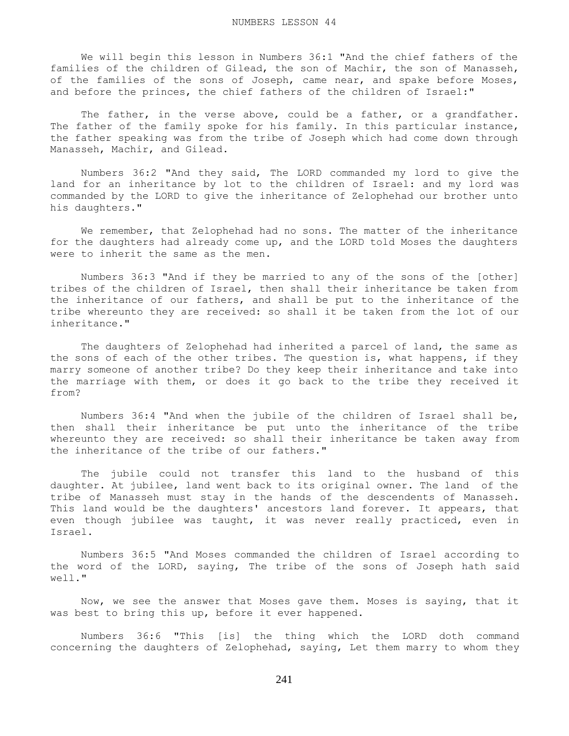We will begin this lesson in Numbers 36:1 "And the chief fathers of the families of the children of Gilead, the son of Machir, the son of Manasseh, of the families of the sons of Joseph, came near, and spake before Moses, and before the princes, the chief fathers of the children of Israel:"

The father, in the verse above, could be a father, or a grandfather. The father of the family spoke for his family. In this particular instance, the father speaking was from the tribe of Joseph which had come down through Manasseh, Machir, and Gilead.

 Numbers 36:2 "And they said, The LORD commanded my lord to give the land for an inheritance by lot to the children of Israel: and my lord was commanded by the LORD to give the inheritance of Zelophehad our brother unto his daughters."

We remember, that Zelophehad had no sons. The matter of the inheritance for the daughters had already come up, and the LORD told Moses the daughters were to inherit the same as the men.

 Numbers 36:3 "And if they be married to any of the sons of the [other] tribes of the children of Israel, then shall their inheritance be taken from the inheritance of our fathers, and shall be put to the inheritance of the tribe whereunto they are received: so shall it be taken from the lot of our inheritance."

 The daughters of Zelophehad had inherited a parcel of land, the same as the sons of each of the other tribes. The question is, what happens, if they marry someone of another tribe? Do they keep their inheritance and take into the marriage with them, or does it go back to the tribe they received it from?

 Numbers 36:4 "And when the jubile of the children of Israel shall be, then shall their inheritance be put unto the inheritance of the tribe whereunto they are received: so shall their inheritance be taken away from the inheritance of the tribe of our fathers."

 The jubile could not transfer this land to the husband of this daughter. At jubilee, land went back to its original owner. The land of the tribe of Manasseh must stay in the hands of the descendents of Manasseh. This land would be the daughters' ancestors land forever. It appears, that even though jubilee was taught, it was never really practiced, even in Israel.

 Numbers 36:5 "And Moses commanded the children of Israel according to the word of the LORD, saying, The tribe of the sons of Joseph hath said well."

 Now, we see the answer that Moses gave them. Moses is saying, that it was best to bring this up, before it ever happened.

 Numbers 36:6 "This [is] the thing which the LORD doth command concerning the daughters of Zelophehad, saying, Let them marry to whom they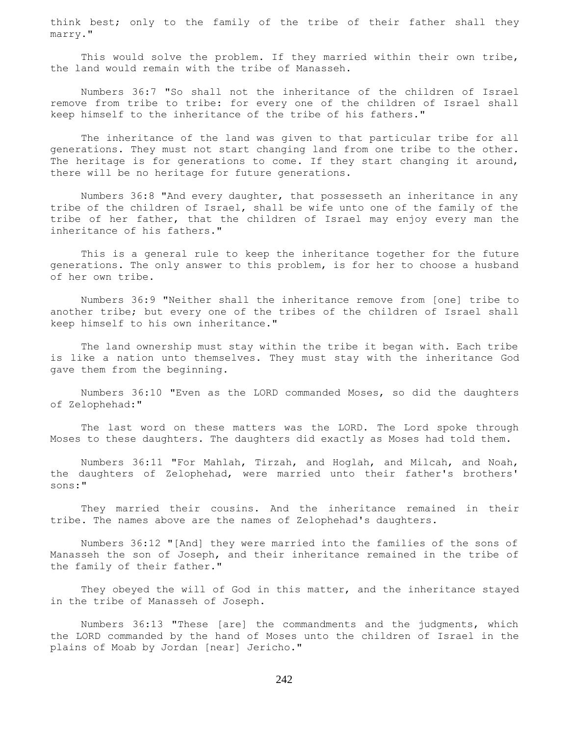think best; only to the family of the tribe of their father shall they marry."

 This would solve the problem. If they married within their own tribe, the land would remain with the tribe of Manasseh.

 Numbers 36:7 "So shall not the inheritance of the children of Israel remove from tribe to tribe: for every one of the children of Israel shall keep himself to the inheritance of the tribe of his fathers."

 The inheritance of the land was given to that particular tribe for all generations. They must not start changing land from one tribe to the other. The heritage is for generations to come. If they start changing it around, there will be no heritage for future generations.

 Numbers 36:8 "And every daughter, that possesseth an inheritance in any tribe of the children of Israel, shall be wife unto one of the family of the tribe of her father, that the children of Israel may enjoy every man the inheritance of his fathers."

 This is a general rule to keep the inheritance together for the future generations. The only answer to this problem, is for her to choose a husband of her own tribe.

 Numbers 36:9 "Neither shall the inheritance remove from [one] tribe to another tribe; but every one of the tribes of the children of Israel shall keep himself to his own inheritance."

 The land ownership must stay within the tribe it began with. Each tribe is like a nation unto themselves. They must stay with the inheritance God gave them from the beginning.

 Numbers 36:10 "Even as the LORD commanded Moses, so did the daughters of Zelophehad:"

 The last word on these matters was the LORD. The Lord spoke through Moses to these daughters. The daughters did exactly as Moses had told them.

 Numbers 36:11 "For Mahlah, Tirzah, and Hoglah, and Milcah, and Noah, the daughters of Zelophehad, were married unto their father's brothers' sons:"

 They married their cousins. And the inheritance remained in their tribe. The names above are the names of Zelophehad's daughters.

 Numbers 36:12 "[And] they were married into the families of the sons of Manasseh the son of Joseph, and their inheritance remained in the tribe of the family of their father."

 They obeyed the will of God in this matter, and the inheritance stayed in the tribe of Manasseh of Joseph.

 Numbers 36:13 "These [are] the commandments and the judgments, which the LORD commanded by the hand of Moses unto the children of Israel in the plains of Moab by Jordan [near] Jericho."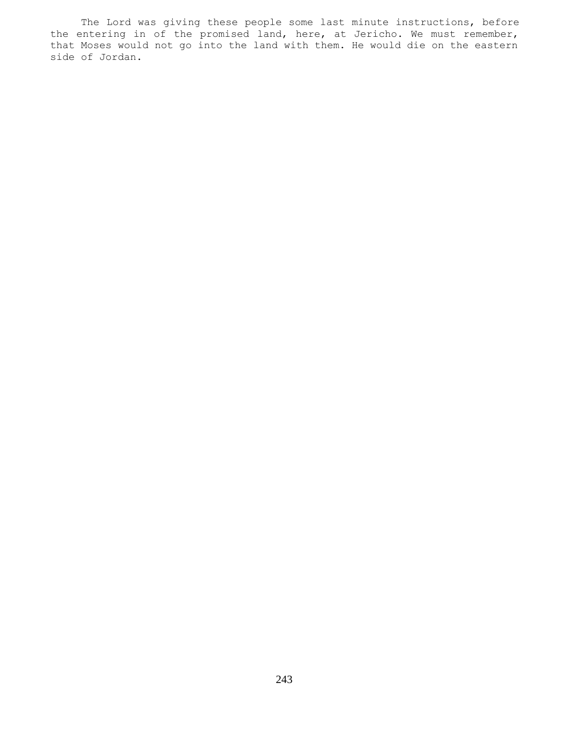The Lord was giving these people some last minute instructions, before the entering in of the promised land, here, at Jericho. We must remember, that Moses would not go into the land with them. He would die on the eastern side of Jordan.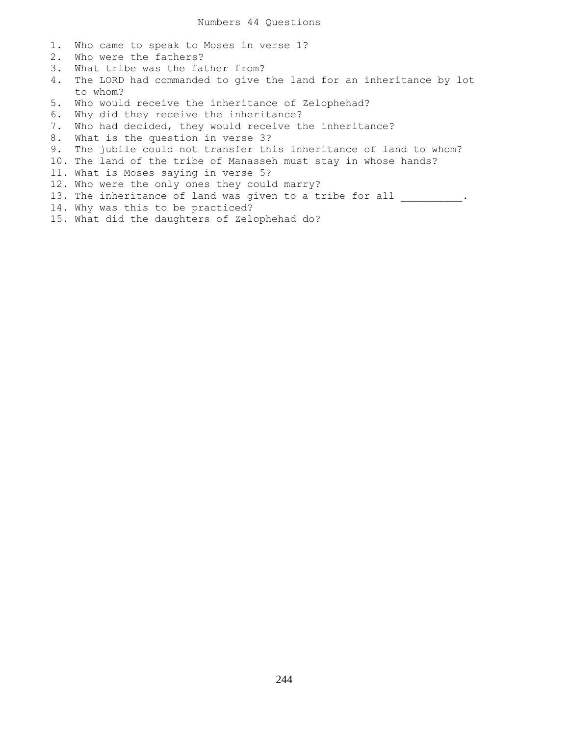- 1. Who came to speak to Moses in verse 1?
- 2. Who were the fathers?
- 3. What tribe was the father from?
- 4. The LORD had commanded to give the land for an inheritance by lot to whom?
- 5. Who would receive the inheritance of Zelophehad?
- 6. Why did they receive the inheritance?
- 7. Who had decided, they would receive the inheritance?
- 8. What is the question in verse 3?
- 9. The jubile could not transfer this inheritance of land to whom?
- 10. The land of the tribe of Manasseh must stay in whose hands?
- 11. What is Moses saying in verse 5?
- 12. Who were the only ones they could marry?
- 13. The inheritance of land was given to a tribe for all \_\_\_\_\_\_\_\_\_.
- 14. Why was this to be practiced?
- 15. What did the daughters of Zelophehad do?